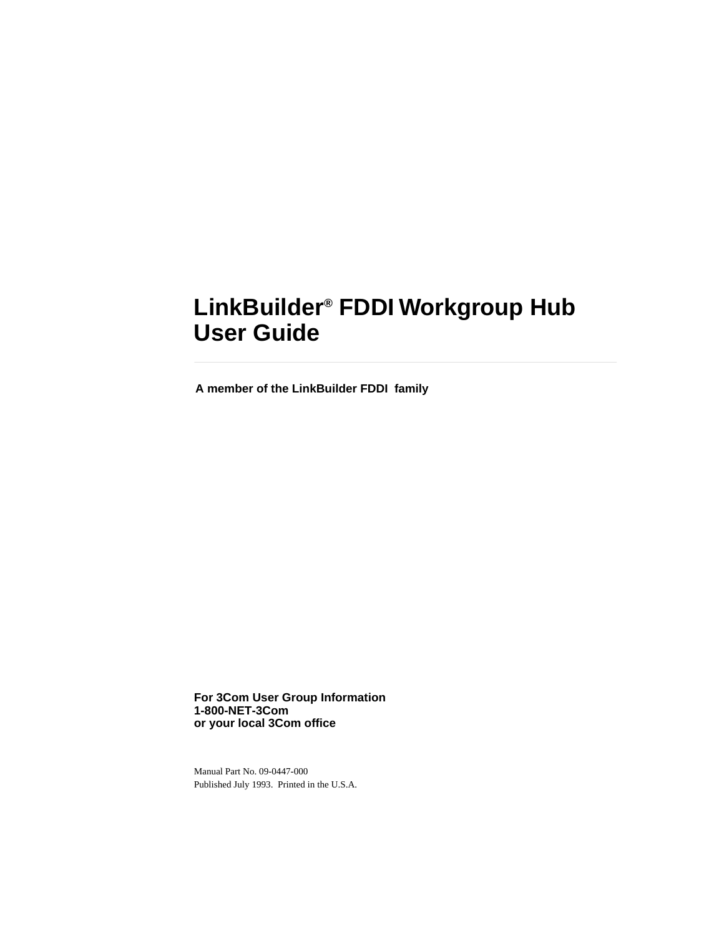# **LinkBuilder® FDDI Workgroup Hub User Guide**

**A member of the LinkBuilder FDDI family**

**For 3Com User Group Information 1-800-NET-3Com or your local 3Com office**

Manual Part No. 09-0447-000 Published July 1993. Printed in the U.S.A.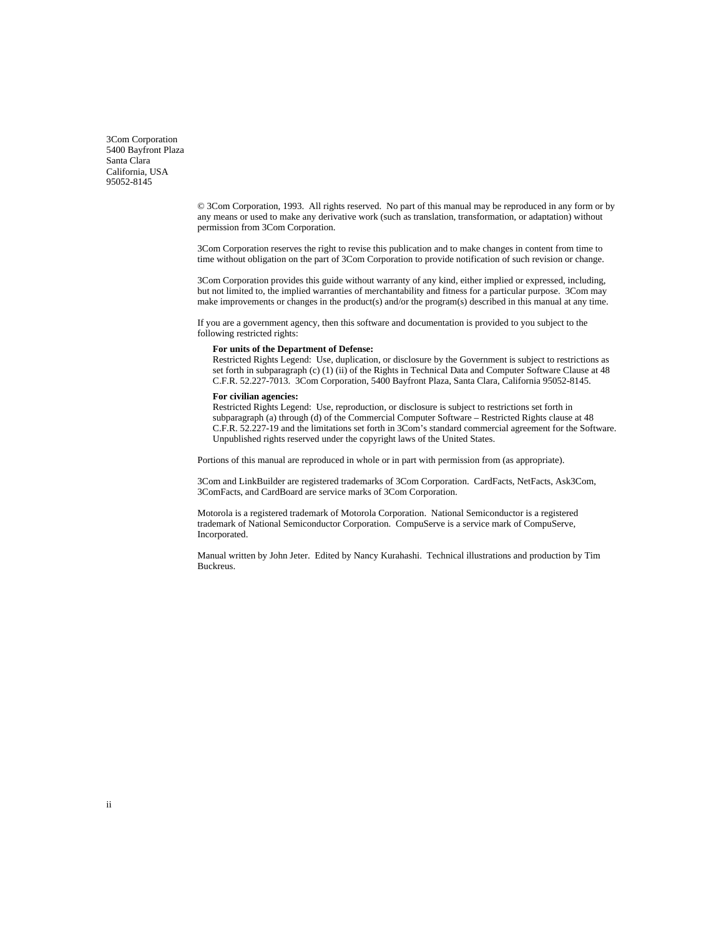3Com Corporation 5400 Bayfront Plaza Santa Clara California, USA 95052-8145

> © 3Com Corporation, 1993. All rights reserved. No part of this manual may be reproduced in any form or by any means or used to make any derivative work (such as translation, transformation, or adaptation) without permission from 3Com Corporation.

3Com Corporation reserves the right to revise this publication and to make changes in content from time to time without obligation on the part of 3Com Corporation to provide notification of such revision or change.

3Com Corporation provides this guide without warranty of any kind, either implied or expressed, including, but not limited to, the implied warranties of merchantability and fitness for a particular purpose. 3Com may make improvements or changes in the product(s) and/or the program(s) described in this manual at any time.

If you are a government agency, then this software and documentation is provided to you subject to the following restricted rights:

#### **For units of the Department of Defense:**

Restricted Rights Legend: Use, duplication, or disclosure by the Government is subject to restrictions as set forth in subparagraph (c) (1) (ii) of the Rights in Technical Data and Computer Software Clause at 48 C.F.R. 52.227-7013. 3Com Corporation, 5400 Bayfront Plaza, Santa Clara, California 95052-8145.

#### **For civilian agencies:**

Restricted Rights Legend: Use, reproduction, or disclosure is subject to restrictions set forth in subparagraph (a) through (d) of the Commercial Computer Software – Restricted Rights clause at 48 C.F.R. 52.227-19 and the limitations set forth in 3Com's standard commercial agreement for the Software. Unpublished rights reserved under the copyright laws of the United States.

Portions of this manual are reproduced in whole or in part with permission from (as appropriate).

3Com and LinkBuilder are registered trademarks of 3Com Corporation. CardFacts, NetFacts, Ask3Com, 3ComFacts, and CardBoard are service marks of 3Com Corporation.

Motorola is a registered trademark of Motorola Corporation. National Semiconductor is a registered trademark of National Semiconductor Corporation. CompuServe is a service mark of CompuServe, Incorporated.

Manual written by John Jeter. Edited by Nancy Kurahashi. Technical illustrations and production by Tim Buckreus.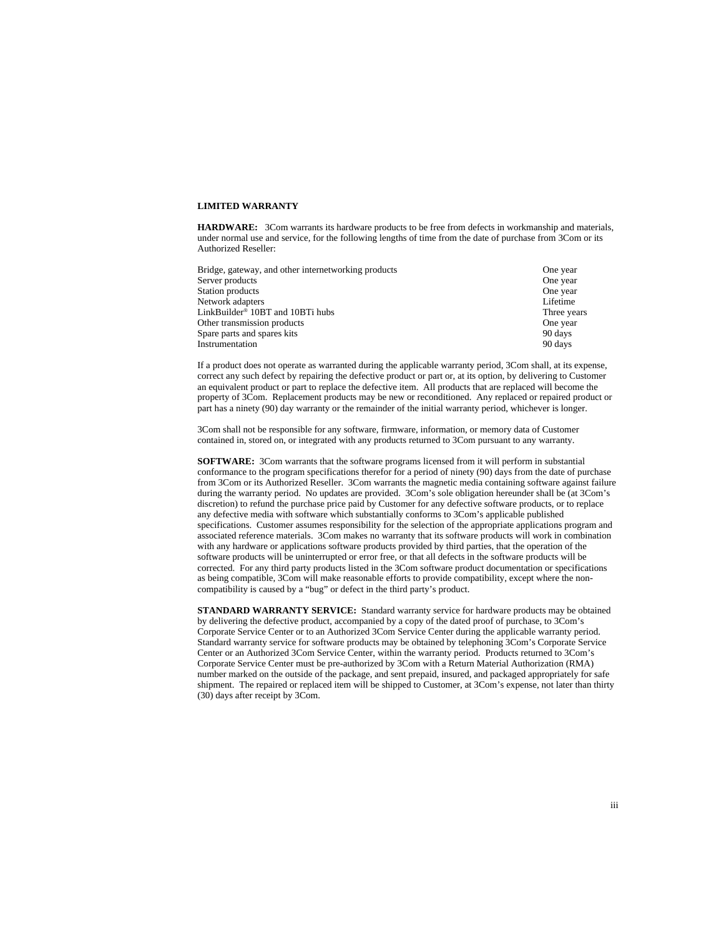#### **LIMITED WARRANTY**

**HARDWARE:** 3Com warrants its hardware products to be free from defects in workmanship and materials, under normal use and service, for the following lengths of time from the date of purchase from 3Com or its Authorized Reseller:

| One year    |
|-------------|
| One year    |
| One year    |
| Lifetime    |
| Three years |
| One year    |
| 90 days     |
| 90 days     |
|             |

If a product does not operate as warranted during the applicable warranty period, 3Com shall, at its expense, correct any such defect by repairing the defective product or part or, at its option, by delivering to Customer an equivalent product or part to replace the defective item. All products that are replaced will become the property of 3Com. Replacement products may be new or reconditioned. Any replaced or repaired product or part has a ninety (90) day warranty or the remainder of the initial warranty period, whichever is longer.

3Com shall not be responsible for any software, firmware, information, or memory data of Customer contained in, stored on, or integrated with any products returned to 3Com pursuant to any warranty.

**SOFTWARE:** 3Com warrants that the software programs licensed from it will perform in substantial conformance to the program specifications therefor for a period of ninety (90) days from the date of purchase from 3Com or its Authorized Reseller. 3Com warrants the magnetic media containing software against failure during the warranty period. No updates are provided. 3Com's sole obligation hereunder shall be (at 3Com's discretion) to refund the purchase price paid by Customer for any defective software products, or to replace any defective media with software which substantially conforms to 3Com's applicable published specifications. Customer assumes responsibility for the selection of the appropriate applications program and associated reference materials. 3Com makes no warranty that its software products will work in combination with any hardware or applications software products provided by third parties, that the operation of the software products will be uninterrupted or error free, or that all defects in the software products will be corrected. For any third party products listed in the 3Com software product documentation or specifications as being compatible, 3Com will make reasonable efforts to provide compatibility, except where the noncompatibility is caused by a "bug" or defect in the third party's product.

**STANDARD WARRANTY SERVICE:** Standard warranty service for hardware products may be obtained by delivering the defective product, accompanied by a copy of the dated proof of purchase, to 3Com's Corporate Service Center or to an Authorized 3Com Service Center during the applicable warranty period. Standard warranty service for software products may be obtained by telephoning 3Com's Corporate Service Center or an Authorized 3Com Service Center, within the warranty period. Products returned to 3Com's Corporate Service Center must be pre-authorized by 3Com with a Return Material Authorization (RMA) number marked on the outside of the package, and sent prepaid, insured, and packaged appropriately for safe shipment. The repaired or replaced item will be shipped to Customer, at 3Com's expense, not later than thirty (30) days after receipt by 3Com.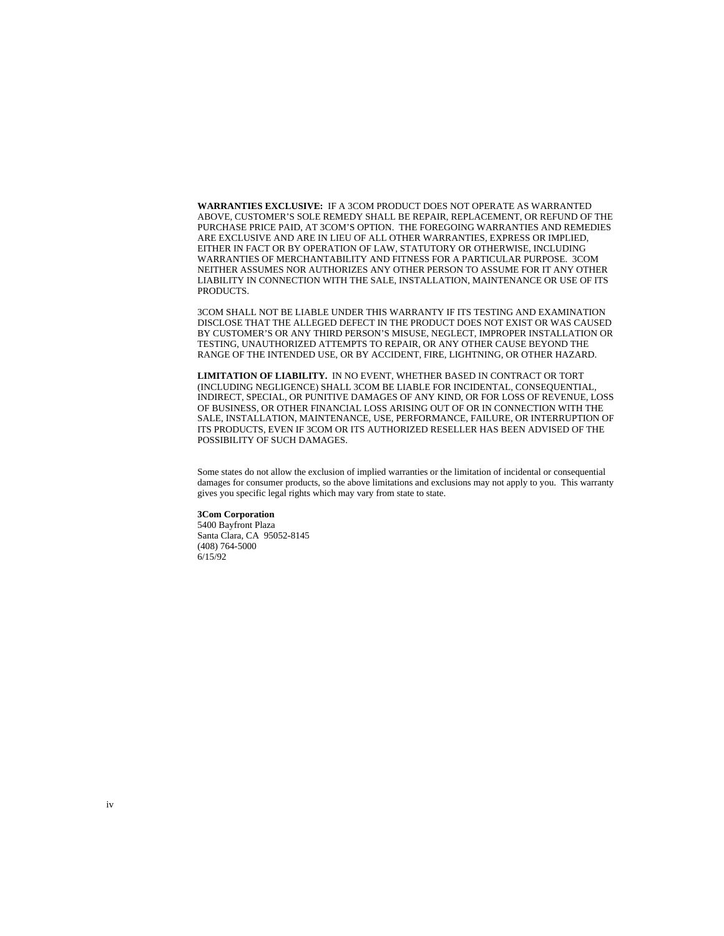**WARRANTIES EXCLUSIVE:** IF A 3COM PRODUCT DOES NOT OPERATE AS WARRANTED ABOVE, CUSTOMER'S SOLE REMEDY SHALL BE REPAIR, REPLACEMENT, OR REFUND OF THE PURCHASE PRICE PAID, AT 3COM'S OPTION. THE FOREGOING WARRANTIES AND REMEDIES ARE EXCLUSIVE AND ARE IN LIEU OF ALL OTHER WARRANTIES, EXPRESS OR IMPLIED, EITHER IN FACT OR BY OPERATION OF LAW, STATUTORY OR OTHERWISE, INCLUDING WARRANTIES OF MERCHANTABILITY AND FITNESS FOR A PARTICULAR PURPOSE. 3COM NEITHER ASSUMES NOR AUTHORIZES ANY OTHER PERSON TO ASSUME FOR IT ANY OTHER LIABILITY IN CONNECTION WITH THE SALE, INSTALLATION, MAINTENANCE OR USE OF ITS PRODUCTS.

3COM SHALL NOT BE LIABLE UNDER THIS WARRANTY IF ITS TESTING AND EXAMINATION DISCLOSE THAT THE ALLEGED DEFECT IN THE PRODUCT DOES NOT EXIST OR WAS CAUSED BY CUSTOMER'S OR ANY THIRD PERSON'S MISUSE, NEGLECT, IMPROPER INSTALLATION OR TESTING, UNAUTHORIZED ATTEMPTS TO REPAIR, OR ANY OTHER CAUSE BEYOND THE RANGE OF THE INTENDED USE, OR BY ACCIDENT, FIRE, LIGHTNING, OR OTHER HAZARD.

**LIMITATION OF LIABILITY.** IN NO EVENT, WHETHER BASED IN CONTRACT OR TORT (INCLUDING NEGLIGENCE) SHALL 3COM BE LIABLE FOR INCIDENTAL, CONSEQUENTIAL, INDIRECT, SPECIAL, OR PUNITIVE DAMAGES OF ANY KIND, OR FOR LOSS OF REVENUE, LOSS OF BUSINESS, OR OTHER FINANCIAL LOSS ARISING OUT OF OR IN CONNECTION WITH THE SALE, INSTALLATION, MAINTENANCE, USE, PERFORMANCE, FAILURE, OR INTERRUPTION OF ITS PRODUCTS, EVEN IF 3COM OR ITS AUTHORIZED RESELLER HAS BEEN ADVISED OF THE POSSIBILITY OF SUCH DAMAGES.

Some states do not allow the exclusion of implied warranties or the limitation of incidental or consequential damages for consumer products, so the above limitations and exclusions may not apply to you. This warranty gives you specific legal rights which may vary from state to state.

**3Com Corporation** 5400 Bayfront Plaza Santa Clara, CA 95052-8145 (408) 764-5000 6/15/92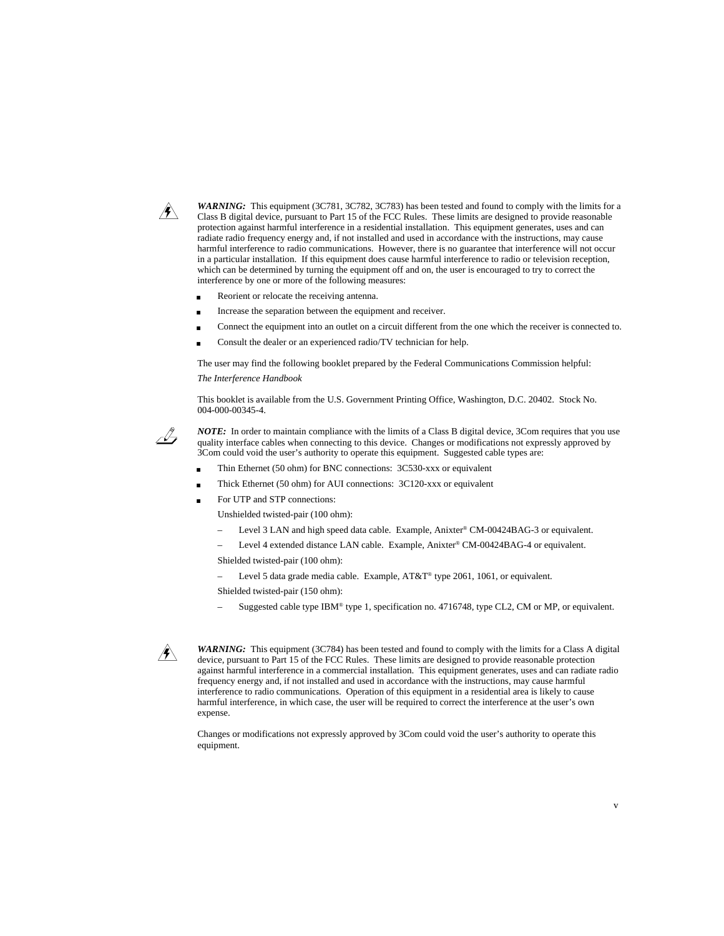

*WARNING:* This equipment (3C781, 3C782, 3C783) has been tested and found to comply with the limits for a Class B digital device, pursuant to Part 15 of the FCC Rules. These limits are designed to provide reasonable protection against harmful interference in a residential installation. This equipment generates, uses and can radiate radio frequency energy and, if not installed and used in accordance with the instructions, may cause harmful interference to radio communications. However, there is no guarantee that interference will not occur in a particular installation. If this equipment does cause harmful interference to radio or television reception, which can be determined by turning the equipment off and on, the user is encouraged to try to correct the interference by one or more of the following measures:

- Reorient or relocate the receiving antenna.
- Increase the separation between the equipment and receiver.
- Connect the equipment into an outlet on a circuit different from the one which the receiver is connected to.
- Consult the dealer or an experienced radio/TV technician for help.

The user may find the following booklet prepared by the Federal Communications Commission helpful:

*The Interference Handbook*

This booklet is available from the U.S. Government Printing Office, Washington, D.C. 20402. Stock No. 004-000-00345-4.



*NOTE:* In order to maintain compliance with the limits of a Class B digital device, 3Com requires that you use quality interface cables when connecting to this device. Changes or modifications not expressly approved by 3Com could void the user's authority to operate this equipment. Suggested cable types are:

- Thin Ethernet (50 ohm) for BNC connections: 3C530-xxx or equivalent
- Thick Ethernet (50 ohm) for AUI connections: 3C120-xxx or equivalent
- For UTP and STP connections:

Unshielded twisted-pair (100 ohm):

- Level 3 LAN and high speed data cable. Example, Anixter® CM-00424BAG-3 or equivalent.
- Level 4 extended distance LAN cable. Example, Anixter® CM-00424BAG-4 or equivalent.
- Shielded twisted-pair (100 ohm):
- Level 5 data grade media cable. Example, AT&T® type 2061, 1061, or equivalent.

Shielded twisted-pair (150 ohm):

Suggested cable type IBM® type 1, specification no. 4716748, type CL2, CM or MP, or equivalent.



*WARNING:* This equipment (3C784) has been tested and found to comply with the limits for a Class A digital device, pursuant to Part 15 of the FCC Rules. These limits are designed to provide reasonable protection against harmful interference in a commercial installation. This equipment generates, uses and can radiate radio frequency energy and, if not installed and used in accordance with the instructions, may cause harmful interference to radio communications. Operation of this equipment in a residential area is likely to cause harmful interference, in which case, the user will be required to correct the interference at the user's own expense.

Changes or modifications not expressly approved by 3Com could void the user's authority to operate this equipment.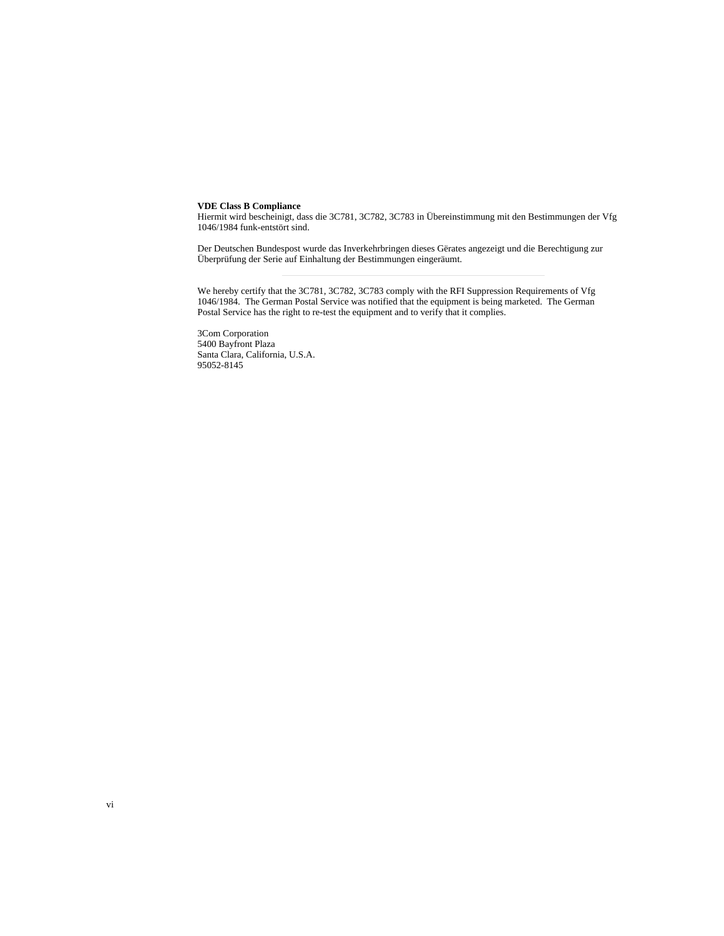#### **VDE Class B Compliance**

Hiermit wird bescheinigt, dass die 3C781, 3C782, 3C783 in Übereinstimmung mit den Bestimmungen der Vfg 1046/1984 funk-entstört sind.

Der Deutschen Bundespost wurde das Inverkehrbringen dieses Gërates angezeigt und die Berechtigung zur Überprüfung der Serie auf Einhaltung der Bestimmungen eingeräumt.

We hereby certify that the 3C781, 3C782, 3C783 comply with the RFI Suppression Requirements of Vfg 1046/1984. The German Postal Service was notified that the equipment is being marketed. The German Postal Service has the right to re-test the equipment and to verify that it complies.

3Com Corporation 5400 Bayfront Plaza Santa Clara, California, U.S.A. 95052-8145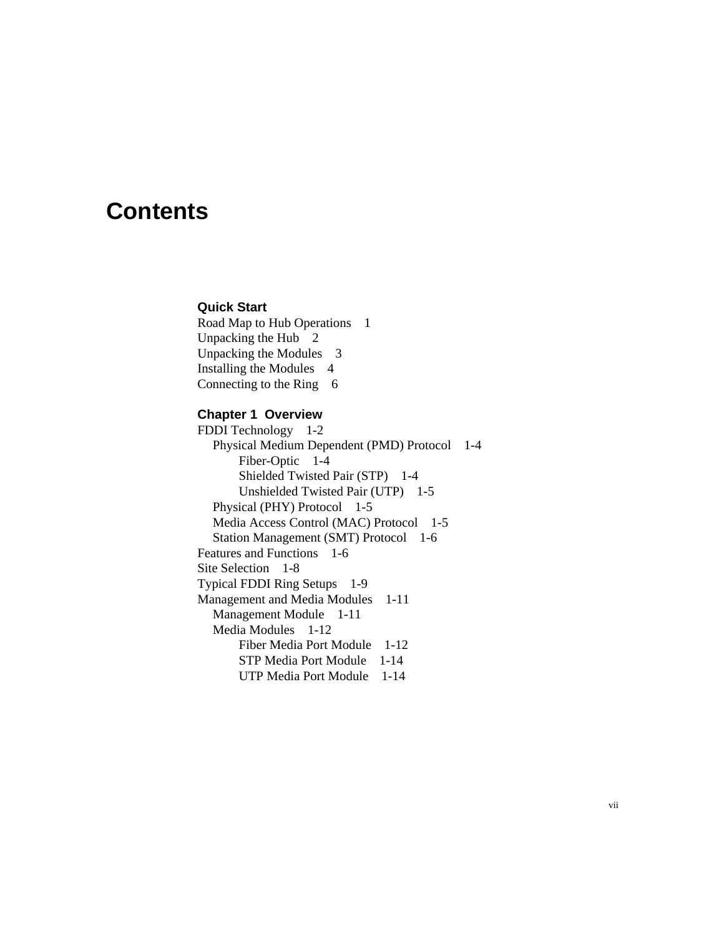# **Contents**

### **Quick Start**

Road Map to Hub Operations 1 Unpacking the Hub 2 Unpacking the Modules 3 Installing the Modules 4 Connecting to the Ring 6

## **Chapter 1 Overview**

FDDI Technology 1-2 Physical Medium Dependent (PMD) Protocol 1-4 Fiber-Optic 1-4 Shielded Twisted Pair (STP) 1-4 Unshielded Twisted Pair (UTP) 1-5 Physical (PHY) Protocol 1-5 Media Access Control (MAC) Protocol 1-5 Station Management (SMT) Protocol 1-6 Features and Functions 1-6 Site Selection 1-8 Typical FDDI Ring Setups 1-9 Management and Media Modules 1-11 Management Module 1-11 Media Modules 1-12 Fiber Media Port Module 1-12 STP Media Port Module 1-14 UTP Media Port Module 1-14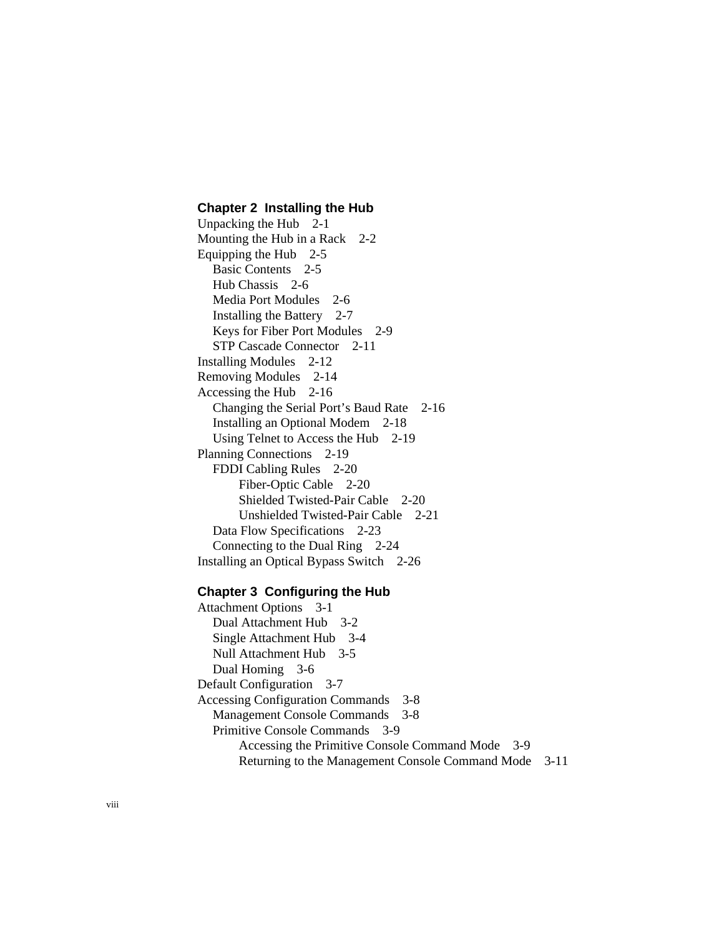### **Chapter 2 Installing the Hub**

Unpacking the Hub 2-1 Mounting the Hub in a Rack 2-2 Equipping the Hub 2-5 Basic Contents 2-5 Hub Chassis 2-6 Media Port Modules 2-6 Installing the Battery 2-7 Keys for Fiber Port Modules 2-9 STP Cascade Connector 2-11 Installing Modules 2-12 Removing Modules 2-14 Accessing the Hub 2-16 Changing the Serial Port's Baud Rate 2-16 Installing an Optional Modem 2-18 Using Telnet to Access the Hub 2-19 Planning Connections 2-19 FDDI Cabling Rules 2-20 Fiber-Optic Cable 2-20 Shielded Twisted-Pair Cable 2-20 Unshielded Twisted-Pair Cable 2-21 Data Flow Specifications 2-23 Connecting to the Dual Ring 2-24 Installing an Optical Bypass Switch 2-26

## **Chapter 3 Configuring the Hub**

Attachment Options 3-1 Dual Attachment Hub 3-2 Single Attachment Hub 3-4 Null Attachment Hub 3-5 Dual Homing 3-6 Default Configuration 3-7 Accessing Configuration Commands 3-8 Management Console Commands 3-8 Primitive Console Commands 3-9 Accessing the Primitive Console Command Mode 3-9 Returning to the Management Console Command Mode 3-11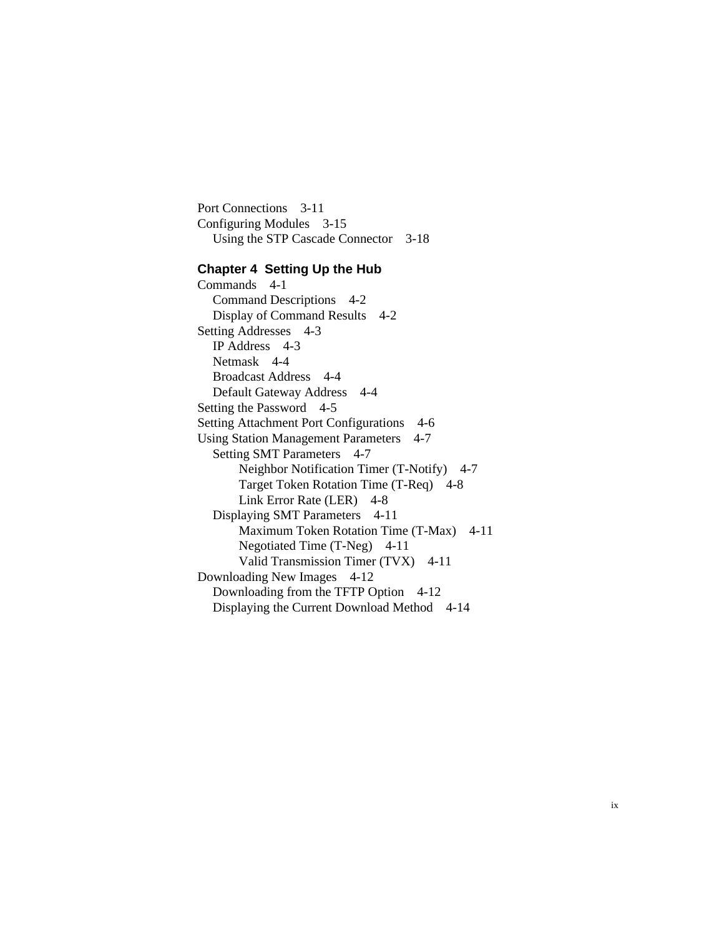Port Connections 3-11 Configuring Modules 3-15 Using the STP Cascade Connector 3-18

### **Chapter 4 Setting Up the Hub**

Commands 4-1 Command Descriptions 4-2 Display of Command Results 4-2 Setting Addresses 4-3 IP Address 4-3 Netmask 4-4 Broadcast Address 4-4 Default Gateway Address 4-4 Setting the Password 4-5 Setting Attachment Port Configurations 4-6 Using Station Management Parameters 4-7 Setting SMT Parameters 4-7 Neighbor Notification Timer (T-Notify) 4-7 Target Token Rotation Time (T-Req) 4-8 Link Error Rate (LER) 4-8 Displaying SMT Parameters 4-11 Maximum Token Rotation Time (T-Max) 4-11 Negotiated Time (T-Neg) 4-11 Valid Transmission Timer (TVX) 4-11 Downloading New Images 4-12 Downloading from the TFTP Option 4-12 Displaying the Current Download Method 4-14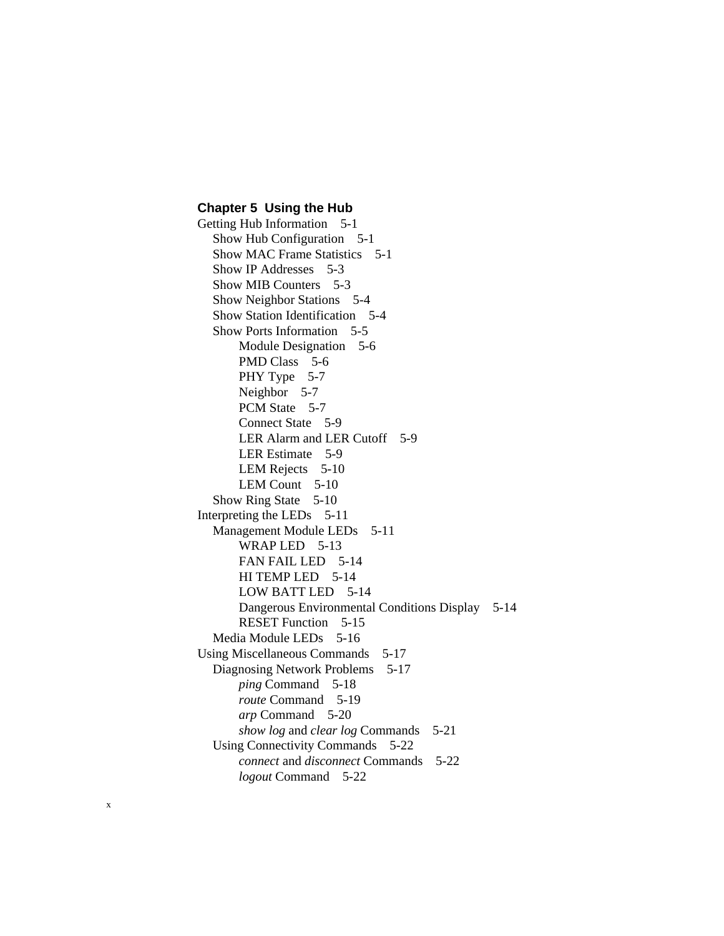### **Chapter 5 Using the Hub**

Getting Hub Information 5-1 Show Hub Configuration 5-1 Show MAC Frame Statistics 5-1 Show IP Addresses 5-3 Show MIB Counters 5-3 Show Neighbor Stations 5-4 Show Station Identification 5-4 Show Ports Information 5-5 Module Designation 5-6 PMD Class 5-6 PHY Type 5-7 Neighbor 5-7 PCM State 5-7 Connect State 5-9 LER Alarm and LER Cutoff 5-9 LER Estimate 5-9 LEM Rejects 5-10 LEM Count 5-10 Show Ring State 5-10 Interpreting the LEDs 5-11 Management Module LEDs 5-11 WRAP LED 5-13 FAN FAIL LED 5-14 HI TEMP LED 5-14 LOW BATT LED 5-14 Dangerous Environmental Conditions Display 5-14 RESET Function 5-15 Media Module LEDs 5-16 Using Miscellaneous Commands 5-17 Diagnosing Network Problems 5-17 *ping* Command 5-18 *route* Command 5-19 *arp* Command 5-20 *show log* and *clear log* Commands 5-21 Using Connectivity Commands 5-22 *connect* and *disconnect* Commands 5-22

*logout* Command 5-22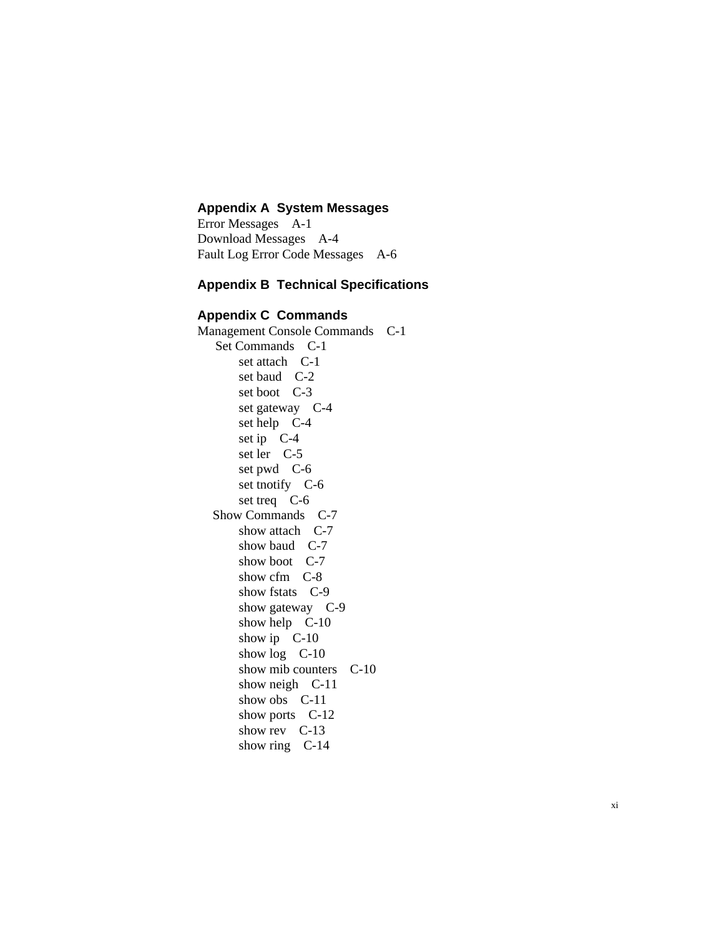## **Appendix A System Messages**

Error Messages A-1 Download Messages A-4 Fault Log Error Code Messages A-6

## **Appendix B Technical Specifications**

## **Appendix C Commands**

Management Console Commands C-1 Set Commands C-1 set attach C-1 set baud C-2 set boot C-3 set gateway C-4 set help C-4 set ip C-4 set ler C-5 set pwd C-6 set tnotify C-6 set treq C-6 Show Commands C-7 show attach C-7 show baud C-7 show boot C-7 show cfm C-8 show fstats C-9 show gateway C-9 show help C-10 show ip C-10 show log C-10 show mib counters C-10 show neigh C-11 show obs C-11 show ports C-12 show rev C-13 show ring C-14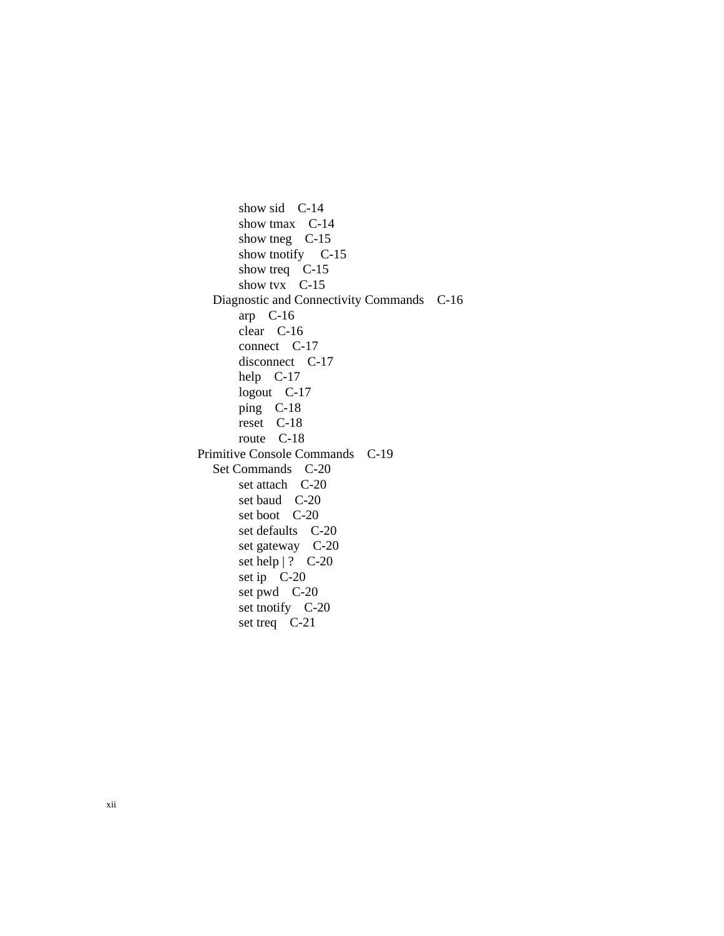show sid C-14 show tmax C-14 show tneg C-15 show tnotify C-15 show treq C-15 show tvx C-15 Diagnostic and Connectivity Commands C-16 arp C-16 clear C-16 connect C-17 disconnect C-17 help C-17 logout C-17 ping C-18 reset C-18 route C-18 Primitive Console Commands C-19 Set Commands C-20 set attach C-20 set baud C-20 set boot C-20 set defaults C-20 set gateway C-20 set help | ? C-20 set ip C-20 set pwd C-20 set tnotify C-20 set treq C-21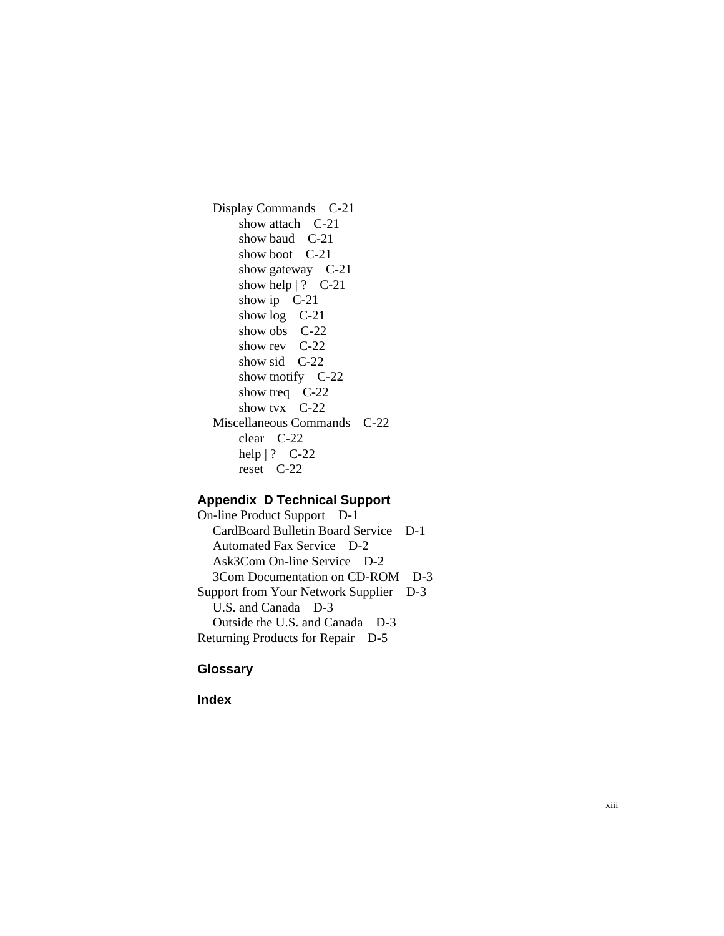Display Commands C-21 show attach C-21 show baud C-21 show boot C-21 show gateway C-21 show help  $|? \quad C-21$ show ip C-21 show  $log$  C-21 show obs C-22 show rev C-22 show sid C-22 show tnotify C-22 show treq C-22 show tvx C-22 Miscellaneous Commands C-22 clear C-22 help | ? C-22 reset C-22

## **Appendix D Technical Support**

On-line Product Support D-1 CardBoard Bulletin Board Service D-1 Automated Fax Service D-2 Ask3Com On-line Service D-2 3Com Documentation on CD-ROM D-3 Support from Your Network Supplier D-3 U.S. and Canada D-3 Outside the U.S. and Canada D-3 Returning Products for Repair D-5

## **Glossary**

**Index**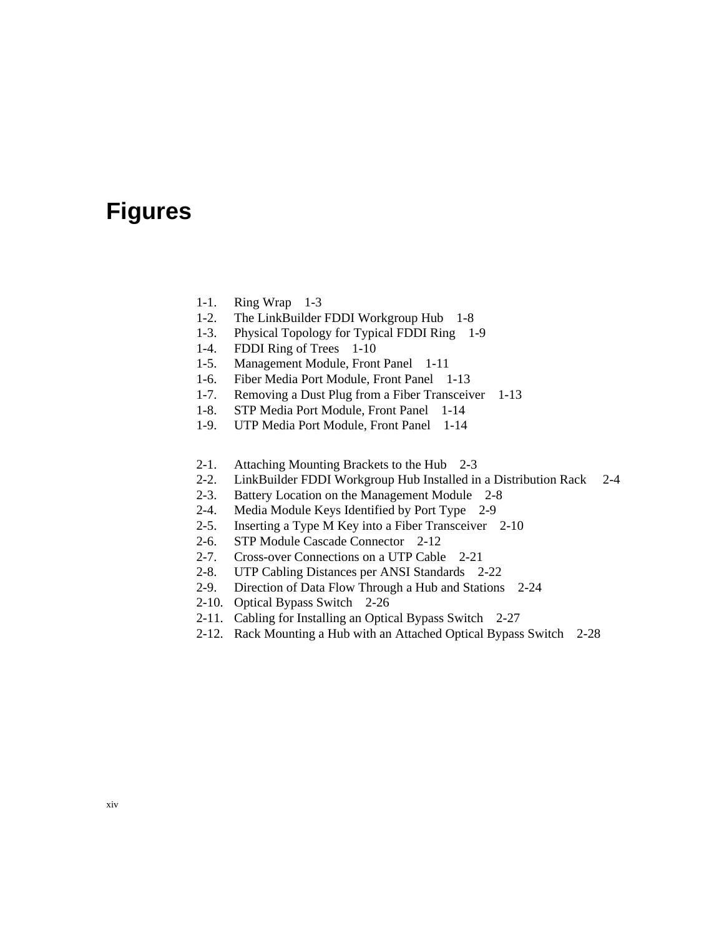# **Figures**

- 1-1. Ring Wrap 1-3
- 1-2. The LinkBuilder FDDI Workgroup Hub 1-8
- 1-3. Physical Topology for Typical FDDI Ring 1-9
- 1-4. FDDI Ring of Trees 1-10
- 1-5. Management Module, Front Panel 1-11
- 1-6. Fiber Media Port Module, Front Panel 1-13
- 1-7. Removing a Dust Plug from a Fiber Transceiver 1-13
- 1-8. STP Media Port Module, Front Panel 1-14
- 1-9. UTP Media Port Module, Front Panel 1-14
- 2-1. Attaching Mounting Brackets to the Hub 2-3
- 2-2. LinkBuilder FDDI Workgroup Hub Installed in a Distribution Rack 2-4
- 2-3. Battery Location on the Management Module 2-8
- 2-4. Media Module Keys Identified by Port Type 2-9
- 2-5. Inserting a Type M Key into a Fiber Transceiver 2-10
- 2-6. STP Module Cascade Connector 2-12
- 2-7. Cross-over Connections on a UTP Cable 2-21
- 2-8. UTP Cabling Distances per ANSI Standards 2-22
- 2-9. Direction of Data Flow Through a Hub and Stations 2-24
- 2-10. Optical Bypass Switch 2-26
- 2-11. Cabling for Installing an Optical Bypass Switch 2-27
- 2-12. Rack Mounting a Hub with an Attached Optical Bypass Switch 2-28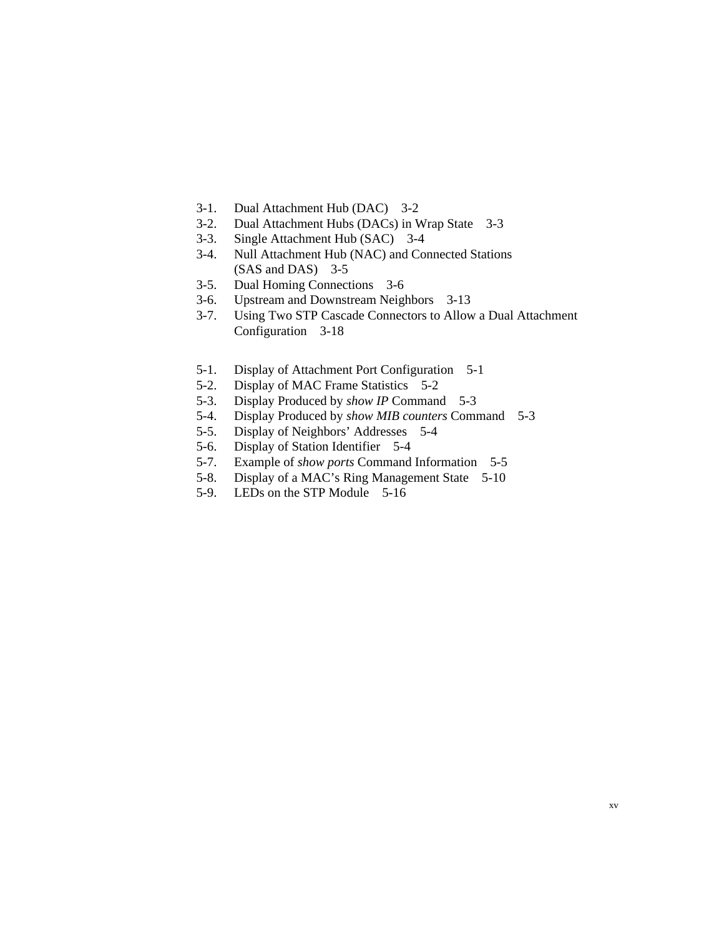- 3-1. Dual Attachment Hub (DAC) 3-2
- 3-2. Dual Attachment Hubs (DACs) in Wrap State 3-3
- 3-3. Single Attachment Hub (SAC) 3-4
- 3-4. Null Attachment Hub (NAC) and Connected Stations (SAS and DAS) 3-5
- 3-5. Dual Homing Connections 3-6
- 3-6. Upstream and Downstream Neighbors 3-13
- 3-7. Using Two STP Cascade Connectors to Allow a Dual Attachment Configuration 3-18
- 5-1. Display of Attachment Port Configuration 5-1
- 5-2. Display of MAC Frame Statistics 5-2
- 5-3. Display Produced by *show IP* Command 5-3
- 5-4. Display Produced by *show MIB counters* Command 5-3
- 5-5. Display of Neighbors' Addresses 5-4
- 5-6. Display of Station Identifier 5-4<br>5-7. Example of *show ports* Command
- Example of *show ports* Command Information 5-5
- 5-8. Display of a MAC's Ring Management State 5-10
- 5-9. LEDs on the STP Module 5-16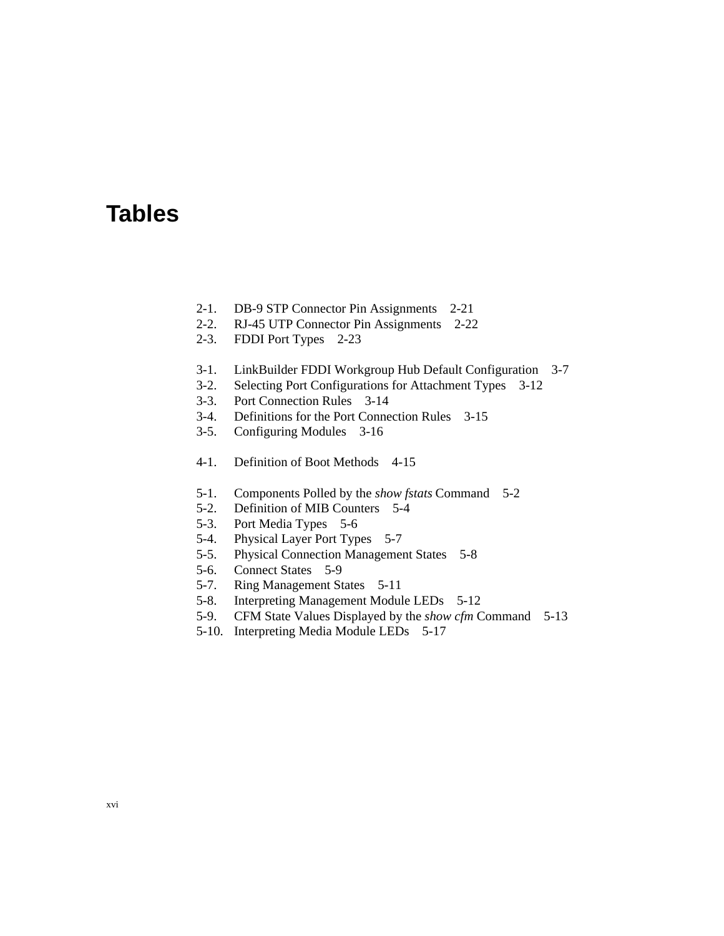# **Tables**

- 2-1. DB-9 STP Connector Pin Assignments 2-21
- 2-2. RJ-45 UTP Connector Pin Assignments 2-22
- 2-3. FDDI Port Types 2-23
- 3-1. LinkBuilder FDDI Workgroup Hub Default Configuration 3-7
- 3-2. Selecting Port Configurations for Attachment Types 3-12
- 3-3. Port Connection Rules 3-14
- 3-4. Definitions for the Port Connection Rules 3-15
- 3-5. Configuring Modules 3-16
- 4-1. Definition of Boot Methods 4-15
- 5-1. Components Polled by the *show fstats* Command 5-2
- 5-2. Definition of MIB Counters 5-4
- 5-3. Port Media Types 5-6
- 5-4. Physical Layer Port Types 5-7
- 5-5. Physical Connection Management States 5-8
- 5-6. Connect States 5-9
- 5-7. Ring Management States 5-11
- 5-8. Interpreting Management Module LEDs 5-12
- 5-9. CFM State Values Displayed by the *show cfm* Command 5-13
- 5-10. Interpreting Media Module LEDs 5-17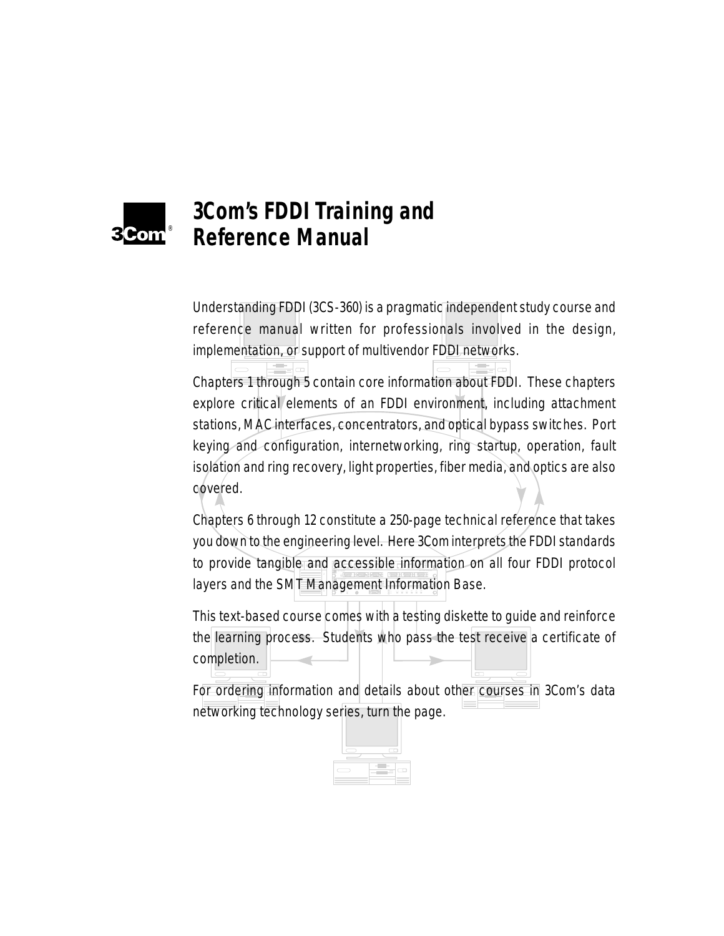

# **3Com's FDDI Training and Reference Manual**

Understanding FDDI (3CS-360) is a pragmatic independent study course and reference manual written for professionals involved in the design, implementation, or support of multivendor FDDI networks.

Chapters 1 through 5 contain core information about FDDI. These chapters explore critical elements of an FDDI environment, including attachment stations, MAC interfaces, concentrators, and optical bypass switches. Port keying and configuration, internetworking, ring startup, operation, fault isolation and ring recovery, light properties, fiber media, and optics are also covered.

to provide tangible and accessible information on all four FDDI protocol **1 0** igement Informat layers and the SMT Management Information Base. Chapters 6 through 12 constitute a 250-page technical reference that takes you down to the engineering level. Here 3Com interprets the FDDI standards

This text-based course comes with a testing diskette to guide and reinforce the learning process. Students who pass the test receive a certificate of completion.

For ordering information and details about other courses in 3Com's data networking technology series, turn the page.

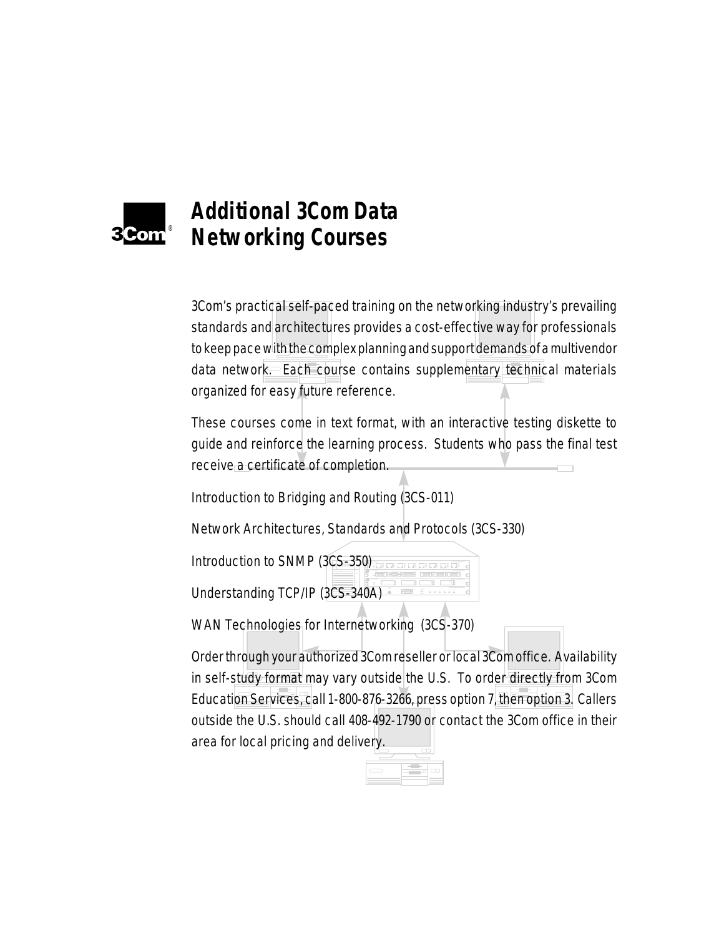

# **Additional 3Com Data Networking Courses**

3Com's practical self-paced training on the networking industry's prevailing standards and architectures provides a cost-effective way for professionals to keep pace with the complex planning and support demands of a multivendor data network. Each course contains supplementary technical materials organized for easy future reference.

These courses come in text format, with an interactive testing diskette to guide and reinforce the learning process. Students who pass the final test receive a certificate of completion.

Introduction to Bridging and Routing (3CS-011)

Network Architectures, Standards and Protocols (3CS-330)

Introduction to SNMP (3CS-350) and the conduction  $rac{1}{2}$ <br> $rac{1}{2}$ **COPTICAL INTERNATIONAL PROPERTY AND ARRANGEMENT MODULE** = LINK ERRORPWR Understanding TCP/IP (3CS-340A)

WAN Technologies for Internetworking (3CS-370)

Order through your authorized 3Com reseller or local 3Com office. Availability in self-study format may vary outside the U.S. To order directly from 3Com Education Services, call 1-800-876-3266, press option 7, then option 3. Callers outside the U.S. should call 408-492-1790 or contact the 3Com office in their area for local pricing and delivery.

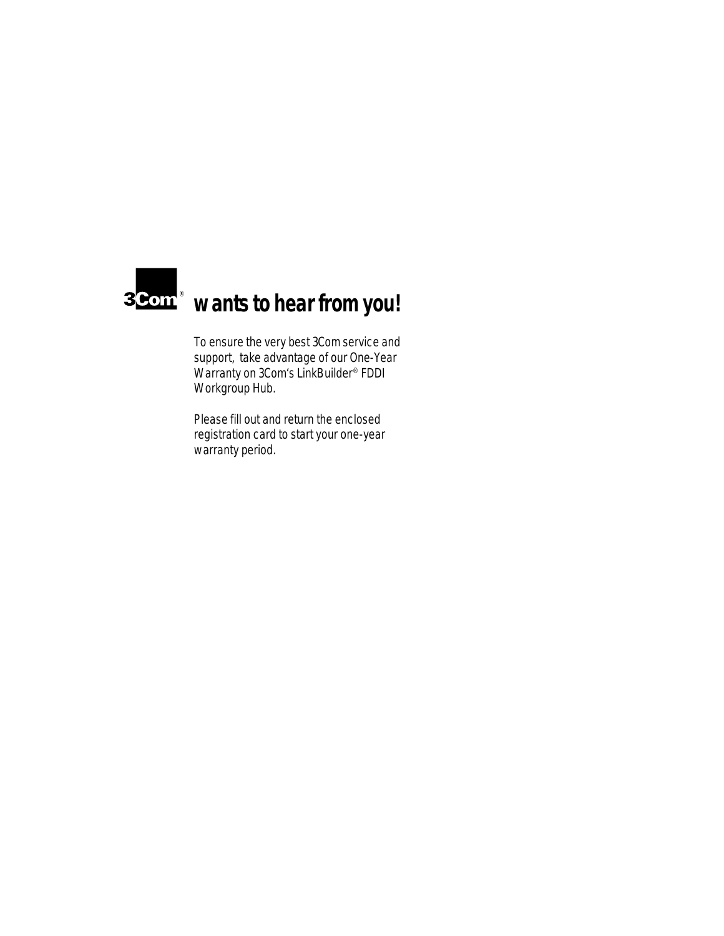

To ensure the very best 3Com service and support, take advantage of our One-Year Warranty on 3Com's LinkBuilder<sup>®</sup> FDDI Workgroup Hub.

Please fill out and return the enclosed registration card to start your one-year warranty period.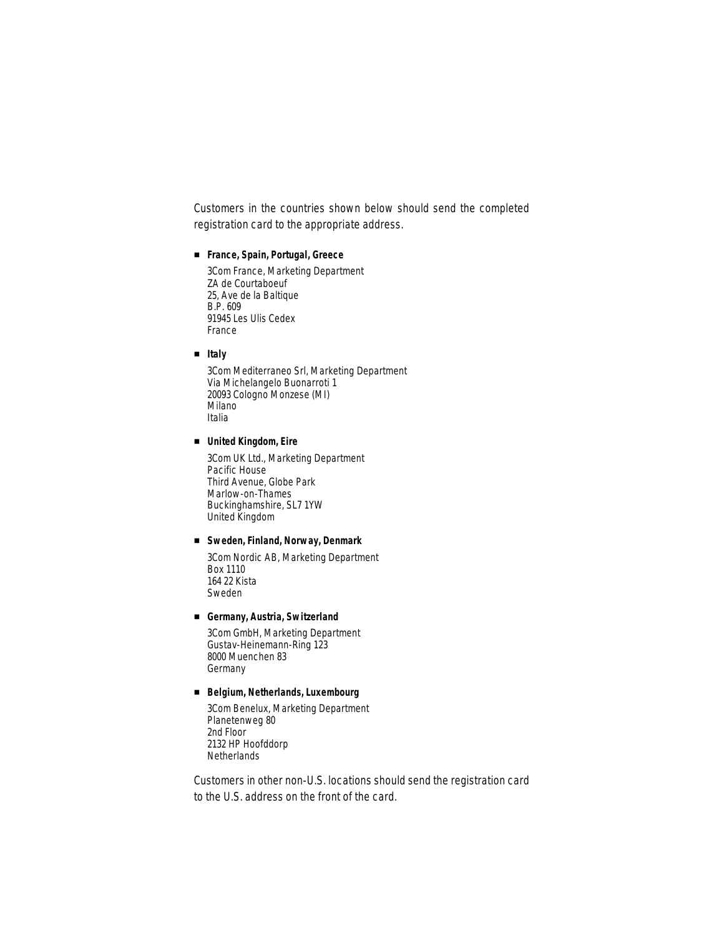Customers in the countries shown below should send the completed registration card to the appropriate address.

### ■ **France, Spain, Portugal, Greece**

3Com France, Marketing Department ZA de Courtaboeuf 25, Ave de la Baltique B.P. 609 91945 Les Ulis Cedex France

■ **Italy**

3Com Mediterraneo Srl, Marketing Department Via Michelangelo Buonarroti 1 20093 Cologno Monzese (MI) Milano Italia

■ **United Kingdom, Eire**

3Com UK Ltd., Marketing Department Pacific House Third Avenue, Globe Park Marlow-on-Thames Buckinghamshire, SL7 1YW United Kingdom

### ■ **Sweden, Finland, Norway, Denmark**

3Com Nordic AB, Marketing Department Box 1110 164 22 Kista Sweden

#### ■ **Germany, Austria, Switzerland**

3Com GmbH, Marketing Department Gustav-Heinemann-Ring 123 8000 Muenchen 83 Germany

## ■ **Belgium, Netherlands, Luxembourg**

3Com Benelux, Marketing Department Planetenweg 80 2nd Floor 2132 HP Hoofddorp **Netherlands** 

Customers in other non-U.S. locations should send the registration card to the U.S. address on the front of the card.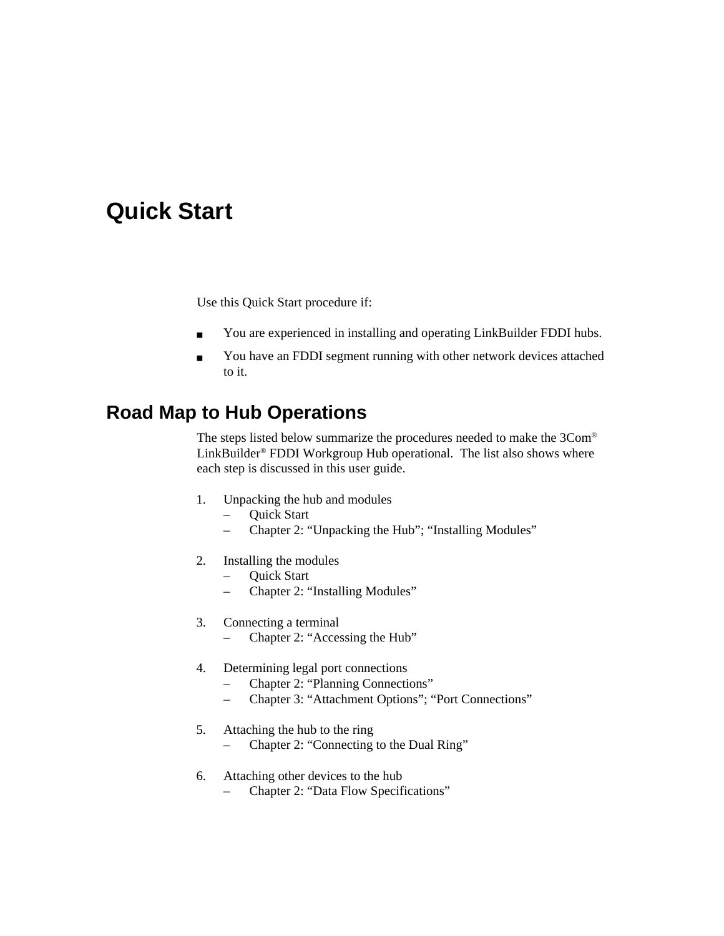# **Quick Start**

Use this Quick Start procedure if:

- You are experienced in installing and operating LinkBuilder FDDI hubs.
- You have an FDDI segment running with other network devices attached to it.

# **Road Map to Hub Operations**

The steps listed below summarize the procedures needed to make the 3Com® LinkBuilder® FDDI Workgroup Hub operational. The list also shows where each step is discussed in this user guide.

- 1. Unpacking the hub and modules
	- Quick Start
	- Chapter 2: "Unpacking the Hub"; "Installing Modules"
- 2. Installing the modules
	- Quick Start
	- Chapter 2: "Installing Modules"
- 3. Connecting a terminal
	- Chapter 2: "Accessing the Hub"
- 4. Determining legal port connections
	- Chapter 2: "Planning Connections"
	- Chapter 3: "Attachment Options"; "Port Connections"
- 5. Attaching the hub to the ring
	- Chapter 2: "Connecting to the Dual Ring"
- 6. Attaching other devices to the hub
	- Chapter 2: "Data Flow Specifications"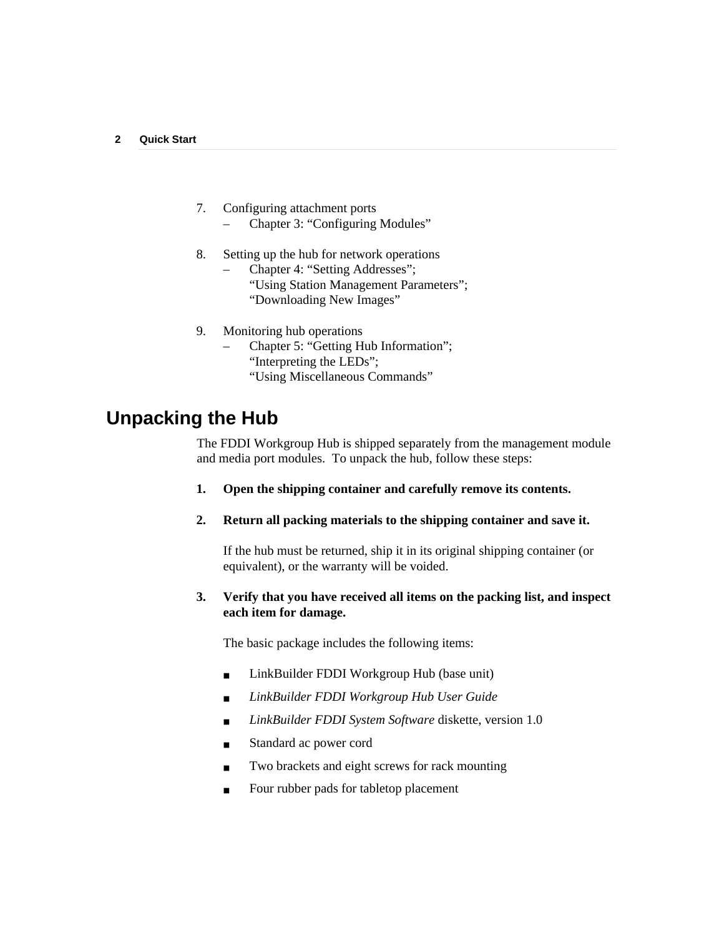- 7. Configuring attachment ports
	- Chapter 3: "Configuring Modules"
- 8. Setting up the hub for network operations
	- Chapter 4: "Setting Addresses"; "Using Station Management Parameters"; "Downloading New Images"
- 9. Monitoring hub operations
	- Chapter 5: "Getting Hub Information"; "Interpreting the LEDs"; "Using Miscellaneous Commands"

# **Unpacking the Hub**

The FDDI Workgroup Hub is shipped separately from the management module and media port modules. To unpack the hub, follow these steps:

- **1. Open the shipping container and carefully remove its contents.**
- **2. Return all packing materials to the shipping container and save it.**

If the hub must be returned, ship it in its original shipping container (or equivalent), or the warranty will be voided.

## **3. Verify that you have received all items on the packing list, and inspect each item for damage.**

The basic package includes the following items:

- LinkBuilder FDDI Workgroup Hub (base unit)
- *LinkBuilder FDDI Workgroup Hub User Guide*
- *LinkBuilder FDDI System Software* diskette, version 1.0
- Standard ac power cord
- Two brackets and eight screws for rack mounting
- Four rubber pads for tabletop placement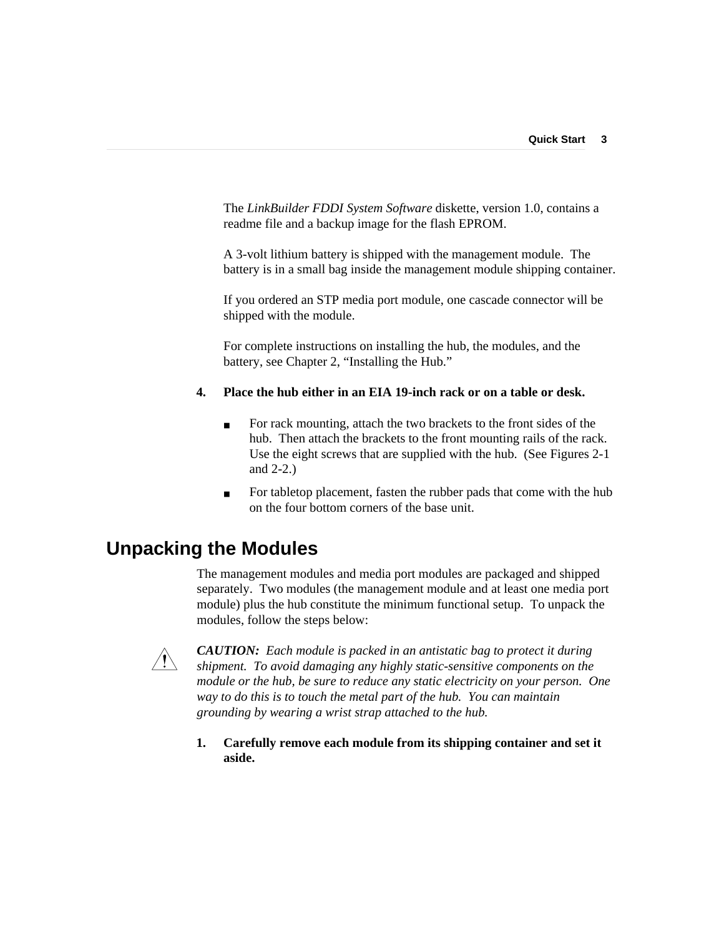The *LinkBuilder FDDI System Software* diskette, version 1.0, contains a readme file and a backup image for the flash EPROM.

A 3-volt lithium battery is shipped with the management module. The battery is in a small bag inside the management module shipping container.

If you ordered an STP media port module, one cascade connector will be shipped with the module.

For complete instructions on installing the hub, the modules, and the battery, see Chapter 2, "Installing the Hub."

## **4. Place the hub either in an EIA 19-inch rack or on a table or desk.**

- For rack mounting, attach the two brackets to the front sides of the hub. Then attach the brackets to the front mounting rails of the rack. Use the eight screws that are supplied with the hub. (See Figures 2-1 and 2-2.)
- For tabletop placement, fasten the rubber pads that come with the hub on the four bottom corners of the base unit.

# **Unpacking the Modules**

The management modules and media port modules are packaged and shipped separately. Two modules (the management module and at least one media port module) plus the hub constitute the minimum functional setup. To unpack the modules, follow the steps below:



*CAUTION: Each module is packed in an antistatic bag to protect it during shipment. To avoid damaging any highly static-sensitive components on the module or the hub, be sure to reduce any static electricity on your person. One way to do this is to touch the metal part of the hub. You can maintain grounding by wearing a wrist strap attached to the hub.*

**1. Carefully remove each module from its shipping container and set it aside.**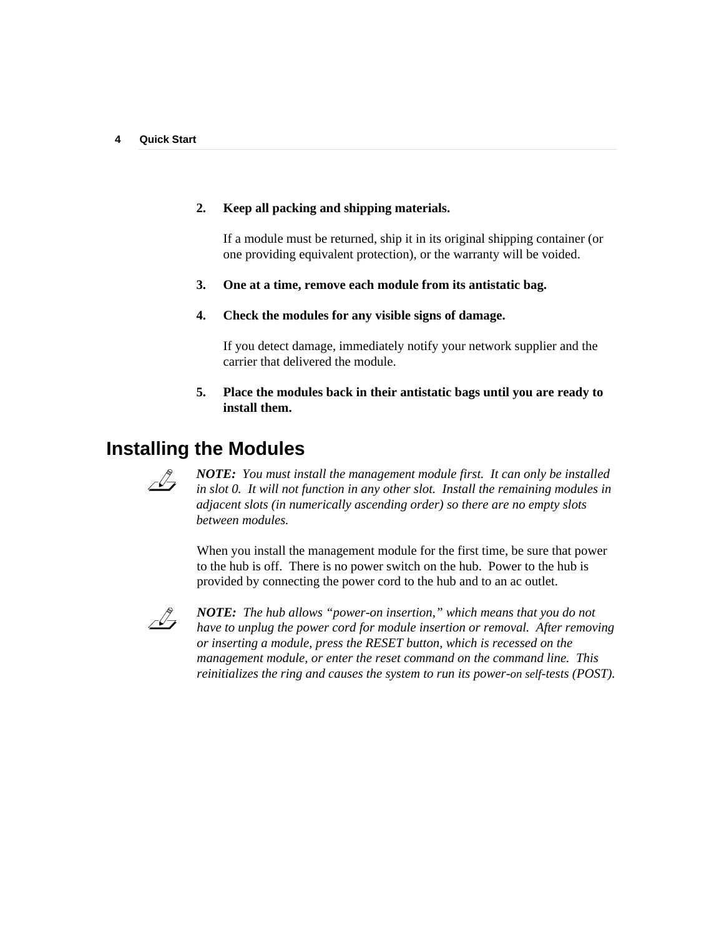## **2. Keep all packing and shipping materials.**

If a module must be returned, ship it in its original shipping container (or one providing equivalent protection), or the warranty will be voided.

### **3. One at a time, remove each module from its antistatic bag.**

**4. Check the modules for any visible signs of damage.**

If you detect damage, immediately notify your network supplier and the carrier that delivered the module.

**5. Place the modules back in their antistatic bags until you are ready to install them.**

# **Installing the Modules**



*NOTE: You must install the management module first. It can only be installed in slot 0. It will not function in any other slot. Install the remaining modules in adjacent slots (in numerically ascending order) so there are no empty slots between modules.*

When you install the management module for the first time, be sure that power to the hub is off. There is no power switch on the hub. Power to the hub is provided by connecting the power cord to the hub and to an ac outlet.



*NOTE: The hub allows "power-on insertion," which means that you do not have to unplug the power cord for module insertion or removal. After removing or inserting a module, press the RESET button, which is recessed on the management module, or enter the reset command on the command line. This reinitializes the ring and causes the system to run its power-on self-tests (POST).*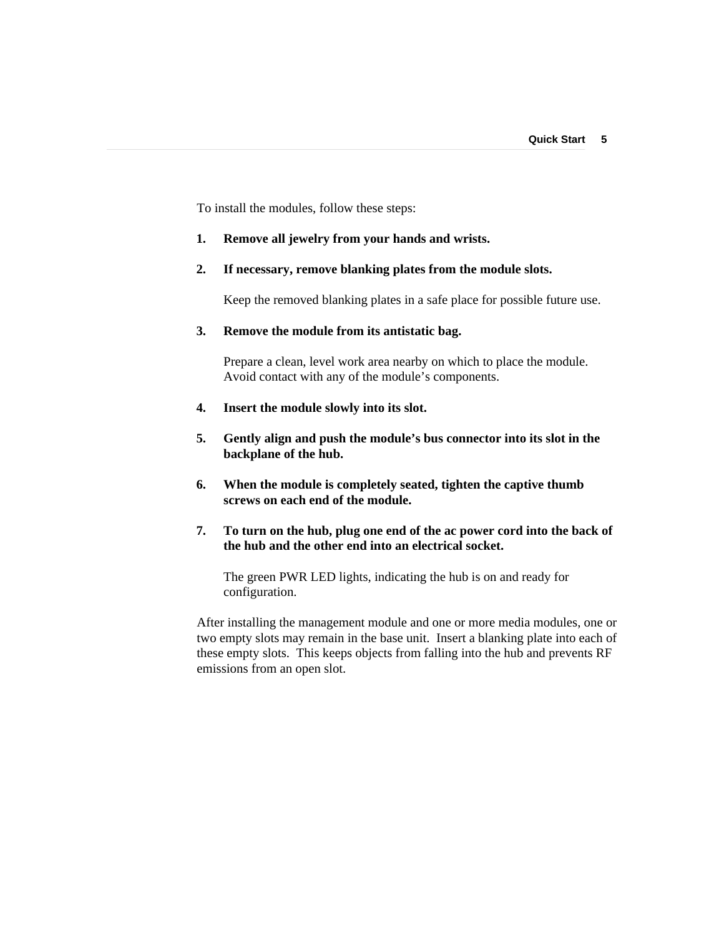To install the modules, follow these steps:

#### **1. Remove all jewelry from your hands and wrists.**

### **2. If necessary, remove blanking plates from the module slots.**

Keep the removed blanking plates in a safe place for possible future use.

## **3. Remove the module from its antistatic bag.**

Prepare a clean, level work area nearby on which to place the module. Avoid contact with any of the module's components.

- **4. Insert the module slowly into its slot.**
- **5. Gently align and push the module's bus connector into its slot in the backplane of the hub.**
- **6. When the module is completely seated, tighten the captive thumb screws on each end of the module.**
- **7. To turn on the hub, plug one end of the ac power cord into the back of the hub and the other end into an electrical socket.**

The green PWR LED lights, indicating the hub is on and ready for configuration.

After installing the management module and one or more media modules, one or two empty slots may remain in the base unit. Insert a blanking plate into each of these empty slots. This keeps objects from falling into the hub and prevents RF emissions from an open slot.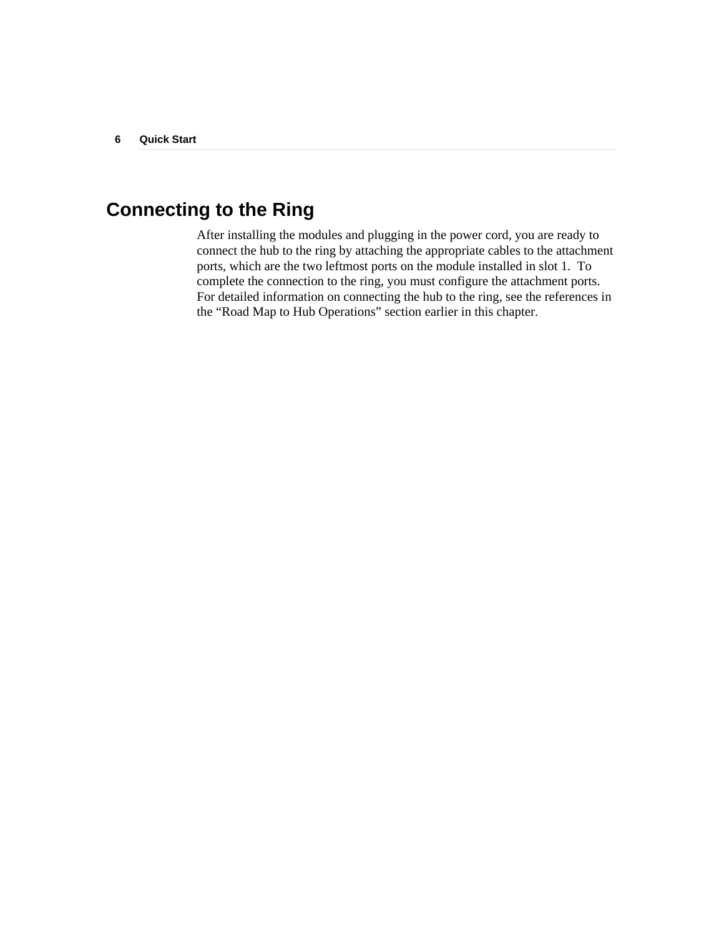# **Connecting to the Ring**

After installing the modules and plugging in the power cord, you are ready to connect the hub to the ring by attaching the appropriate cables to the attachment ports, which are the two leftmost ports on the module installed in slot 1. To complete the connection to the ring, you must configure the attachment ports. For detailed information on connecting the hub to the ring, see the references in the "Road Map to Hub Operations" section earlier in this chapter.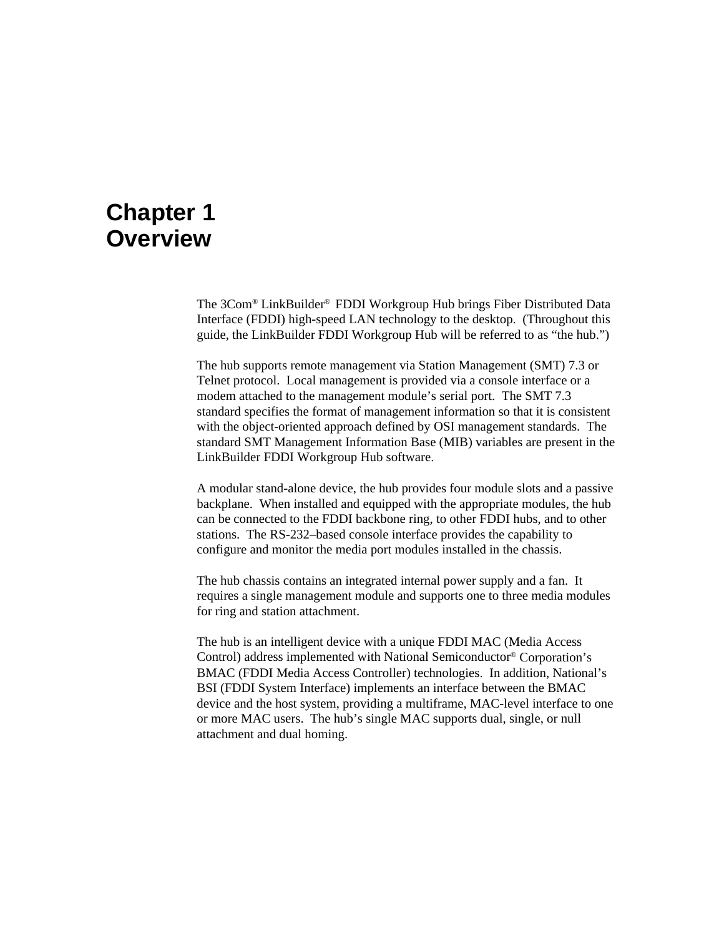# **Chapter 1 Overview**

The 3Com® LinkBuilder® FDDI Workgroup Hub brings Fiber Distributed Data Interface (FDDI) high-speed LAN technology to the desktop. (Throughout this guide, the LinkBuilder FDDI Workgroup Hub will be referred to as "the hub.")

The hub supports remote management via Station Management (SMT) 7.3 or Telnet protocol. Local management is provided via a console interface or a modem attached to the management module's serial port. The SMT 7.3 standard specifies the format of management information so that it is consistent with the object-oriented approach defined by OSI management standards. The standard SMT Management Information Base (MIB) variables are present in the LinkBuilder FDDI Workgroup Hub software.

A modular stand-alone device, the hub provides four module slots and a passive backplane. When installed and equipped with the appropriate modules, the hub can be connected to the FDDI backbone ring, to other FDDI hubs, and to other stations. The RS-232–based console interface provides the capability to configure and monitor the media port modules installed in the chassis.

The hub chassis contains an integrated internal power supply and a fan. It requires a single management module and supports one to three media modules for ring and station attachment.

The hub is an intelligent device with a unique FDDI MAC (Media Access Control) address implemented with National Semiconductor® Corporation's BMAC (FDDI Media Access Controller) technologies. In addition, National's BSI (FDDI System Interface) implements an interface between the BMAC device and the host system, providing a multiframe, MAC-level interface to one or more MAC users. The hub's single MAC supports dual, single, or null attachment and dual homing.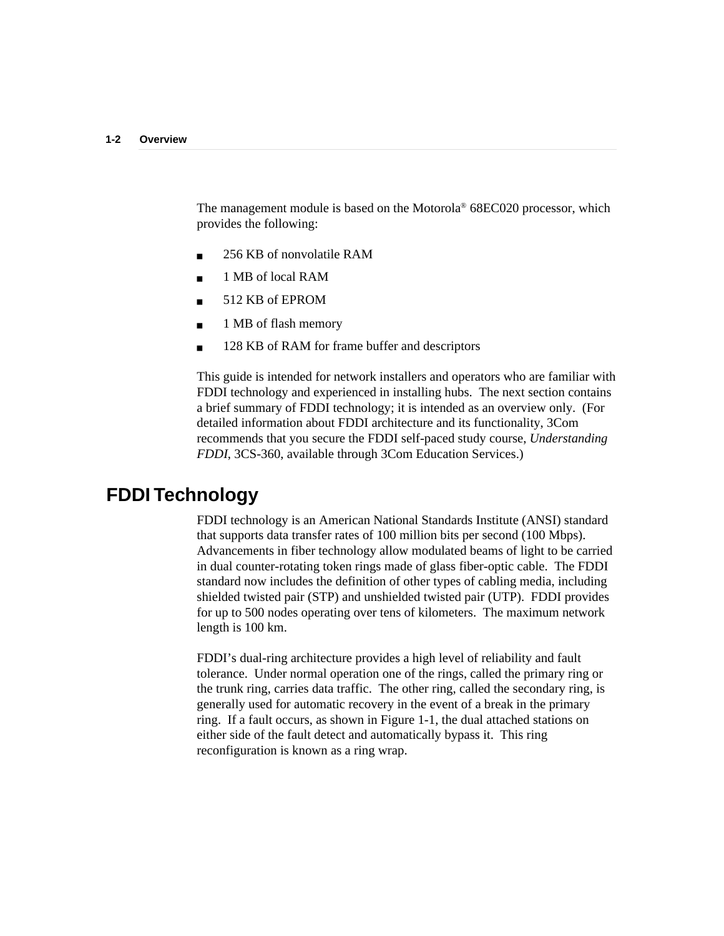The management module is based on the Motorola® 68EC020 processor, which provides the following:

- 256 KB of nonvolatile RAM
- 1 MB of local RAM
- 512 KB of EPROM
- 1 MB of flash memory
- 128 KB of RAM for frame buffer and descriptors

This guide is intended for network installers and operators who are familiar with FDDI technology and experienced in installing hubs. The next section contains a brief summary of FDDI technology; it is intended as an overview only. (For detailed information about FDDI architecture and its functionality, 3Com recommends that you secure the FDDI self-paced study course, *Understanding FDDI*, 3CS-360, available through 3Com Education Services.)

# **FDDI Technology**

FDDI technology is an American National Standards Institute (ANSI) standard that supports data transfer rates of 100 million bits per second (100 Mbps). Advancements in fiber technology allow modulated beams of light to be carried in dual counter-rotating token rings made of glass fiber-optic cable. The FDDI standard now includes the definition of other types of cabling media, including shielded twisted pair (STP) and unshielded twisted pair (UTP). FDDI provides for up to 500 nodes operating over tens of kilometers. The maximum network length is 100 km.

FDDI's dual-ring architecture provides a high level of reliability and fault tolerance. Under normal operation one of the rings, called the primary ring or the trunk ring, carries data traffic. The other ring, called the secondary ring, is generally used for automatic recovery in the event of a break in the primary ring. If a fault occurs, as shown in Figure 1-1, the dual attached stations on either side of the fault detect and automatically bypass it. This ring reconfiguration is known as a ring wrap.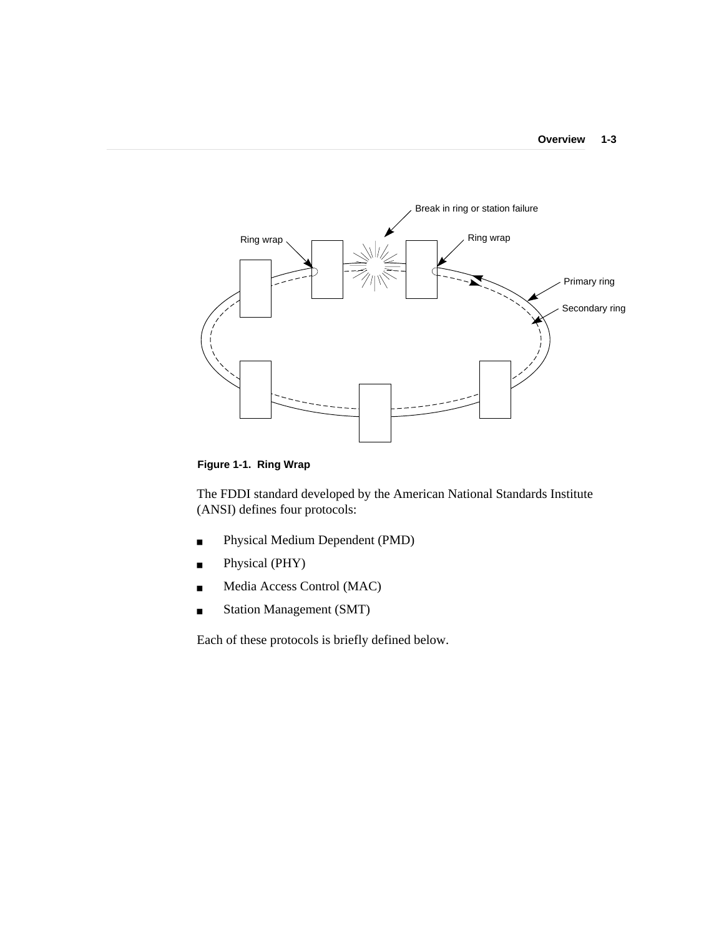

**Figure 1-1. Ring Wrap**

The FDDI standard developed by the American National Standards Institute (ANSI) defines four protocols:

- Physical Medium Dependent (PMD)
- Physical (PHY)
- Media Access Control (MAC)
- Station Management (SMT)

Each of these protocols is briefly defined below.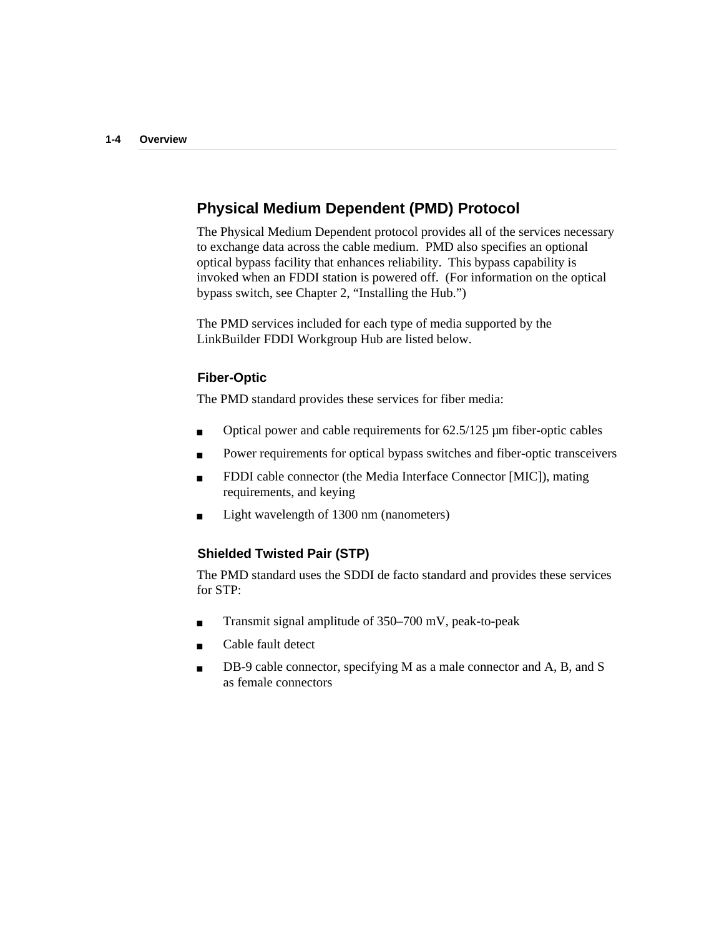## **Physical Medium Dependent (PMD) Protocol**

The Physical Medium Dependent protocol provides all of the services necessary to exchange data across the cable medium. PMD also specifies an optional optical bypass facility that enhances reliability. This bypass capability is invoked when an FDDI station is powered off. (For information on the optical bypass switch, see Chapter 2, "Installing the Hub.")

The PMD services included for each type of media supported by the LinkBuilder FDDI Workgroup Hub are listed below.

## **Fiber-Optic**

The PMD standard provides these services for fiber media:

- Optical power and cable requirements for 62.5/125 µm fiber-optic cables
- Power requirements for optical bypass switches and fiber-optic transceivers
- FDDI cable connector (the Media Interface Connector [MIC]), mating requirements, and keying
- Light wavelength of 1300 nm (nanometers)

## **Shielded Twisted Pair (STP)**

The PMD standard uses the SDDI de facto standard and provides these services for STP:

- Transmit signal amplitude of 350–700 mV, peak-to-peak
- Cable fault detect
- DB-9 cable connector, specifying M as a male connector and A, B, and S as female connectors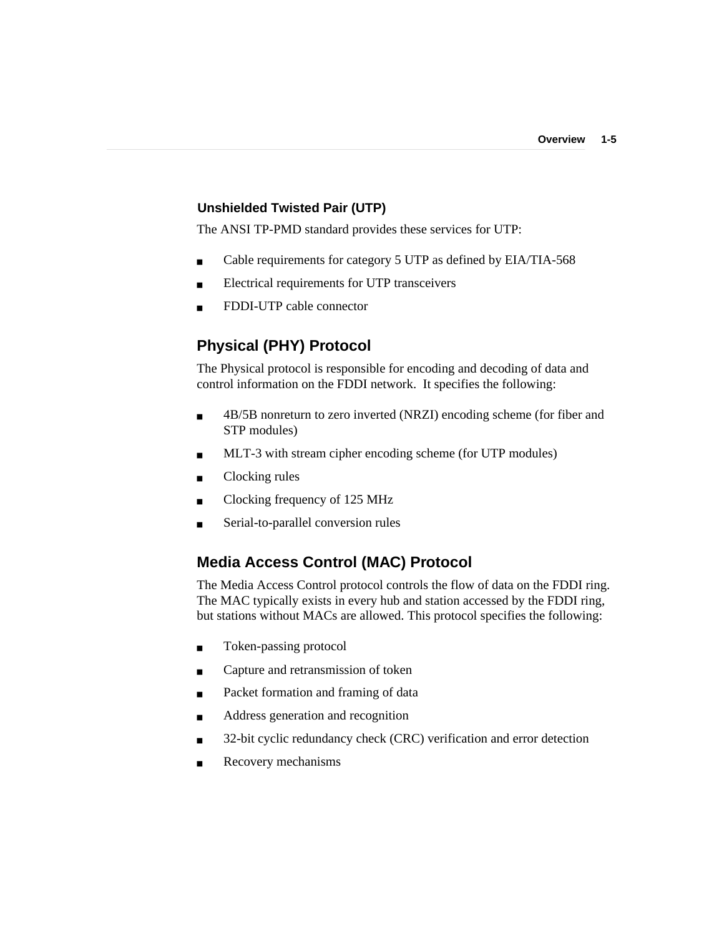### **Unshielded Twisted Pair (UTP)**

The ANSI TP-PMD standard provides these services for UTP:

- Cable requirements for category 5 UTP as defined by EIA/TIA-568
- Electrical requirements for UTP transceivers
- FDDI-UTP cable connector

# **Physical (PHY) Protocol**

The Physical protocol is responsible for encoding and decoding of data and control information on the FDDI network. It specifies the following:

- 4B/5B nonreturn to zero inverted (NRZI) encoding scheme (for fiber and STP modules)
- MLT-3 with stream cipher encoding scheme (for UTP modules)
- Clocking rules
- Clocking frequency of 125 MHz
- Serial-to-parallel conversion rules

# **Media Access Control (MAC) Protocol**

The Media Access Control protocol controls the flow of data on the FDDI ring. The MAC typically exists in every hub and station accessed by the FDDI ring, but stations without MACs are allowed. This protocol specifies the following:

- Token-passing protocol
- Capture and retransmission of token
- Packet formation and framing of data
- Address generation and recognition
- 32-bit cyclic redundancy check (CRC) verification and error detection
- Recovery mechanisms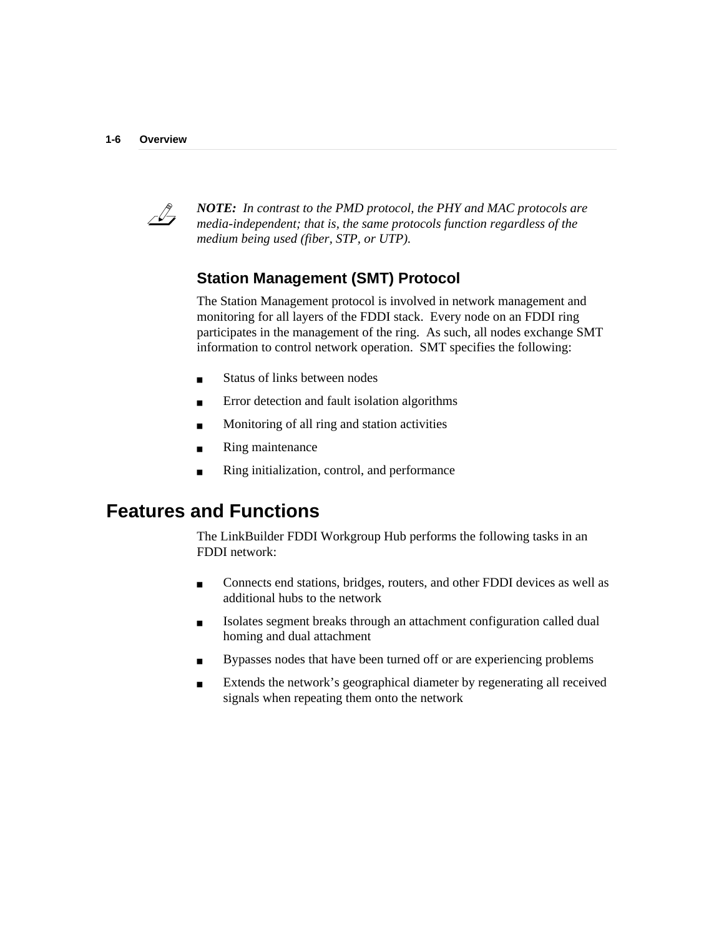

*NOTE: In contrast to the PMD protocol, the PHY and MAC protocols are media-independent; that is, the same protocols function regardless of the medium being used (fiber, STP, or UTP).*

# **Station Management (SMT) Protocol**

The Station Management protocol is involved in network management and monitoring for all layers of the FDDI stack. Every node on an FDDI ring participates in the management of the ring. As such, all nodes exchange SMT information to control network operation. SMT specifies the following:

- Status of links between nodes
- Error detection and fault isolation algorithms
- Monitoring of all ring and station activities
- Ring maintenance
- Ring initialization, control, and performance

# **Features and Functions**

The LinkBuilder FDDI Workgroup Hub performs the following tasks in an FDDI network:

- Connects end stations, bridges, routers, and other FDDI devices as well as additional hubs to the network
- Isolates segment breaks through an attachment configuration called dual homing and dual attachment
- Bypasses nodes that have been turned off or are experiencing problems
- Extends the network's geographical diameter by regenerating all received signals when repeating them onto the network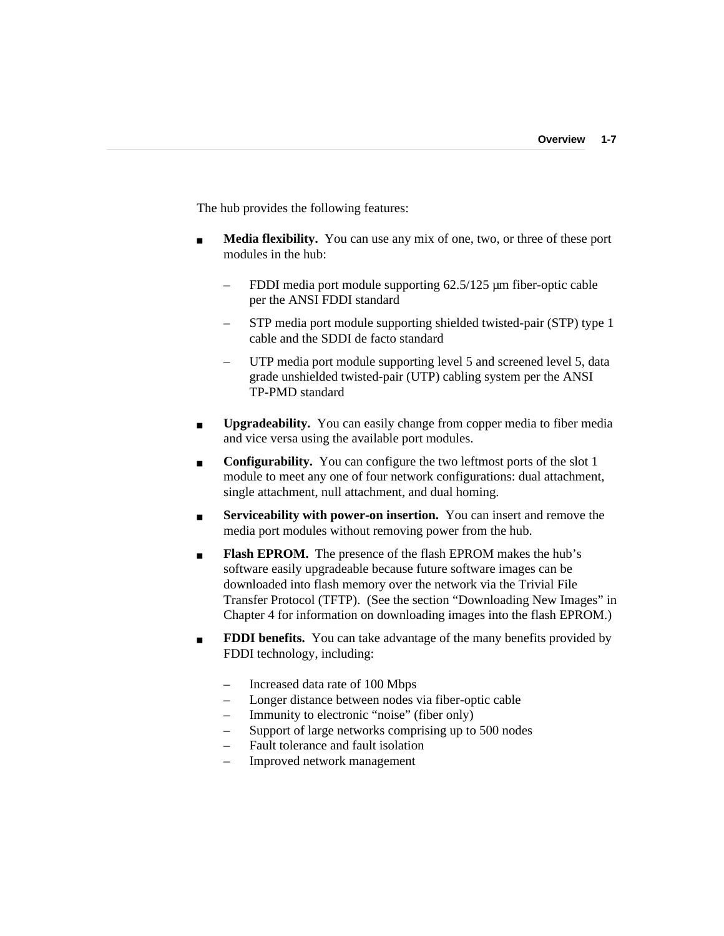The hub provides the following features:

- **Media flexibility.** You can use any mix of one, two, or three of these port modules in the hub:
	- FDDI media port module supporting 62.5/125 µm fiber-optic cable per the ANSI FDDI standard
	- STP media port module supporting shielded twisted-pair (STP) type 1 cable and the SDDI de facto standard
	- UTP media port module supporting level 5 and screened level 5, data grade unshielded twisted-pair (UTP) cabling system per the ANSI TP-PMD standard
- **Upgradeability.** You can easily change from copper media to fiber media and vice versa using the available port modules.
- **Configurability.** You can configure the two leftmost ports of the slot 1 module to meet any one of four network configurations: dual attachment, single attachment, null attachment, and dual homing.
- **Serviceability with power-on insertion.** You can insert and remove the media port modules without removing power from the hub.
- **Flash EPROM.** The presence of the flash EPROM makes the hub's software easily upgradeable because future software images can be downloaded into flash memory over the network via the Trivial File Transfer Protocol (TFTP). (See the section "Downloading New Images" in Chapter 4 for information on downloading images into the flash EPROM.)
- **FDDI benefits.** You can take advantage of the many benefits provided by FDDI technology, including:
	- Increased data rate of 100 Mbps
	- Longer distance between nodes via fiber-optic cable
	- Immunity to electronic "noise" (fiber only)
	- Support of large networks comprising up to 500 nodes
	- Fault tolerance and fault isolation
	- Improved network management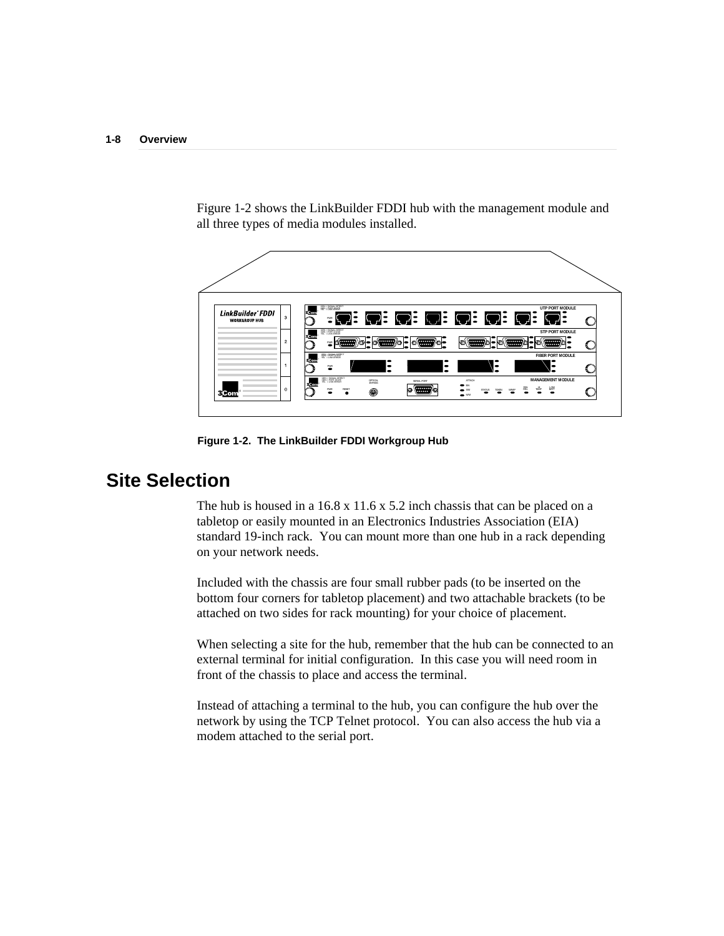Figure 1-2 shows the LinkBuilder FDDI hub with the management module and all three types of media modules installed.



**Figure 1-2. The LinkBuilder FDDI Workgroup Hub**

# **Site Selection**

The hub is housed in a 16.8 x 11.6 x 5.2 inch chassis that can be placed on a tabletop or easily mounted in an Electronics Industries Association (EIA) standard 19-inch rack. You can mount more than one hub in a rack depending on your network needs.

Included with the chassis are four small rubber pads (to be inserted on the bottom four corners for tabletop placement) and two attachable brackets (to be attached on two sides for rack mounting) for your choice of placement.

When selecting a site for the hub, remember that the hub can be connected to an external terminal for initial configuration. In this case you will need room in front of the chassis to place and access the terminal.

Instead of attaching a terminal to the hub, you can configure the hub over the network by using the TCP Telnet protocol. You can also access the hub via a modem attached to the serial port.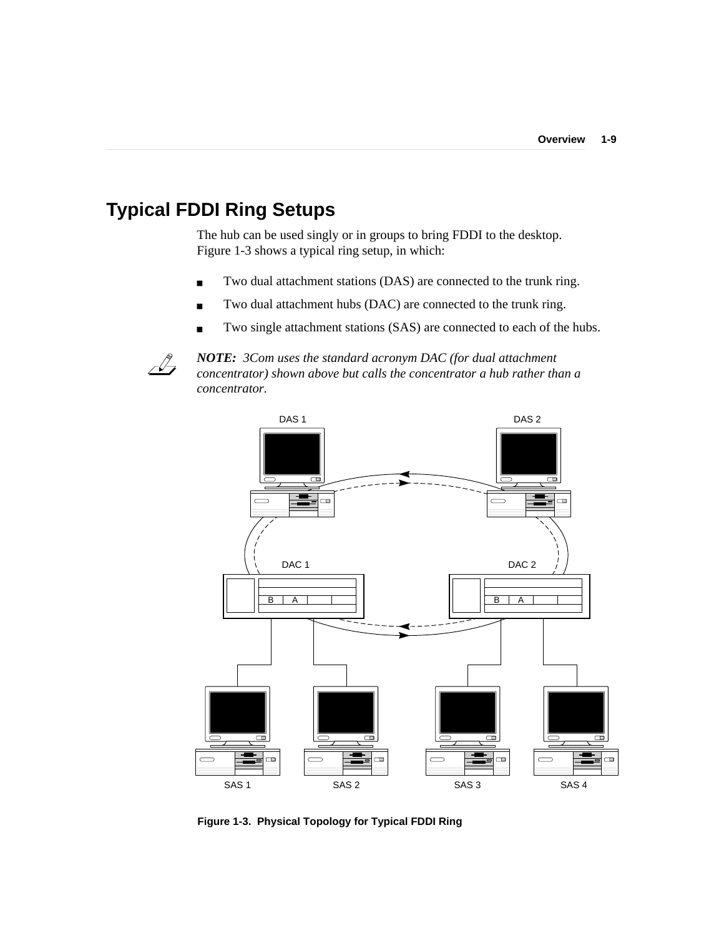# **Typical FDDI Ring Setups**

The hub can be used singly or in groups to bring FDDI to the desktop. Figure 1-3 shows a typical ring setup, in which:

- Two dual attachment stations (DAS) are connected to the trunk ring.
- Two dual attachment hubs (DAC) are connected to the trunk ring.
- Two single attachment stations (SAS) are connected to each of the hubs.



*NOTE: 3Com uses the standard acronym DAC (for dual attachment concentrator) shown above but calls the concentrator a hub rather than a concentrator.*



**Figure 1-3. Physical Topology for Typical FDDI Ring**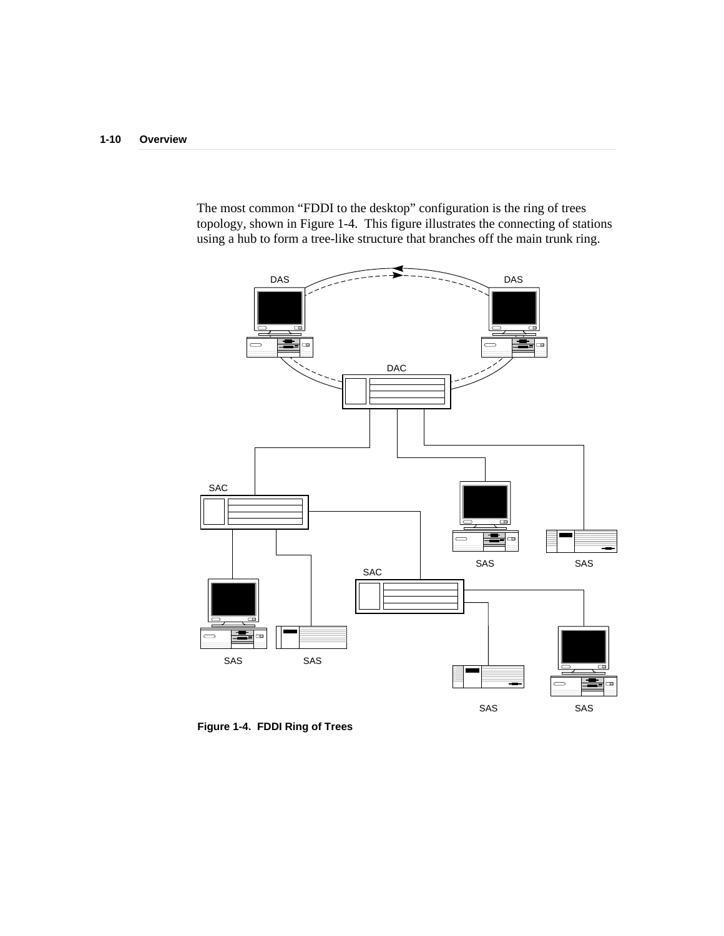The most common "FDDI to the desktop" configuration is the ring of trees topology, shown in Figure 1-4. This figure illustrates the connecting of stations using a hub to form a tree-like structure that branches off the main trunk ring.



**Figure 1-4. FDDI Ring of Trees**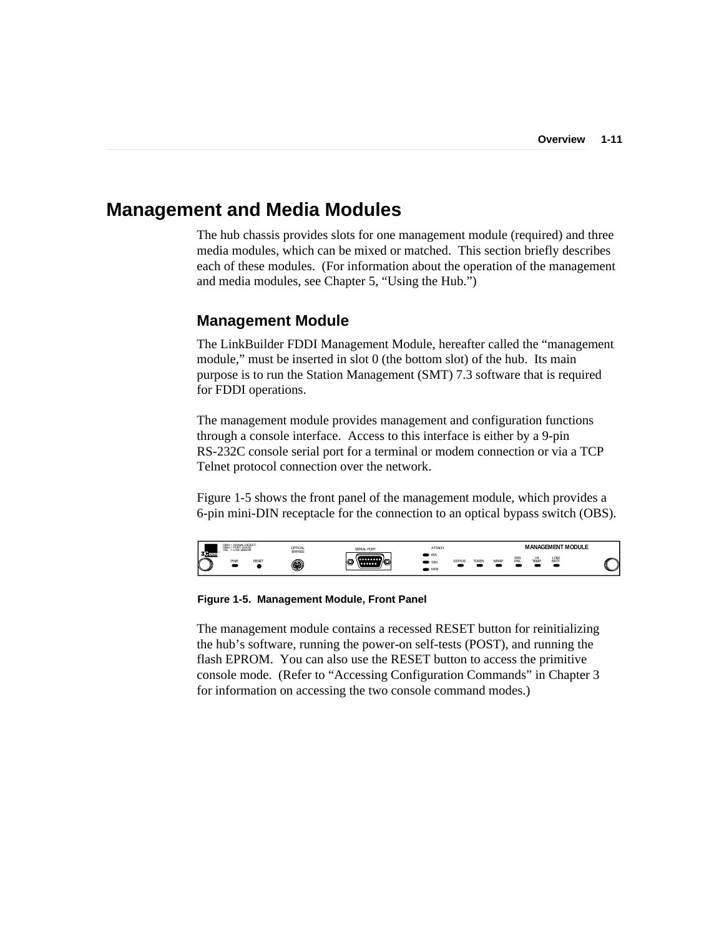## **Management and Media Modules**

The hub chassis provides slots for one management module (required) and three media modules, which can be mixed or matched. This section briefly describes each of these modules. (For information about the operation of the management and media modules, see Chapter 5, "Using the Hub.")

### **Management Module**

The LinkBuilder FDDI Management Module, hereafter called the "management module," must be inserted in slot 0 (the bottom slot) of the hub. Its main purpose is to run the Station Management (SMT) 7.3 software that is required for FDDI operations.

The management module provides management and configuration functions through a console interface. Access to this interface is either by a 9-pin RS-232C console serial port for a terminal or modem connection or via a TCP Telnet protocol connection over the network.

Figure 1-5 shows the front panel of the management module, which provides a 6-pin mini-DIN receptacle for the connection to an optical bypass switch (OBS).



**Figure 1-5. Management Module, Front Panel**

The management module contains a recessed RESET button for reinitializing the hub's software, running the power-on self-tests (POST), and running the flash EPROM. You can also use the RESET button to access the primitive console mode. (Refer to "Accessing Configuration Commands" in Chapter 3 for information on accessing the two console command modes.)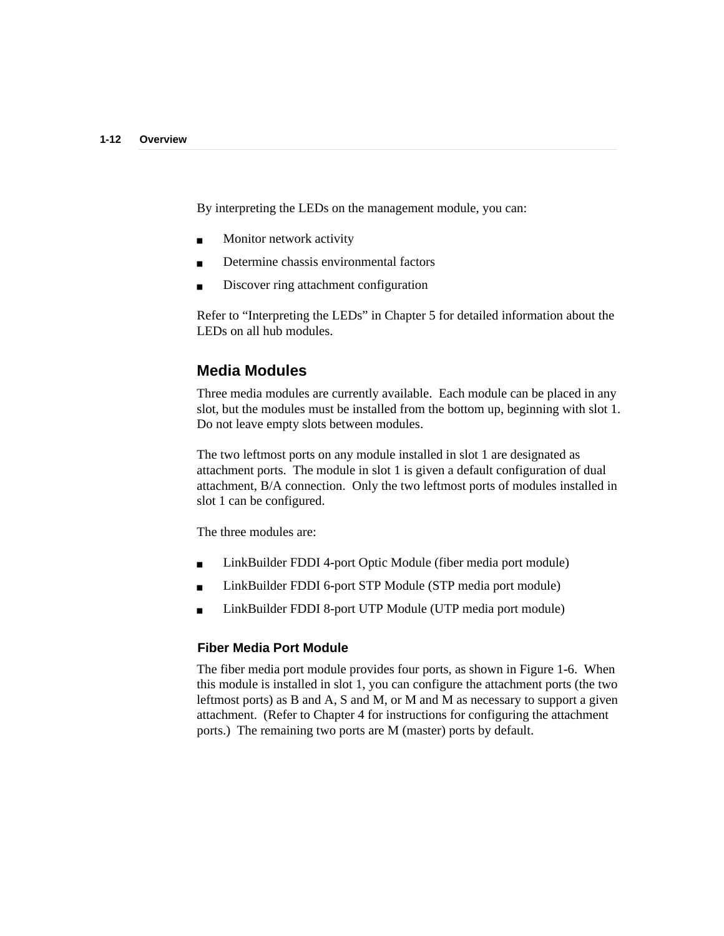By interpreting the LEDs on the management module, you can:

- Monitor network activity
- Determine chassis environmental factors
- Discover ring attachment configuration

Refer to "Interpreting the LEDs" in Chapter 5 for detailed information about the LEDs on all hub modules.

### **Media Modules**

Three media modules are currently available. Each module can be placed in any slot, but the modules must be installed from the bottom up, beginning with slot 1. Do not leave empty slots between modules.

The two leftmost ports on any module installed in slot 1 are designated as attachment ports. The module in slot 1 is given a default configuration of dual attachment, B/A connection. Only the two leftmost ports of modules installed in slot 1 can be configured.

The three modules are:

- LinkBuilder FDDI 4-port Optic Module (fiber media port module)
- LinkBuilder FDDI 6-port STP Module (STP media port module)
- LinkBuilder FDDI 8-port UTP Module (UTP media port module)

### **Fiber Media Port Module**

The fiber media port module provides four ports, as shown in Figure 1-6. When this module is installed in slot 1, you can configure the attachment ports (the two leftmost ports) as B and A, S and M, or M and M as necessary to support a given attachment. (Refer to Chapter 4 for instructions for configuring the attachment ports.) The remaining two ports are M (master) ports by default.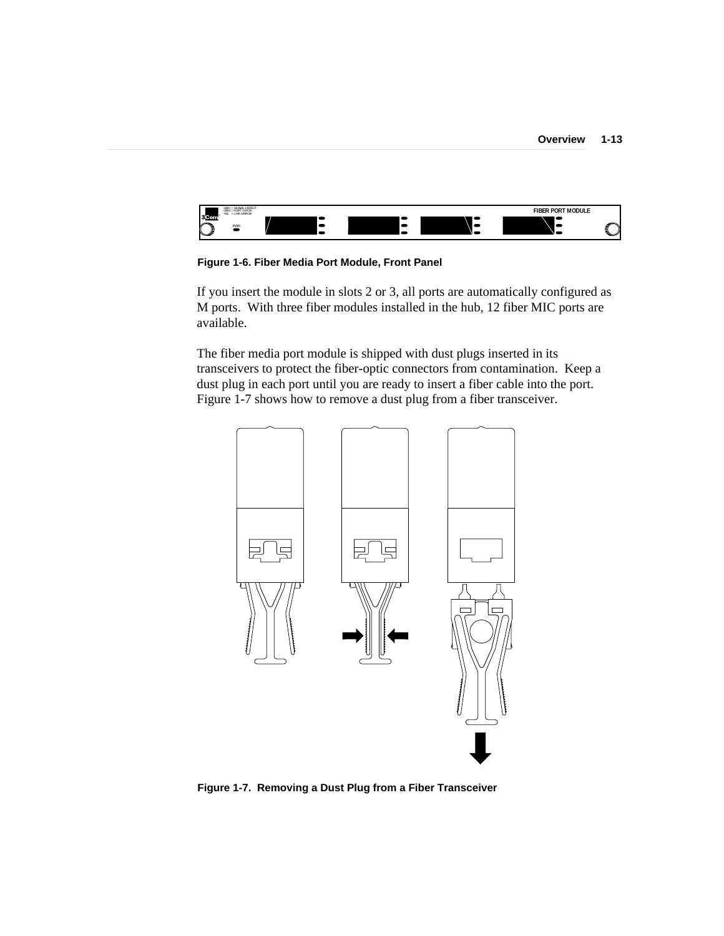

**Figure 1-6. Fiber Media Port Module, Front Panel**

If you insert the module in slots 2 or 3, all ports are automatically configured as M ports. With three fiber modules installed in the hub, 12 fiber MIC ports are available.

The fiber media port module is shipped with dust plugs inserted in its transceivers to protect the fiber-optic connectors from contamination. Keep a dust plug in each port until you are ready to insert a fiber cable into the port. Figure 1-7 shows how to remove a dust plug from a fiber transceiver.



**Figure 1-7. Removing a Dust Plug from a Fiber Transceiver**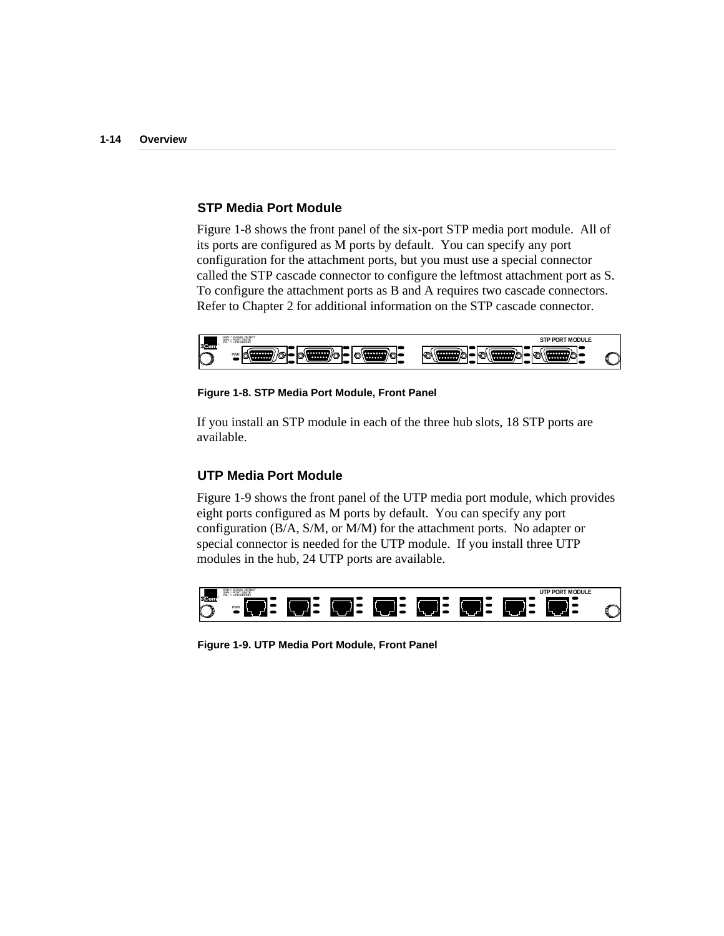### **STP Media Port Module**

Figure 1-8 shows the front panel of the six-port STP media port module. All of its ports are configured as M ports by default. You can specify any port configuration for the attachment ports, but you must use a special connector called the STP cascade connector to configure the leftmost attachment port as S. To configure the attachment ports as B and A requires two cascade connectors. Refer to Chapter 2 for additional information on the STP cascade connector.



**Figure 1-8. STP Media Port Module, Front Panel**

If you install an STP module in each of the three hub slots, 18 STP ports are available.

#### **UTP Media Port Module**

Figure 1-9 shows the front panel of the UTP media port module, which provides eight ports configured as M ports by default. You can specify any port configuration (B/A, S/M, or M/M) for the attachment ports. No adapter or special connector is needed for the UTP module. If you install three UTP modules in the hub, 24 UTP ports are available.



**Figure 1-9. UTP Media Port Module, Front Panel**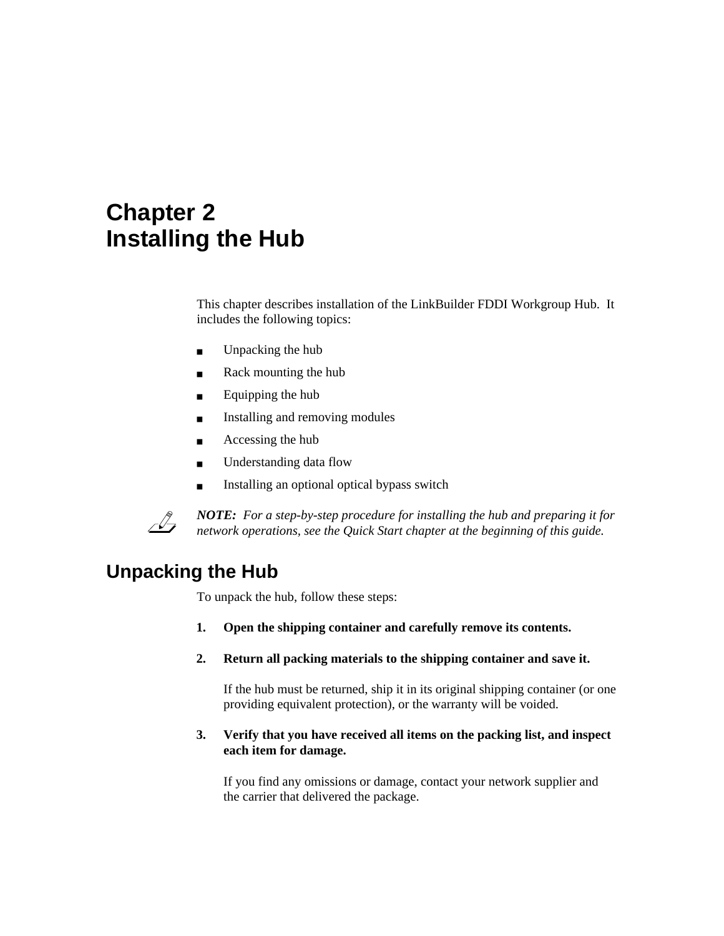# **Chapter 2 Installing the Hub**

This chapter describes installation of the LinkBuilder FDDI Workgroup Hub. It includes the following topics:

- Unpacking the hub
- Rack mounting the hub
- Equipping the hub
- Installing and removing modules
- Accessing the hub
- Understanding data flow
- Installing an optional optical bypass switch



*NOTE: For a step-by-step procedure for installing the hub and preparing it for network operations, see the Quick Start chapter at the beginning of this guide.*

## **Unpacking the Hub**

To unpack the hub, follow these steps:

- **1. Open the shipping container and carefully remove its contents.**
- **2. Return all packing materials to the shipping container and save it.**

If the hub must be returned, ship it in its original shipping container (or one providing equivalent protection), or the warranty will be voided.

**3. Verify that you have received all items on the packing list, and inspect each item for damage.**

If you find any omissions or damage, contact your network supplier and the carrier that delivered the package.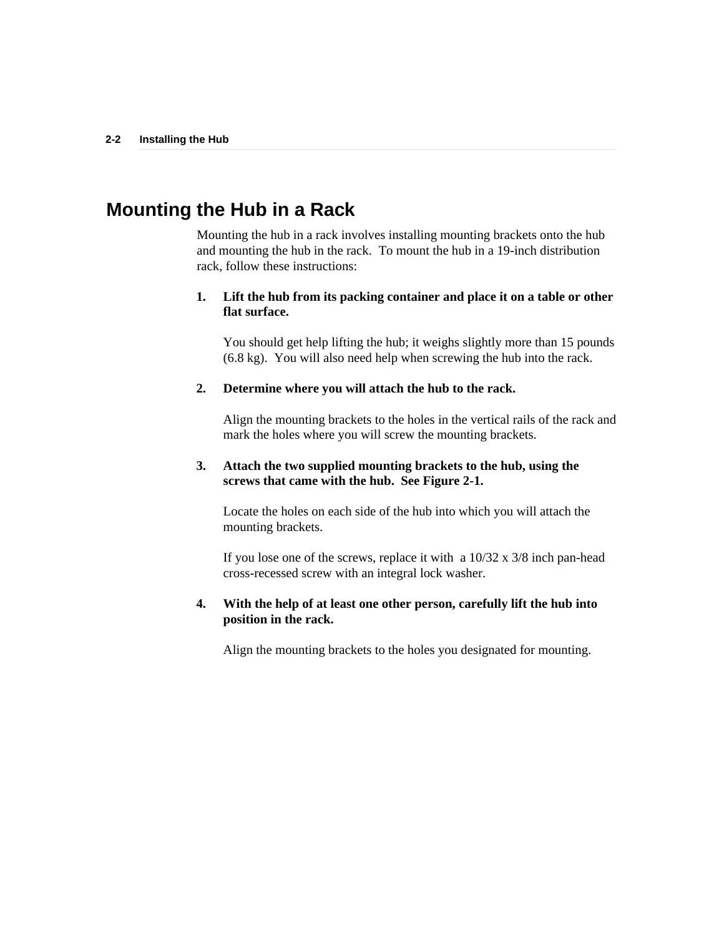## **Mounting the Hub in a Rack**

Mounting the hub in a rack involves installing mounting brackets onto the hub and mounting the hub in the rack. To mount the hub in a 19-inch distribution rack, follow these instructions:

### **1. Lift the hub from its packing container and place it on a table or other flat surface.**

You should get help lifting the hub; it weighs slightly more than 15 pounds (6.8 kg). You will also need help when screwing the hub into the rack.

### **2. Determine where you will attach the hub to the rack.**

Align the mounting brackets to the holes in the vertical rails of the rack and mark the holes where you will screw the mounting brackets.

### **3. Attach the two supplied mounting brackets to the hub, using the screws that came with the hub. See Figure 2-1.**

Locate the holes on each side of the hub into which you will attach the mounting brackets.

If you lose one of the screws, replace it with a  $10/32 \times 3/8$  inch pan-head cross-recessed screw with an integral lock washer.

### **4. With the help of at least one other person, carefully lift the hub into position in the rack.**

Align the mounting brackets to the holes you designated for mounting.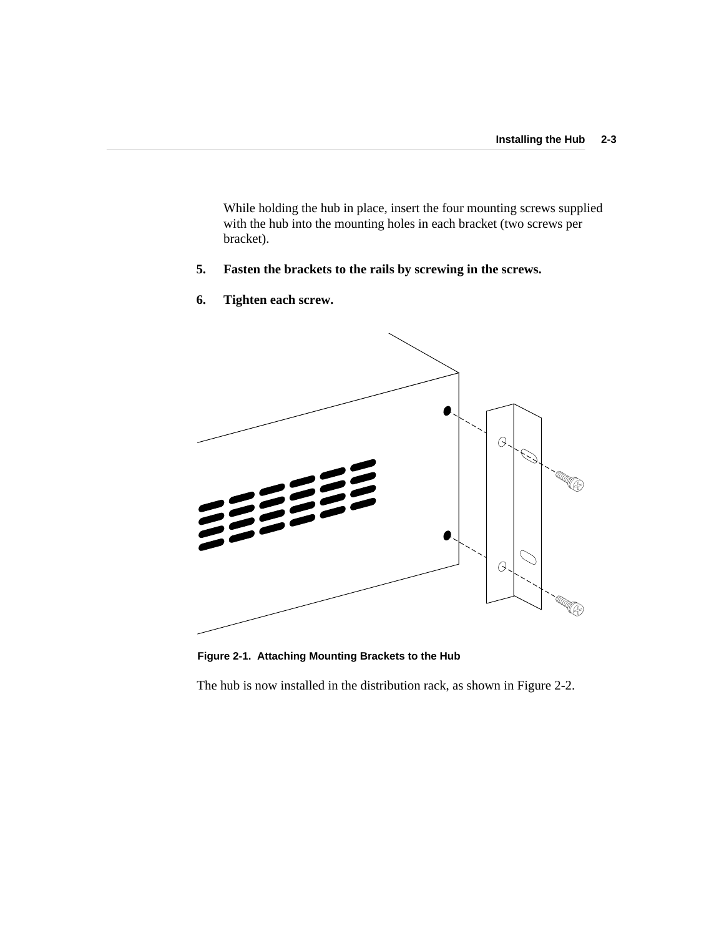While holding the hub in place, insert the four mounting screws supplied with the hub into the mounting holes in each bracket (two screws per bracket).

- **5. Fasten the brackets to the rails by screwing in the screws.**
- $\varTheta$ **RADIO COMPANY**  $\vartheta$ **CO**
- **6. Tighten each screw.**

**Figure 2-1. Attaching Mounting Brackets to the Hub**

The hub is now installed in the distribution rack, as shown in Figure 2-2.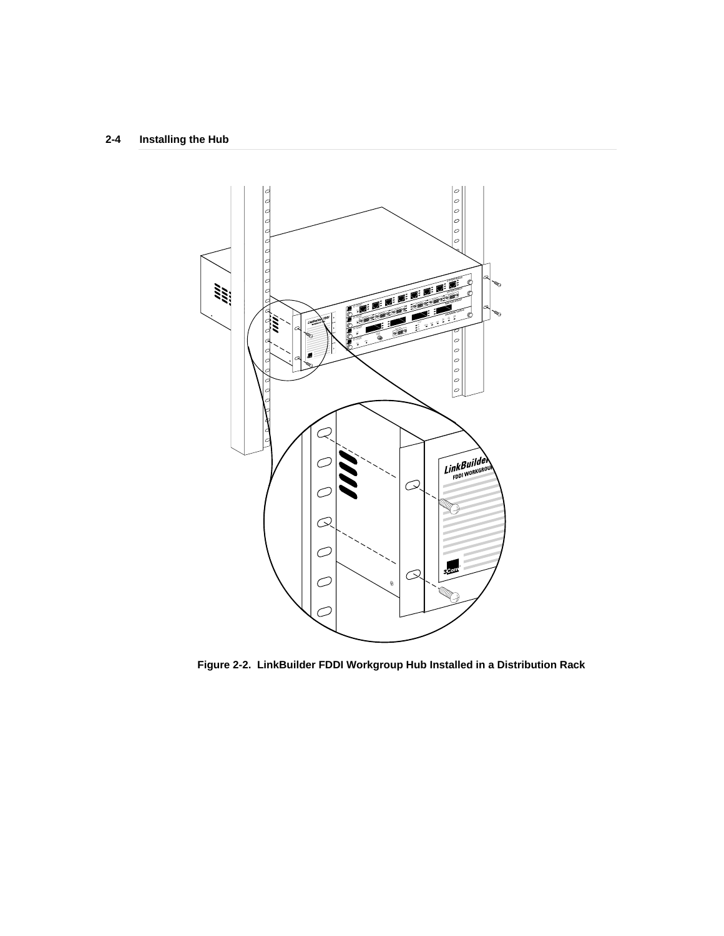### **2-4 Installing the Hub**



**Figure 2-2. LinkBuilder FDDI Workgroup Hub Installed in a Distribution Rack**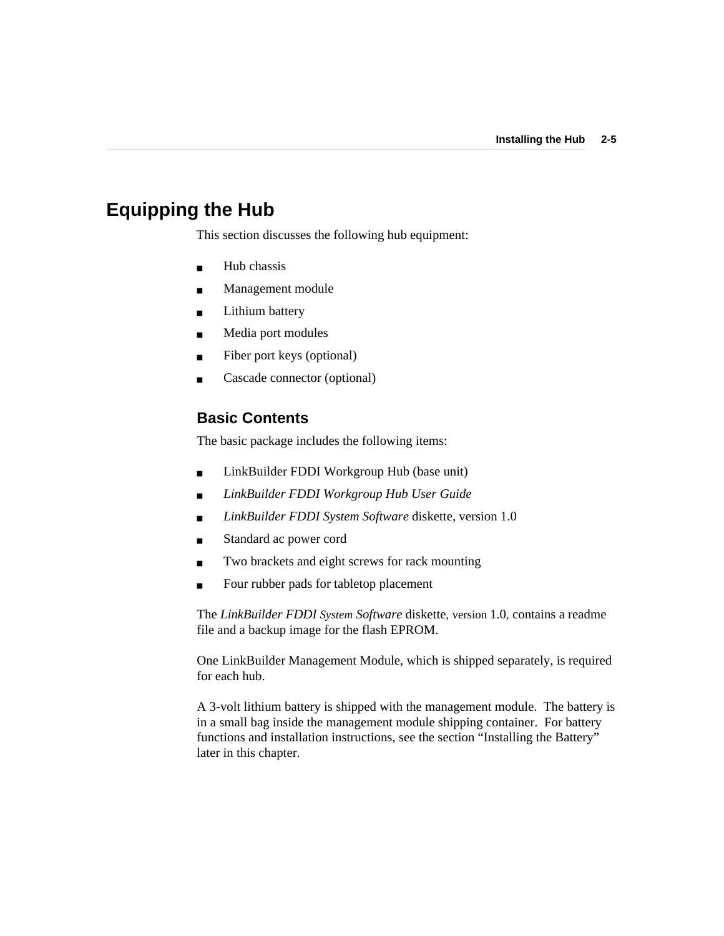## **Equipping the Hub**

This section discusses the following hub equipment:

- Hub chassis
- Management module
- Lithium battery
- Media port modules
- Fiber port keys (optional)
- Cascade connector (optional)

### **Basic Contents**

The basic package includes the following items:

- LinkBuilder FDDI Workgroup Hub (base unit)
- *LinkBuilder FDDI Workgroup Hub User Guide*
- *LinkBuilder FDDI System Software* diskette, version 1.0
- Standard ac power cord
- Two brackets and eight screws for rack mounting
- Four rubber pads for tabletop placement

The *LinkBuilder FDDI System Software* diskette, version 1.0, contains a readme file and a backup image for the flash EPROM.

One LinkBuilder Management Module, which is shipped separately, is required for each hub.

A 3-volt lithium battery is shipped with the management module. The battery is in a small bag inside the management module shipping container. For battery functions and installation instructions, see the section "Installing the Battery" later in this chapter.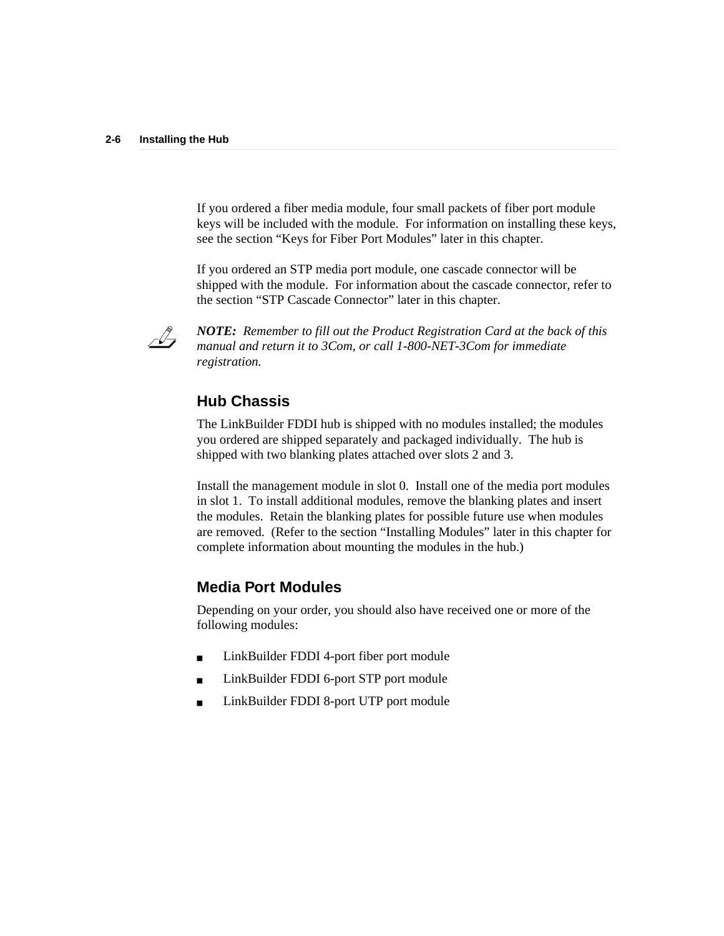If you ordered a fiber media module, four small packets of fiber port module keys will be included with the module. For information on installing these keys, see the section "Keys for Fiber Port Modules" later in this chapter.

If you ordered an STP media port module, one cascade connector will be shipped with the module. For information about the cascade connector, refer to the section "STP Cascade Connector" later in this chapter.



*NOTE: Remember to fill out the Product Registration Card at the back of this manual and return it to 3Com, or call 1-800-NET-3Com for immediate registration.*

### **Hub Chassis**

The LinkBuilder FDDI hub is shipped with no modules installed; the modules you ordered are shipped separately and packaged individually. The hub is shipped with two blanking plates attached over slots 2 and 3.

Install the management module in slot 0. Install one of the media port modules in slot 1. To install additional modules, remove the blanking plates and insert the modules. Retain the blanking plates for possible future use when modules are removed. (Refer to the section "Installing Modules" later in this chapter for complete information about mounting the modules in the hub.)

### **Media Port Modules**

Depending on your order, you should also have received one or more of the following modules:

- LinkBuilder FDDI 4-port fiber port module
- LinkBuilder FDDI 6-port STP port module
- LinkBuilder FDDI 8-port UTP port module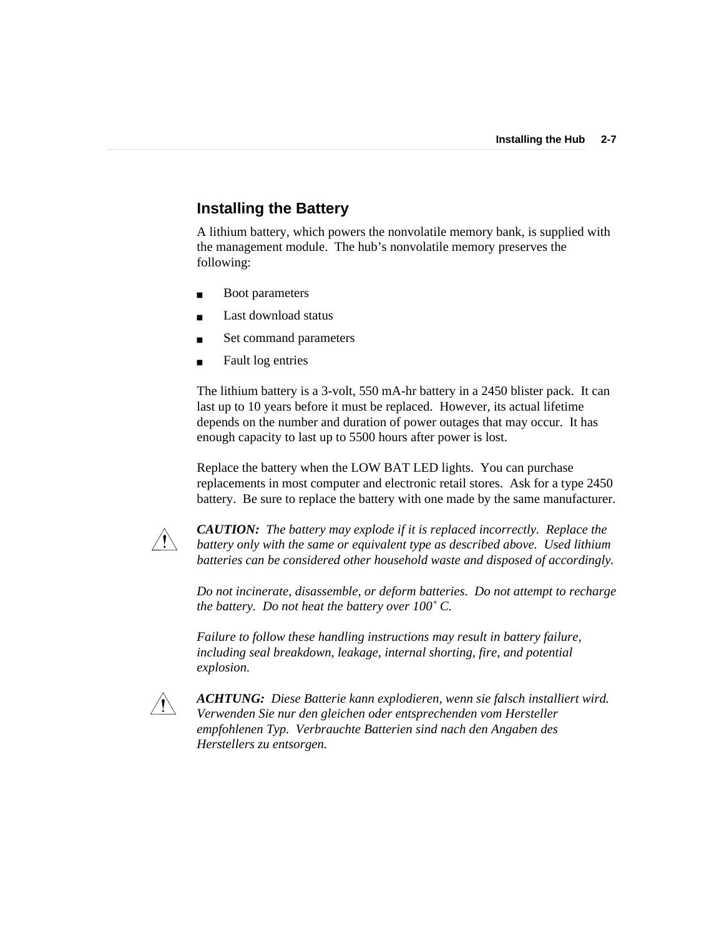## **Installing the Battery**

A lithium battery, which powers the nonvolatile memory bank, is supplied with the management module. The hub's nonvolatile memory preserves the following:

- **Boot parameters**
- Last download status
- Set command parameters
- Fault log entries

The lithium battery is a 3-volt, 550 mA-hr battery in a 2450 blister pack. It can last up to 10 years before it must be replaced. However, its actual lifetime depends on the number and duration of power outages that may occur. It has enough capacity to last up to 5500 hours after power is lost.

Replace the battery when the LOW BAT LED lights. You can purchase replacements in most computer and electronic retail stores. Ask for a type 2450 battery. Be sure to replace the battery with one made by the same manufacturer.



*CAUTION: The battery may explode if it is replaced incorrectly. Replace the battery only with the same or equivalent type as described above. Used lithium batteries can be considered other household waste and disposed of accordingly.*

*Do not incinerate, disassemble, or deform batteries. Do not attempt to recharge the battery. Do not heat the battery over 100˚ C.*

*Failure to follow these handling instructions may result in battery failure, including seal breakdown, leakage, internal shorting, fire, and potential explosion.*



*ACHTUNG: Diese Batterie kann explodieren, wenn sie falsch installiert wird. Verwenden Sie nur den gleichen oder entsprechenden vom Hersteller empfohlenen Typ. Verbrauchte Batterien sind nach den Angaben des Herstellers zu entsorgen.*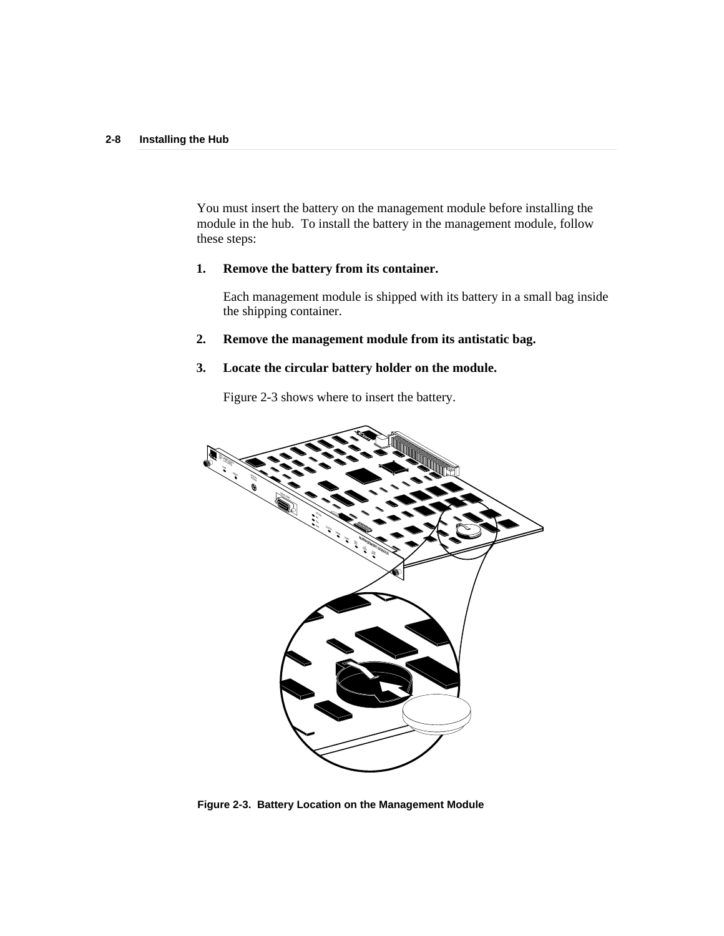You must insert the battery on the management module before installing the module in the hub. To install the battery in the management module, follow these steps:

### **1. Remove the battery from its container.**

Each management module is shipped with its battery in a small bag inside the shipping container.

### **2. Remove the management module from its antistatic bag.**

### **3. Locate the circular battery holder on the module.**

Figure 2-3 shows where to insert the battery.



**Figure 2-3. Battery Location on the Management Module**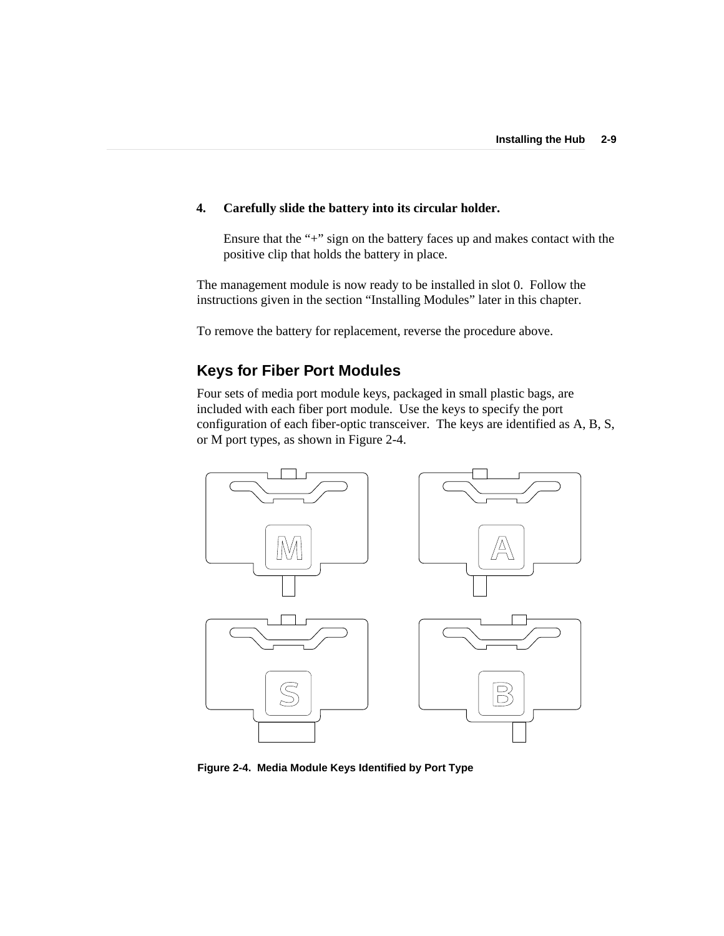### **4. Carefully slide the battery into its circular holder.**

Ensure that the "+" sign on the battery faces up and makes contact with the positive clip that holds the battery in place.

The management module is now ready to be installed in slot 0. Follow the instructions given in the section "Installing Modules" later in this chapter.

To remove the battery for replacement, reverse the procedure above.

## **Keys for Fiber Port Modules**

Four sets of media port module keys, packaged in small plastic bags, are included with each fiber port module. Use the keys to specify the port configuration of each fiber-optic transceiver. The keys are identified as A, B, S, or M port types, as shown in Figure 2-4.



**Figure 2-4. Media Module Keys Identified by Port Type**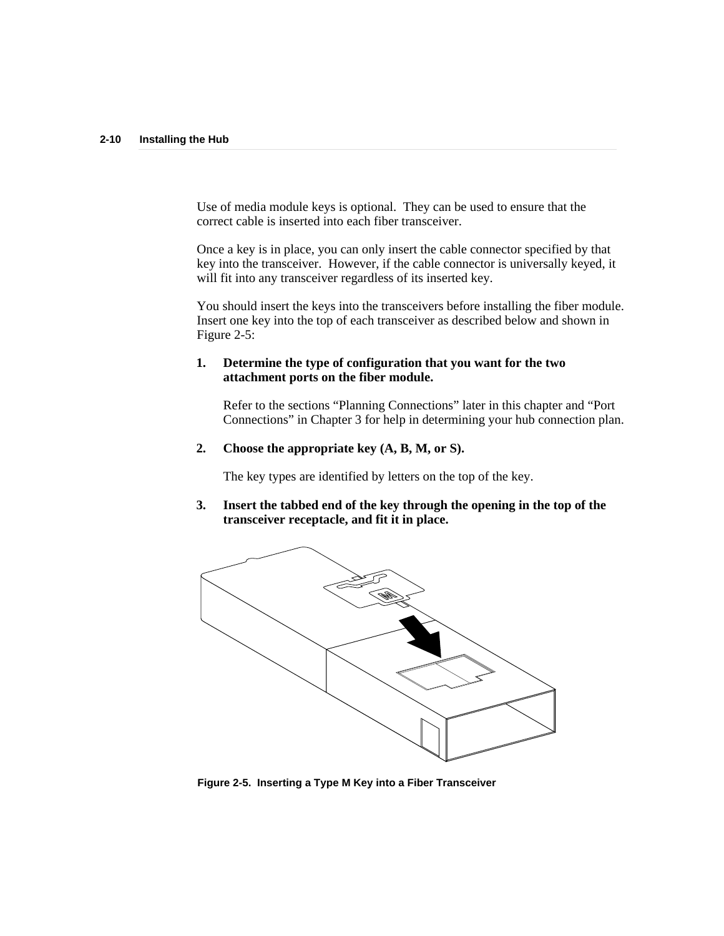Use of media module keys is optional. They can be used to ensure that the correct cable is inserted into each fiber transceiver.

Once a key is in place, you can only insert the cable connector specified by that key into the transceiver. However, if the cable connector is universally keyed, it will fit into any transceiver regardless of its inserted key.

You should insert the keys into the transceivers before installing the fiber module. Insert one key into the top of each transceiver as described below and shown in Figure 2-5:

#### **1. Determine the type of configuration that you want for the two attachment ports on the fiber module.**

Refer to the sections "Planning Connections" later in this chapter and "Port Connections" in Chapter 3 for help in determining your hub connection plan.

**2. Choose the appropriate key (A, B, M, or S).**

The key types are identified by letters on the top of the key.

**3. Insert the tabbed end of the key through the opening in the top of the transceiver receptacle, and fit it in place.**



**Figure 2-5. Inserting a Type M Key into a Fiber Transceiver**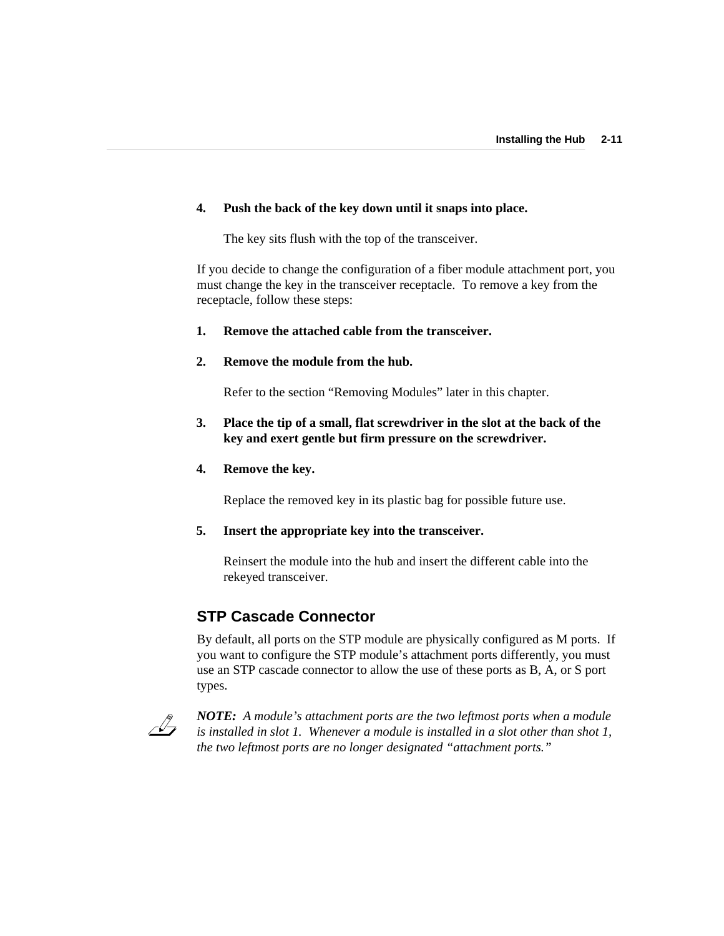### **4. Push the back of the key down until it snaps into place.**

The key sits flush with the top of the transceiver.

If you decide to change the configuration of a fiber module attachment port, you must change the key in the transceiver receptacle. To remove a key from the receptacle, follow these steps:

### **1. Remove the attached cable from the transceiver.**

#### **2. Remove the module from the hub.**

Refer to the section "Removing Modules" later in this chapter.

### **3. Place the tip of a small, flat screwdriver in the slot at the back of the key and exert gentle but firm pressure on the screwdriver.**

### **4. Remove the key.**

Replace the removed key in its plastic bag for possible future use.

#### **5. Insert the appropriate key into the transceiver.**

Reinsert the module into the hub and insert the different cable into the rekeyed transceiver.

### **STP Cascade Connector**

By default, all ports on the STP module are physically configured as M ports. If you want to configure the STP module's attachment ports differently, you must use an STP cascade connector to allow the use of these ports as B, A, or S port types.



*NOTE: A module's attachment ports are the two leftmost ports when a module is installed in slot 1. Whenever a module is installed in a slot other than shot 1, the two leftmost ports are no longer designated "attachment ports."*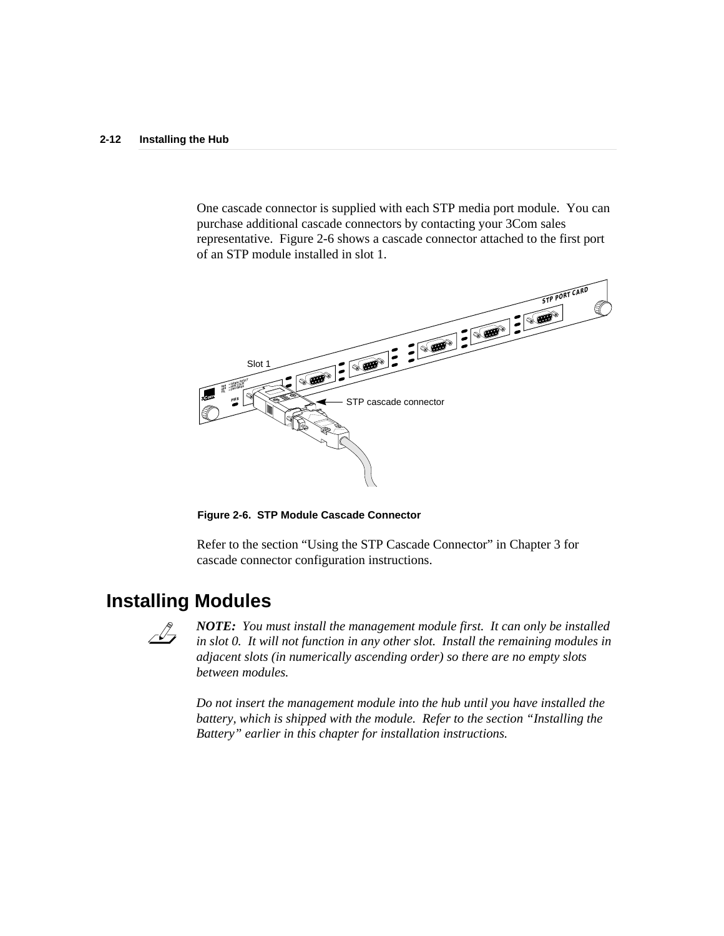One cascade connector is supplied with each STP media port module. You can purchase additional cascade connectors by contacting your 3Com sales representative. Figure 2-6 shows a cascade connector attached to the first port of an STP module installed in slot 1.



**Figure 2-6. STP Module Cascade Connector**

Refer to the section "Using the STP Cascade Connector" in Chapter 3 for cascade connector configuration instructions.

## **Installing Modules**



*NOTE: You must install the management module first. It can only be installed in slot 0. It will not function in any other slot. Install the remaining modules in adjacent slots (in numerically ascending order) so there are no empty slots between modules.*

*Do not insert the management module into the hub until you have installed the battery, which is shipped with the module. Refer to the section "Installing the Battery" earlier in this chapter for installation instructions.*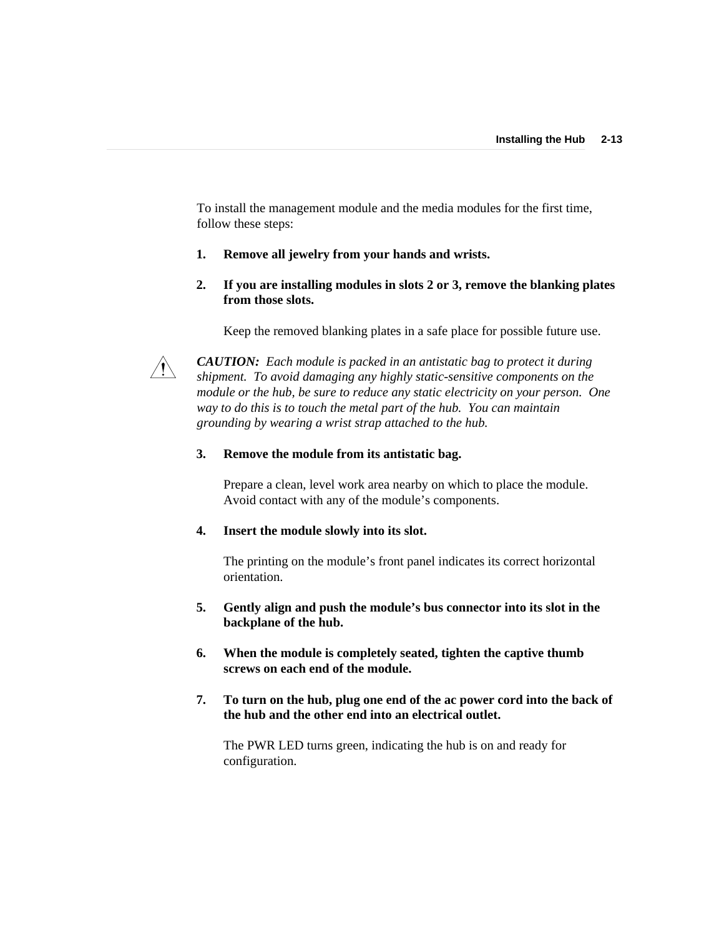To install the management module and the media modules for the first time, follow these steps:

### **1. Remove all jewelry from your hands and wrists.**

**2. If you are installing modules in slots 2 or 3, remove the blanking plates from those slots.**

Keep the removed blanking plates in a safe place for possible future use.



*CAUTION: Each module is packed in an antistatic bag to protect it during shipment. To avoid damaging any highly static-sensitive components on the module or the hub, be sure to reduce any static electricity on your person. One way to do this is to touch the metal part of the hub. You can maintain grounding by wearing a wrist strap attached to the hub.*

#### **3. Remove the module from its antistatic bag.**

Prepare a clean, level work area nearby on which to place the module. Avoid contact with any of the module's components.

#### **4. Insert the module slowly into its slot.**

The printing on the module's front panel indicates its correct horizontal orientation.

- **5. Gently align and push the module's bus connector into its slot in the backplane of the hub.**
- **6. When the module is completely seated, tighten the captive thumb screws on each end of the module.**
- **7. To turn on the hub, plug one end of the ac power cord into the back of the hub and the other end into an electrical outlet.**

The PWR LED turns green, indicating the hub is on and ready for configuration.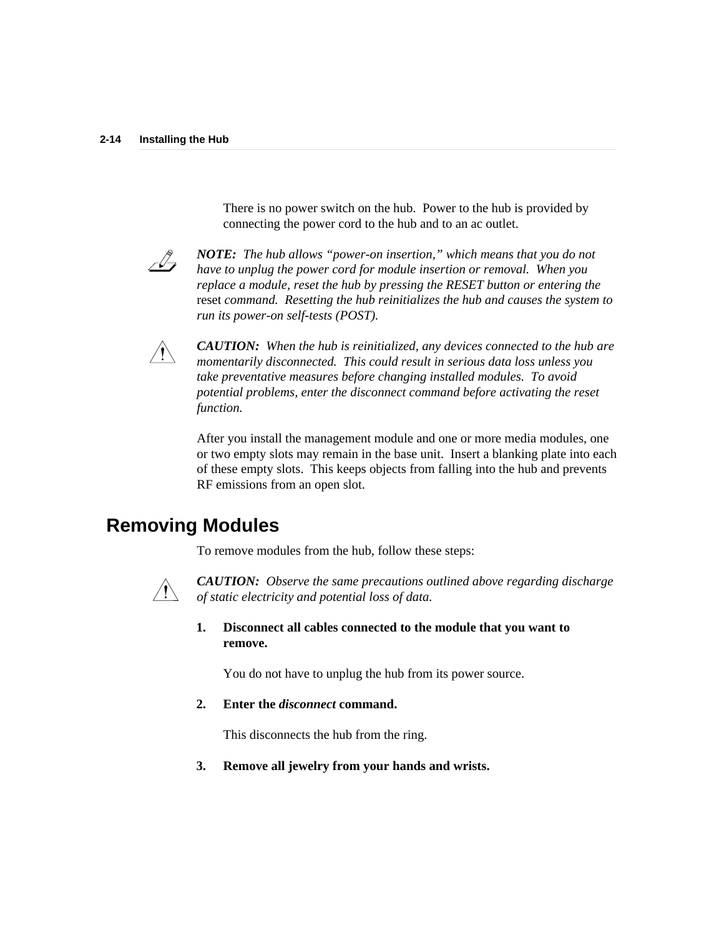There is no power switch on the hub. Power to the hub is provided by connecting the power cord to the hub and to an ac outlet.



*NOTE: The hub allows "power-on insertion," which means that you do not have to unplug the power cord for module insertion or removal. When you replace a module, reset the hub by pressing the RESET button or entering the* reset *command. Resetting the hub reinitializes the hub and causes the system to run its power-on self-tests (POST).*



*CAUTION: When the hub is reinitialized, any devices connected to the hub are momentarily disconnected. This could result in serious data loss unless you take preventative measures before changing installed modules. To avoid potential problems, enter the disconnect command before activating the reset function.*

After you install the management module and one or more media modules, one or two empty slots may remain in the base unit. Insert a blanking plate into each of these empty slots. This keeps objects from falling into the hub and prevents RF emissions from an open slot.

## **Removing Modules**

To remove modules from the hub, follow these steps:



*CAUTION: Observe the same precautions outlined above regarding discharge of static electricity and potential loss of data.*

**1. Disconnect all cables connected to the module that you want to remove.**

You do not have to unplug the hub from its power source.

### **2. Enter the** *disconnect* **command.**

This disconnects the hub from the ring.

**3. Remove all jewelry from your hands and wrists.**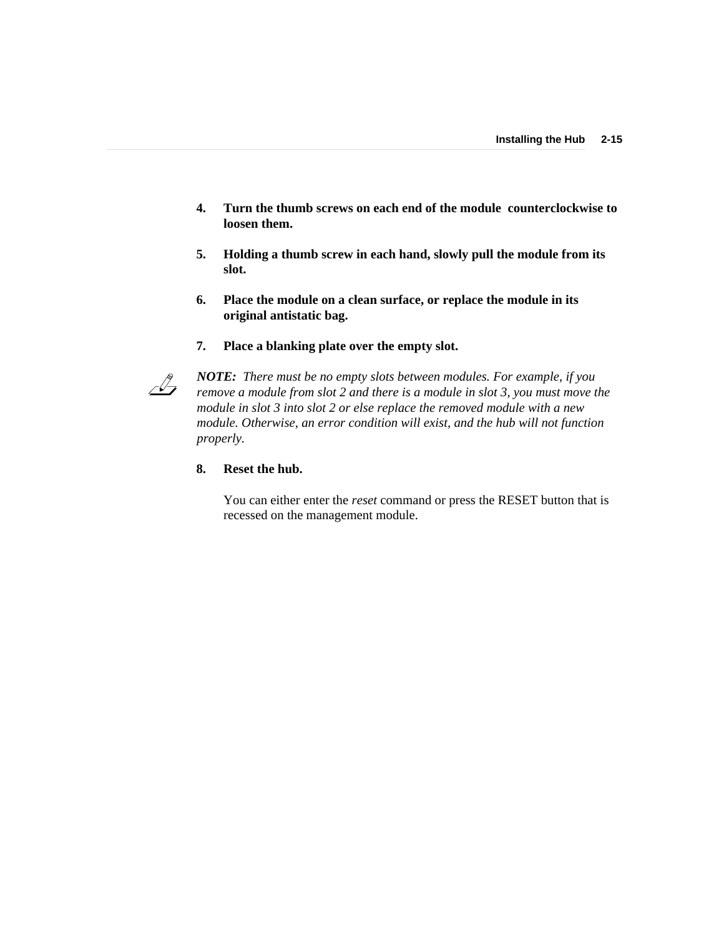- **4. Turn the thumb screws on each end of the module counterclockwise to loosen them.**
- **5. Holding a thumb screw in each hand, slowly pull the module from its slot.**
- **6. Place the module on a clean surface, or replace the module in its original antistatic bag.**
- **7. Place a blanking plate over the empty slot.**



*NOTE: There must be no empty slots between modules. For example, if you remove a module from slot 2 and there is a module in slot 3, you must move the module in slot 3 into slot 2 or else replace the removed module with a new module. Otherwise, an error condition will exist, and the hub will not function properly.*

### **8. Reset the hub.**

You can either enter the *reset* command or press the RESET button that is recessed on the management module.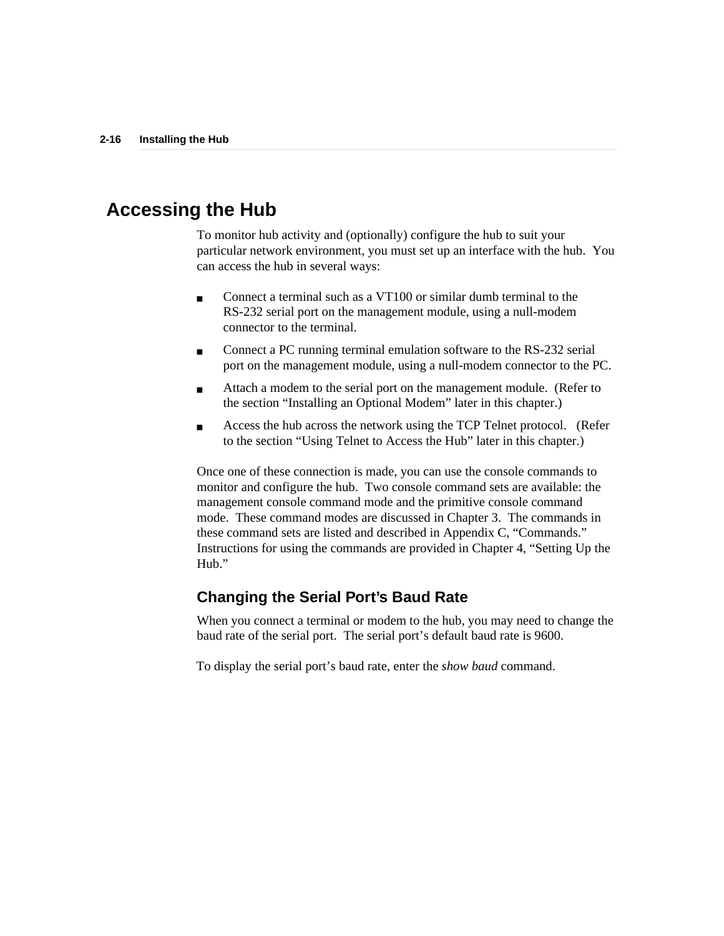## **Accessing the Hub**

To monitor hub activity and (optionally) configure the hub to suit your particular network environment, you must set up an interface with the hub. You can access the hub in several ways:

- Connect a terminal such as a VT100 or similar dumb terminal to the RS-232 serial port on the management module, using a null-modem connector to the terminal.
- Connect a PC running terminal emulation software to the RS-232 serial port on the management module, using a null-modem connector to the PC.
- Attach a modem to the serial port on the management module. (Refer to the section "Installing an Optional Modem" later in this chapter.)
- Access the hub across the network using the TCP Telnet protocol. (Refer to the section "Using Telnet to Access the Hub" later in this chapter.)

Once one of these connection is made, you can use the console commands to monitor and configure the hub. Two console command sets are available: the management console command mode and the primitive console command mode. These command modes are discussed in Chapter 3. The commands in these command sets are listed and described in Appendix C, "Commands." Instructions for using the commands are provided in Chapter 4, "Setting Up the Hub."

### **Changing the Serial Port's Baud Rate**

When you connect a terminal or modem to the hub, you may need to change the baud rate of the serial port. The serial port's default baud rate is 9600.

To display the serial port's baud rate, enter the *show baud* command.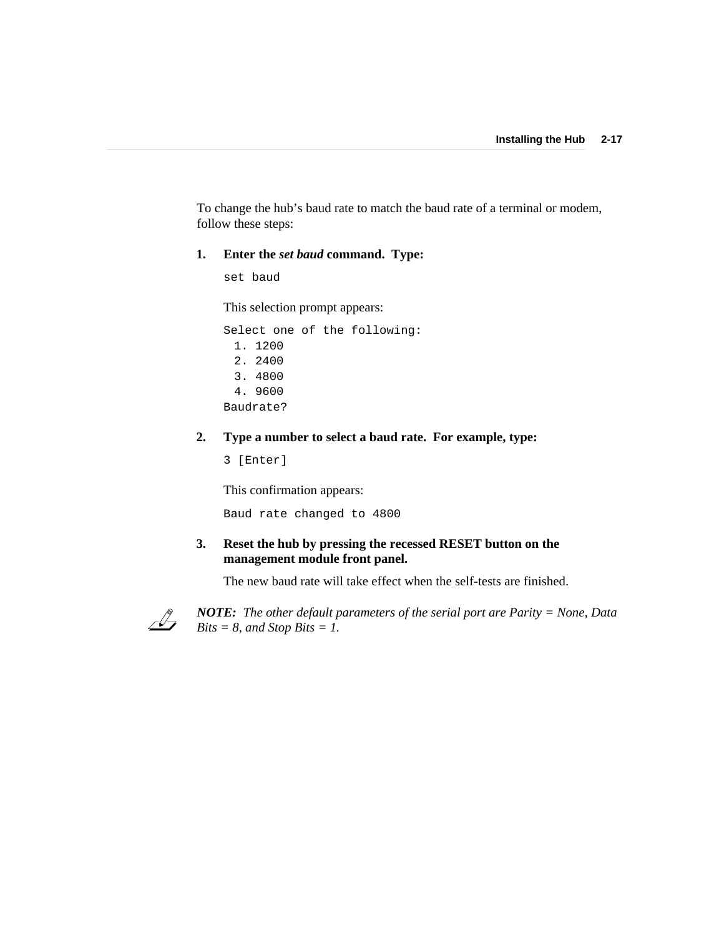To change the hub's baud rate to match the baud rate of a terminal or modem, follow these steps:

### **1. Enter the** *set baud* **command. Type:**

set baud

This selection prompt appears:

Select one of the following: 1. 1200 2. 2400 3. 4800 4. 9600 Baudrate?

### **2. Type a number to select a baud rate. For example, type:**

3 [Enter]

This confirmation appears:

Baud rate changed to 4800

**3. Reset the hub by pressing the recessed RESET button on the management module front panel.**

The new baud rate will take effect when the self-tests are finished.



*NOTE: The other default parameters of the serial port are Parity = None, Data Bits = 8, and Stop Bits = 1.*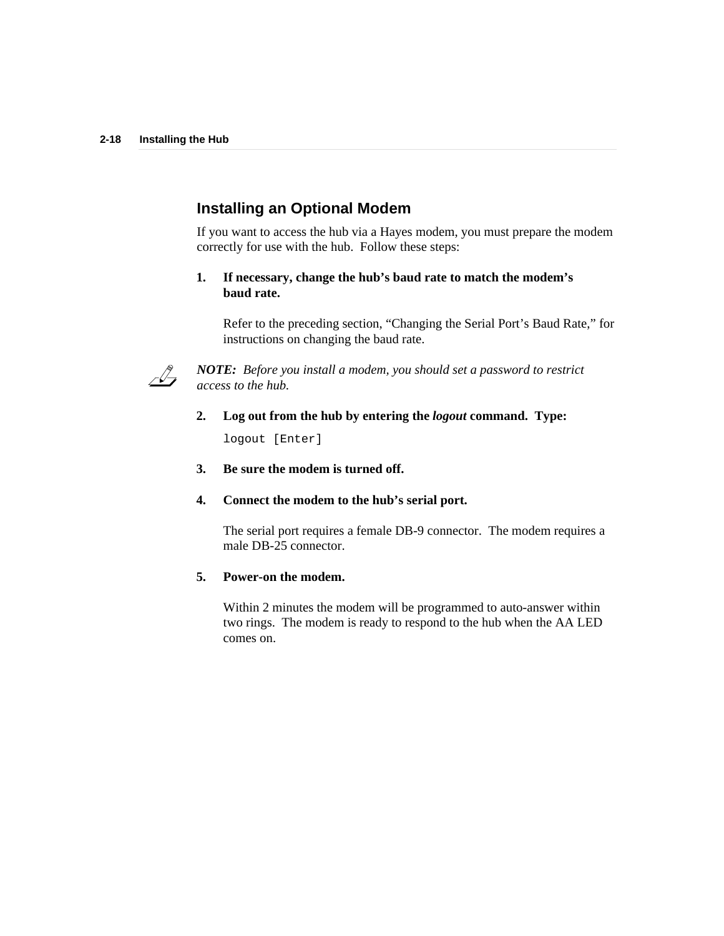### **Installing an Optional Modem**

If you want to access the hub via a Hayes modem, you must prepare the modem correctly for use with the hub. Follow these steps:

### **1. If necessary, change the hub's baud rate to match the modem's baud rate.**

Refer to the preceding section, "Changing the Serial Port's Baud Rate," for instructions on changing the baud rate.



*NOTE: Before you install a modem, you should set a password to restrict access to the hub.*

**2. Log out from the hub by entering the** *logout* **command. Type:**

logout [Enter]

- **3. Be sure the modem is turned off.**
- **4. Connect the modem to the hub's serial port.**

The serial port requires a female DB-9 connector. The modem requires a male DB-25 connector.

#### **5. Power-on the modem.**

Within 2 minutes the modem will be programmed to auto-answer within two rings. The modem is ready to respond to the hub when the AA LED comes on.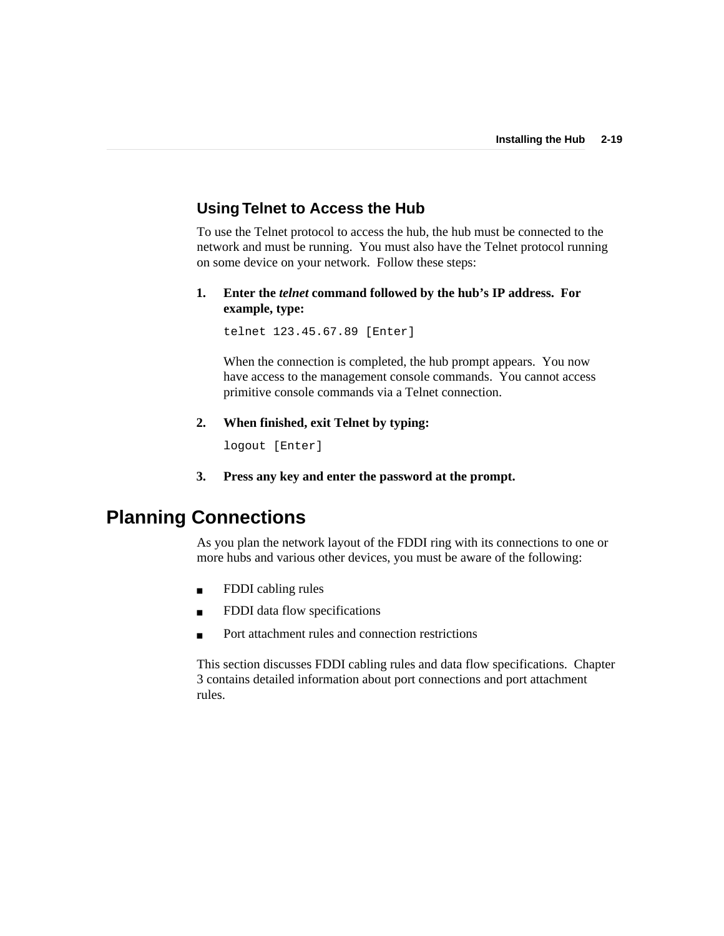### **Using Telnet to Access the Hub**

To use the Telnet protocol to access the hub, the hub must be connected to the network and must be running. You must also have the Telnet protocol running on some device on your network. Follow these steps:

**1. Enter the** *telnet* **command followed by the hub's IP address. For example, type:**

telnet 123.45.67.89 [Enter]

When the connection is completed, the hub prompt appears. You now have access to the management console commands. You cannot access primitive console commands via a Telnet connection.

**2. When finished, exit Telnet by typing:**

logout [Enter]

**3. Press any key and enter the password at the prompt.**

## **Planning Connections**

As you plan the network layout of the FDDI ring with its connections to one or more hubs and various other devices, you must be aware of the following:

- FDDI cabling rules
- FDDI data flow specifications
- Port attachment rules and connection restrictions

This section discusses FDDI cabling rules and data flow specifications. Chapter 3 contains detailed information about port connections and port attachment rules.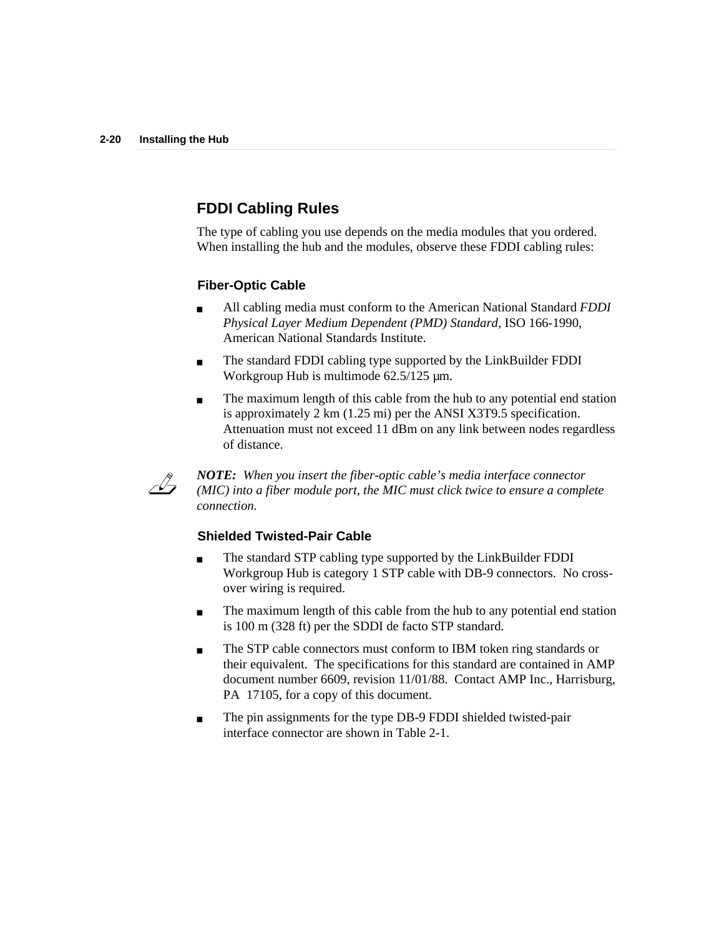## **FDDI Cabling Rules**

The type of cabling you use depends on the media modules that you ordered. When installing the hub and the modules, observe these FDDI cabling rules:

### **Fiber-Optic Cable**

- All cabling media must conform to the American National Standard *FDDI Physical Layer Medium Dependent (PMD) Standard*, ISO 166-1990, American National Standards Institute.
- The standard FDDI cabling type supported by the LinkBuilder FDDI Workgroup Hub is multimode 62.5/125  $\mu$ m.
- The maximum length of this cable from the hub to any potential end station is approximately 2 km (1.25 mi) per the ANSI X3T9.5 specification. Attenuation must not exceed 11 dBm on any link between nodes regardless of distance.



*NOTE: When you insert the fiber-optic cable's media interface connector (MIC) into a fiber module port, the MIC must click twice to ensure a complete connection.*

### **Shielded Twisted-Pair Cable**

- The standard STP cabling type supported by the LinkBuilder FDDI Workgroup Hub is category 1 STP cable with DB-9 connectors. No crossover wiring is required.
- The maximum length of this cable from the hub to any potential end station is 100 m (328 ft) per the SDDI de facto STP standard.
- The STP cable connectors must conform to IBM token ring standards or their equivalent. The specifications for this standard are contained in AMP document number 6609, revision 11/01/88. Contact AMP Inc., Harrisburg, PA 17105, for a copy of this document.
- The pin assignments for the type DB-9 FDDI shielded twisted-pair interface connector are shown in Table 2-1.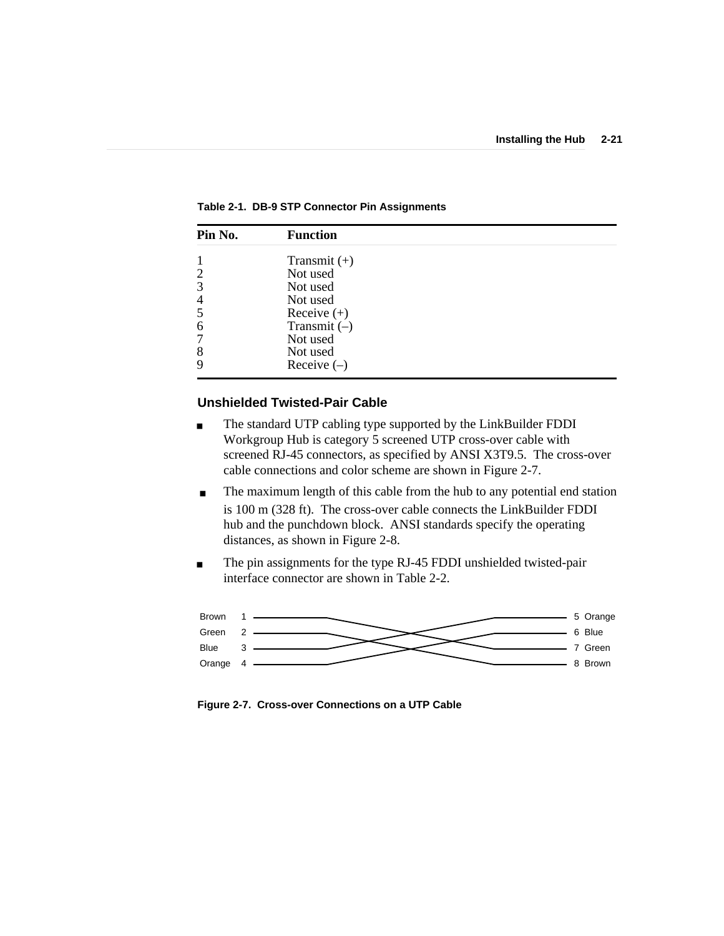| Pin No.        | <b>Function</b> |  |
|----------------|-----------------|--|
|                | Transmit $(+)$  |  |
| $\overline{2}$ | Not used        |  |
| 3              | Not used        |  |
| $\overline{4}$ | Not used        |  |
| 5              | Receive $(+)$   |  |
| 6              | Transmit $(-)$  |  |
| 7              | Not used        |  |
| 8              | Not used        |  |
| 9              | Receive $(-)$   |  |

**Table 2-1. DB-9 STP Connector Pin Assignments**

### **Unshielded Twisted-Pair Cable**

- The standard UTP cabling type supported by the LinkBuilder FDDI Workgroup Hub is category 5 screened UTP cross-over cable with screened RJ-45 connectors, as specified by ANSI X3T9.5. The cross-over cable connections and color scheme are shown in Figure 2-7.
- The maximum length of this cable from the hub to any potential end station is 100 m (328 ft). The cross-over cable connects the LinkBuilder FDDI hub and the punchdown block. ANSI standards specify the operating distances, as shown in Figure 2-8.
- The pin assignments for the type RJ-45 FDDI unshielded twisted-pair interface connector are shown in Table 2-2.



**Figure 2-7. Cross-over Connections on a UTP Cable**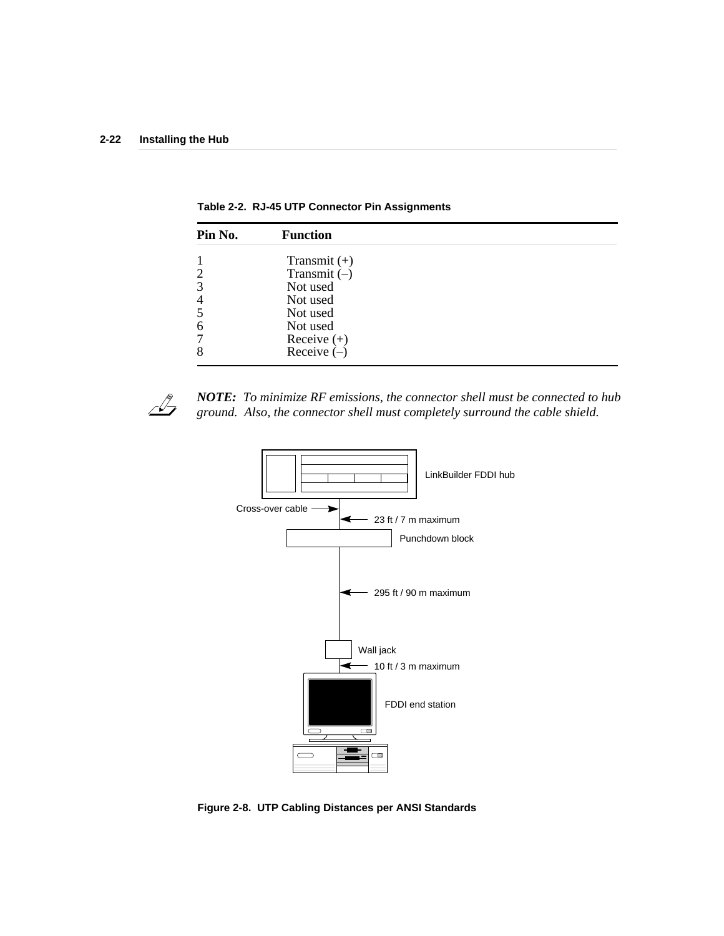| Pin No.        | <b>Function</b> |  |  |
|----------------|-----------------|--|--|
| 1              | Transmit $(+)$  |  |  |
| $\overline{c}$ | Transmit $(-)$  |  |  |
| 3              | Not used        |  |  |
| 4              | Not used        |  |  |
| 5              | Not used        |  |  |
| 6              | Not used        |  |  |
| 7              | Receive $(+)$   |  |  |
| 8              | Receive $(-)$   |  |  |
|                |                 |  |  |

**Table 2-2. RJ-45 UTP Connector Pin Assignments**



*NOTE: To minimize RF emissions, the connector shell must be connected to hub ground. Also, the connector shell must completely surround the cable shield.*



**Figure 2-8. UTP Cabling Distances per ANSI Standards**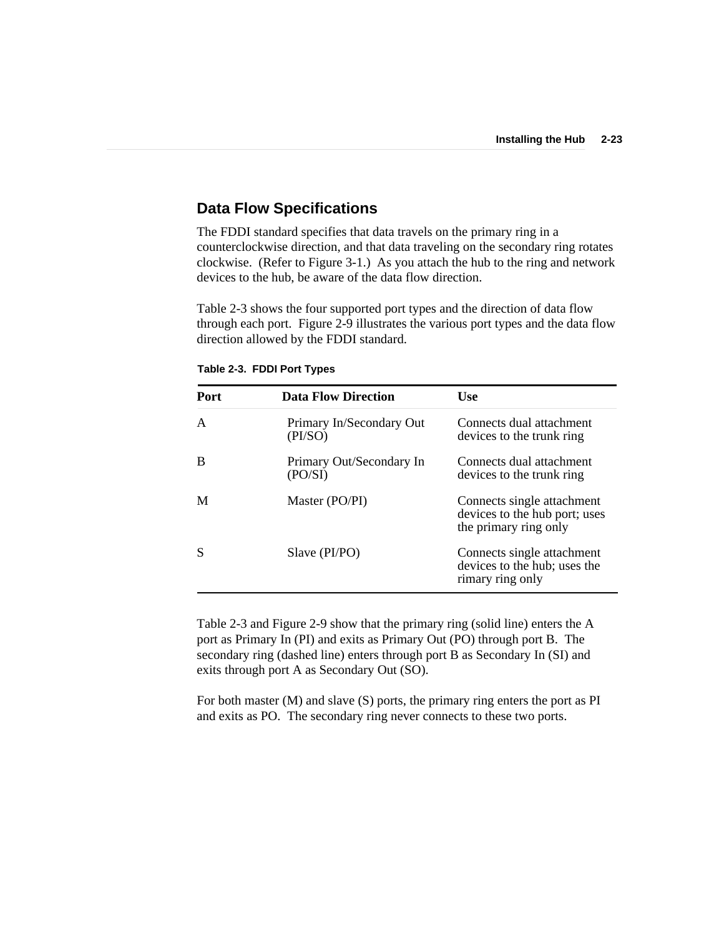### **Data Flow Specifications**

The FDDI standard specifies that data travels on the primary ring in a counterclockwise direction, and that data traveling on the secondary ring rotates clockwise. (Refer to Figure 3-1.) As you attach the hub to the ring and network devices to the hub, be aware of the data flow direction.

Table 2-3 shows the four supported port types and the direction of data flow through each port. Figure 2-9 illustrates the various port types and the data flow direction allowed by the FDDI standard.

| <b>Port</b> | <b>Data Flow Direction</b>          | Use                                                                                  |
|-------------|-------------------------------------|--------------------------------------------------------------------------------------|
| A           | Primary In/Secondary Out<br>(PI/SO) | Connects dual attachment<br>devices to the trunk ring                                |
| В           | Primary Out/Secondary In<br>(PO/SI) | Connects dual attachment<br>devices to the trunk ring                                |
| М           | Master (PO/PI)                      | Connects single attachment<br>devices to the hub port; uses<br>the primary ring only |
|             | Slave (PI/PO)                       | Connects single attachment<br>devices to the hub; uses the<br>rimary ring only       |

**Table 2-3. FDDI Port Types**

Table 2-3 and Figure 2-9 show that the primary ring (solid line) enters the A port as Primary In (PI) and exits as Primary Out (PO) through port B. The secondary ring (dashed line) enters through port B as Secondary In (SI) and exits through port A as Secondary Out (SO).

For both master (M) and slave (S) ports, the primary ring enters the port as PI and exits as PO. The secondary ring never connects to these two ports.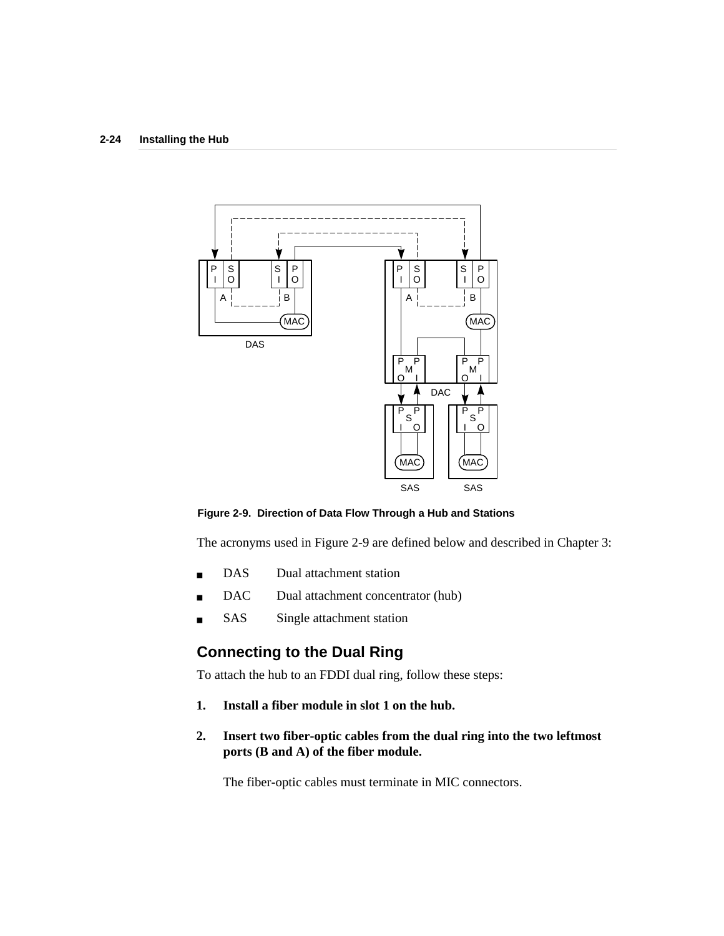

**Figure 2-9. Direction of Data Flow Through a Hub and Stations**

The acronyms used in Figure 2-9 are defined below and described in Chapter 3:

- DAS Dual attachment station
- DAC Dual attachment concentrator (hub)
- SAS Single attachment station

## **Connecting to the Dual Ring**

To attach the hub to an FDDI dual ring, follow these steps:

- **1. Install a fiber module in slot 1 on the hub.**
- **2. Insert two fiber-optic cables from the dual ring into the two leftmost ports (B and A) of the fiber module.**

The fiber-optic cables must terminate in MIC connectors.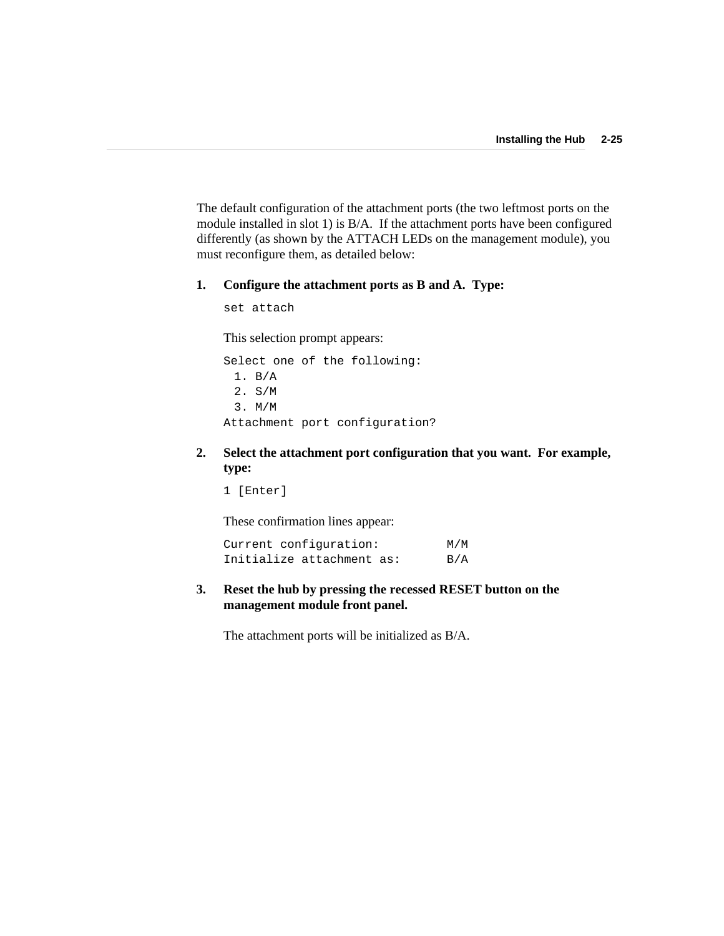The default configuration of the attachment ports (the two leftmost ports on the module installed in slot 1) is B/A. If the attachment ports have been configured differently (as shown by the ATTACH LEDs on the management module), you must reconfigure them, as detailed below:

#### **1. Configure the attachment ports as B and A. Type:**

set attach

This selection prompt appears:

Select one of the following: 1. B/A 2. S/M 3. M/M Attachment port configuration?

**2. Select the attachment port configuration that you want. For example, type:**

1 [Enter]

These confirmation lines appear:

| Current configuration:    | M/M |
|---------------------------|-----|
| Initialize attachment as: | B/A |

**3. Reset the hub by pressing the recessed RESET button on the management module front panel.**

The attachment ports will be initialized as B/A.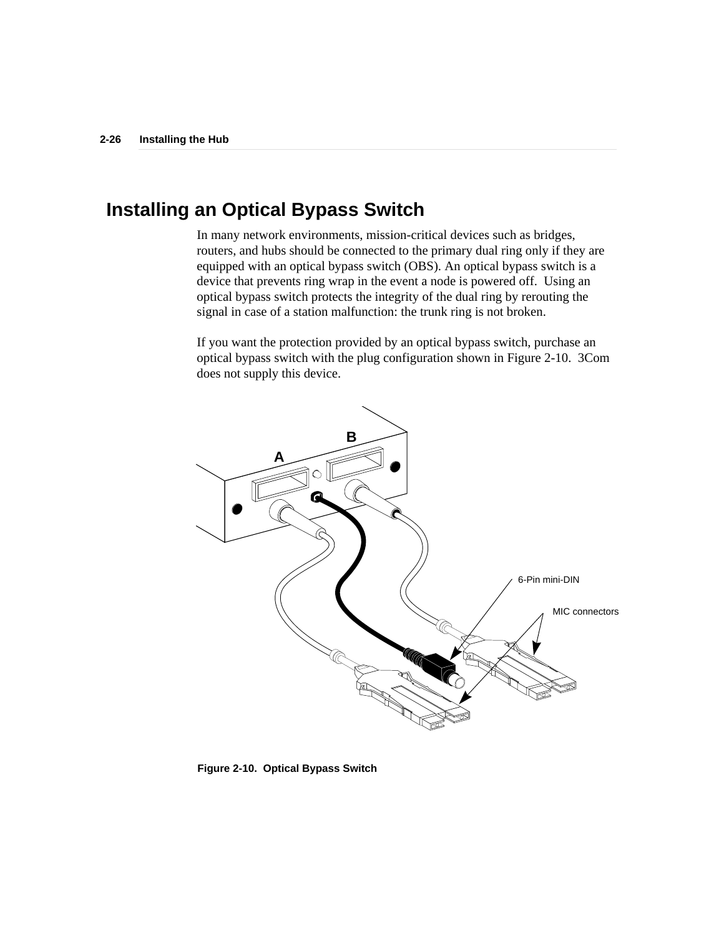## **Installing an Optical Bypass Switch**

In many network environments, mission-critical devices such as bridges, routers, and hubs should be connected to the primary dual ring only if they are equipped with an optical bypass switch (OBS). An optical bypass switch is a device that prevents ring wrap in the event a node is powered off. Using an optical bypass switch protects the integrity of the dual ring by rerouting the signal in case of a station malfunction: the trunk ring is not broken.

If you want the protection provided by an optical bypass switch, purchase an optical bypass switch with the plug configuration shown in Figure 2-10. 3Com does not supply this device.



**Figure 2-10. Optical Bypass Switch**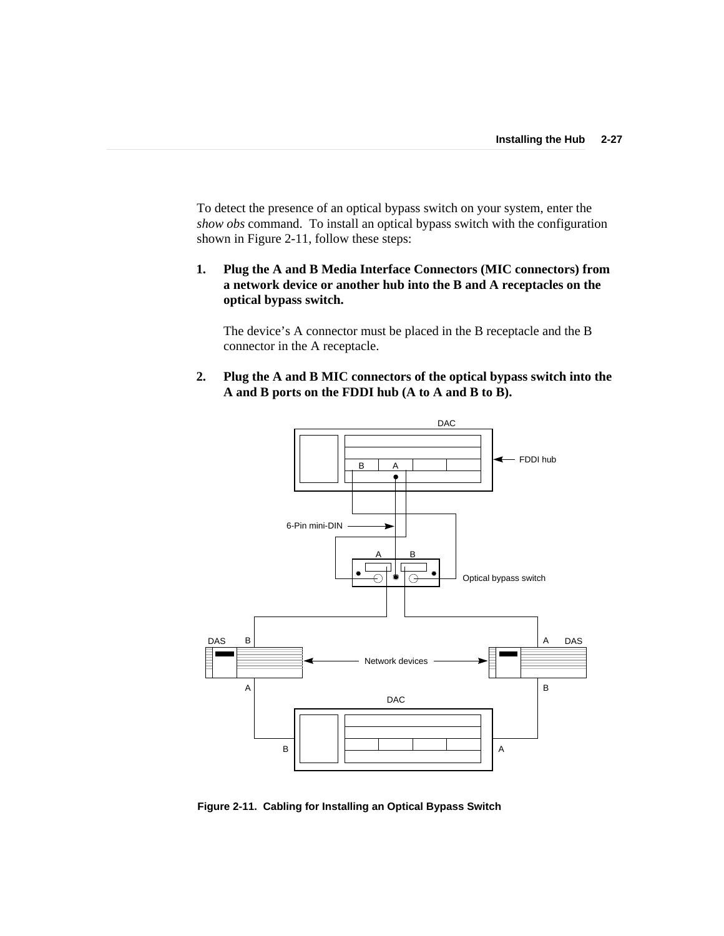To detect the presence of an optical bypass switch on your system, enter the *show obs* command. To install an optical bypass switch with the configuration shown in Figure 2-11, follow these steps:

**1. Plug the A and B Media Interface Connectors (MIC connectors) from a network device or another hub into the B and A receptacles on the optical bypass switch.**

The device's A connector must be placed in the B receptacle and the B connector in the A receptacle.

**2. Plug the A and B MIC connectors of the optical bypass switch into the A and B ports on the FDDI hub (A to A and B to B).**



**Figure 2-11. Cabling for Installing an Optical Bypass Switch**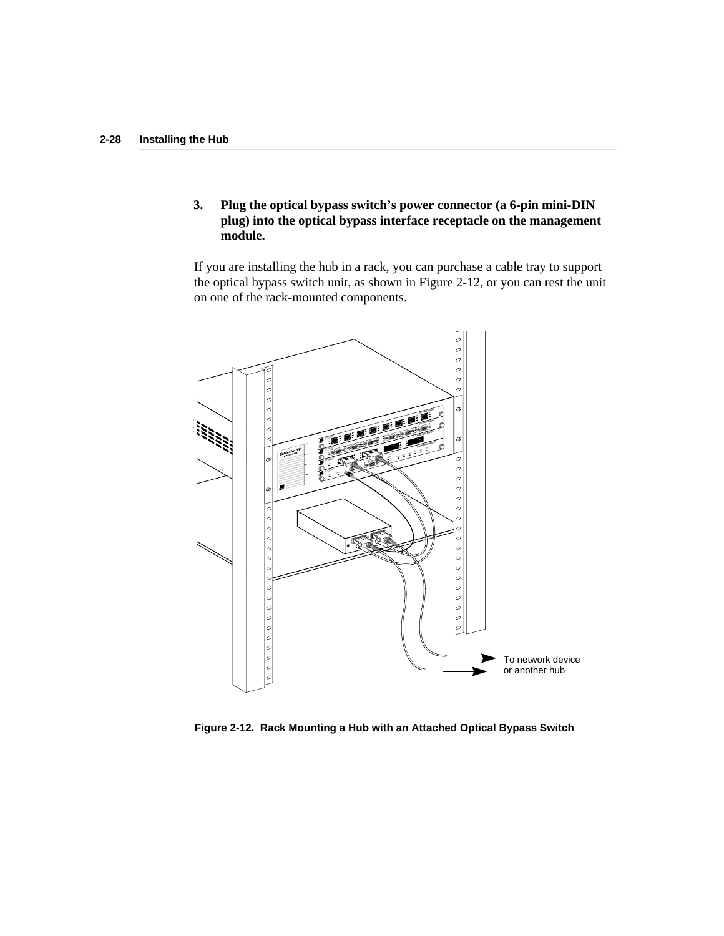**3. Plug the optical bypass switch's power connector (a 6-pin mini-DIN plug) into the optical bypass interface receptacle on the management module.**

If you are installing the hub in a rack, you can purchase a cable tray to support the optical bypass switch unit, as shown in Figure 2-12, or you can rest the unit on one of the rack-mounted components.



**Figure 2-12. Rack Mounting a Hub with an Attached Optical Bypass Switch**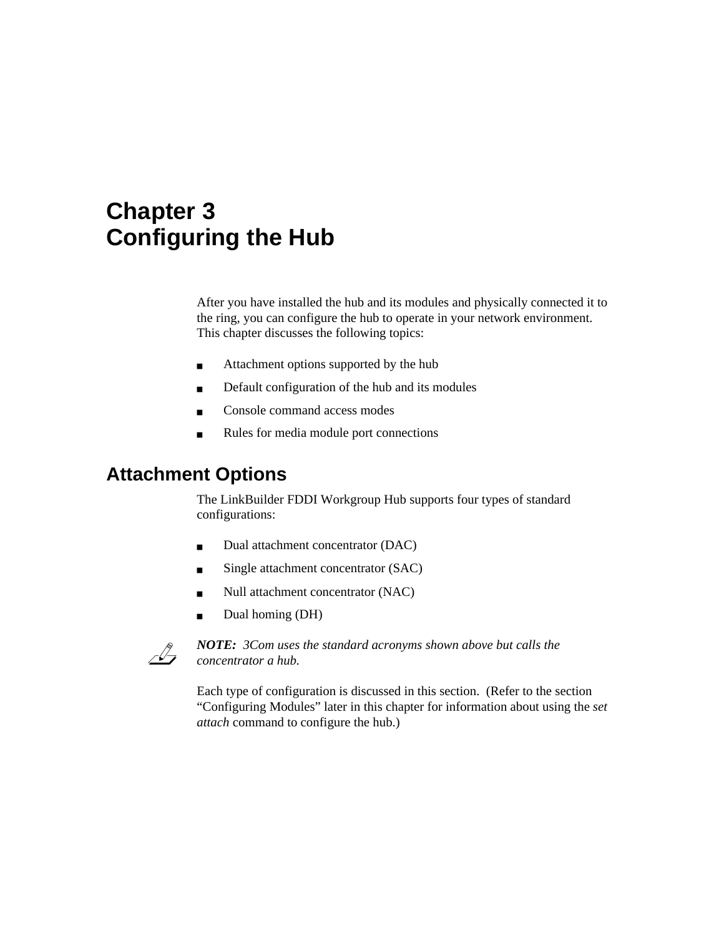# **Chapter 3 Configuring the Hub**

After you have installed the hub and its modules and physically connected it to the ring, you can configure the hub to operate in your network environment. This chapter discusses the following topics:

- Attachment options supported by the hub
- Default configuration of the hub and its modules
- Console command access modes
- Rules for media module port connections

## **Attachment Options**

The LinkBuilder FDDI Workgroup Hub supports four types of standard configurations:

- Dual attachment concentrator (DAC)
- Single attachment concentrator (SAC)
- Null attachment concentrator (NAC)
- Dual homing (DH)



*NOTE: 3Com uses the standard acronyms shown above but calls the concentrator a hub.*

Each type of configuration is discussed in this section. (Refer to the section "Configuring Modules" later in this chapter for information about using the *set attach* command to configure the hub.)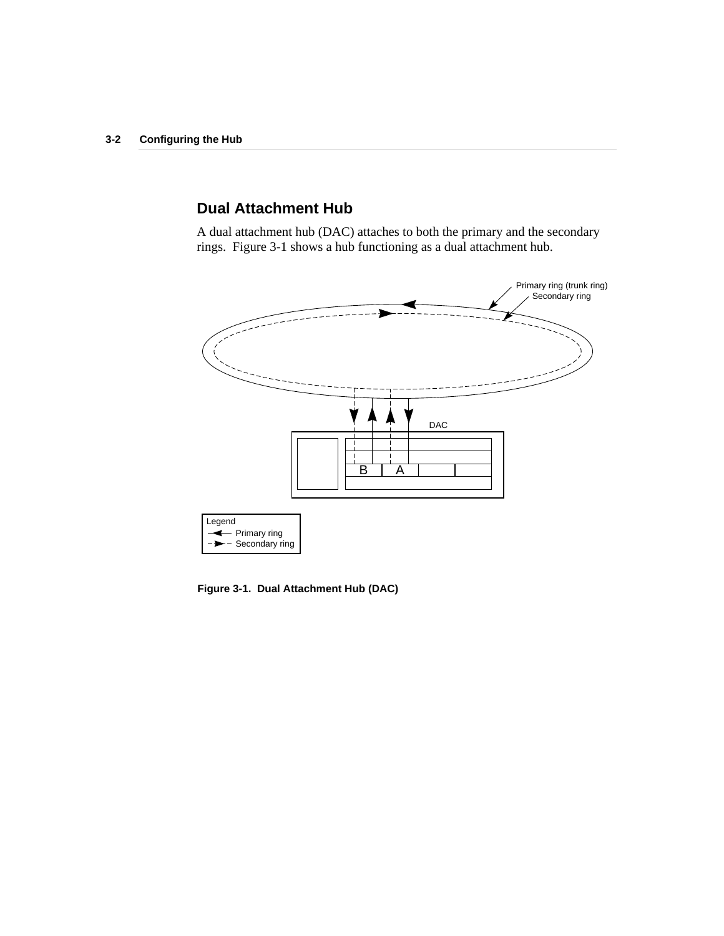## **Dual Attachment Hub**

A dual attachment hub (DAC) attaches to both the primary and the secondary rings. Figure 3-1 shows a hub functioning as a dual attachment hub.



**Figure 3-1. Dual Attachment Hub (DAC)**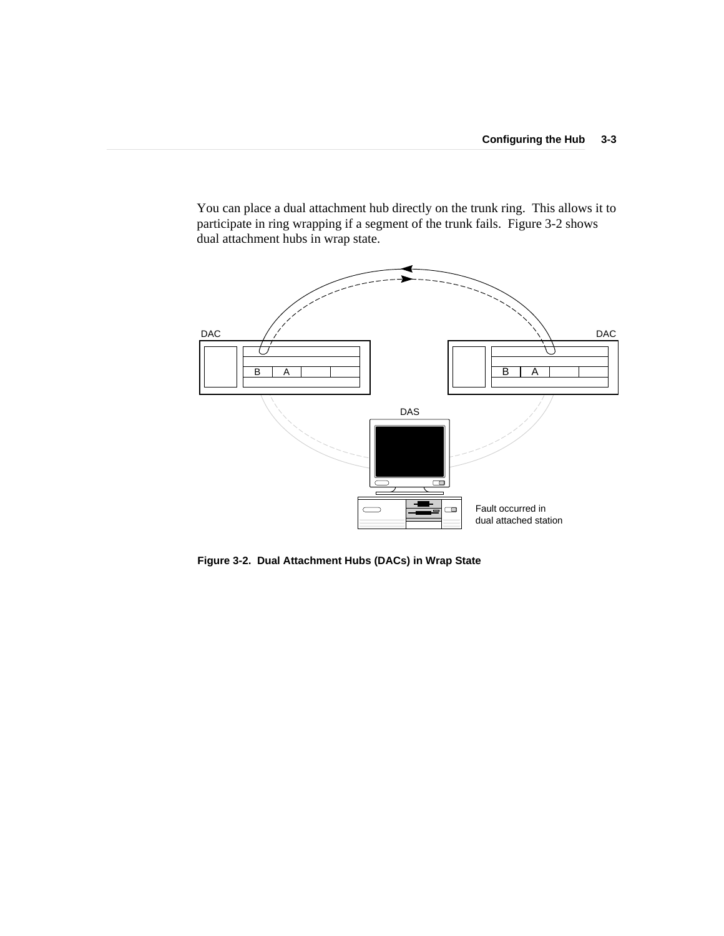You can place a dual attachment hub directly on the trunk ring. This allows it to participate in ring wrapping if a segment of the trunk fails. Figure 3-2 shows dual attachment hubs in wrap state.



**Figure 3-2. Dual Attachment Hubs (DACs) in Wrap State**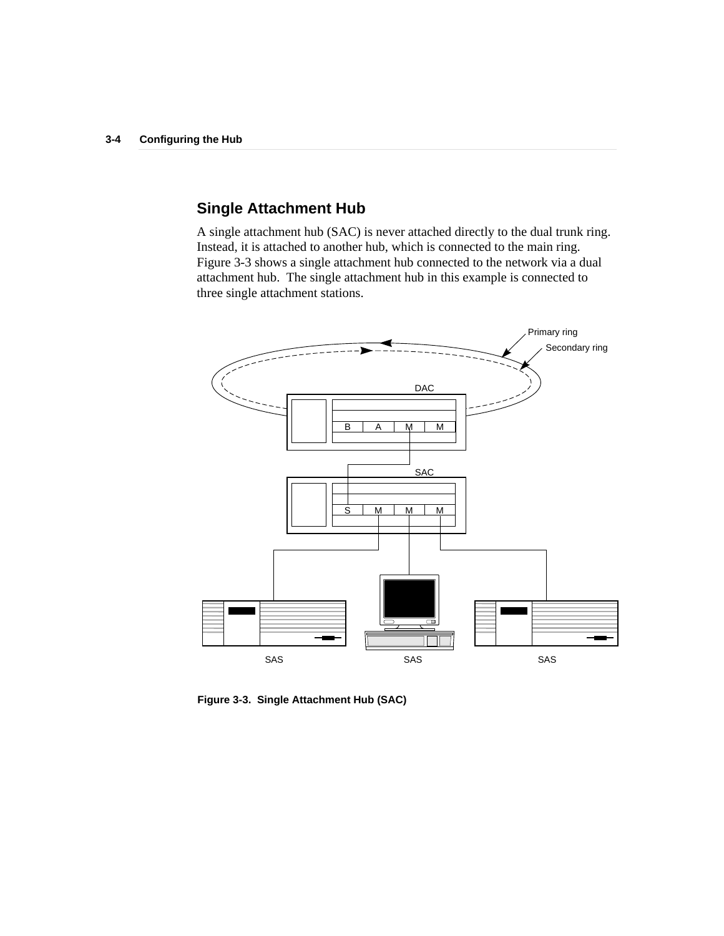## **Single Attachment Hub**

A single attachment hub (SAC) is never attached directly to the dual trunk ring. Instead, it is attached to another hub, which is connected to the main ring. Figure 3-3 shows a single attachment hub connected to the network via a dual attachment hub. The single attachment hub in this example is connected to three single attachment stations.



**Figure 3-3. Single Attachment Hub (SAC)**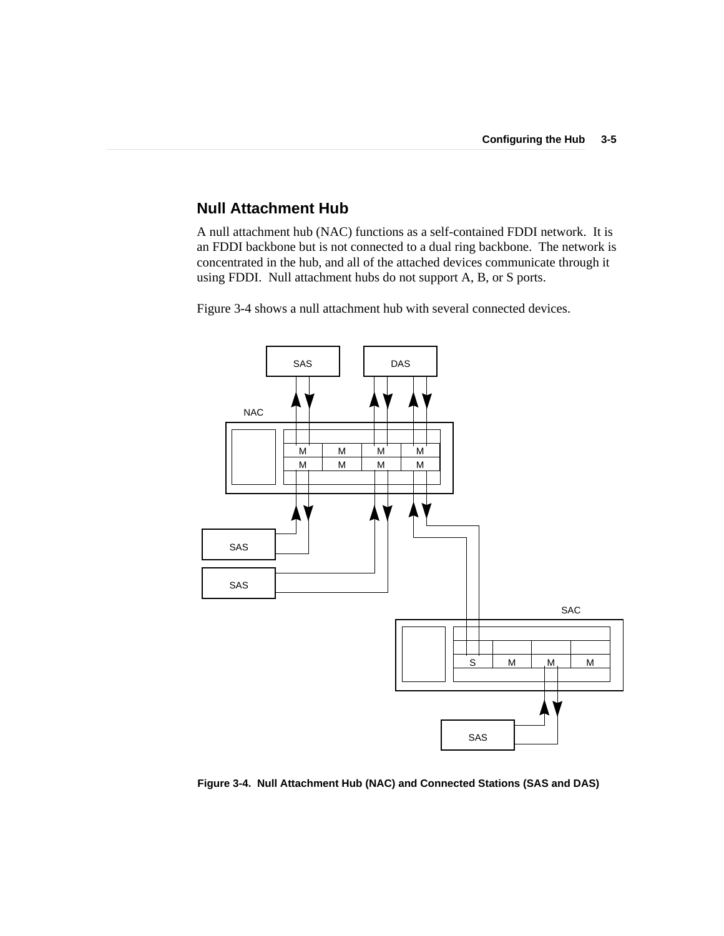### **Null Attachment Hub**

A null attachment hub (NAC) functions as a self-contained FDDI network. It is an FDDI backbone but is not connected to a dual ring backbone. The network is concentrated in the hub, and all of the attached devices communicate through it using FDDI. Null attachment hubs do not support A, B, or S ports.

Figure 3-4 shows a null attachment hub with several connected devices.



**Figure 3-4. Null Attachment Hub (NAC) and Connected Stations (SAS and DAS)**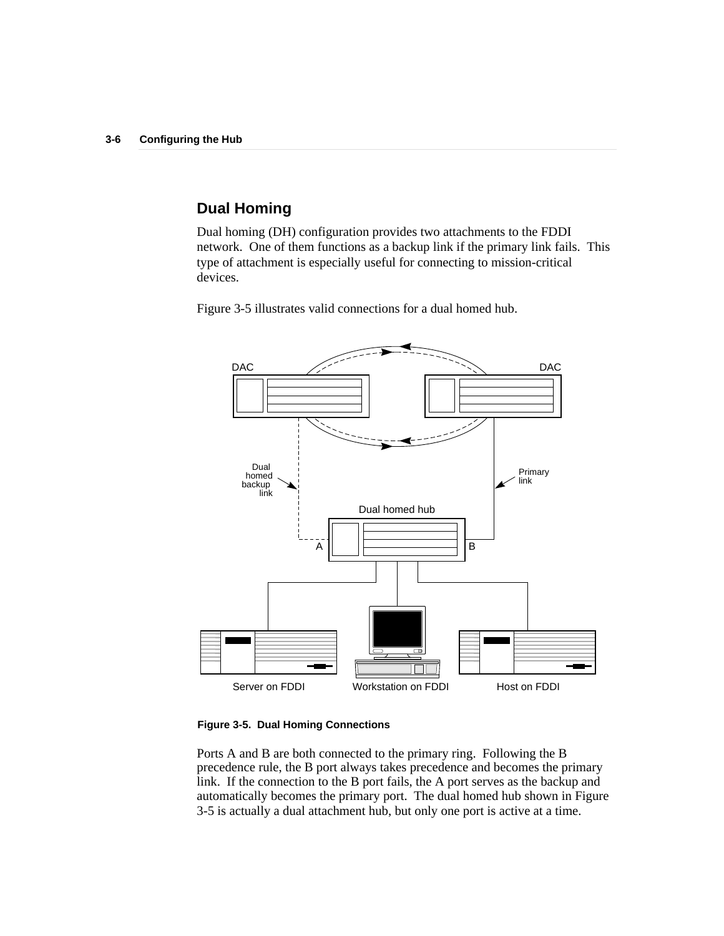## **Dual Homing**

Dual homing (DH) configuration provides two attachments to the FDDI network. One of them functions as a backup link if the primary link fails. This type of attachment is especially useful for connecting to mission-critical devices.

Figure 3-5 illustrates valid connections for a dual homed hub.



#### **Figure 3-5. Dual Homing Connections**

Ports A and B are both connected to the primary ring. Following the B precedence rule, the B port always takes precedence and becomes the primary link. If the connection to the B port fails, the A port serves as the backup and automatically becomes the primary port. The dual homed hub shown in Figure 3-5 is actually a dual attachment hub, but only one port is active at a time.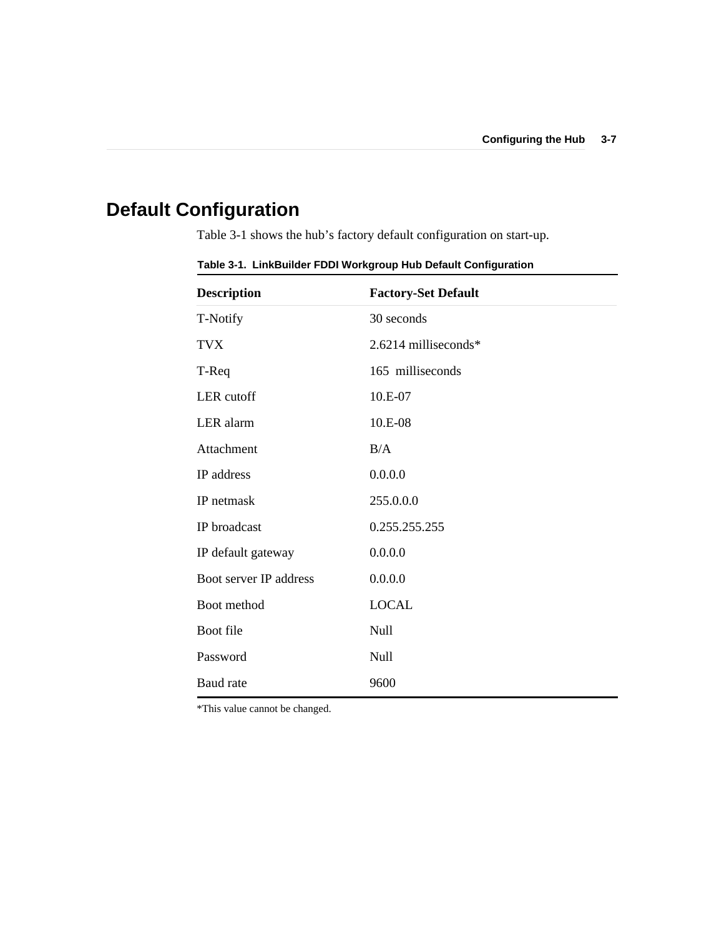# **Default Configuration**

Table 3-1 shows the hub's factory default configuration on start-up.

| <b>Description</b>     | <b>Factory-Set Default</b> |
|------------------------|----------------------------|
| T-Notify               | 30 seconds                 |
| <b>TVX</b>             | $2.6214$ milliseconds*     |
| T-Req                  | 165 milliseconds           |
| LER cutoff             | 10.E-07                    |
| LER alarm              | 10.E-08                    |
| Attachment             | B/A                        |
| IP address             | 0.0.0.0                    |
| IP netmask             | 255.0.0.0                  |
| IP broadcast           | 0.255.255.255              |
| IP default gateway     | 0.0.0.0                    |
| Boot server IP address | 0.0.0.0                    |
| Boot method            | <b>LOCAL</b>               |
| Boot file              | Null                       |
| Password               | Null                       |
| Baud rate              | 9600                       |

**Table 3-1. LinkBuilder FDDI Workgroup Hub Default Configuration**

\*This value cannot be changed.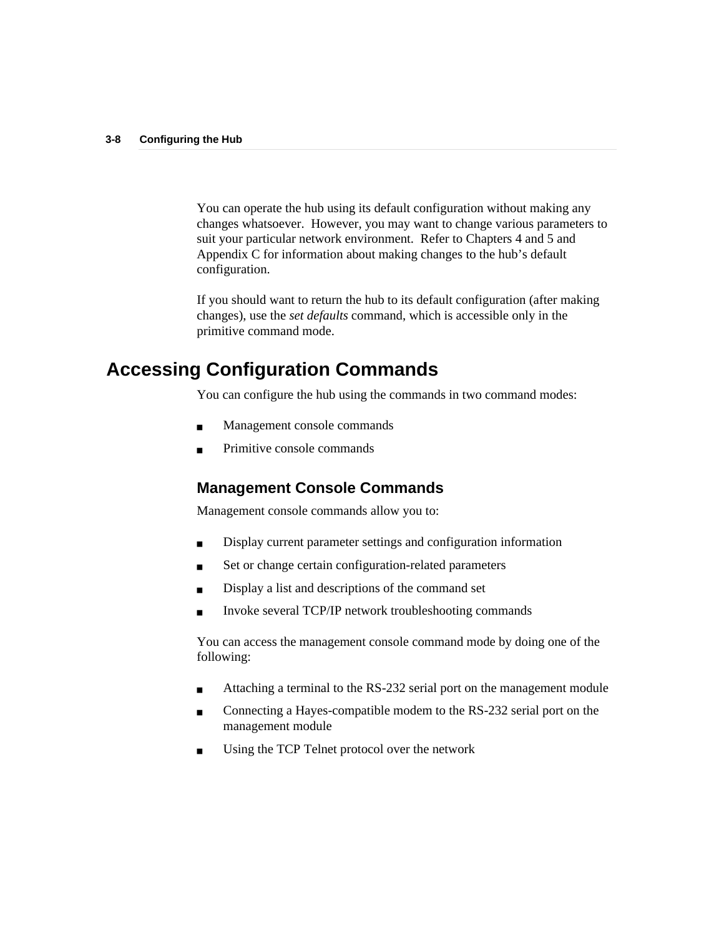You can operate the hub using its default configuration without making any changes whatsoever. However, you may want to change various parameters to suit your particular network environment. Refer to Chapters 4 and 5 and Appendix C for information about making changes to the hub's default configuration.

If you should want to return the hub to its default configuration (after making changes), use the *set defaults* command, which is accessible only in the primitive command mode.

## **Accessing Configuration Commands**

You can configure the hub using the commands in two command modes:

- Management console commands
- Primitive console commands

### **Management Console Commands**

Management console commands allow you to:

- Display current parameter settings and configuration information
- Set or change certain configuration-related parameters
- Display a list and descriptions of the command set
- Invoke several TCP/IP network troubleshooting commands

You can access the management console command mode by doing one of the following:

- Attaching a terminal to the RS-232 serial port on the management module
- Connecting a Hayes-compatible modem to the RS-232 serial port on the management module
- Using the TCP Telnet protocol over the network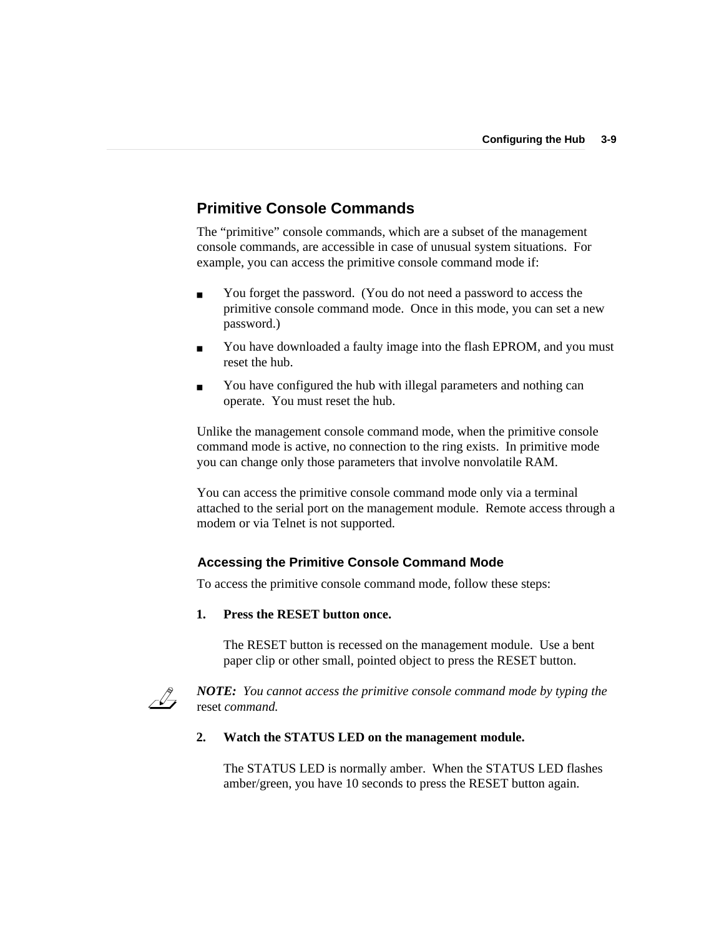## **Primitive Console Commands**

The "primitive" console commands, which are a subset of the management console commands, are accessible in case of unusual system situations. For example, you can access the primitive console command mode if:

- You forget the password. (You do not need a password to access the primitive console command mode. Once in this mode, you can set a new password.)
- You have downloaded a faulty image into the flash EPROM, and you must reset the hub.
- You have configured the hub with illegal parameters and nothing can operate. You must reset the hub.

Unlike the management console command mode, when the primitive console command mode is active, no connection to the ring exists. In primitive mode you can change only those parameters that involve nonvolatile RAM.

You can access the primitive console command mode only via a terminal attached to the serial port on the management module. Remote access through a modem or via Telnet is not supported.

### **Accessing the Primitive Console Command Mode**

To access the primitive console command mode, follow these steps:

### **1. Press the RESET button once.**

The RESET button is recessed on the management module. Use a bent paper clip or other small, pointed object to press the RESET button.



*NOTE: You cannot access the primitive console command mode by typing the* reset *command.*

### **2. Watch the STATUS LED on the management module.**

The STATUS LED is normally amber. When the STATUS LED flashes amber/green, you have 10 seconds to press the RESET button again.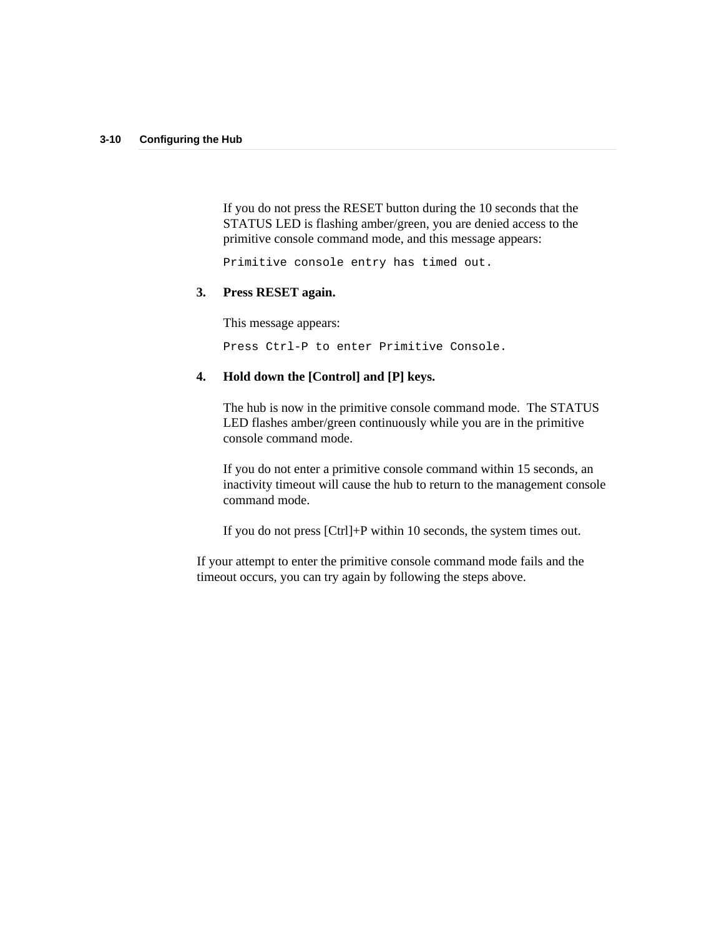If you do not press the RESET button during the 10 seconds that the STATUS LED is flashing amber/green, you are denied access to the primitive console command mode, and this message appears:

Primitive console entry has timed out.

### **3. Press RESET again.**

This message appears:

Press Ctrl-P to enter Primitive Console.

### **4. Hold down the [Control] and [P] keys.**

The hub is now in the primitive console command mode. The STATUS LED flashes amber/green continuously while you are in the primitive console command mode.

If you do not enter a primitive console command within 15 seconds, an inactivity timeout will cause the hub to return to the management console command mode.

If you do not press [Ctrl]+P within 10 seconds, the system times out.

If your attempt to enter the primitive console command mode fails and the timeout occurs, you can try again by following the steps above.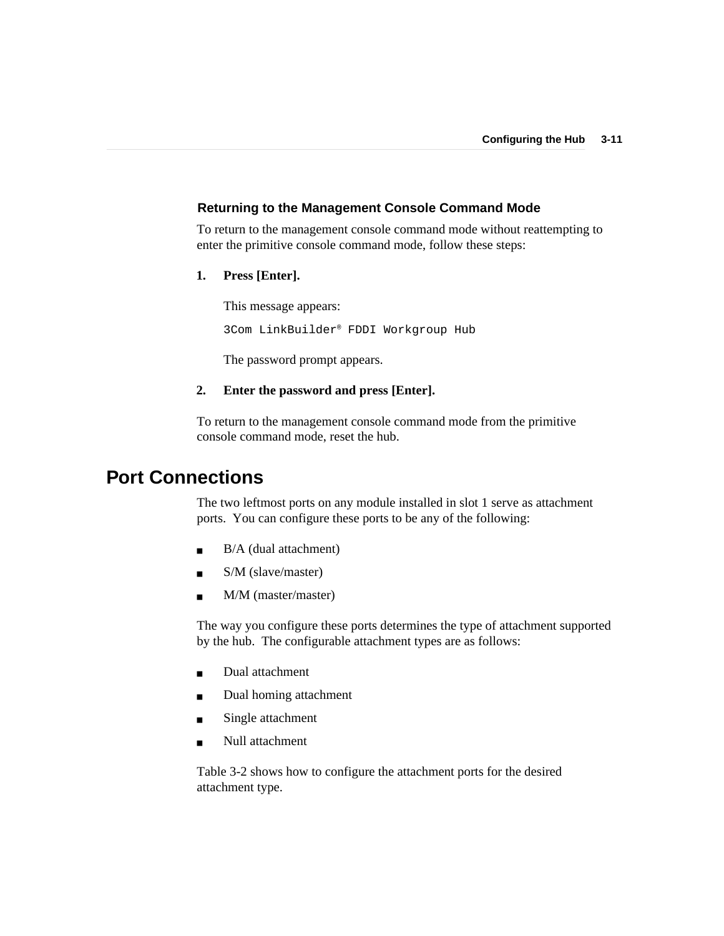### **Returning to the Management Console Command Mode**

To return to the management console command mode without reattempting to enter the primitive console command mode, follow these steps:

**1. Press [Enter].**

This message appears: 3Com LinkBuilder® FDDI Workgroup Hub

The password prompt appears.

### **2. Enter the password and press [Enter].**

To return to the management console command mode from the primitive console command mode, reset the hub.

## **Port Connections**

The two leftmost ports on any module installed in slot 1 serve as attachment ports. You can configure these ports to be any of the following:

- $\blacksquare$  B/A (dual attachment)
- S/M (slave/master)
- M/M (master/master)

The way you configure these ports determines the type of attachment supported by the hub. The configurable attachment types are as follows:

- Dual attachment
- Dual homing attachment
- Single attachment
- Null attachment

Table 3-2 shows how to configure the attachment ports for the desired attachment type.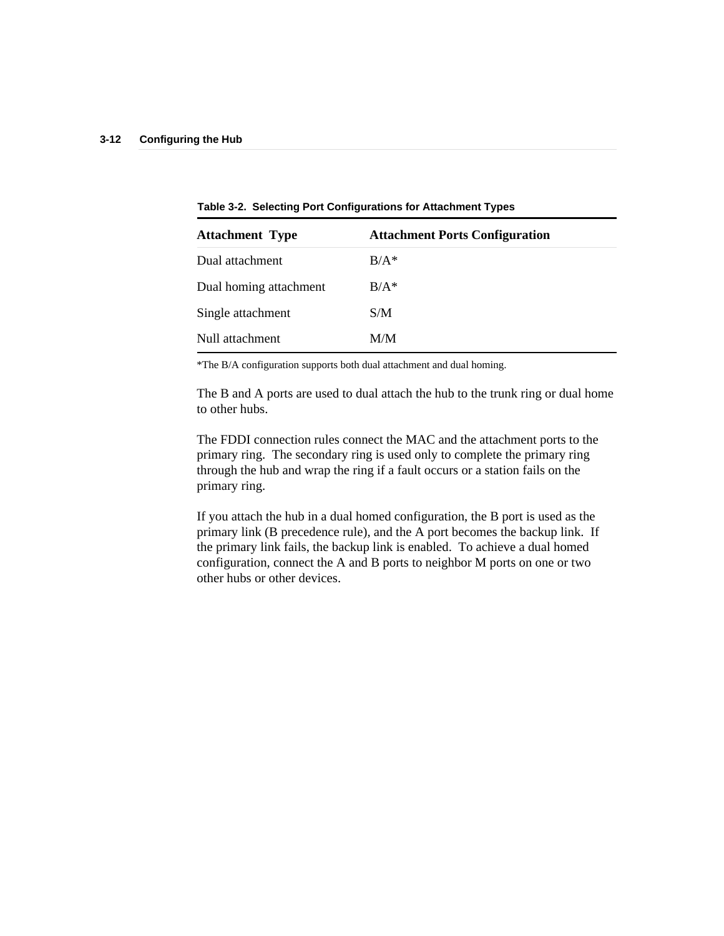| <b>Attachment Type</b> | <b>Attachment Ports Configuration</b> |
|------------------------|---------------------------------------|
| Dual attachment        | $B/A*$                                |
| Dual homing attachment | $B/A^*$                               |
| Single attachment      | S/M                                   |
| Null attachment        | M/M                                   |

**Table 3-2. Selecting Port Configurations for Attachment Types**

\*The B/A configuration supports both dual attachment and dual homing.

The B and A ports are used to dual attach the hub to the trunk ring or dual home to other hubs.

The FDDI connection rules connect the MAC and the attachment ports to the primary ring. The secondary ring is used only to complete the primary ring through the hub and wrap the ring if a fault occurs or a station fails on the primary ring.

If you attach the hub in a dual homed configuration, the B port is used as the primary link (B precedence rule), and the A port becomes the backup link. If the primary link fails, the backup link is enabled. To achieve a dual homed configuration, connect the A and B ports to neighbor M ports on one or two other hubs or other devices.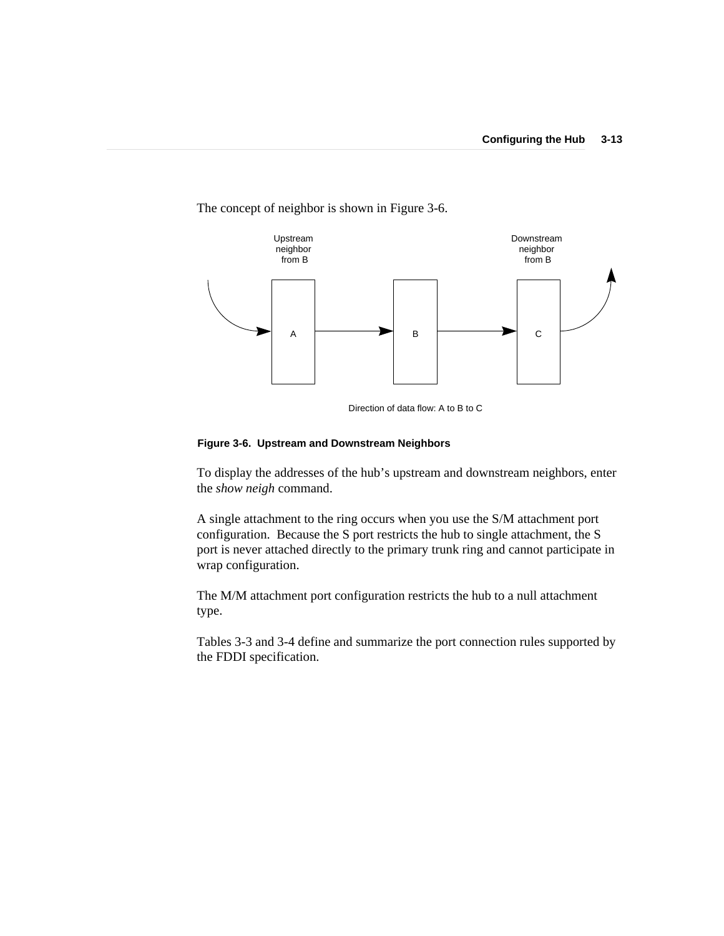

The concept of neighbor is shown in Figure 3-6.

Direction of data flow: A to B to C

#### **Figure 3-6. Upstream and Downstream Neighbors**

To display the addresses of the hub's upstream and downstream neighbors, enter the *show neigh* command.

A single attachment to the ring occurs when you use the S/M attachment port configuration. Because the S port restricts the hub to single attachment, the S port is never attached directly to the primary trunk ring and cannot participate in wrap configuration.

The M/M attachment port configuration restricts the hub to a null attachment type.

Tables 3-3 and 3-4 define and summarize the port connection rules supported by the FDDI specification.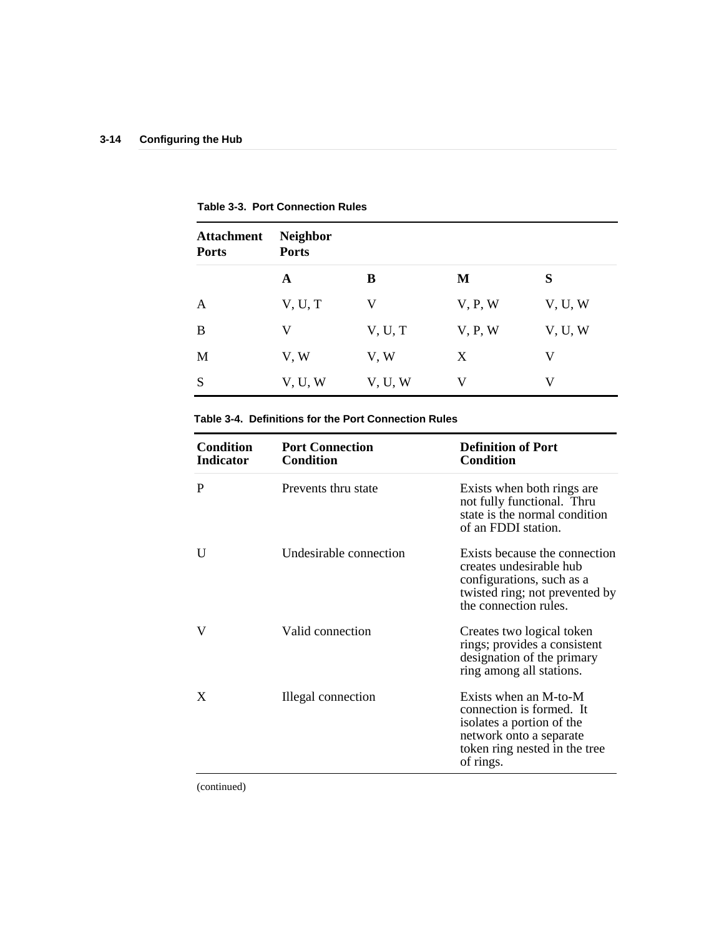| <b>Attachment</b><br><b>Ports</b> | <b>Neighbor</b><br><b>Ports</b> |         |         |         |
|-----------------------------------|---------------------------------|---------|---------|---------|
|                                   | A                               | B       | M       | S       |
| A                                 | V, U, T                         | V       | V, P, W | V, U, W |
| B                                 | V                               | V, U, T | V, P, W | V, U, W |
| M                                 | V, W                            | V, W    | X       | V       |
| S                                 | V, U, W                         | V, U, W | V       | V       |

**Table 3-3. Port Connection Rules**

### **Table 3-4. Definitions for the Port Connection Rules**

| <b>Condition</b><br><b>Indicator</b> | <b>Port Connection</b><br><b>Condition</b> | <b>Definition of Port</b><br><b>Condition</b>                                                                                                           |
|--------------------------------------|--------------------------------------------|---------------------------------------------------------------------------------------------------------------------------------------------------------|
| P                                    | Prevents thru state                        | Exists when both rings are<br>not fully functional. Thru<br>state is the normal condition<br>of an FDDI station.                                        |
| U                                    | Undesirable connection                     | Exists because the connection<br>creates undesirable hub<br>configurations, such as a<br>twisted ring; not prevented by<br>the connection rules.        |
| V                                    | Valid connection                           | Creates two logical token<br>rings; provides a consistent<br>designation of the primary<br>ring among all stations.                                     |
| X                                    | Illegal connection                         | Exists when an M-to-M<br>connection is formed. It<br>isolates a portion of the<br>network onto a separate<br>token ring nested in the tree<br>of rings. |

(continued)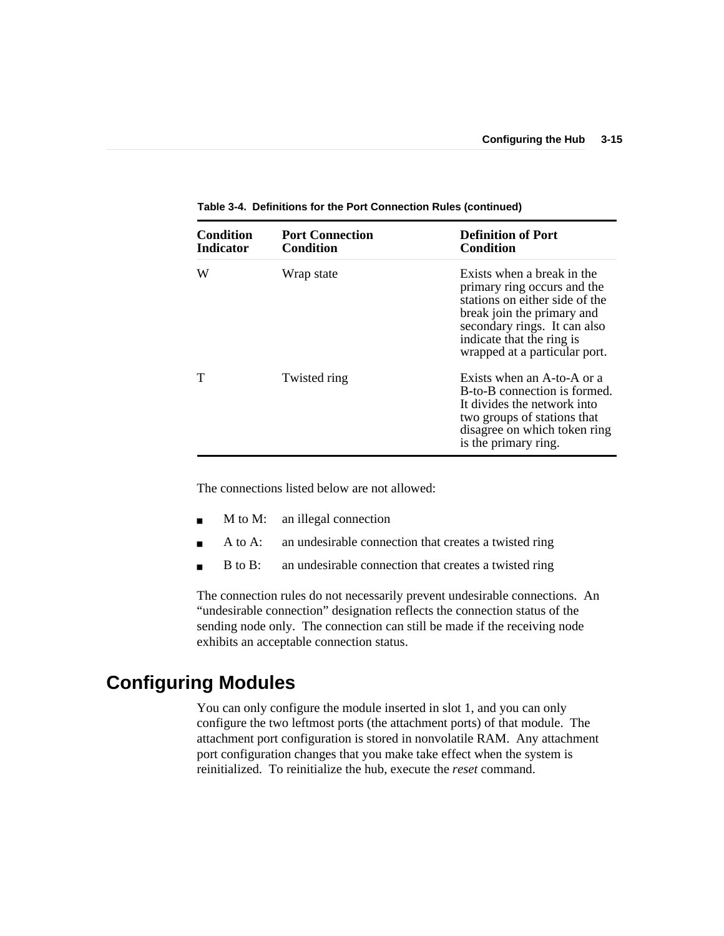| Condition<br>Indicator | <b>Port Connection</b><br><b>Condition</b> | <b>Definition of Port</b><br>Condition                                                                                                                                                                                  |
|------------------------|--------------------------------------------|-------------------------------------------------------------------------------------------------------------------------------------------------------------------------------------------------------------------------|
| W                      | Wrap state                                 | Exists when a break in the<br>primary ring occurs and the<br>stations on either side of the<br>break join the primary and<br>secondary rings. It can also<br>indicate that the ring is<br>wrapped at a particular port. |
|                        | Twisted ring                               | Exists when an A-to-A or a<br>B-to-B connection is formed.<br>It divides the network into<br>two groups of stations that<br>disagree on which token ring<br>is the primary ring.                                        |

**Table 3-4. Definitions for the Port Connection Rules (continued)**

The connections listed below are not allowed:

- M to M: an illegal connection
- A to A: an undesirable connection that creates a twisted ring
- B to B: an undesirable connection that creates a twisted ring

The connection rules do not necessarily prevent undesirable connections. An "undesirable connection" designation reflects the connection status of the sending node only. The connection can still be made if the receiving node exhibits an acceptable connection status.

## **Configuring Modules**

You can only configure the module inserted in slot 1, and you can only configure the two leftmost ports (the attachment ports) of that module. The attachment port configuration is stored in nonvolatile RAM. Any attachment port configuration changes that you make take effect when the system is reinitialized. To reinitialize the hub, execute the *reset* command.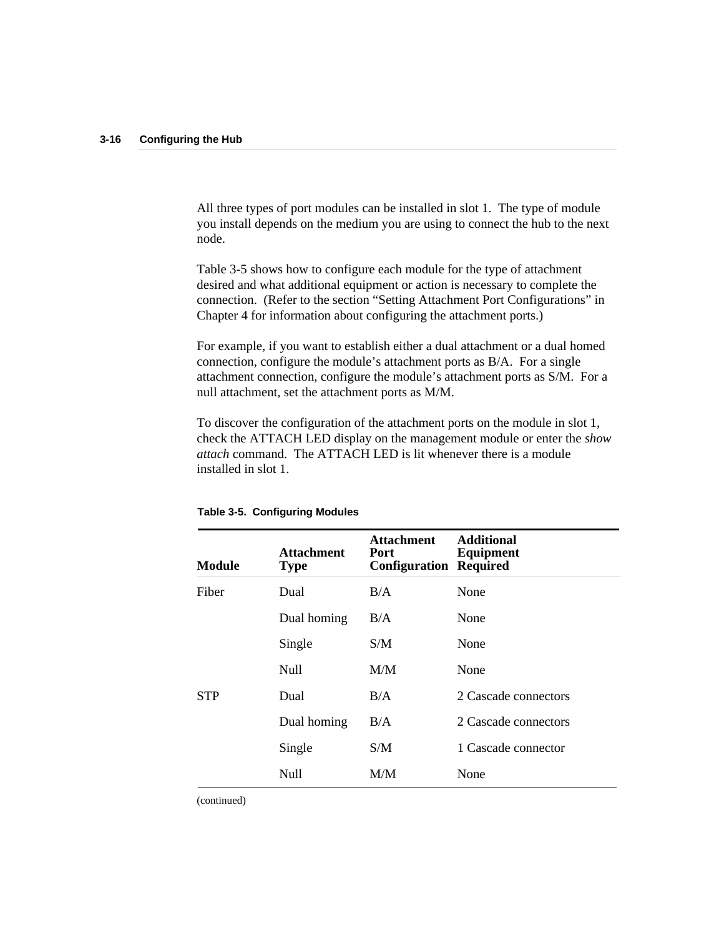All three types of port modules can be installed in slot 1. The type of module you install depends on the medium you are using to connect the hub to the next node.

Table 3-5 shows how to configure each module for the type of attachment desired and what additional equipment or action is necessary to complete the connection. (Refer to the section "Setting Attachment Port Configurations" in Chapter 4 for information about configuring the attachment ports.)

For example, if you want to establish either a dual attachment or a dual homed connection, configure the module's attachment ports as B/A. For a single attachment connection, configure the module's attachment ports as S/M. For a null attachment, set the attachment ports as M/M.

To discover the configuration of the attachment ports on the module in slot 1, check the ATTACH LED display on the management module or enter the *show attach* command. The ATTACH LED is lit whenever there is a module installed in slot 1.

| <b>Module</b> | <b>Attachment</b><br><b>Type</b> | <b>Attachment</b><br>Port<br>Configuration | <b>Additional</b><br>Equipment<br>Required |
|---------------|----------------------------------|--------------------------------------------|--------------------------------------------|
| Fiber         | Dual                             | B/A                                        | None                                       |
|               | Dual homing                      | B/A                                        | None                                       |
|               | Single                           | S/M                                        | None                                       |
|               | Null                             | M/M                                        | None                                       |
| STP           | Dual                             | B/A                                        | 2 Cascade connectors                       |
|               | Dual homing                      | B/A                                        | 2 Cascade connectors                       |
|               | Single                           | S/M                                        | 1 Cascade connector                        |
|               | Null                             | M/M                                        | None                                       |

**Table 3-5. Configuring Modules**

(continued)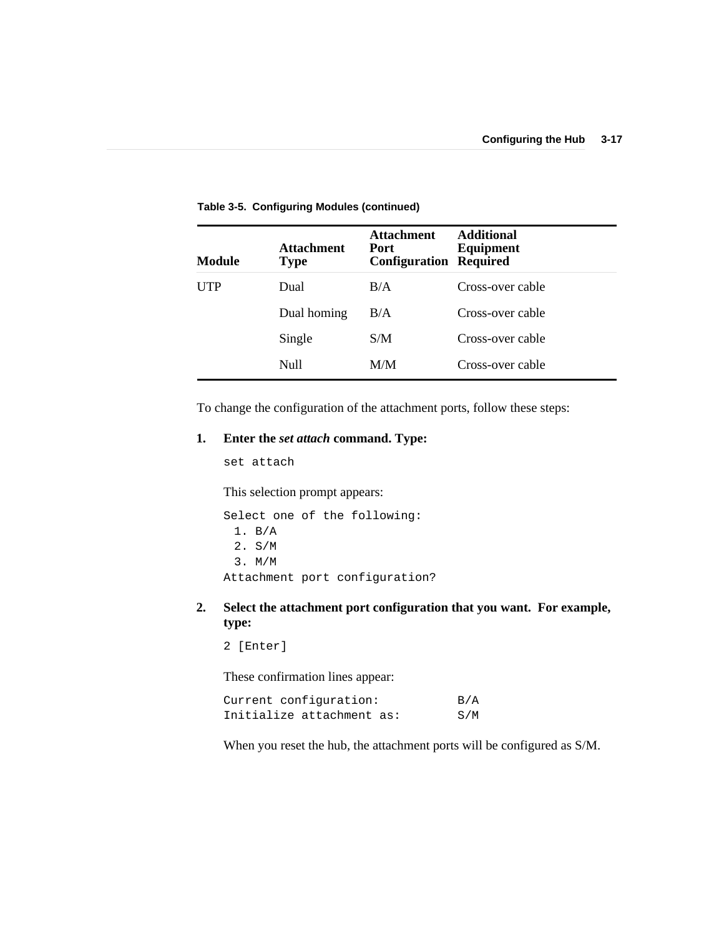| Module     | <b>Attachment</b><br><b>Type</b> | <b>Attachment</b><br>Port<br><b>Configuration Required</b> | <b>Additional</b><br>Equipment |
|------------|----------------------------------|------------------------------------------------------------|--------------------------------|
| <b>UTP</b> | Dual                             | B/A                                                        | Cross-over cable               |
|            | Dual homing                      | B/A                                                        | Cross-over cable               |
|            | Single                           | S/M                                                        | Cross-over cable               |
|            | Null                             | M/M                                                        | Cross-over cable               |

**Table 3-5. Configuring Modules (continued)**

To change the configuration of the attachment ports, follow these steps:

### **1. Enter the** *set attach* **command. Type:**

set attach

This selection prompt appears:

Select one of the following: 1. B/A 2. S/M 3. M/M Attachment port configuration?

**2. Select the attachment port configuration that you want. For example, type:**

2 [Enter]

These confirmation lines appear:

| Current configuration:    | B/A |
|---------------------------|-----|
| Initialize attachment as: | S/M |

When you reset the hub, the attachment ports will be configured as S/M.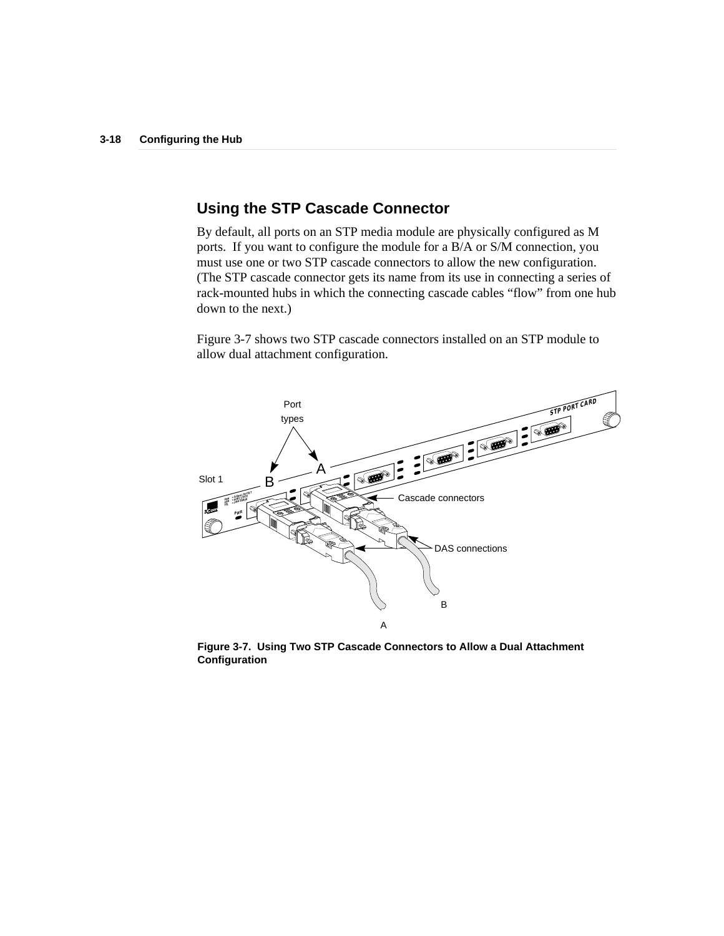## **Using the STP Cascade Connector**

By default, all ports on an STP media module are physically configured as M ports. If you want to configure the module for a B/A or S/M connection, you must use one or two STP cascade connectors to allow the new configuration. (The STP cascade connector gets its name from its use in connecting a series of rack-mounted hubs in which the connecting cascade cables "flow" from one hub down to the next.)

Figure 3-7 shows two STP cascade connectors installed on an STP module to allow dual attachment configuration.



**Figure 3-7. Using Two STP Cascade Connectors to Allow a Dual Attachment Configuration**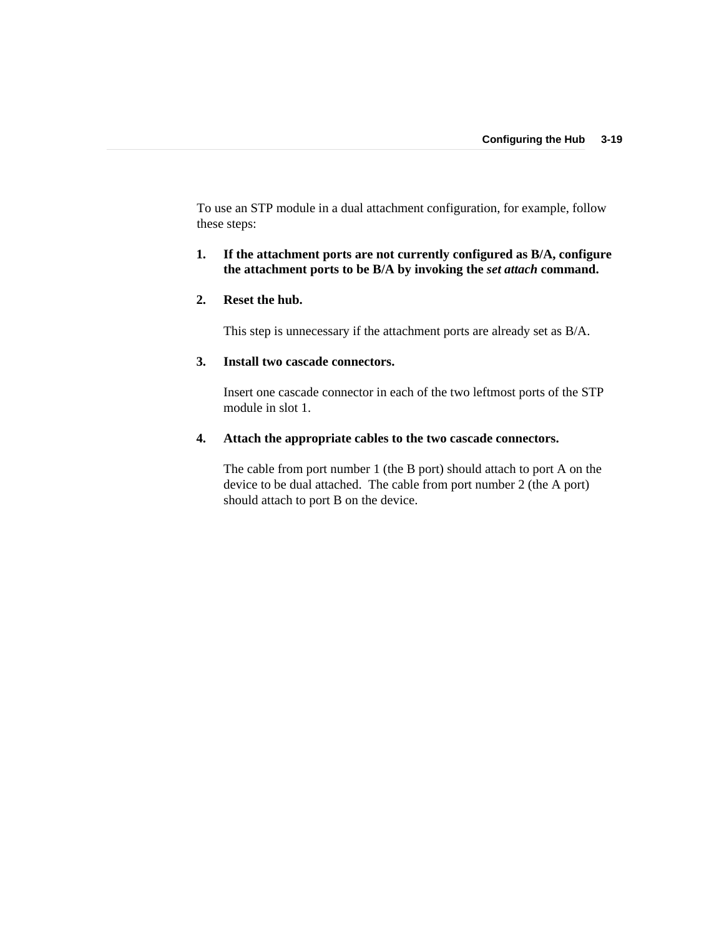To use an STP module in a dual attachment configuration, for example, follow these steps:

### **1. If the attachment ports are not currently configured as B/A, configure the attachment ports to be B/A by invoking the** *set attach* **command.**

### **2. Reset the hub.**

This step is unnecessary if the attachment ports are already set as B/A.

### **3. Install two cascade connectors.**

Insert one cascade connector in each of the two leftmost ports of the STP module in slot 1.

### **4. Attach the appropriate cables to the two cascade connectors.**

The cable from port number 1 (the B port) should attach to port A on the device to be dual attached. The cable from port number 2 (the A port) should attach to port B on the device.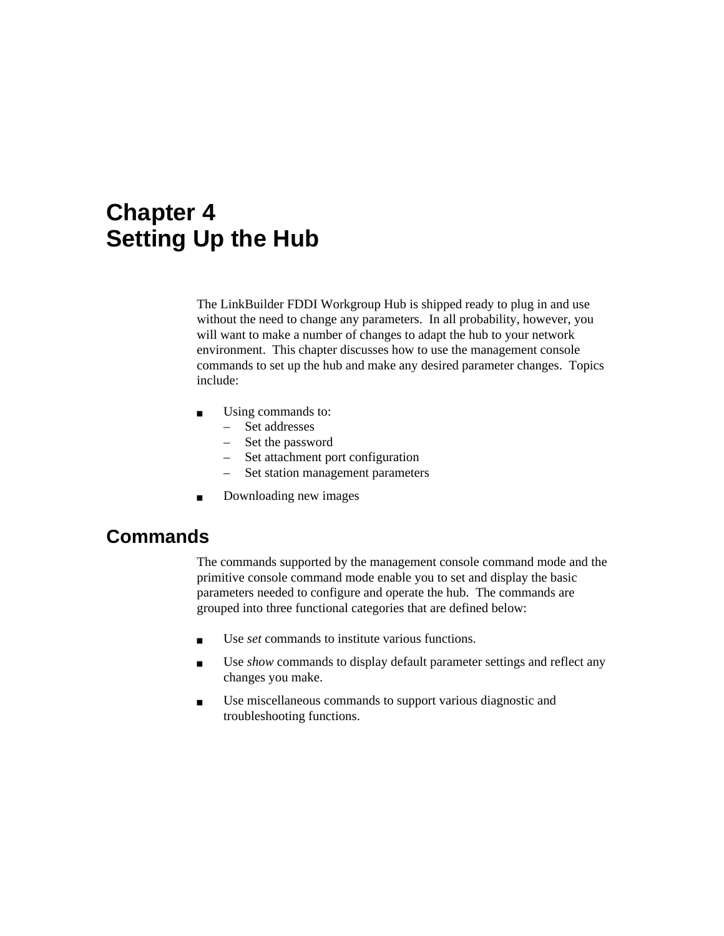# **Chapter 4 Setting Up the Hub**

The LinkBuilder FDDI Workgroup Hub is shipped ready to plug in and use without the need to change any parameters. In all probability, however, you will want to make a number of changes to adapt the hub to your network environment. This chapter discusses how to use the management console commands to set up the hub and make any desired parameter changes. Topics include:

- Using commands to:
	- Set addresses
	- Set the password
	- Set attachment port configuration
	- Set station management parameters
- Downloading new images

## **Commands**

The commands supported by the management console command mode and the primitive console command mode enable you to set and display the basic parameters needed to configure and operate the hub. The commands are grouped into three functional categories that are defined below:

- Use *set* commands to institute various functions.
- Use *show* commands to display default parameter settings and reflect any changes you make.
- Use miscellaneous commands to support various diagnostic and troubleshooting functions.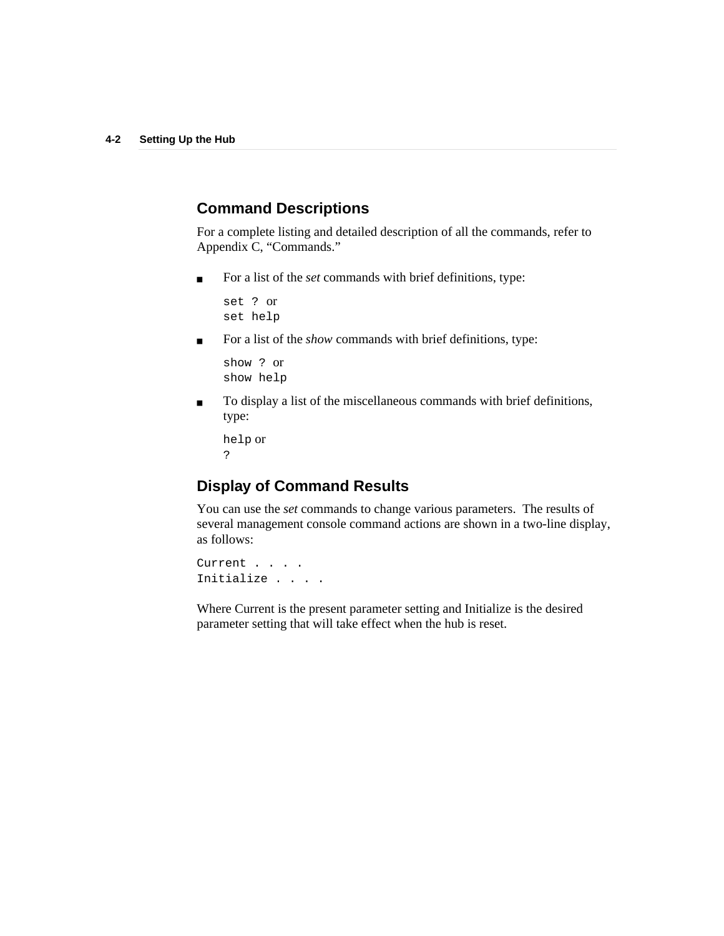## **Command Descriptions**

For a complete listing and detailed description of all the commands, refer to Appendix C, "Commands."

■ For a list of the *set* commands with brief definitions, type:

set ? or set help

■ For a list of the *show* commands with brief definitions, type:

show ? or show help

■ To display a list of the miscellaneous commands with brief definitions, type:

help or ?

## **Display of Command Results**

You can use the *set* commands to change various parameters. The results of several management console command actions are shown in a two-line display, as follows:

Current . . . . Initialize . . . .

Where Current is the present parameter setting and Initialize is the desired parameter setting that will take effect when the hub is reset.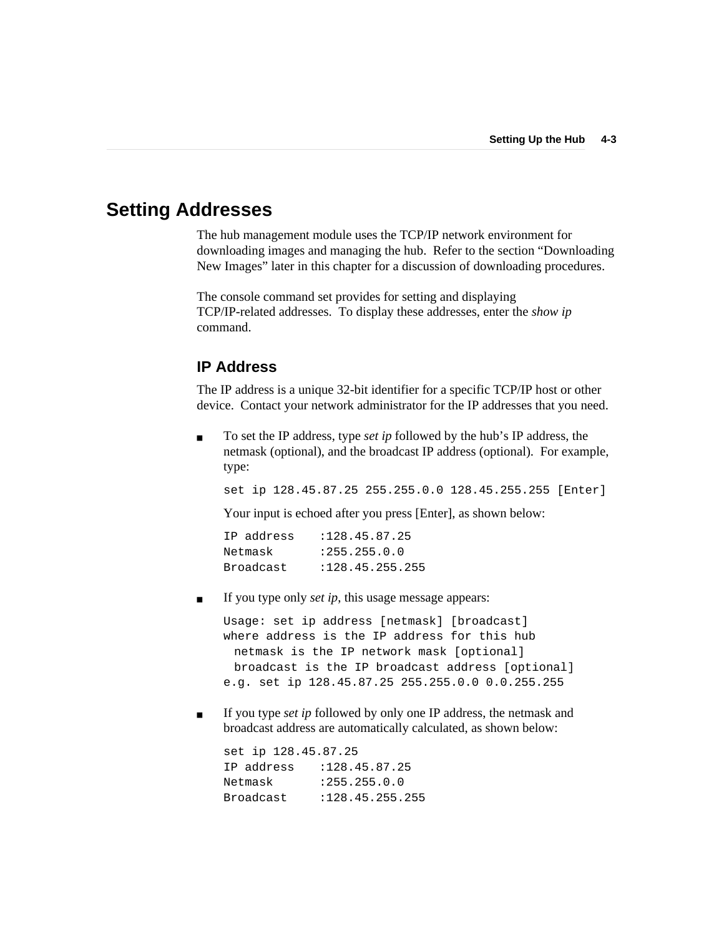## **Setting Addresses**

The hub management module uses the TCP/IP network environment for downloading images and managing the hub. Refer to the section "Downloading New Images" later in this chapter for a discussion of downloading procedures.

The console command set provides for setting and displaying TCP/IP-related addresses. To display these addresses, enter the *show ip* command.

### **IP Address**

The IP address is a unique 32-bit identifier for a specific TCP/IP host or other device. Contact your network administrator for the IP addresses that you need.

■ To set the IP address, type *set ip* followed by the hub's IP address, the netmask (optional), and the broadcast IP address (optional). For example, type:

set ip 128.45.87.25 255.255.0.0 128.45.255.255 [Enter]

Your input is echoed after you press [Enter], as shown below:

| IP address | : 128.45.87.25   |
|------------|------------------|
| Netmask    | : 255.255.0.0    |
| Broadcast  | : 128.45.255.255 |

If you type only *set ip*, this usage message appears:

Usage: set ip address [netmask] [broadcast] where address is the IP address for this hub netmask is the IP network mask [optional] broadcast is the IP broadcast address [optional] e.g. set ip 128.45.87.25 255.255.0.0 0.0.255.255

■ If you type *set ip* followed by only one IP address, the netmask and broadcast address are automatically calculated, as shown below:

```
set ip 128.45.87.25
IP address :128.45.87.25
Netmask :255.255.0.0
Broadcast :128.45.255.255
```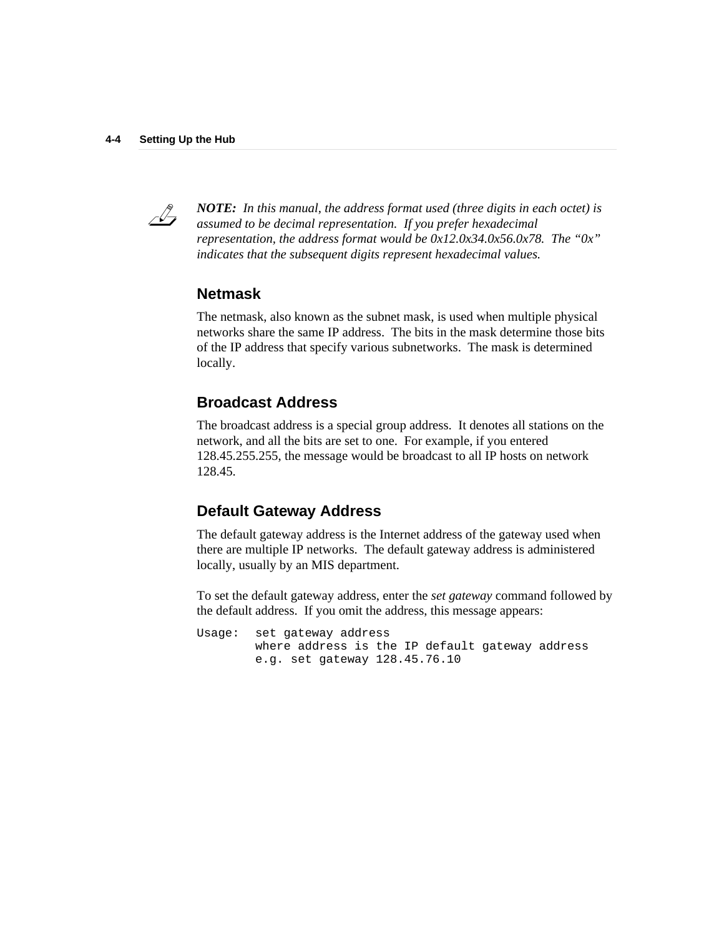

*NOTE: In this manual, the address format used (three digits in each octet) is assumed to be decimal representation. If you prefer hexadecimal representation, the address format would be 0x12.0x34.0x56.0x78. The "0x" indicates that the subsequent digits represent hexadecimal values.*

### **Netmask**

The netmask, also known as the subnet mask, is used when multiple physical networks share the same IP address. The bits in the mask determine those bits of the IP address that specify various subnetworks. The mask is determined locally.

### **Broadcast Address**

The broadcast address is a special group address. It denotes all stations on the network, and all the bits are set to one. For example, if you entered 128.45.255.255, the message would be broadcast to all IP hosts on network 128.45.

### **Default Gateway Address**

The default gateway address is the Internet address of the gateway used when there are multiple IP networks. The default gateway address is administered locally, usually by an MIS department.

To set the default gateway address, enter the *set gateway* command followed by the default address. If you omit the address, this message appears:

Usage: set gateway address where address is the IP default gateway address e.g. set gateway 128.45.76.10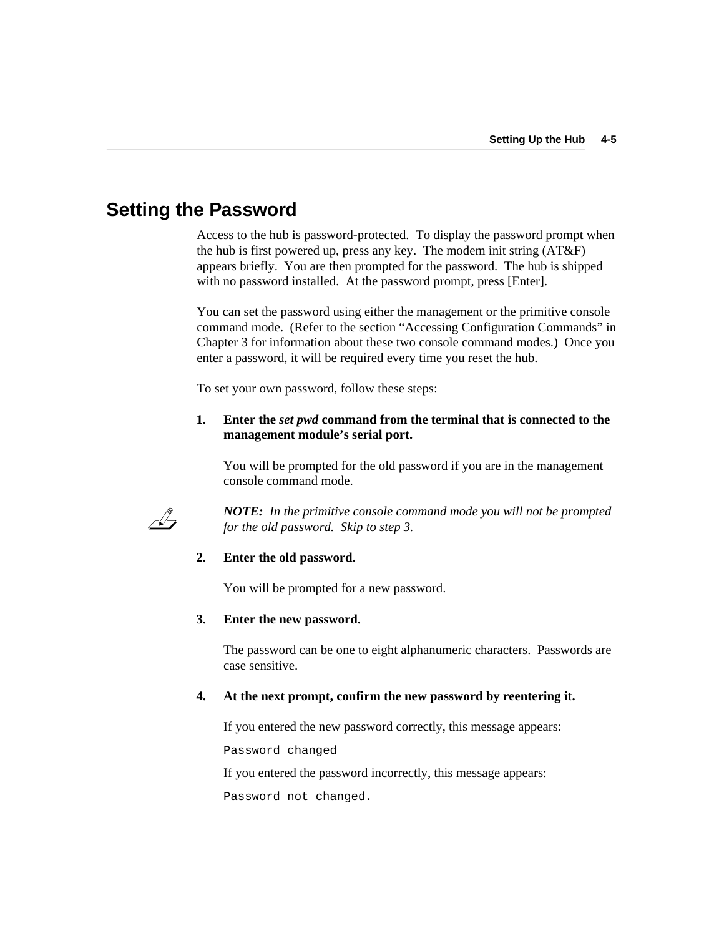## **Setting the Password**

Access to the hub is password-protected. To display the password prompt when the hub is first powered up, press any key. The modem init string (AT&F) appears briefly. You are then prompted for the password. The hub is shipped with no password installed. At the password prompt, press [Enter].

You can set the password using either the management or the primitive console command mode. (Refer to the section "Accessing Configuration Commands" in Chapter 3 for information about these two console command modes.) Once you enter a password, it will be required every time you reset the hub.

To set your own password, follow these steps:

### **1. Enter the** *set pwd* **command from the terminal that is connected to the management module's serial port.**

You will be prompted for the old password if you are in the management console command mode.



*NOTE: In the primitive console command mode you will not be prompted for the old password. Skip to step 3.*

### **2. Enter the old password.**

You will be prompted for a new password.

#### **3. Enter the new password.**

The password can be one to eight alphanumeric characters. Passwords are case sensitive.

### **4. At the next prompt, confirm the new password by reentering it.**

If you entered the new password correctly, this message appears:

Password changed

If you entered the password incorrectly, this message appears:

Password not changed.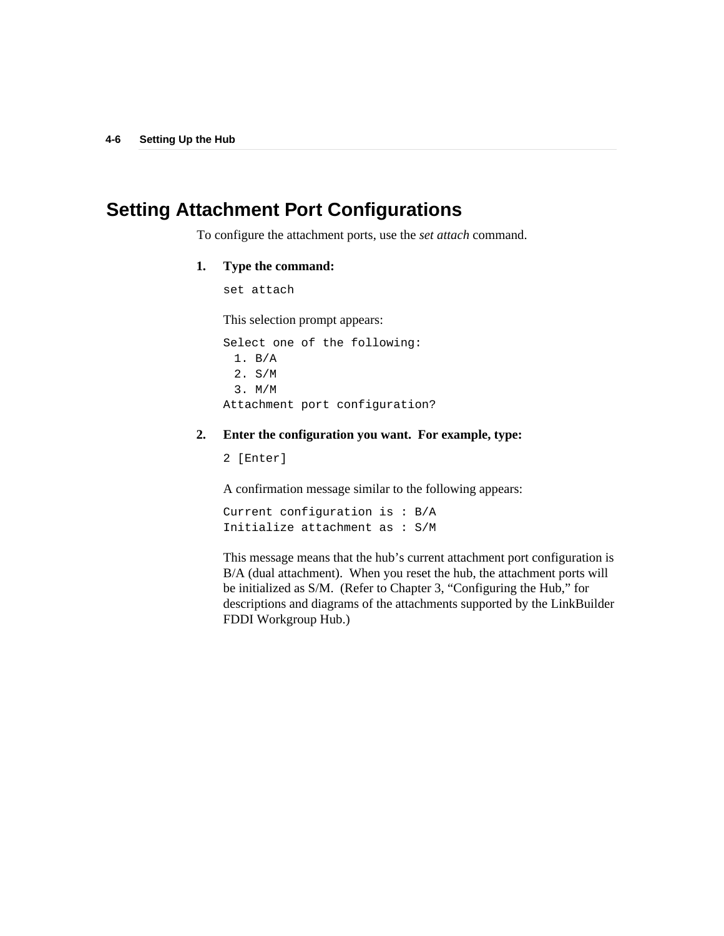## **Setting Attachment Port Configurations**

To configure the attachment ports, use the *set attach* command.

### **1. Type the command:**

set attach

This selection prompt appears:

Select one of the following: 1. B/A 2. S/M 3. M/M Attachment port configuration?

### **2. Enter the configuration you want. For example, type:**

2 [Enter]

A confirmation message similar to the following appears:

Current configuration is : B/A Initialize attachment as : S/M

This message means that the hub's current attachment port configuration is B/A (dual attachment). When you reset the hub, the attachment ports will be initialized as S/M. (Refer to Chapter 3, "Configuring the Hub," for descriptions and diagrams of the attachments supported by the LinkBuilder FDDI Workgroup Hub.)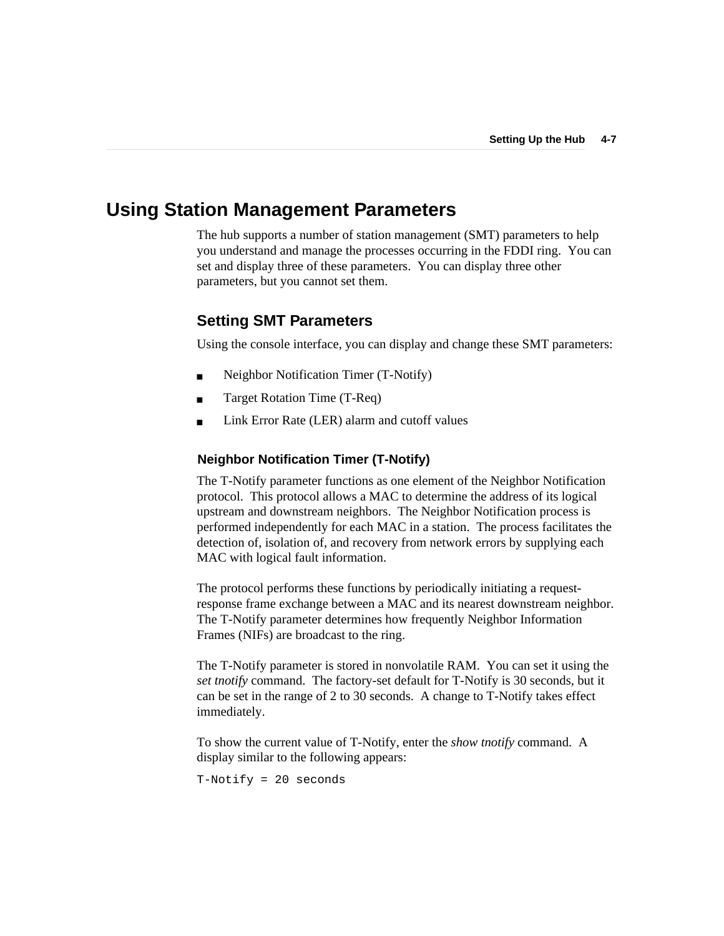## **Using Station Management Parameters**

The hub supports a number of station management (SMT) parameters to help you understand and manage the processes occurring in the FDDI ring. You can set and display three of these parameters. You can display three other parameters, but you cannot set them.

### **Setting SMT Parameters**

Using the console interface, you can display and change these SMT parameters:

- Neighbor Notification Timer (T-Notify)
- Target Rotation Time (T-Req)
- Link Error Rate (LER) alarm and cutoff values

### **Neighbor Notification Timer (T-Notify)**

The T-Notify parameter functions as one element of the Neighbor Notification protocol. This protocol allows a MAC to determine the address of its logical upstream and downstream neighbors. The Neighbor Notification process is performed independently for each MAC in a station. The process facilitates the detection of, isolation of, and recovery from network errors by supplying each MAC with logical fault information.

The protocol performs these functions by periodically initiating a requestresponse frame exchange between a MAC and its nearest downstream neighbor. The T-Notify parameter determines how frequently Neighbor Information Frames (NIFs) are broadcast to the ring.

The T-Notify parameter is stored in nonvolatile RAM. You can set it using the *set tnotify* command. The factory-set default for T-Notify is 30 seconds, but it can be set in the range of 2 to 30 seconds. A change to T-Notify takes effect immediately.

To show the current value of T-Notify, enter the *show tnotify* command. A display similar to the following appears:

T-Notify = 20 seconds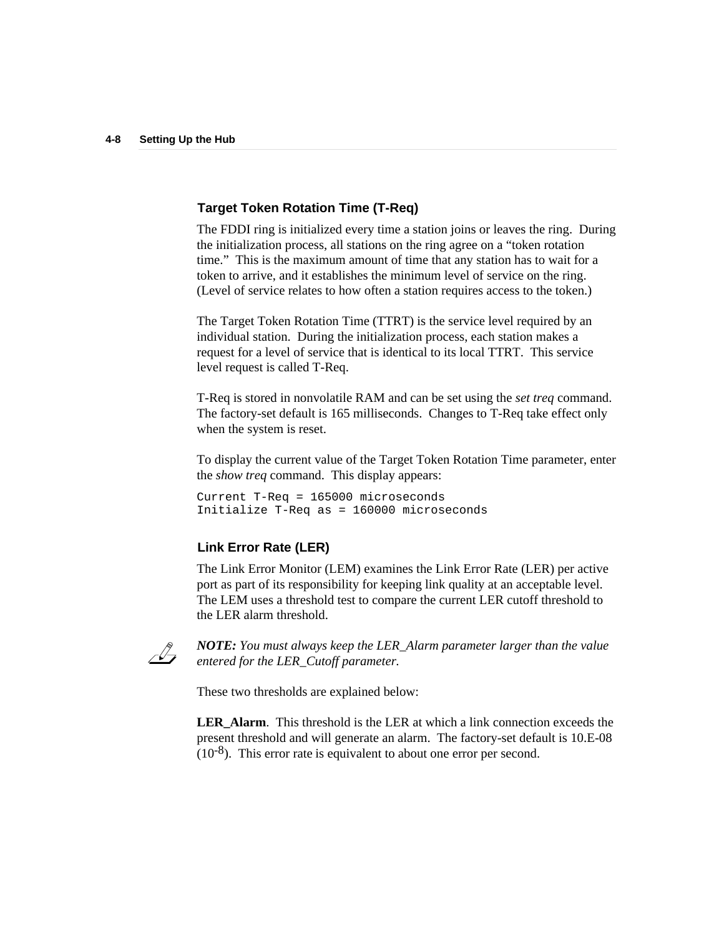### **Target Token Rotation Time (T-Req)**

The FDDI ring is initialized every time a station joins or leaves the ring. During the initialization process, all stations on the ring agree on a "token rotation time." This is the maximum amount of time that any station has to wait for a token to arrive, and it establishes the minimum level of service on the ring. (Level of service relates to how often a station requires access to the token.)

The Target Token Rotation Time (TTRT) is the service level required by an individual station. During the initialization process, each station makes a request for a level of service that is identical to its local TTRT. This service level request is called T-Req.

T-Req is stored in nonvolatile RAM and can be set using the *set treq* command. The factory-set default is 165 milliseconds. Changes to T-Req take effect only when the system is reset.

To display the current value of the Target Token Rotation Time parameter, enter the *show treq* command. This display appears:

Current T-Req = 165000 microseconds Initialize T-Req as = 160000 microseconds

### **Link Error Rate (LER)**

The Link Error Monitor (LEM) examines the Link Error Rate (LER) per active port as part of its responsibility for keeping link quality at an acceptable level. The LEM uses a threshold test to compare the current LER cutoff threshold to the LER alarm threshold.



*NOTE: You must always keep the LER\_Alarm parameter larger than the value entered for the LER\_Cutoff parameter.*

These two thresholds are explained below:

**LER** Alarm. This threshold is the LER at which a link connection exceeds the present threshold and will generate an alarm. The factory-set default is 10.E-08  $(10^{-8})$ . This error rate is equivalent to about one error per second.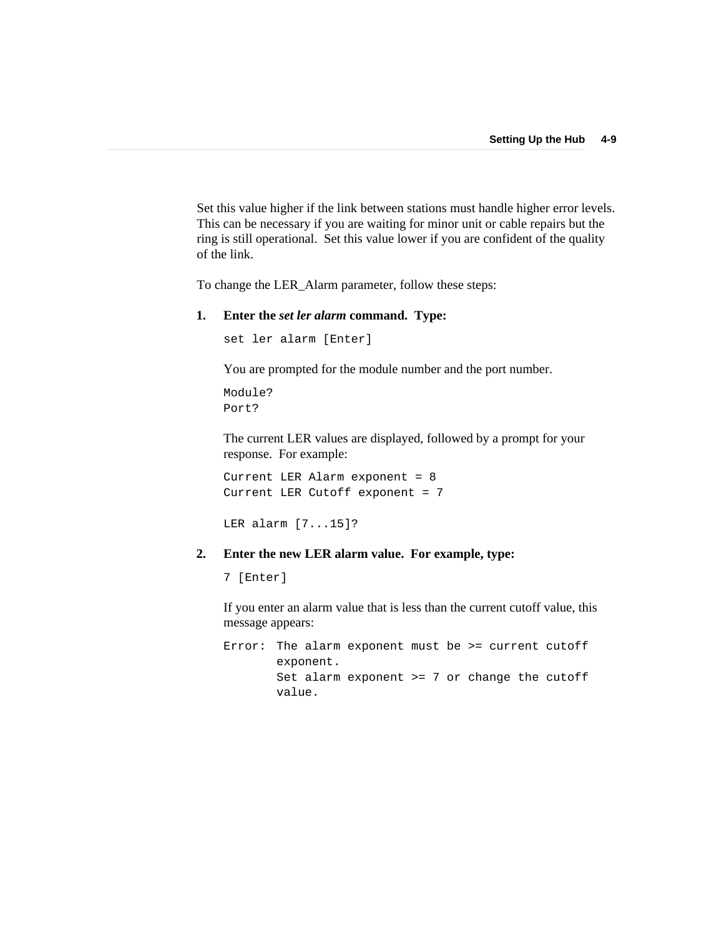Set this value higher if the link between stations must handle higher error levels. This can be necessary if you are waiting for minor unit or cable repairs but the ring is still operational. Set this value lower if you are confident of the quality of the link.

To change the LER\_Alarm parameter, follow these steps:

#### **1. Enter the** *set ler alarm* **command. Type:**

set ler alarm [Enter]

You are prompted for the module number and the port number.

Module? Port?

The current LER values are displayed, followed by a prompt for your response. For example:

Current LER Alarm exponent = 8 Current LER Cutoff exponent = 7

```
LER alarm [7...15]?
```
### **2. Enter the new LER alarm value. For example, type:**

7 [Enter]

If you enter an alarm value that is less than the current cutoff value, this message appears:

Error: The alarm exponent must be >= current cutoff exponent. Set alarm exponent >= 7 or change the cutoff value.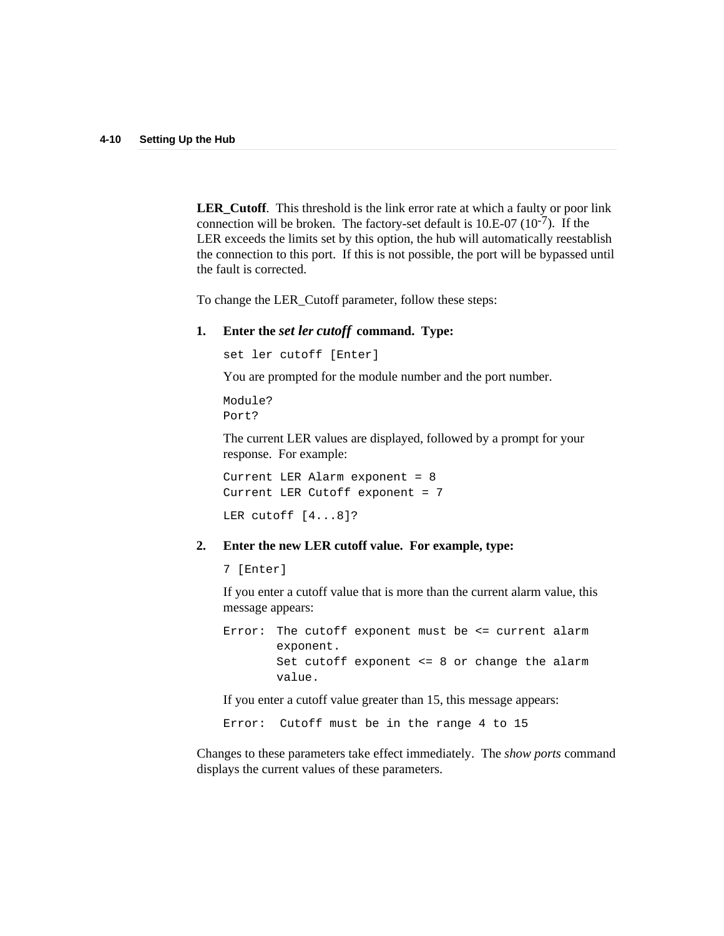**LER\_Cutoff**. This threshold is the link error rate at which a faulty or poor link connection will be broken. The factory-set default is  $10.E-07 (10^{-7})$ . If the LER exceeds the limits set by this option, the hub will automatically reestablish the connection to this port. If this is not possible, the port will be bypassed until the fault is corrected.

To change the LER\_Cutoff parameter, follow these steps:

### **1. Enter the** *set ler cutoff* **command. Type:**

set ler cutoff [Enter]

You are prompted for the module number and the port number.

Module? Port?

The current LER values are displayed, followed by a prompt for your response. For example:

Current LER Alarm exponent = 8 Current LER Cutoff exponent = 7 LER cutoff [4...8]?

#### **2. Enter the new LER cutoff value. For example, type:**

7 [Enter]

If you enter a cutoff value that is more than the current alarm value, this message appears:

Error: The cutoff exponent must be <= current alarm exponent. Set cutoff exponent <= 8 or change the alarm value.

If you enter a cutoff value greater than 15, this message appears:

Error: Cutoff must be in the range 4 to 15

Changes to these parameters take effect immediately. The *show ports* command displays the current values of these parameters.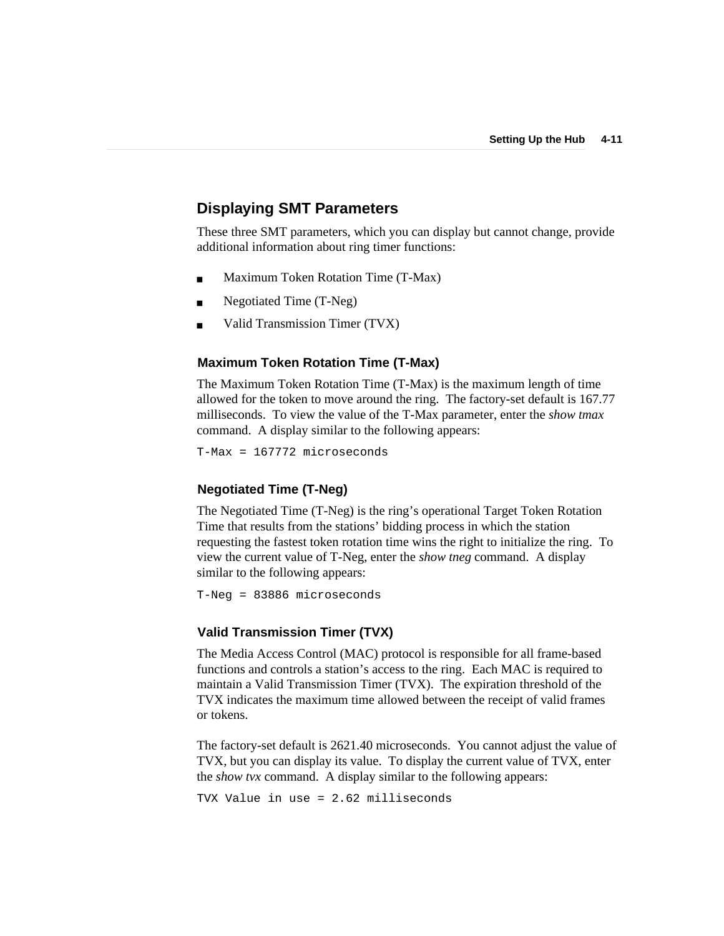## **Displaying SMT Parameters**

These three SMT parameters, which you can display but cannot change, provide additional information about ring timer functions:

- Maximum Token Rotation Time (T-Max)
- Negotiated Time (T-Neg)
- Valid Transmission Timer (TVX)

#### **Maximum Token Rotation Time (T-Max)**

The Maximum Token Rotation Time (T-Max) is the maximum length of time allowed for the token to move around the ring. The factory-set default is 167.77 milliseconds. To view the value of the T-Max parameter, enter the *show tmax* command. A display similar to the following appears:

T-Max = 167772 microseconds

### **Negotiated Time (T-Neg)**

The Negotiated Time (T-Neg) is the ring's operational Target Token Rotation Time that results from the stations' bidding process in which the station requesting the fastest token rotation time wins the right to initialize the ring. To view the current value of T-Neg, enter the *show tneg* command. A display similar to the following appears:

```
T-Neg = 83886 microseconds
```
### **Valid Transmission Timer (TVX)**

The Media Access Control (MAC) protocol is responsible for all frame-based functions and controls a station's access to the ring. Each MAC is required to maintain a Valid Transmission Timer (TVX). The expiration threshold of the TVX indicates the maximum time allowed between the receipt of valid frames or tokens.

The factory-set default is 2621.40 microseconds. You cannot adjust the value of TVX, but you can display its value. To display the current value of TVX, enter the *show tvx* command. A display similar to the following appears:

TVX Value in use = 2.62 milliseconds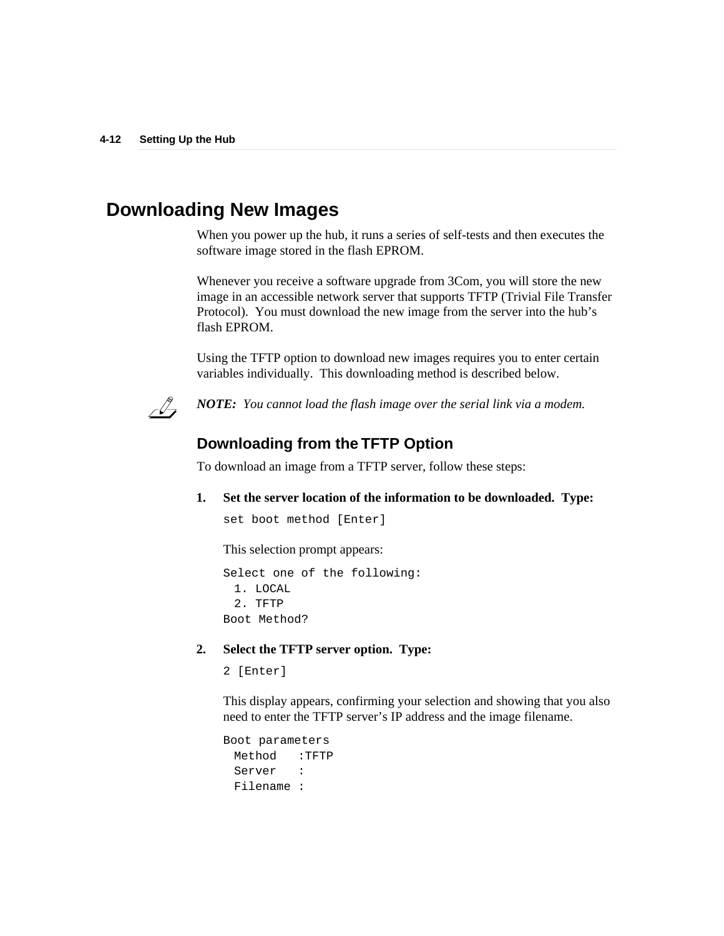## **Downloading New Images**

When you power up the hub, it runs a series of self-tests and then executes the software image stored in the flash EPROM.

Whenever you receive a software upgrade from 3Com, you will store the new image in an accessible network server that supports TFTP (Trivial File Transfer Protocol). You must download the new image from the server into the hub's flash EPROM.

Using the TFTP option to download new images requires you to enter certain variables individually. This downloading method is described below.



*NOTE: You cannot load the flash image over the serial link via a modem.*

### **Downloading from the TFTP Option**

To download an image from a TFTP server, follow these steps:

**1. Set the server location of the information to be downloaded. Type:**

```
set boot method [Enter]
```
This selection prompt appears:

Select one of the following: 1. LOCAL 2. TFTP Boot Method?

### **2. Select the TFTP server option. Type:**

2 [Enter]

This display appears, confirming your selection and showing that you also need to enter the TFTP server's IP address and the image filename.

```
Boot parameters
 Method :TFTP
 Server :
 Filename :
```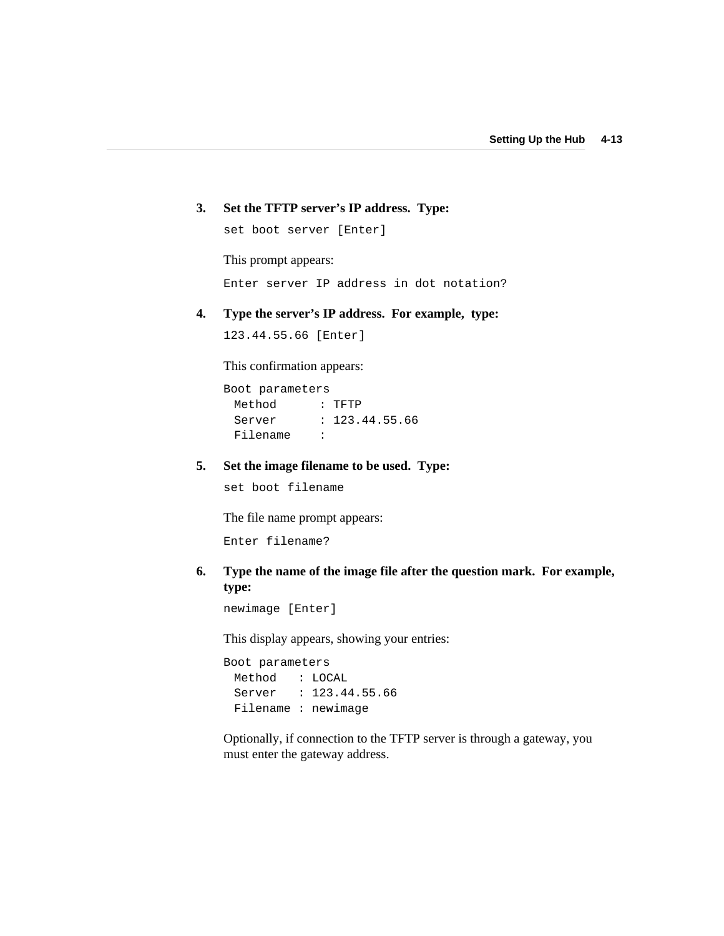### **3. Set the TFTP server's IP address. Type:**

set boot server [Enter]

This prompt appears:

Enter server IP address in dot notation?

### **4. Type the server's IP address. For example, type:**

123.44.55.66 [Enter]

This confirmation appears:

Boot parameters Method : TFTP Server : 123.44.55.66 Filename :

#### **5. Set the image filename to be used. Type:**

set boot filename

The file name prompt appears:

Enter filename?

### **6. Type the name of the image file after the question mark. For example, type:**

newimage [Enter]

This display appears, showing your entries:

Boot parameters Method : LOCAL Server : 123.44.55.66 Filename : newimage

Optionally, if connection to the TFTP server is through a gateway, you must enter the gateway address.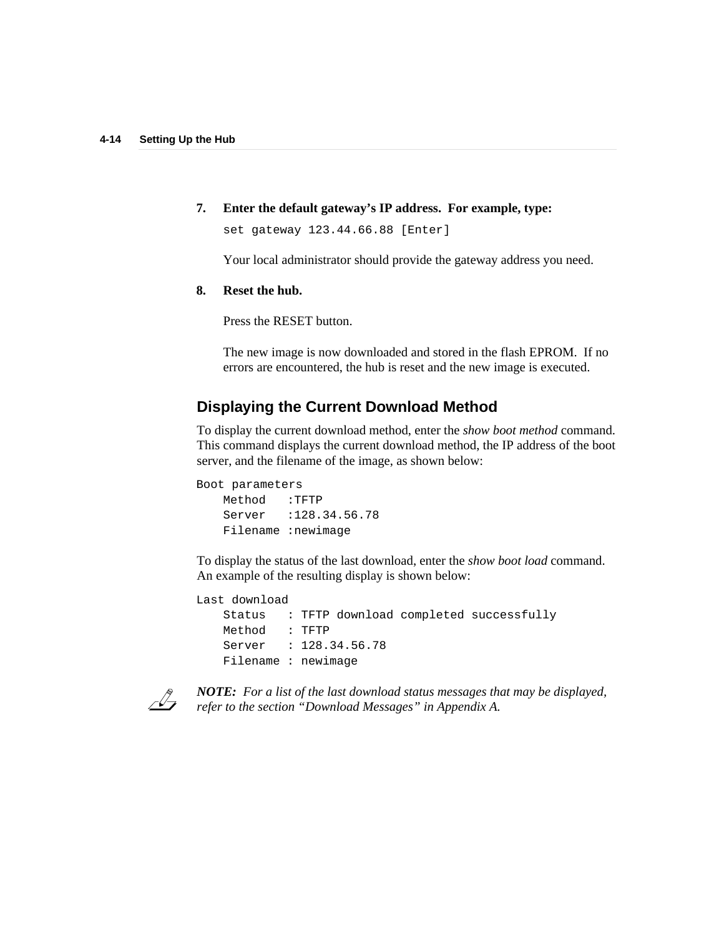**7. Enter the default gateway's IP address. For example, type:**

set gateway 123.44.66.88 [Enter]

Your local administrator should provide the gateway address you need.

#### **8. Reset the hub.**

Press the RESET button.

The new image is now downloaded and stored in the flash EPROM. If no errors are encountered, the hub is reset and the new image is executed.

## **Displaying the Current Download Method**

To display the current download method, enter the *show boot method* command. This command displays the current download method, the IP address of the boot server, and the filename of the image, as shown below:

```
Boot parameters
   Method :TFTP
   Server :128.34.56.78
   Filename :newimage
```
To display the status of the last download, enter the *show boot load* command. An example of the resulting display is shown below:

```
Last download
```
Status : TFTP download completed successfully Method : TFTP Server : 128.34.56.78 Filename : newimage



*NOTE: For a list of the last download status messages that may be displayed, refer to the section "Download Messages" in Appendix A.*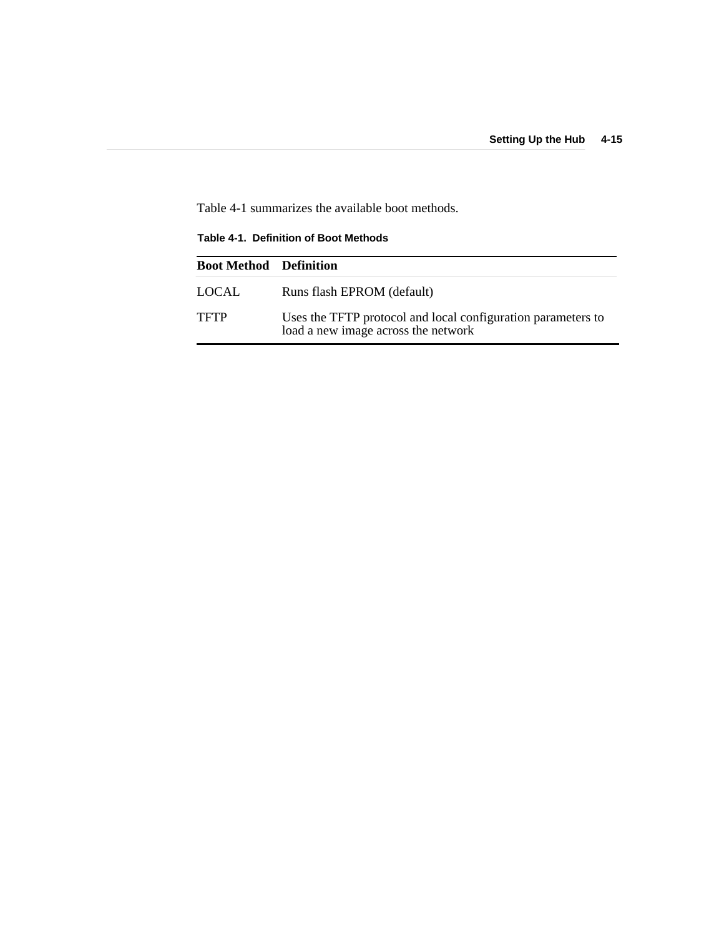Table 4-1 summarizes the available boot methods.

**Table 4-1. Definition of Boot Methods**

| <b>Boot Method Definition</b> |                                                                                                     |
|-------------------------------|-----------------------------------------------------------------------------------------------------|
| <b>LOCAL</b>                  | Runs flash EPROM (default)                                                                          |
| <b>TFTP</b>                   | Uses the TFTP protocol and local configuration parameters to<br>load a new image across the network |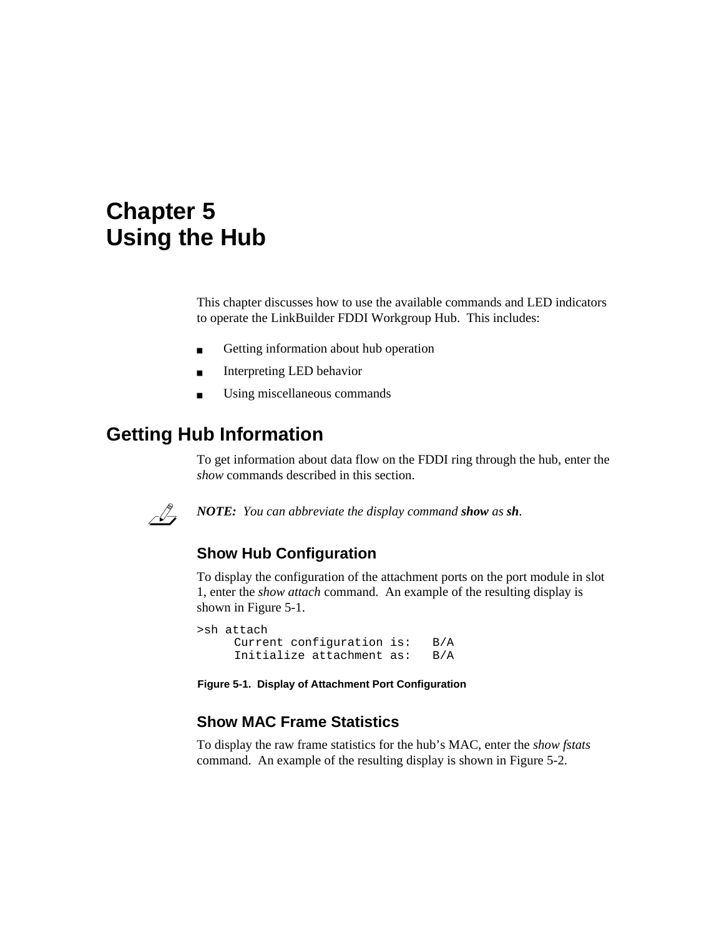# **Chapter 5 Using the Hub**

This chapter discusses how to use the available commands and LED indicators to operate the LinkBuilder FDDI Workgroup Hub. This includes:

- Getting information about hub operation
- Interpreting LED behavior
- Using miscellaneous commands

## **Getting Hub Information**

To get information about data flow on the FDDI ring through the hub, enter the *show* commands described in this section.



*NOTE: You can abbreviate the display command show as sh.*

## **Show Hub Configuration**

To display the configuration of the attachment ports on the port module in slot 1, enter the *show attach* command. An example of the resulting display is shown in Figure 5-1.

>sh attach Current configuration is: B/A Initialize attachment as: B/A

**Figure 5-1. Display of Attachment Port Configuration**

## **Show MAC Frame Statistics**

To display the raw frame statistics for the hub's MAC, enter the *show fstats* command. An example of the resulting display is shown in Figure 5-2.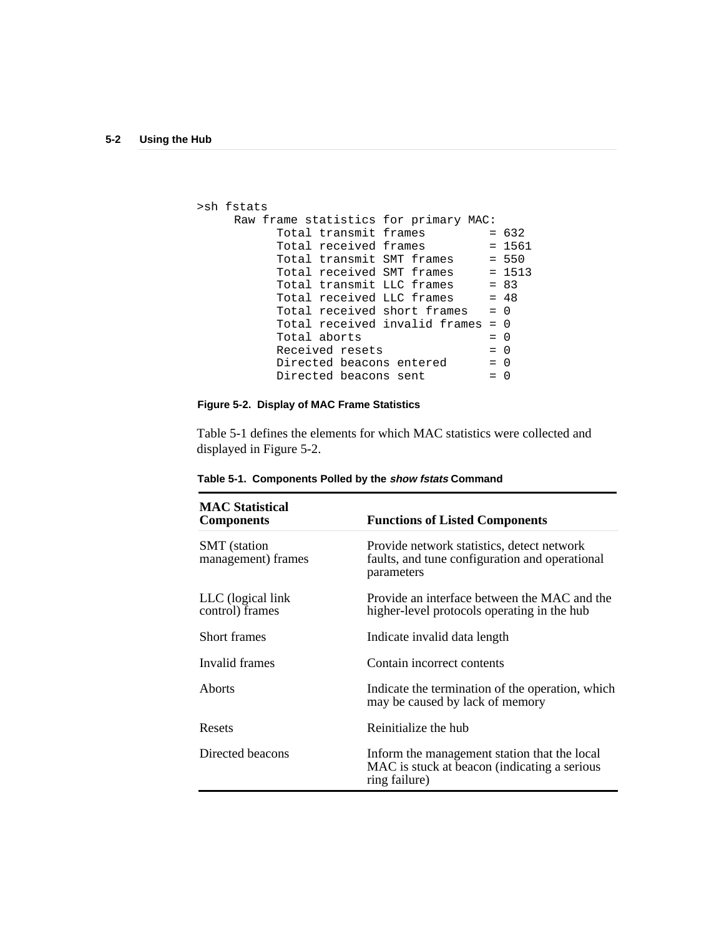```
>sh fstats
      Raw frame statistics for primary MAC:
              Total transmit frames = 632<br>Total received frames = 156Total received frames = 1561
              Total transmit SMT frames = 550
              Total received SMT frames = 1513
              Total transmit LLC frames = 83
              Total transmit LLC frames = 83<br>Total received LLC frames = 48
              Total received short frames = 0
              Total received invalid frames = 0<br>Total aborts = 0
              \begin{array}{lcl} \text{Total aborts} & = & 0 \\ \text{Received resets} & = & 0 \end{array}Received resets
              Directed beacons entered = 0<br>Directed beacons cont = 0
              Directed beacons sent = 0
```
### **Figure 5-2. Display of MAC Frame Statistics**

Table 5-1 defines the elements for which MAC statistics were collected and displayed in Figure 5-2.

| <b>MAC</b> Statistical<br><b>Components</b> | <b>Functions of Listed Components</b>                                                                         |
|---------------------------------------------|---------------------------------------------------------------------------------------------------------------|
| <b>SMT</b> (station<br>management) frames   | Provide network statistics, detect network<br>faults, and tune configuration and operational<br>parameters    |
| LLC (logical link)<br>control) frames       | Provide an interface between the MAC and the<br>higher-level protocols operating in the hub                   |
| Short frames                                | Indicate invalid data length                                                                                  |
| Invalid frames                              | Contain incorrect contents                                                                                    |
| Aborts                                      | Indicate the termination of the operation, which<br>may be caused by lack of memory                           |
| Resets                                      | Reinitialize the hub                                                                                          |
| Directed beacons                            | Inform the management station that the local<br>MAC is stuck at beacon (indicating a serious<br>ring failure) |

**Table 5-1. Components Polled by the show fstats Command**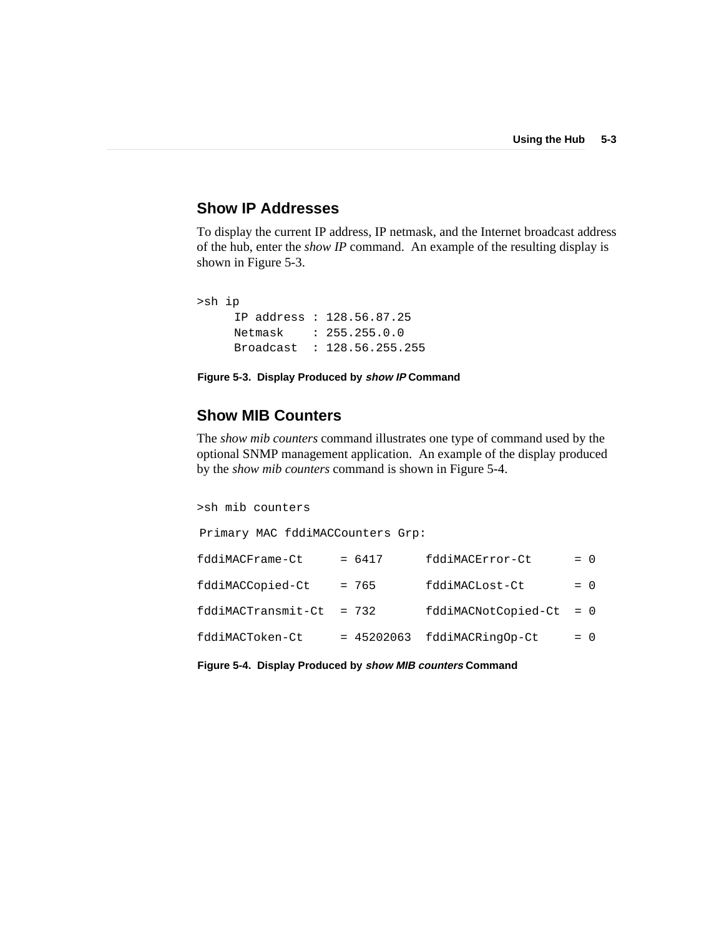### **Show IP Addresses**

To display the current IP address, IP netmask, and the Internet broadcast address of the hub, enter the *show IP* command. An example of the resulting display is shown in Figure 5-3.

```
>sh ip
     IP address : 128.56.87.25
    Netmask : 255.255.0.0
     Broadcast : 128.56.255.255
```
**Figure 5-3. Display Produced by show IP Command**

## **Show MIB Counters**

The *show mib counters* command illustrates one type of command used by the optional SNMP management application. An example of the display produced by the *show mib counters* command is shown in Figure 5-4.

>sh mib counters Primary MAC fddiMACCounters Grp:  $fddi$ MACFrame-Ct =  $6417$   $fddi$ MACError-Ct = 0  $fddi$ MACCopied-Ct = 765  $fddi$ MACLost-Ct = 0 fddiMACTransmit-Ct = 732 fddiMACNotCopied-Ct = 0  $fddi$ MACToken-Ct = 45202063  $fddi$ MACRingOp-Ct = 0

**Figure 5-4. Display Produced by show MIB counters Command**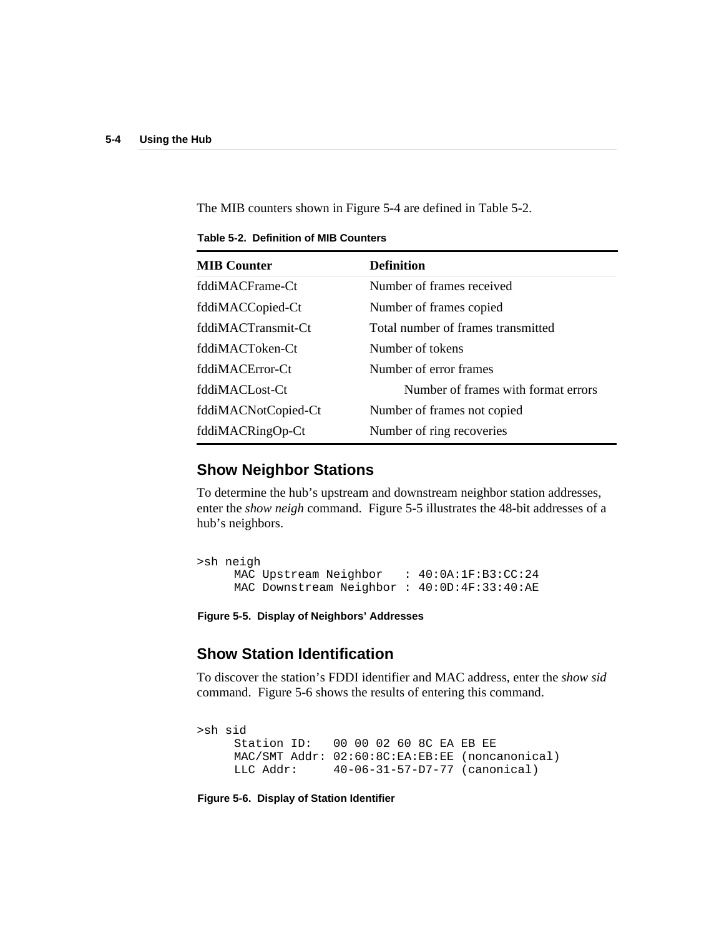The MIB counters shown in Figure 5-4 are defined in Table 5-2.

| <b>MIB</b> Counter  | <b>Definition</b>                   |
|---------------------|-------------------------------------|
| fddiMACFrame-Ct     | Number of frames received           |
| fddiMACCopied-Ct    | Number of frames copied             |
| fddiMACTransmit-Ct  | Total number of frames transmitted  |
| fddiMACToken-Ct     | Number of tokens                    |
| fddiMACError-Ct     | Number of error frames              |
| fddiMACLost-Ct      | Number of frames with format errors |
| fddiMACNotCopied-Ct | Number of frames not copied         |
| fddiMACRingOp-Ct    | Number of ring recoveries           |

**Table 5-2. Definition of MIB Counters**

## **Show Neighbor Stations**

To determine the hub's upstream and downstream neighbor station addresses, enter the *show neigh* command. Figure 5-5 illustrates the 48-bit addresses of a hub's neighbors.

```
>sh neigh
    MAC Upstream Neighbor : 40:0A:1F:B3:CC:24
    MAC Downstream Neighbor : 40:0D:4F:33:40:AE
```
**Figure 5-5. Display of Neighbors' Addresses**

## **Show Station Identification**

To discover the station's FDDI identifier and MAC address, enter the *show sid* command. Figure 5-6 shows the results of entering this command.

>sh sid Station ID: 00 00 02 60 8C EA EB EE MAC/SMT Addr: 02:60:8C:EA:EB:EE (noncanonical) LLC Addr: 40-06-31-57-D7-77 (canonical)

**Figure 5-6. Display of Station Identifier**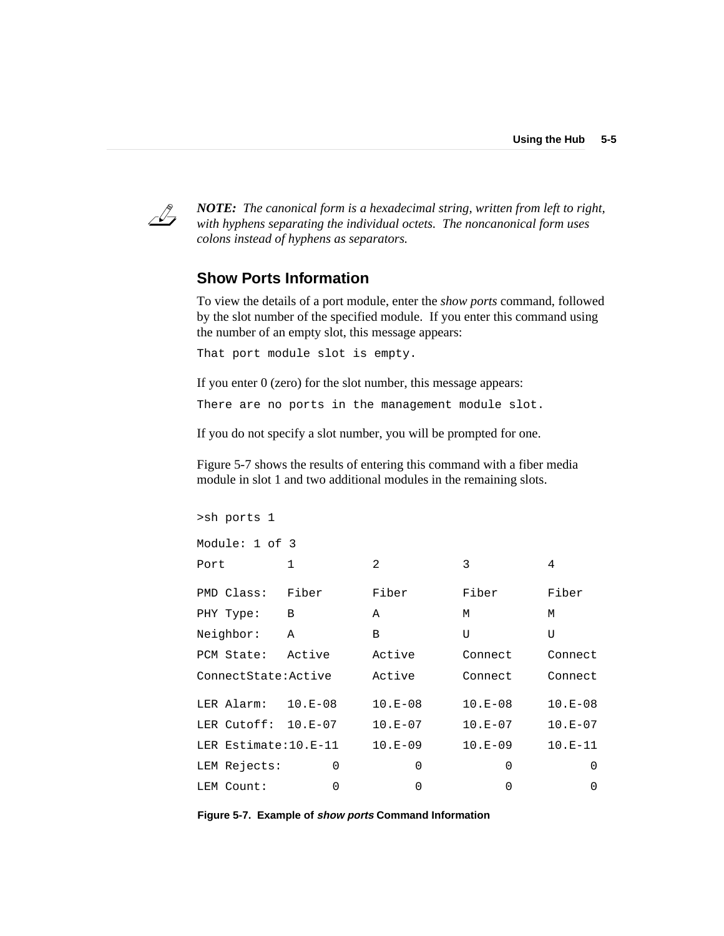

*NOTE: The canonical form is a hexadecimal string, written from left to right, with hyphens separating the individual octets. The noncanonical form uses colons instead of hyphens as separators.*

### **Show Ports Information**

>sh ports 1

To view the details of a port module, enter the *show ports* command, followed by the slot number of the specified module. If you enter this command using the number of an empty slot, this message appears:

That port module slot is empty.

If you enter 0 (zero) for the slot number, this message appears:

There are no ports in the management module slot.

If you do not specify a slot number, you will be prompted for one.

Figure 5-7 shows the results of entering this command with a fiber media module in slot 1 and two additional modules in the remaining slots.

| Module: 1 of 3        |              |                |           |           |
|-----------------------|--------------|----------------|-----------|-----------|
| Port                  | $\mathbf{1}$ | $\mathfrak{D}$ | 3         | 4         |
| PMD Class:            | Fiber        | Fiber          | Fiber     | Fiber     |
| PHY Type:             | B            | A              | M         | М         |
| Neighbor:             | A            | B              | U         | U         |
| PCM State:            | Active       | Active         | Connect   | Connect   |
| ConnectState:Active   |              | Active         | Connect   | Connect   |
| LER Alarm: $10.E-08$  |              | $10.E-08$      | $10.E-08$ | $10.E-08$ |
| LER Cutoff: 10.E-07   |              | $10.E-07$      | $10.E-07$ | $10.E-07$ |
| LER Estimate: 10.E-11 |              | $10.E-09$      | $10.E-09$ | $10.E-11$ |
| LEM Rejects:          | 0            | 0              | 0         | 0         |
| LEM Count:            | 0            | 0              | $\Omega$  | O         |
|                       |              |                |           |           |

**Figure 5-7. Example of show ports Command Information**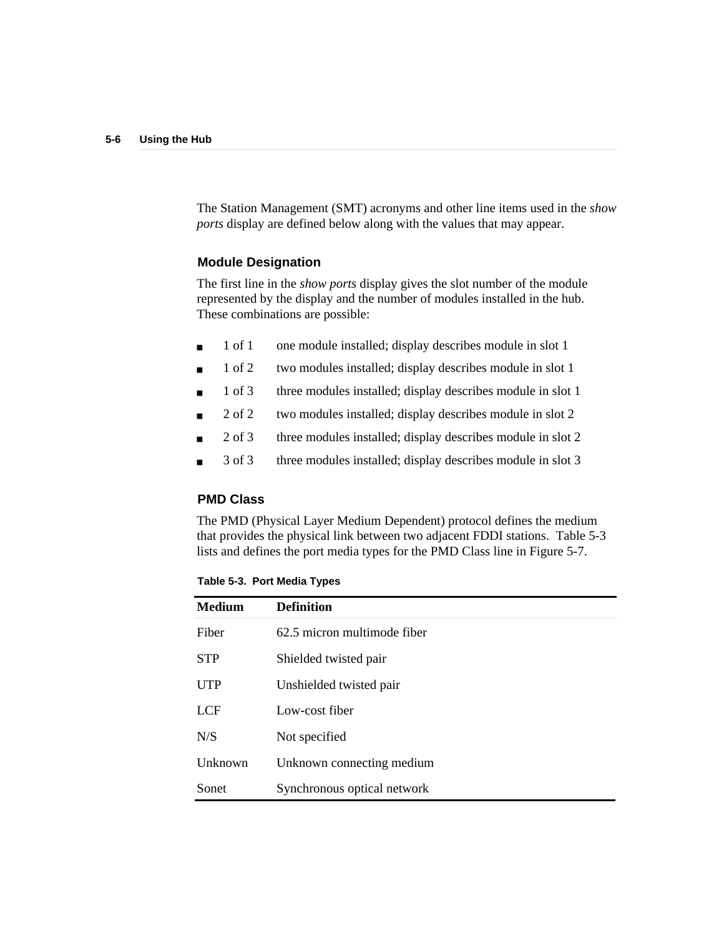The Station Management (SMT) acronyms and other line items used in the *show ports* display are defined below along with the values that may appear.

### **Module Designation**

The first line in the *show ports* display gives the slot number of the module represented by the display and the number of modules installed in the hub. These combinations are possible:

- 1 of 1 one module installed; display describes module in slot 1
- 1 of 2 two modules installed; display describes module in slot 1
- 1 of 3 three modules installed; display describes module in slot 1
- 2 of 2 two modules installed; display describes module in slot 2
- 2 of 3 three modules installed; display describes module in slot 2
- 3 of 3 three modules installed; display describes module in slot 3

### **PMD Class**

The PMD (Physical Layer Medium Dependent) protocol defines the medium that provides the physical link between two adjacent FDDI stations. Table 5-3 lists and defines the port media types for the PMD Class line in Figure 5-7.

**Table 5-3. Port Media Types**

| <b>Medium</b> | <b>Definition</b>           |
|---------------|-----------------------------|
| Fiber         | 62.5 micron multimode fiber |
| <b>STP</b>    | Shielded twisted pair       |
| <b>UTP</b>    | Unshielded twisted pair     |
| LCF           | Low-cost fiber              |
| N/S           | Not specified               |
| Unknown       | Unknown connecting medium   |
| Sonet         | Synchronous optical network |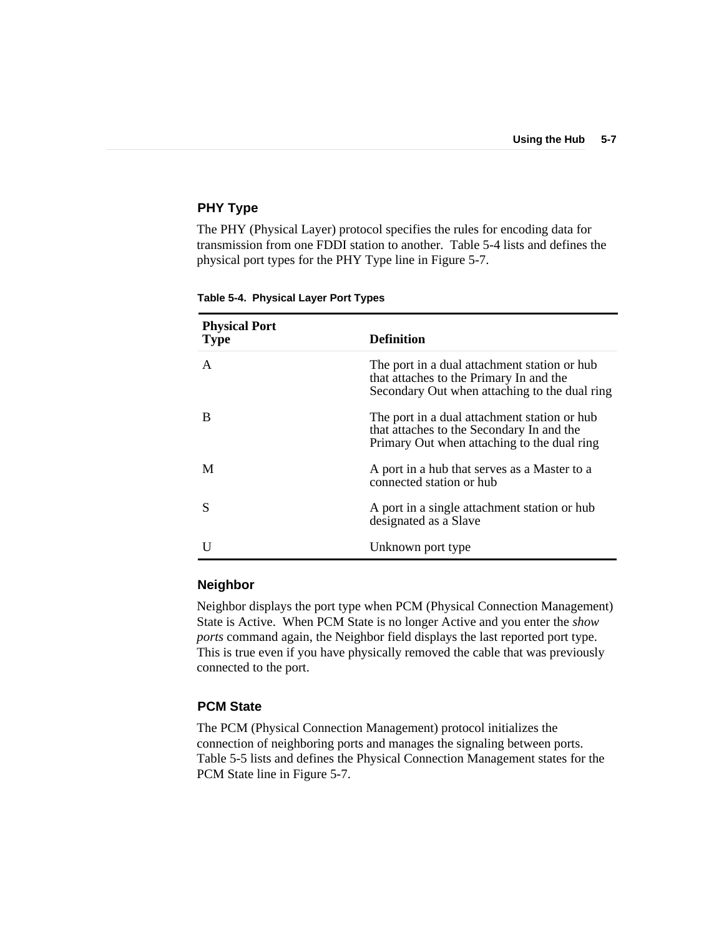#### **PHY Type**

The PHY (Physical Layer) protocol specifies the rules for encoding data for transmission from one FDDI station to another. Table 5-4 lists and defines the physical port types for the PHY Type line in Figure 5-7.

| <b>Physical Port</b><br><b>Type</b> | <b>Definition</b>                                                                                                                        |
|-------------------------------------|------------------------------------------------------------------------------------------------------------------------------------------|
| $\mathsf{A}$                        | The port in a dual attachment station or hub<br>that attaches to the Primary In and the<br>Secondary Out when attaching to the dual ring |
| B                                   | The port in a dual attachment station or hub<br>that attaches to the Secondary In and the<br>Primary Out when attaching to the dual ring |
| M                                   | A port in a hub that serves as a Master to a<br>connected station or hub                                                                 |
|                                     | A port in a single attachment station or hub<br>designated as a Slave                                                                    |
|                                     | Unknown port type                                                                                                                        |

**Table 5-4. Physical Layer Port Types**

### **Neighbor**

Neighbor displays the port type when PCM (Physical Connection Management) State is Active. When PCM State is no longer Active and you enter the *show ports* command again, the Neighbor field displays the last reported port type. This is true even if you have physically removed the cable that was previously connected to the port.

#### **PCM State**

The PCM (Physical Connection Management) protocol initializes the connection of neighboring ports and manages the signaling between ports. Table 5-5 lists and defines the Physical Connection Management states for the PCM State line in Figure 5-7.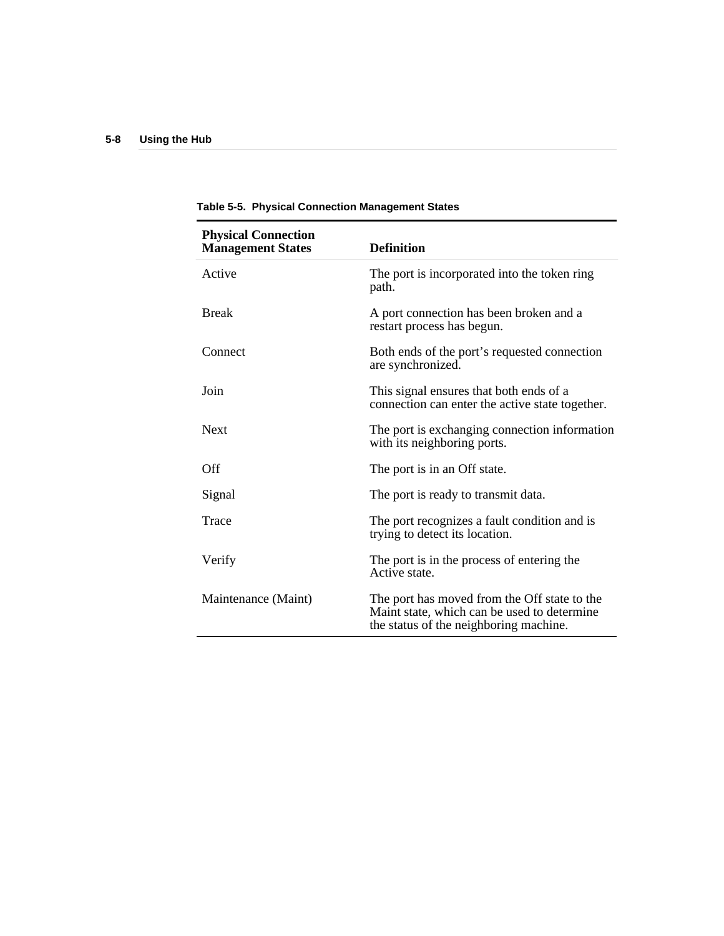| <b>Physical Connection</b><br><b>Management States</b> | <b>Definition</b>                                                                                                                     |
|--------------------------------------------------------|---------------------------------------------------------------------------------------------------------------------------------------|
| Active                                                 | The port is incorporated into the token ring<br>path.                                                                                 |
| <b>Break</b>                                           | A port connection has been broken and a<br>restart process has begun.                                                                 |
| Connect                                                | Both ends of the port's requested connection<br>are synchronized.                                                                     |
| Join                                                   | This signal ensures that both ends of a<br>connection can enter the active state together.                                            |
| <b>Next</b>                                            | The port is exchanging connection information<br>with its neighboring ports.                                                          |
| Off                                                    | The port is in an Off state.                                                                                                          |
| Signal                                                 | The port is ready to transmit data.                                                                                                   |
| Trace                                                  | The port recognizes a fault condition and is<br>trying to detect its location.                                                        |
| Verify                                                 | The port is in the process of entering the<br>Active state.                                                                           |
| Maintenance (Maint)                                    | The port has moved from the Off state to the<br>Maint state, which can be used to determine<br>the status of the neighboring machine. |

**Table 5-5. Physical Connection Management States**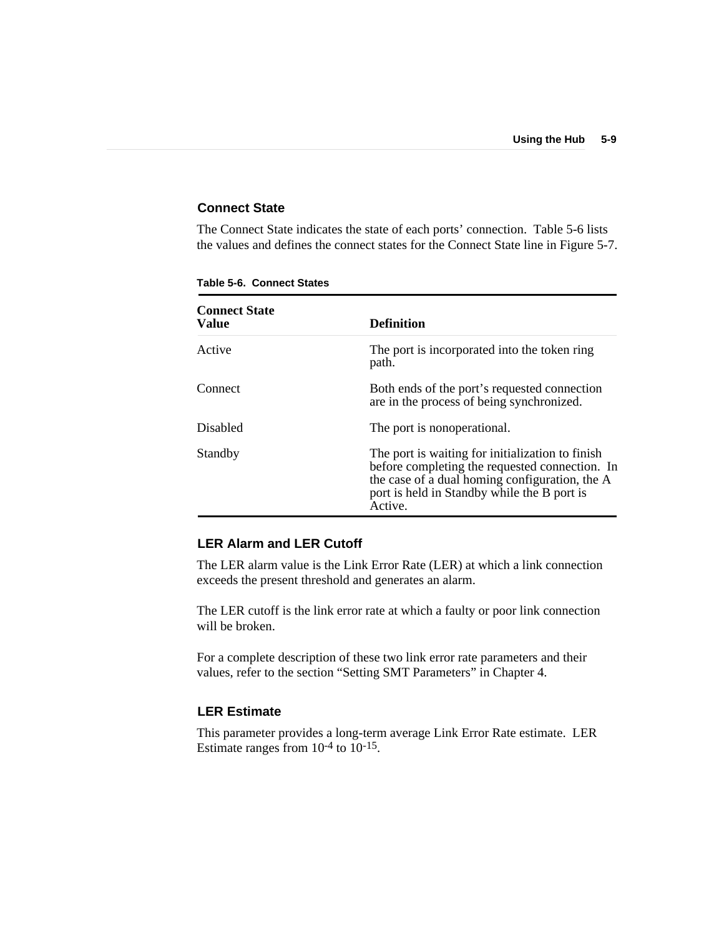#### **Connect State**

The Connect State indicates the state of each ports' connection. Table 5-6 lists the values and defines the connect states for the Connect State line in Figure 5-7.

| <b>Connect State</b><br>Value | <b>Definition</b>                                                                                                                                                                                              |
|-------------------------------|----------------------------------------------------------------------------------------------------------------------------------------------------------------------------------------------------------------|
| Active                        | The port is incorporated into the token ring<br>path.                                                                                                                                                          |
| Connect                       | Both ends of the port's requested connection<br>are in the process of being synchronized.                                                                                                                      |
| <b>Disabled</b>               | The port is nonoperational.                                                                                                                                                                                    |
| Standby                       | The port is waiting for initialization to finish<br>before completing the requested connection. In<br>the case of a dual homing configuration, the A<br>port is held in Standby while the B port is<br>Active. |

**Table 5-6. Connect States**

#### **LER Alarm and LER Cutoff**

The LER alarm value is the Link Error Rate (LER) at which a link connection exceeds the present threshold and generates an alarm.

The LER cutoff is the link error rate at which a faulty or poor link connection will be broken.

For a complete description of these two link error rate parameters and their values, refer to the section "Setting SMT Parameters" in Chapter 4.

#### **LER Estimate**

This parameter provides a long-term average Link Error Rate estimate. LER Estimate ranges from  $10^{-4}$  to  $10^{-15}$ .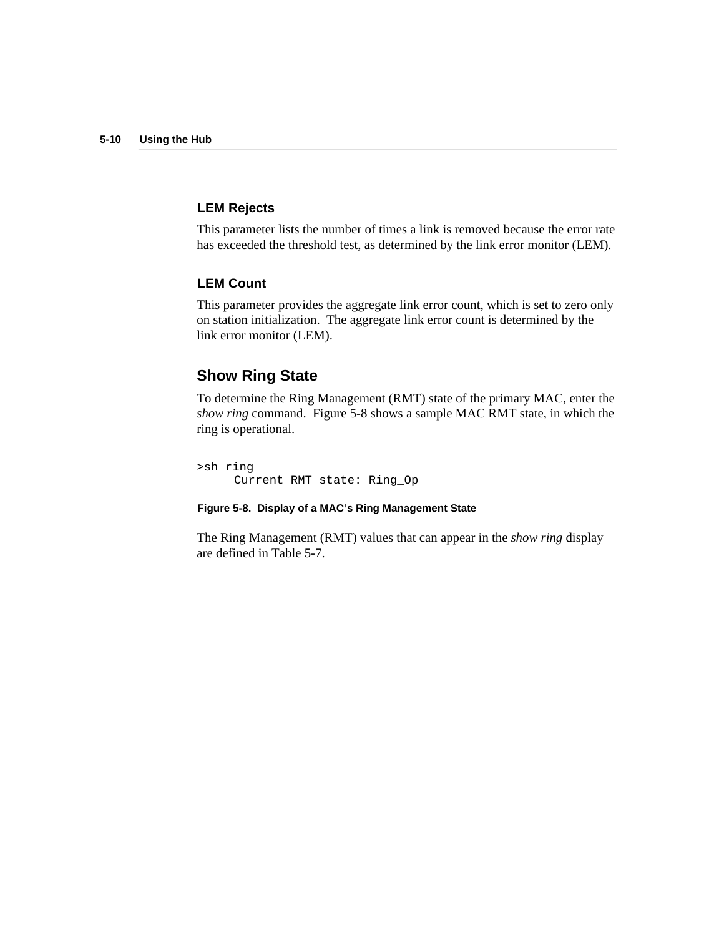#### **LEM Rejects**

This parameter lists the number of times a link is removed because the error rate has exceeded the threshold test, as determined by the link error monitor (LEM).

#### **LEM Count**

This parameter provides the aggregate link error count, which is set to zero only on station initialization. The aggregate link error count is determined by the link error monitor (LEM).

# **Show Ring State**

To determine the Ring Management (RMT) state of the primary MAC, enter the *show ring* command. Figure 5-8 shows a sample MAC RMT state, in which the ring is operational.

>sh ring Current RMT state: Ring\_Op

#### **Figure 5-8. Display of a MAC's Ring Management State**

The Ring Management (RMT) values that can appear in the *show ring* display are defined in Table 5-7.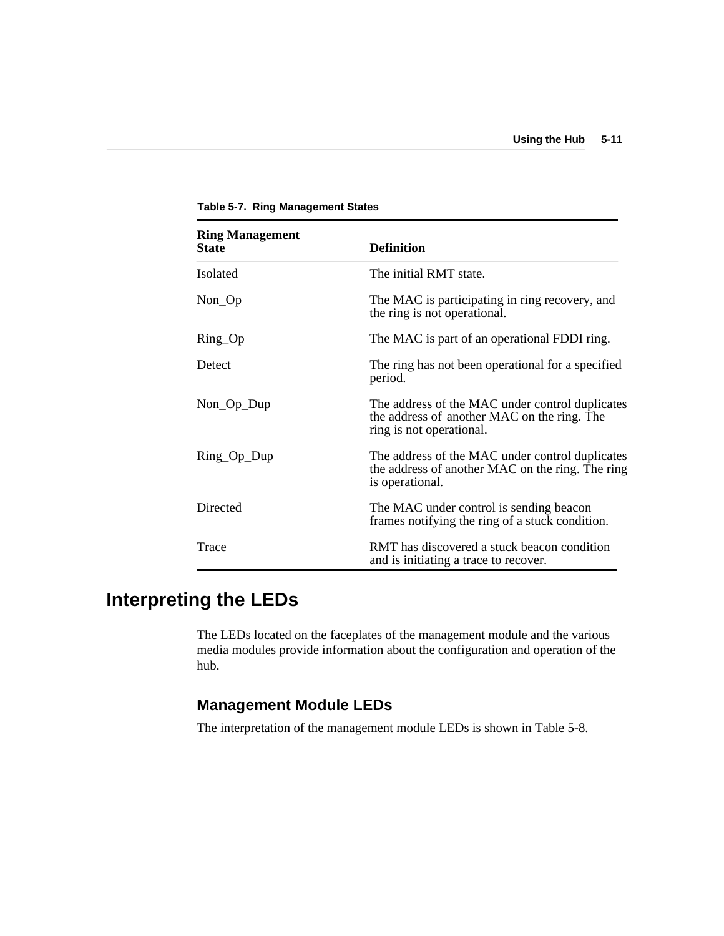| <b>Ring Management</b><br><b>State</b> | <b>Definition</b>                                                                                                          |
|----------------------------------------|----------------------------------------------------------------------------------------------------------------------------|
| <b>Isolated</b>                        | The initial RMT state.                                                                                                     |
| $Non\_Op$                              | The MAC is participating in ring recovery, and<br>the ring is not operational.                                             |
| $Ring\_Op$                             | The MAC is part of an operational FDDI ring.                                                                               |
| Detect                                 | The ring has not been operational for a specified<br>period.                                                               |
| $Non\_Op\_Dup$                         | The address of the MAC under control duplicates<br>the address of another MAC on the ring. The<br>ring is not operational. |
| Ring_Op_Dup                            | The address of the MAC under control duplicates<br>the address of another MAC on the ring. The ring<br>is operational.     |
| Directed                               | The MAC under control is sending beacon<br>frames notifying the ring of a stuck condition.                                 |
| Trace                                  | RMT has discovered a stuck beacon condition<br>and is initiating a trace to recover.                                       |

**Table 5-7. Ring Management States**

# **Interpreting the LEDs**

The LEDs located on the faceplates of the management module and the various media modules provide information about the configuration and operation of the hub.

# **Management Module LEDs**

The interpretation of the management module LEDs is shown in Table 5-8.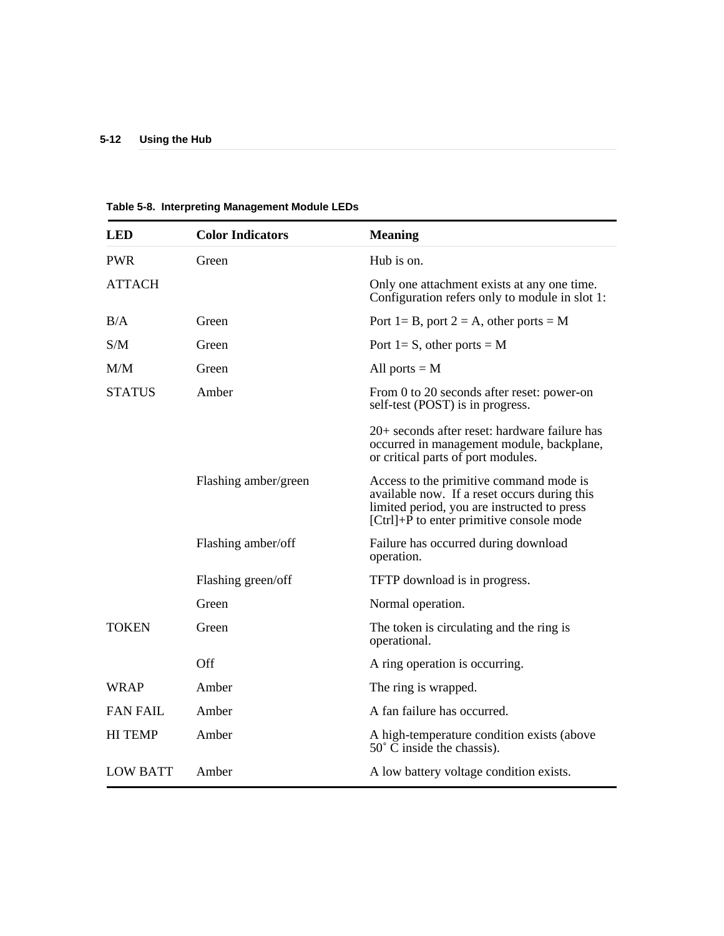| <b>LED</b>      | <b>Color Indicators</b> | <b>Meaning</b>                                                                                                                                                                     |
|-----------------|-------------------------|------------------------------------------------------------------------------------------------------------------------------------------------------------------------------------|
| <b>PWR</b>      | Green                   | Hub is on.                                                                                                                                                                         |
| <b>ATTACH</b>   |                         | Only one attachment exists at any one time.<br>Configuration refers only to module in slot 1:                                                                                      |
| B/A             | Green                   | Port 1= B, port 2 = A, other ports = M                                                                                                                                             |
| S/M             | Green                   | Port 1= S, other ports = $M$                                                                                                                                                       |
| M/M             | Green                   | All ports $=M$                                                                                                                                                                     |
| <b>STATUS</b>   | Amber                   | From 0 to 20 seconds after reset: power-on<br>self-test (POST) is in progress.                                                                                                     |
|                 |                         | 20+ seconds after reset: hardware failure has<br>occurred in management module, backplane,<br>or critical parts of port modules.                                                   |
|                 | Flashing amber/green    | Access to the primitive command mode is<br>available now. If a reset occurs during this<br>limited period, you are instructed to press<br>[Ctrl]+P to enter primitive console mode |
|                 | Flashing amber/off      | Failure has occurred during download<br>operation.                                                                                                                                 |
|                 | Flashing green/off      | TFTP download is in progress.                                                                                                                                                      |
|                 | Green                   | Normal operation.                                                                                                                                                                  |
| <b>TOKEN</b>    | Green                   | The token is circulating and the ring is<br>operational.                                                                                                                           |
|                 | Off                     | A ring operation is occurring.                                                                                                                                                     |
| WRAP            | Amber                   | The ring is wrapped.                                                                                                                                                               |
| <b>FAN FAIL</b> | Amber                   | A fan failure has occurred.                                                                                                                                                        |
| <b>HI TEMP</b>  | Amber                   | A high-temperature condition exists (above<br>$50^{\circ}$ C inside the chassis).                                                                                                  |
| <b>LOW BATT</b> | Amber                   | A low battery voltage condition exists.                                                                                                                                            |

**Table 5-8. Interpreting Management Module LEDs**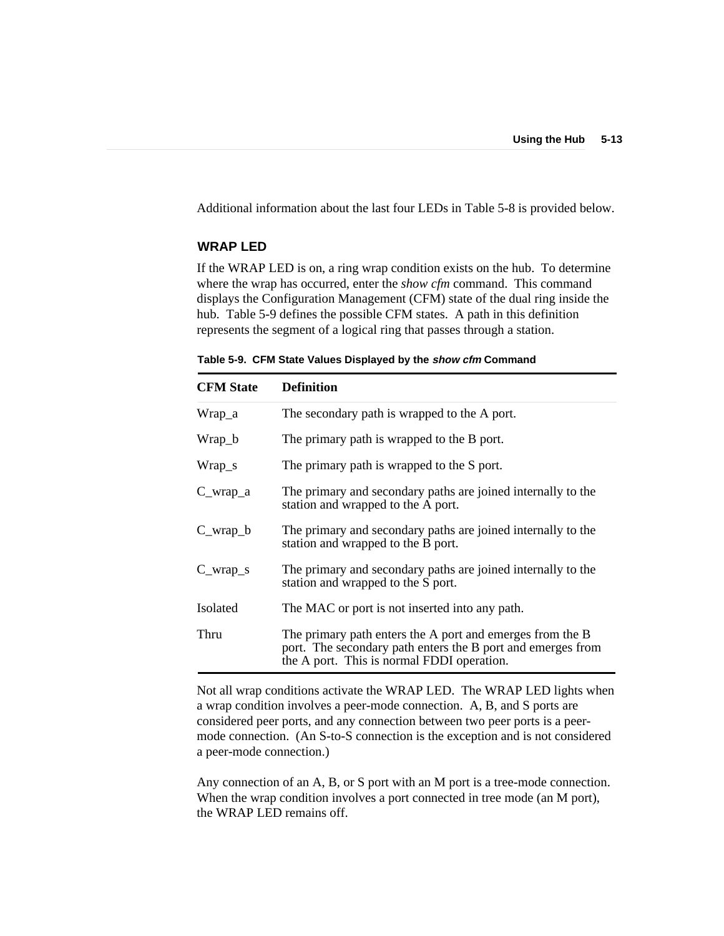Additional information about the last four LEDs in Table 5-8 is provided below.

#### **WRAP LED**

If the WRAP LED is on, a ring wrap condition exists on the hub. To determine where the wrap has occurred, enter the *show cfm* command. This command displays the Configuration Management (CFM) state of the dual ring inside the hub. Table 5-9 defines the possible CFM states. A path in this definition represents the segment of a logical ring that passes through a station.

|  | Table 5-9. CFM State Values Displayed by the show cfm Command |  |  |  |  |  |
|--|---------------------------------------------------------------|--|--|--|--|--|
|--|---------------------------------------------------------------|--|--|--|--|--|

| <b>CFM</b> State | <b>Definition</b>                                                                                                                                                      |
|------------------|------------------------------------------------------------------------------------------------------------------------------------------------------------------------|
| Wrap_a           | The secondary path is wrapped to the A port.                                                                                                                           |
| Wrap_b           | The primary path is wrapped to the B port.                                                                                                                             |
| Wrap_s           | The primary path is wrapped to the S port.                                                                                                                             |
| $C_{wrap_a}$     | The primary and secondary paths are joined internally to the<br>station and wrapped to the A port.                                                                     |
| $C_{wrap_b}$     | The primary and secondary paths are joined internally to the<br>station and wrapped to the B port.                                                                     |
| $C_{wrap_s}$     | The primary and secondary paths are joined internally to the<br>station and wrapped to the S port.                                                                     |
| Isolated         | The MAC or port is not inserted into any path.                                                                                                                         |
| Thru             | The primary path enters the A port and emerges from the B<br>port. The secondary path enters the B port and emerges from<br>the A port. This is normal FDDI operation. |

Not all wrap conditions activate the WRAP LED. The WRAP LED lights when a wrap condition involves a peer-mode connection. A, B, and S ports are considered peer ports, and any connection between two peer ports is a peermode connection. (An S-to-S connection is the exception and is not considered a peer-mode connection.)

Any connection of an A, B, or S port with an M port is a tree-mode connection. When the wrap condition involves a port connected in tree mode (an M port), the WRAP LED remains off.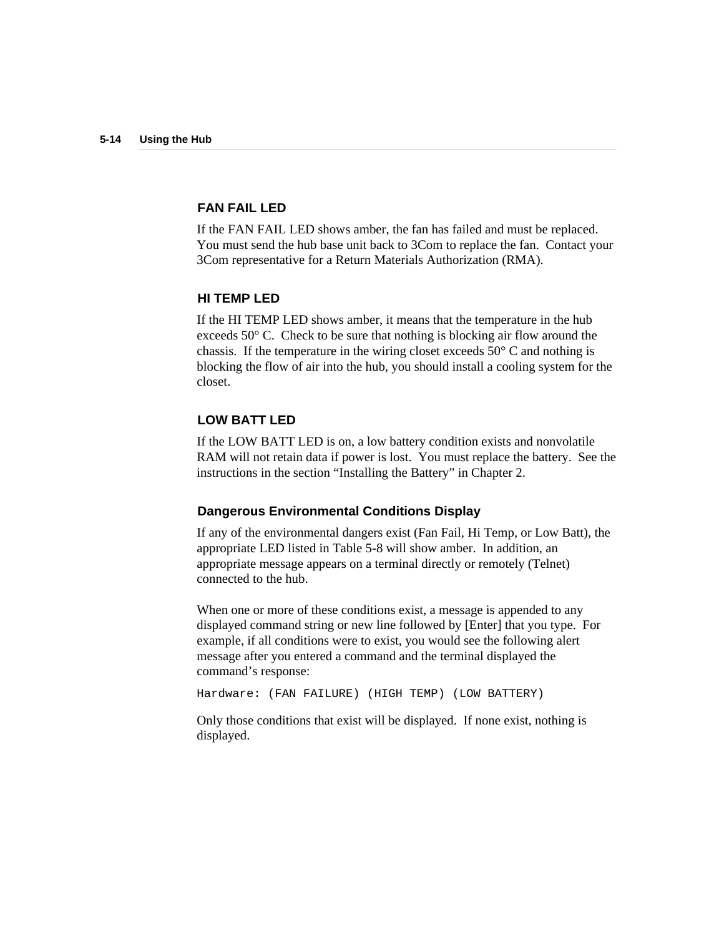#### **FAN FAIL LED**

If the FAN FAIL LED shows amber, the fan has failed and must be replaced. You must send the hub base unit back to 3Com to replace the fan. Contact your 3Com representative for a Return Materials Authorization (RMA).

#### **HI TEMP LED**

If the HI TEMP LED shows amber, it means that the temperature in the hub exceeds 50° C. Check to be sure that nothing is blocking air flow around the chassis. If the temperature in the wiring closet exceeds 50° C and nothing is blocking the flow of air into the hub, you should install a cooling system for the closet.

#### **LOW BATT LED**

If the LOW BATT LED is on, a low battery condition exists and nonvolatile RAM will not retain data if power is lost. You must replace the battery. See the instructions in the section "Installing the Battery" in Chapter 2.

#### **Dangerous Environmental Conditions Display**

If any of the environmental dangers exist (Fan Fail, Hi Temp, or Low Batt), the appropriate LED listed in Table 5-8 will show amber. In addition, an appropriate message appears on a terminal directly or remotely (Telnet) connected to the hub.

When one or more of these conditions exist, a message is appended to any displayed command string or new line followed by [Enter] that you type. For example, if all conditions were to exist, you would see the following alert message after you entered a command and the terminal displayed the command's response:

Hardware: (FAN FAILURE) (HIGH TEMP) (LOW BATTERY)

Only those conditions that exist will be displayed. If none exist, nothing is displayed.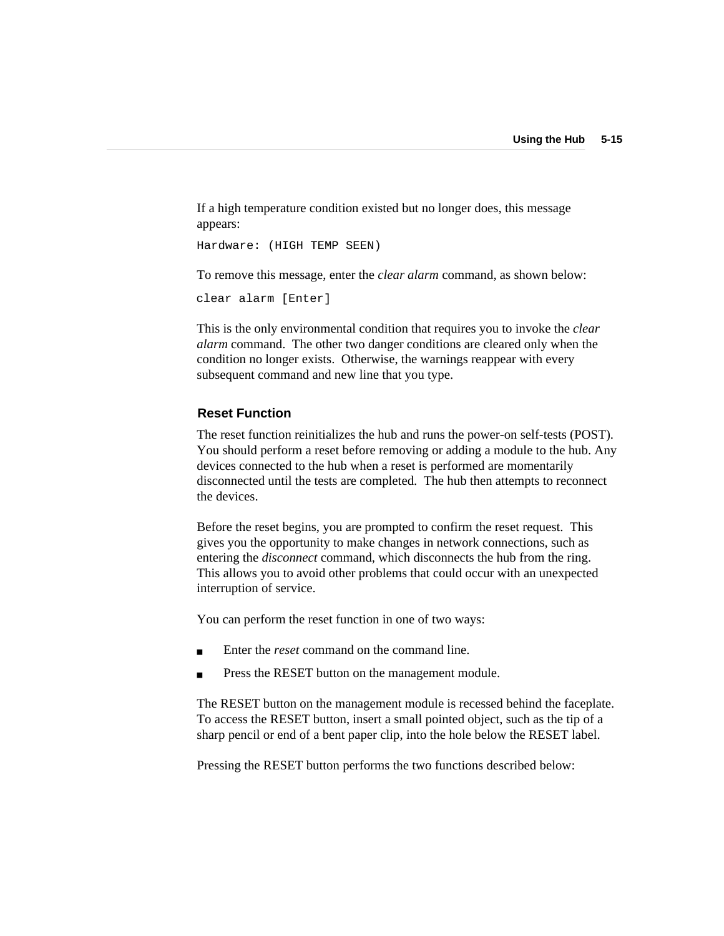If a high temperature condition existed but no longer does, this message appears:

```
Hardware: (HIGH TEMP SEEN)
```
To remove this message, enter the *clear alarm* command, as shown below:

```
clear alarm [Enter]
```
This is the only environmental condition that requires you to invoke the *clear alarm* command. The other two danger conditions are cleared only when the condition no longer exists. Otherwise, the warnings reappear with every subsequent command and new line that you type.

#### **Reset Function**

The reset function reinitializes the hub and runs the power-on self-tests (POST). You should perform a reset before removing or adding a module to the hub. Any devices connected to the hub when a reset is performed are momentarily disconnected until the tests are completed. The hub then attempts to reconnect the devices.

Before the reset begins, you are prompted to confirm the reset request. This gives you the opportunity to make changes in network connections, such as entering the *disconnect* command, which disconnects the hub from the ring. This allows you to avoid other problems that could occur with an unexpected interruption of service.

You can perform the reset function in one of two ways:

- Enter the *reset* command on the command line.
- Press the RESET button on the management module.

The RESET button on the management module is recessed behind the faceplate. To access the RESET button, insert a small pointed object, such as the tip of a sharp pencil or end of a bent paper clip, into the hole below the RESET label.

Pressing the RESET button performs the two functions described below: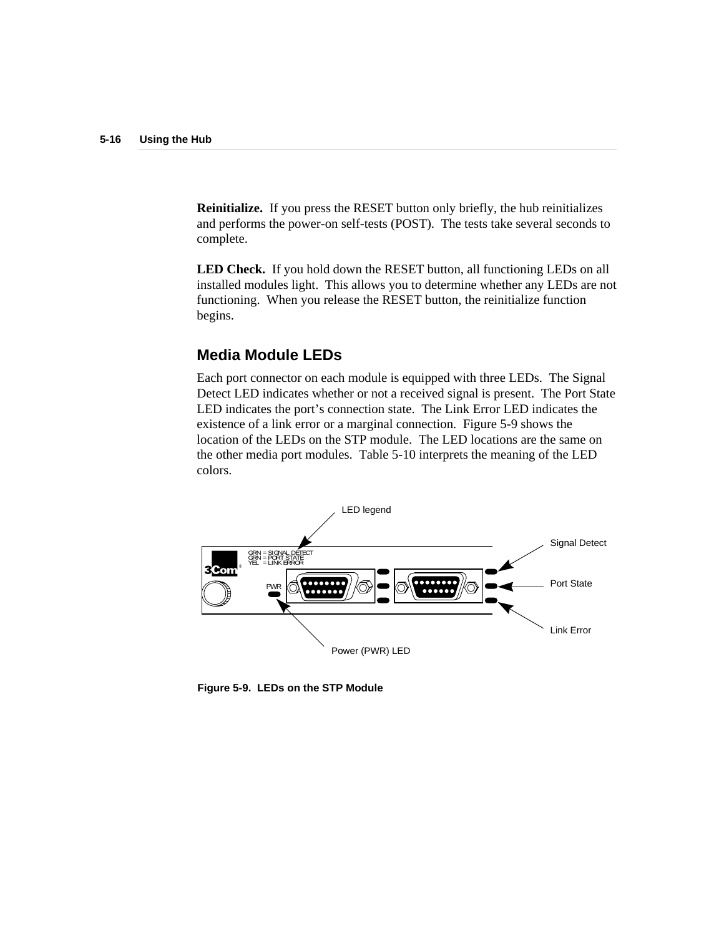**Reinitialize.** If you press the RESET button only briefly, the hub reinitializes and performs the power-on self-tests (POST). The tests take several seconds to complete.

**LED Check.** If you hold down the RESET button, all functioning LEDs on all installed modules light. This allows you to determine whether any LEDs are not functioning. When you release the RESET button, the reinitialize function begins.

## **Media Module LEDs**

Each port connector on each module is equipped with three LEDs. The Signal Detect LED indicates whether or not a received signal is present. The Port State LED indicates the port's connection state. The Link Error LED indicates the existence of a link error or a marginal connection. Figure 5-9 shows the location of the LEDs on the STP module. The LED locations are the same on the other media port modules. Table 5-10 interprets the meaning of the LED colors.



**Figure 5-9. LEDs on the STP Module**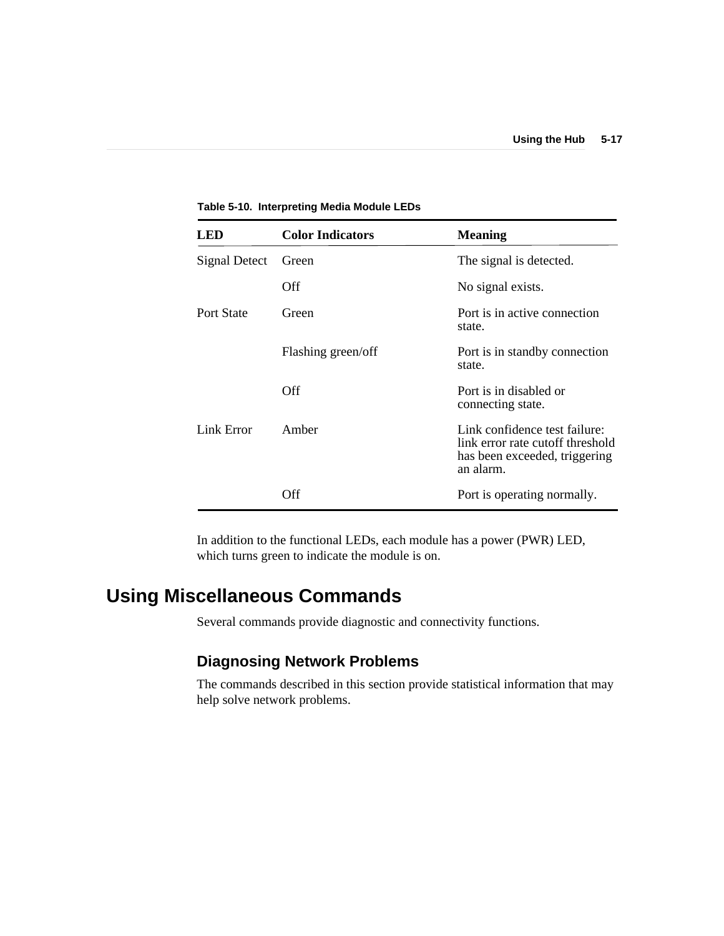| LED                  | <b>Color Indicators</b> | <b>Meaning</b>                                                                                                  |
|----------------------|-------------------------|-----------------------------------------------------------------------------------------------------------------|
| <b>Signal Detect</b> | Green                   | The signal is detected.                                                                                         |
|                      | Off                     | No signal exists.                                                                                               |
| Port State           | Green                   | Port is in active connection<br>state.                                                                          |
|                      | Flashing green/off      | Port is in standby connection<br>state.                                                                         |
|                      | Off                     | Port is in disabled or<br>connecting state.                                                                     |
| Link Error           | Amber                   | Link confidence test failure:<br>link error rate cutoff threshold<br>has been exceeded, triggering<br>an alarm. |
|                      | Off                     | Port is operating normally.                                                                                     |

**Table 5-10. Interpreting Media Module LEDs**

In addition to the functional LEDs, each module has a power (PWR) LED, which turns green to indicate the module is on.

# **Using Miscellaneous Commands**

Several commands provide diagnostic and connectivity functions.

# **Diagnosing Network Problems**

The commands described in this section provide statistical information that may help solve network problems.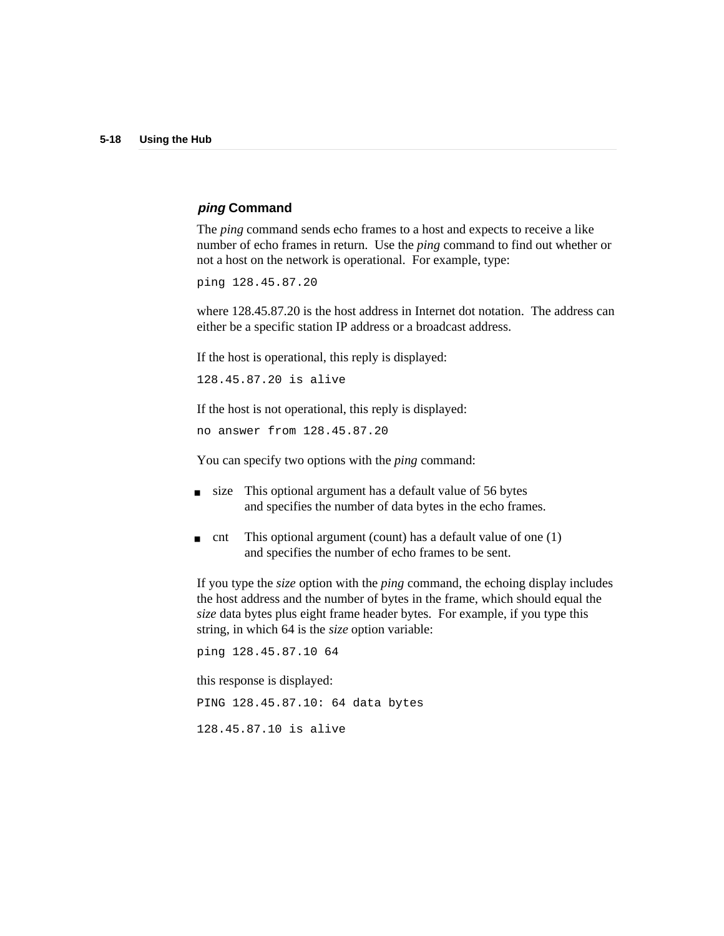#### **ping Command**

The *ping* command sends echo frames to a host and expects to receive a like number of echo frames in return. Use the *ping* command to find out whether or not a host on the network is operational. For example, type:

ping 128.45.87.20

where 128.45.87.20 is the host address in Internet dot notation. The address can either be a specific station IP address or a broadcast address.

If the host is operational, this reply is displayed:

128.45.87.20 is alive

If the host is not operational, this reply is displayed:

no answer from 128.45.87.20

You can specify two options with the *ping* command:

- size This optional argument has a default value of 56 bytes and specifies the number of data bytes in the echo frames.
- cnt This optional argument (count) has a default value of one  $(1)$ and specifies the number of echo frames to be sent.

If you type the *size* option with the *ping* command, the echoing display includes the host address and the number of bytes in the frame, which should equal the *size* data bytes plus eight frame header bytes. For example, if you type this string, in which 64 is the *size* option variable:

ping 128.45.87.10 64 this response is displayed: PING 128.45.87.10: 64 data bytes 128.45.87.10 is alive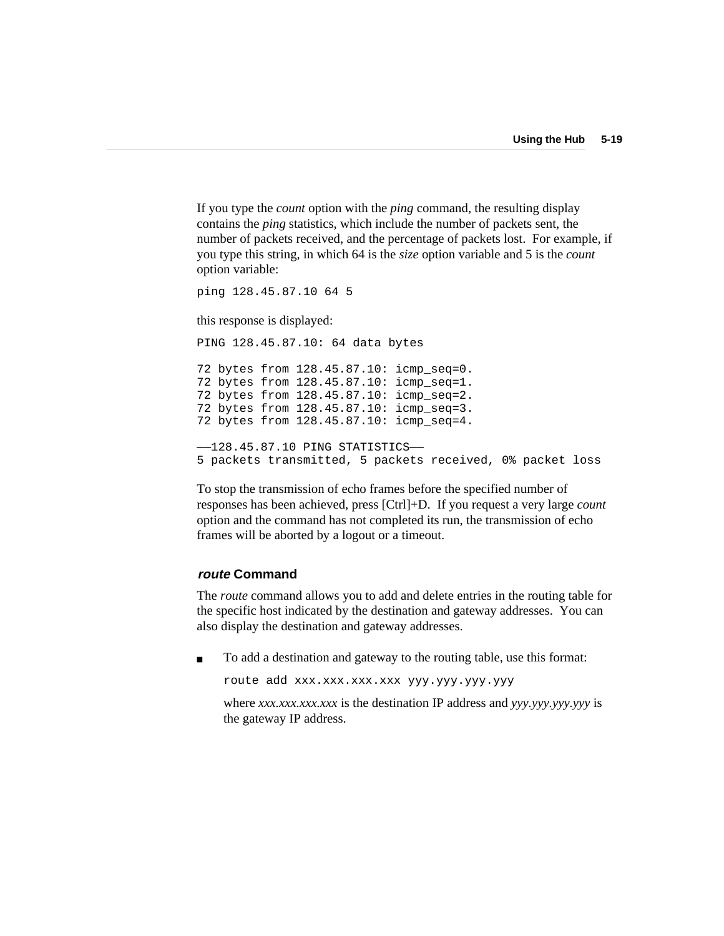If you type the *count* option with the *ping* command, the resulting display contains the *ping* statistics, which include the number of packets sent, the number of packets received, and the percentage of packets lost. For example, if you type this string, in which 64 is the *size* option variable and 5 is the *count* option variable:

```
ping 128.45.87.10 64 5
```
this response is displayed:

PING 128.45.87.10: 64 data bytes 72 bytes from 128.45.87.10: icmp\_seq=0. 72 bytes from 128.45.87.10: icmp\_seq=1. 72 bytes from 128.45.87.10: icmp\_seq=2. 72 bytes from 128.45.87.10: icmp\_seq=3. 72 bytes from 128.45.87.10: icmp\_seq=4. ——128.45.87.10 PING STATISTICS—— 5 packets transmitted, 5 packets received, 0% packet loss

To stop the transmission of echo frames before the specified number of responses has been achieved, press [Ctrl]+D. If you request a very large *count* option and the command has not completed its run, the transmission of echo frames will be aborted by a logout or a timeout.

#### **route Command**

The *route* command allows you to add and delete entries in the routing table for the specific host indicated by the destination and gateway addresses. You can also display the destination and gateway addresses.

■ To add a destination and gateway to the routing table, use this format:

route add xxx.xxx.xxx.xxx yyy.yyy.yyy.yyy

where *xxx.xxx.xxx.xxx* is the destination IP address and *yyy.yyy.yyy.yyy* is the gateway IP address.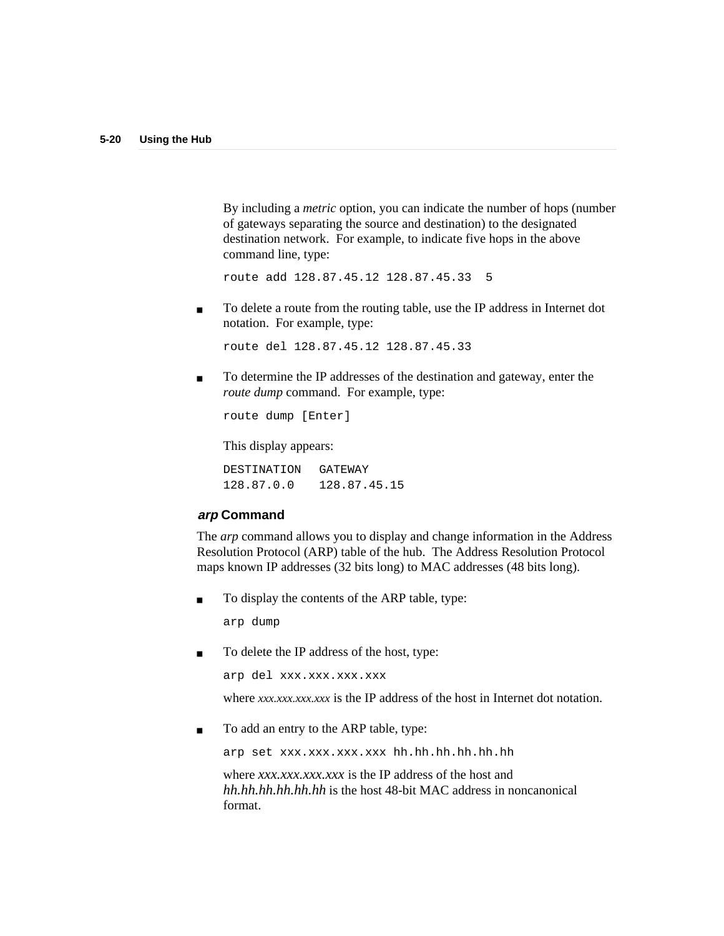By including a *metric* option, you can indicate the number of hops (number of gateways separating the source and destination) to the designated destination network. For example, to indicate five hops in the above command line, type:

route add 128.87.45.12 128.87.45.33 5

■ To delete a route from the routing table, use the IP address in Internet dot notation. For example, type:

route del 128.87.45.12 128.87.45.33

■ To determine the IP addresses of the destination and gateway, enter the *route dump* command. For example, type:

route dump [Enter]

This display appears:

DESTINATION GATEWAY 128.87.0.0 128.87.45.15

#### **arp Command**

The *arp* command allows you to display and change information in the Address Resolution Protocol (ARP) table of the hub. The Address Resolution Protocol maps known IP addresses (32 bits long) to MAC addresses (48 bits long).

To display the contents of the ARP table, type:

arp dump

■ To delete the IP address of the host, type:

```
arp del xxx.xxx.xxx.xxx
```
where *xxx.xxx.xxx* is the IP address of the host in Internet dot notation.

■ To add an entry to the ARP table, type:

arp set xxx.xxx.xxx.xxx hh.hh.hh.hh.hh.hh

where *xxx.xxx.xxx.xxx* is the IP address of the host and *hh.hh.hh.hh.hh.hh* is the host 48-bit MAC address in noncanonical format.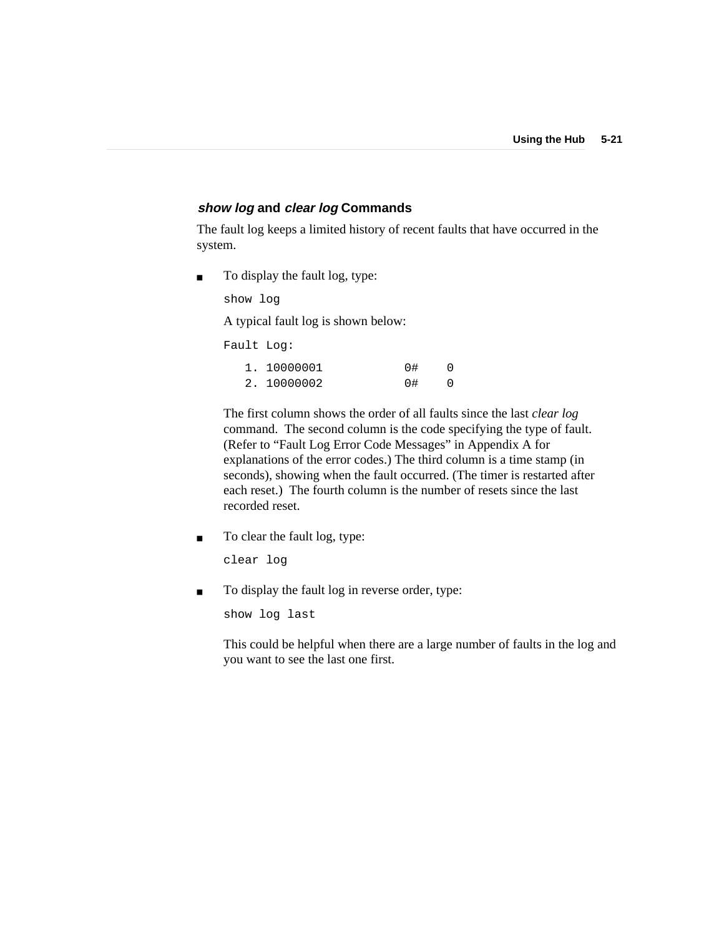#### **show log and clear log Commands**

The fault log keeps a limited history of recent faults that have occurred in the system.

■ To display the fault log, type:

show log

A typical fault log is shown below:

Fault Log:

| 1, 10000001 | 0# |  |
|-------------|----|--|
| 2. 10000002 | 0# |  |

The first column shows the order of all faults since the last *clear log* command. The second column is the code specifying the type of fault. (Refer to "Fault Log Error Code Messages" in Appendix A for explanations of the error codes.) The third column is a time stamp (in seconds), showing when the fault occurred. (The timer is restarted after each reset.) The fourth column is the number of resets since the last recorded reset.

■ To clear the fault log, type:

clear log

■ To display the fault log in reverse order, type:

show log last

This could be helpful when there are a large number of faults in the log and you want to see the last one first.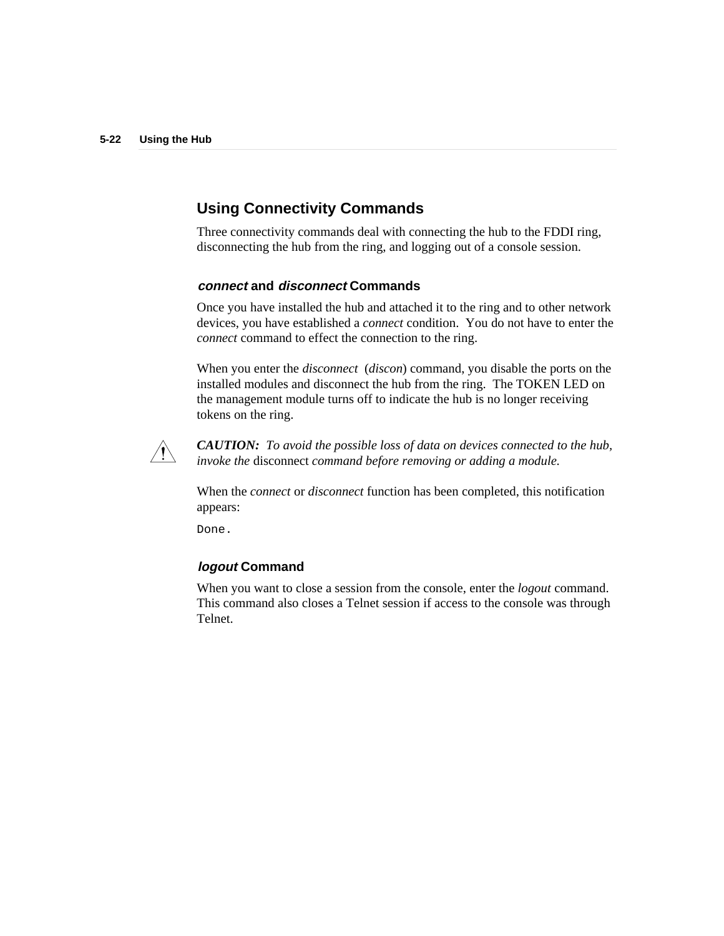# **Using Connectivity Commands**

Three connectivity commands deal with connecting the hub to the FDDI ring, disconnecting the hub from the ring, and logging out of a console session.

#### **connect and disconnect Commands**

Once you have installed the hub and attached it to the ring and to other network devices, you have established a *connect* condition. You do not have to enter the *connect* command to effect the connection to the ring.

When you enter the *disconnect* (*discon*) command, you disable the ports on the installed modules and disconnect the hub from the ring. The TOKEN LED on the management module turns off to indicate the hub is no longer receiving tokens on the ring.



*CAUTION: To avoid the possible loss of data on devices connected to the hub, invoke the* disconnect *command before removing or adding a module.*

When the *connect* or *disconnect* function has been completed, this notification appears:

Done.

#### **logout Command**

When you want to close a session from the console, enter the *logout* command. This command also closes a Telnet session if access to the console was through Telnet.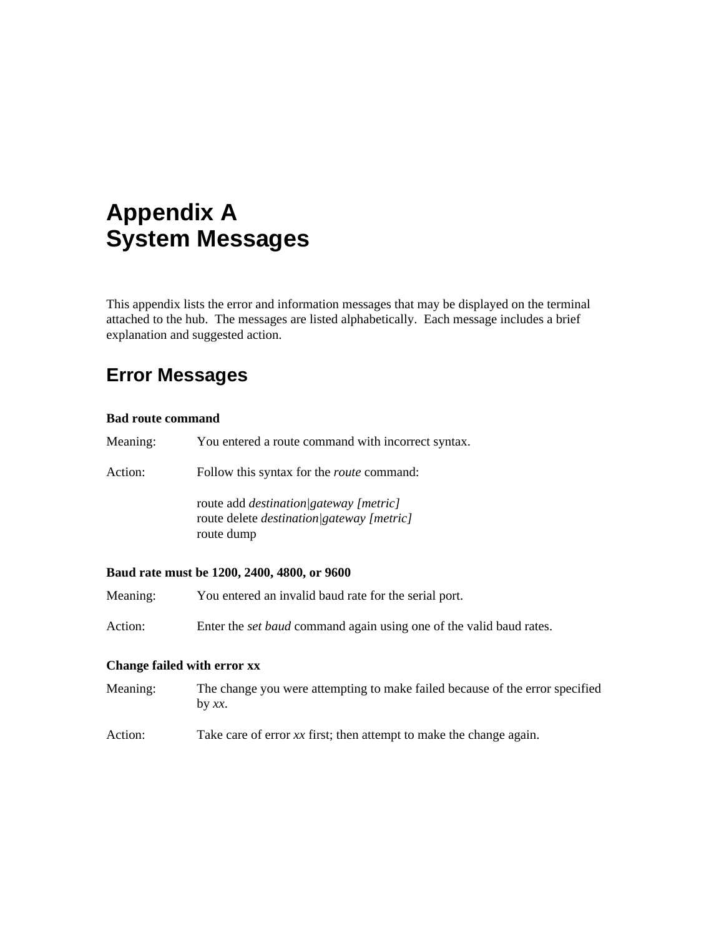# **Appendix A System Messages**

This appendix lists the error and information messages that may be displayed on the terminal attached to the hub. The messages are listed alphabetically. Each message includes a brief explanation and suggested action.

# **Error Messages**

#### **Bad route command**

| Meaning: | You entered a route command with incorrect syntax.                                                                |
|----------|-------------------------------------------------------------------------------------------------------------------|
| Action:  | Follow this syntax for the <i>route</i> command:                                                                  |
|          | route add <i>destination</i> /gateway [metric]<br>route delete <i>destination</i> /gateway [metric]<br>route dump |

#### **Baud rate must be 1200, 2400, 4800, or 9600**

- Meaning: You entered an invalid baud rate for the serial port.
- Action: Enter the *set baud* command again using one of the valid baud rates.

#### **Change failed with error xx**

- Meaning: The change you were attempting to make failed because of the error specified by *xx*.
- Action: Take care of error *xx* first; then attempt to make the change again.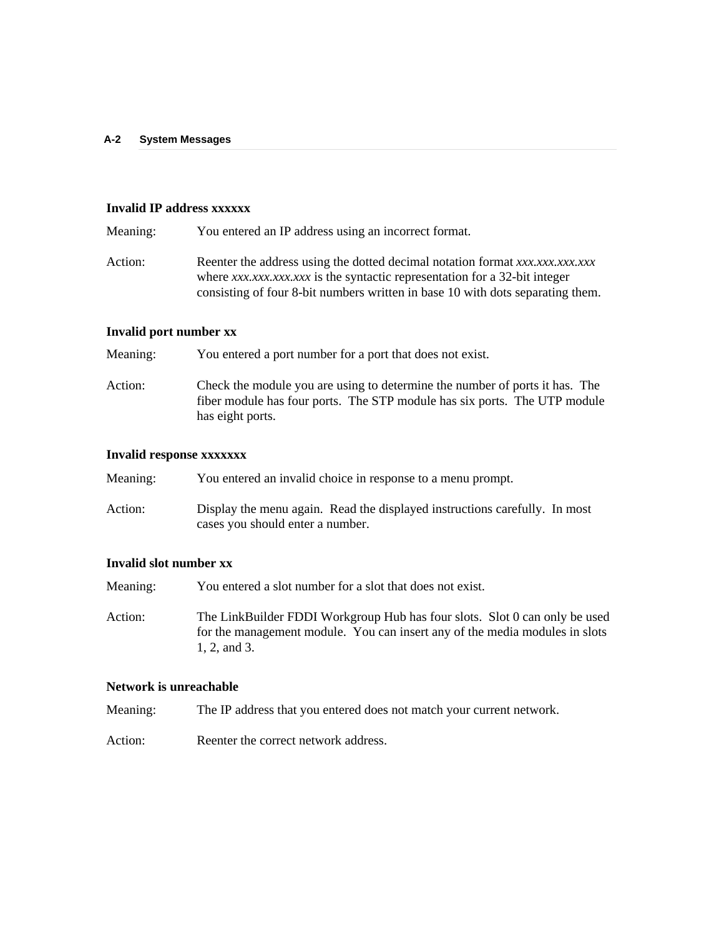#### **Invalid IP address xxxxxx**

- Meaning: You entered an IP address using an incorrect format.
- Action: Reenter the address using the dotted decimal notation format *xxx.xxx.xxx.xxx*.xxx where *xxx.xxx.xxx.xxx* is the syntactic representation for a 32-bit integer consisting of four 8-bit numbers written in base 10 with dots separating them.

#### **Invalid port number xx**

Meaning: You entered a port number for a port that does not exist.

Action: Check the module you are using to determine the number of ports it has. The fiber module has four ports. The STP module has six ports. The UTP module has eight ports.

#### **Invalid response xxxxxxx**

| Meaning: | You entered an invalid choice in response to a menu prompt.                                                    |
|----------|----------------------------------------------------------------------------------------------------------------|
| Action:  | Display the menu again. Read the displayed instructions carefully. In most<br>cases you should enter a number. |

#### **Invalid slot number xx**

Meaning: You entered a slot number for a slot that does not exist.

Action: The LinkBuilder FDDI Workgroup Hub has four slots. Slot 0 can only be used for the management module. You can insert any of the media modules in slots 1, 2, and 3.

#### **Network is unreachable**

Meaning: The IP address that you entered does not match your current network.

Action: Reenter the correct network address.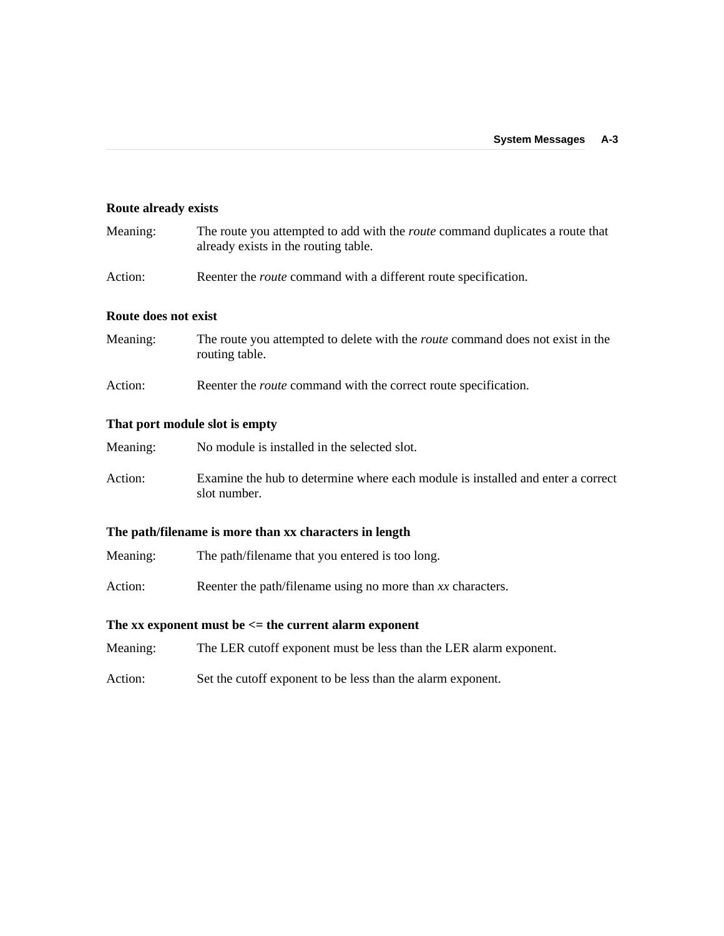#### **Route already exists**

| Meaning: | The route you attempted to add with the <i>route</i> command duplicates a route that |
|----------|--------------------------------------------------------------------------------------|
|          | already exists in the routing table.                                                 |
|          |                                                                                      |

Action: Reenter the *route* command with a different route specification.

#### **Route does not exist**

| Meaning: | The route you attempted to delete with the <i>route</i> command does not exist in the |
|----------|---------------------------------------------------------------------------------------|
|          | routing table.                                                                        |

Action: Reenter the *route* command with the correct route specification.

#### **That port module slot is empty**

- Meaning: No module is installed in the selected slot.
- Action: Examine the hub to determine where each module is installed and enter a correct slot number.

#### **The path/filename is more than xx characters in length**

- Meaning: The path/filename that you entered is too long.
- Action: Reenter the path/filename using no more than *xx* characters.

#### **The xx exponent must be <= the current alarm exponent**

- Meaning: The LER cutoff exponent must be less than the LER alarm exponent.
- Action: Set the cutoff exponent to be less than the alarm exponent.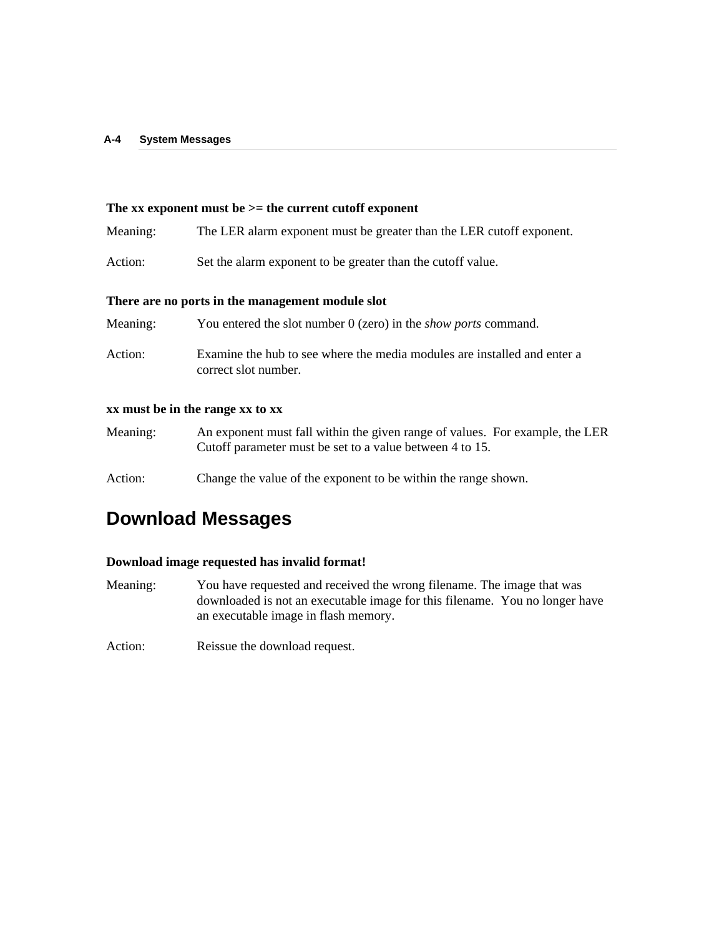#### **The xx exponent must be >= the current cutoff exponent**

| Meaning: | The LER alarm exponent must be greater than the LER cutoff exponent. |  |  |  |  |  |  |  |
|----------|----------------------------------------------------------------------|--|--|--|--|--|--|--|
|----------|----------------------------------------------------------------------|--|--|--|--|--|--|--|

Action: Set the alarm exponent to be greater than the cutoff value.

#### **There are no ports in the management module slot**

| Meaning: | You entered the slot number 0 (zero) in the <i>show ports</i> command.                           |
|----------|--------------------------------------------------------------------------------------------------|
| Action:  | Examine the hub to see where the media modules are installed and enter a<br>correct slot number. |

#### **xx must be in the range xx to xx**

- Meaning: An exponent must fall within the given range of values. For example, the LER Cutoff parameter must be set to a value between 4 to 15.
- Action: Change the value of the exponent to be within the range shown.

# **Download Messages**

#### **Download image requested has invalid format!**

- Meaning: You have requested and received the wrong filename. The image that was downloaded is not an executable image for this filename. You no longer have an executable image in flash memory.
- Action: Reissue the download request.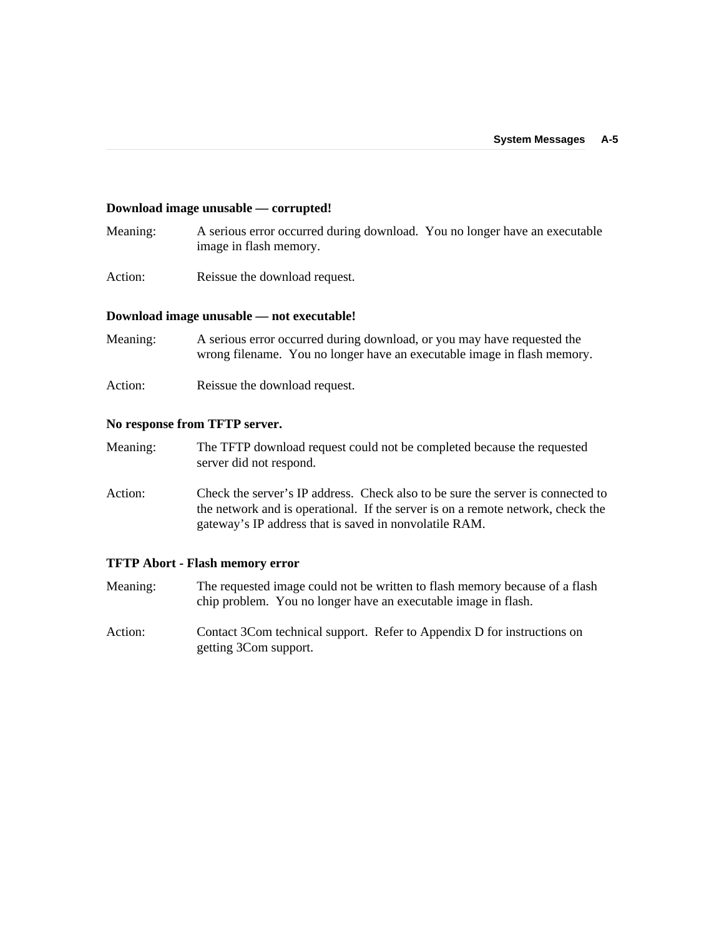#### **Download image unusable — corrupted!**

- Meaning: A serious error occurred during download. You no longer have an executable image in flash memory.
- Action: Reissue the download request.

#### **Download image unusable — not executable!**

- Meaning: A serious error occurred during download, or you may have requested the wrong filename. You no longer have an executable image in flash memory.
- Action: Reissue the download request.

#### **No response from TFTP server.**

- Meaning: The TFTP download request could not be completed because the requested server did not respond.
- Action: Check the server's IP address. Check also to be sure the server is connected to the network and is operational. If the server is on a remote network, check the gateway's IP address that is saved in nonvolatile RAM.

#### **TFTP Abort - Flash memory error**

- Meaning: The requested image could not be written to flash memory because of a flash chip problem. You no longer have an executable image in flash.
- Action: Contact 3Com technical support. Refer to Appendix D for instructions on getting 3Com support.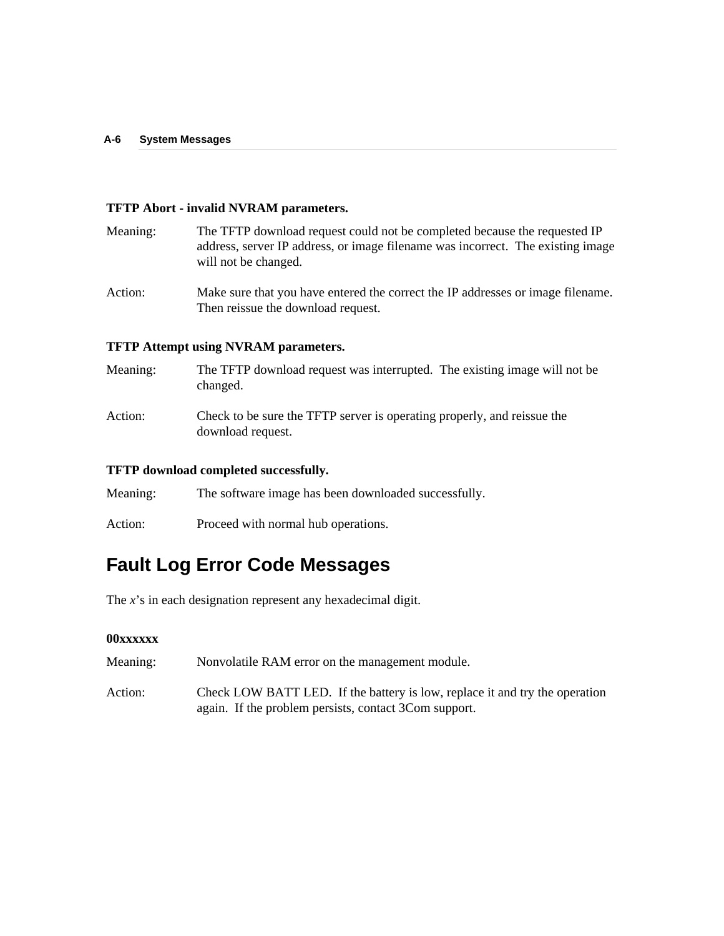#### **TFTP Abort - invalid NVRAM parameters.**

| Meaning: | The TFTP download request could not be completed because the requested IP       |
|----------|---------------------------------------------------------------------------------|
|          | address, server IP address, or image filename was incorrect. The existing image |
|          | will not be changed.                                                            |

Action: Make sure that you have entered the correct the IP addresses or image filename. Then reissue the download request.

#### **TFTP Attempt using NVRAM parameters.**

| Meaning: | The TFTP download request was interrupted. The existing image will not be<br>changed.        |
|----------|----------------------------------------------------------------------------------------------|
| Action:  | Check to be sure the TFTP server is operating properly, and reissue the<br>download request. |

#### **TFTP download completed successfully.**

| Meaning: | The software image has been downloaded successfully. |  |
|----------|------------------------------------------------------|--|
|          |                                                      |  |

Action: Proceed with normal hub operations.

# **Fault Log Error Code Messages**

The *x*'s in each designation represent any hexadecimal digit.

#### **00xxxxxx**

| Meaning: | Nonvolatile RAM error on the management module. |
|----------|-------------------------------------------------|
|          |                                                 |

Action: Check LOW BATT LED. If the battery is low, replace it and try the operation again. If the problem persists, contact 3Com support.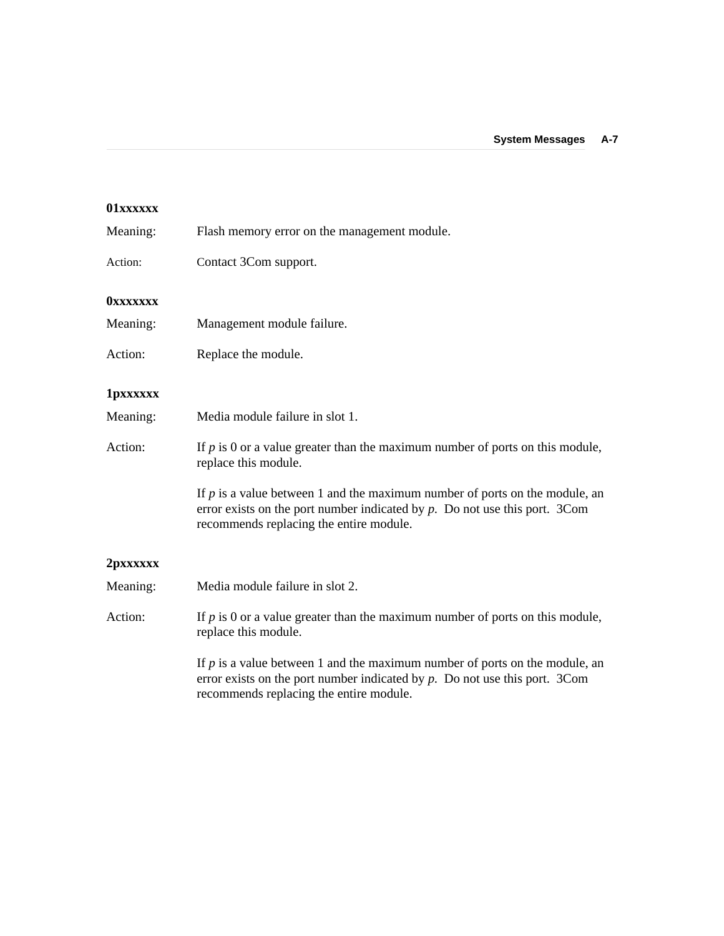| 01xxxxxx         |                                                                                                                                                                                                           |
|------------------|-----------------------------------------------------------------------------------------------------------------------------------------------------------------------------------------------------------|
| Meaning:         | Flash memory error on the management module.                                                                                                                                                              |
| Action:          | Contact 3Com support.                                                                                                                                                                                     |
| <b>OXXXXXXX</b>  |                                                                                                                                                                                                           |
| Meaning:         | Management module failure.                                                                                                                                                                                |
| Action:          | Replace the module.                                                                                                                                                                                       |
| <b>1</b> pxxxxxx |                                                                                                                                                                                                           |
| Meaning:         | Media module failure in slot 1.                                                                                                                                                                           |
| Action:          | If $p$ is 0 or a value greater than the maximum number of ports on this module,<br>replace this module.                                                                                                   |
|                  | If $p$ is a value between 1 and the maximum number of ports on the module, an<br>error exists on the port number indicated by $p$ . Do not use this port. 3Com<br>recommends replacing the entire module. |
| 2pxxxxxx         |                                                                                                                                                                                                           |
| Meaning:         | Media module failure in slot 2.                                                                                                                                                                           |
| Action:          | If $p$ is 0 or a value greater than the maximum number of ports on this module,<br>replace this module.                                                                                                   |
|                  | If $p$ is a value between 1 and the maximum number of ports on the module, an<br>error exists on the port number indicated by $p$ . Do not use this port. 3Com<br>recommends replacing the entire module. |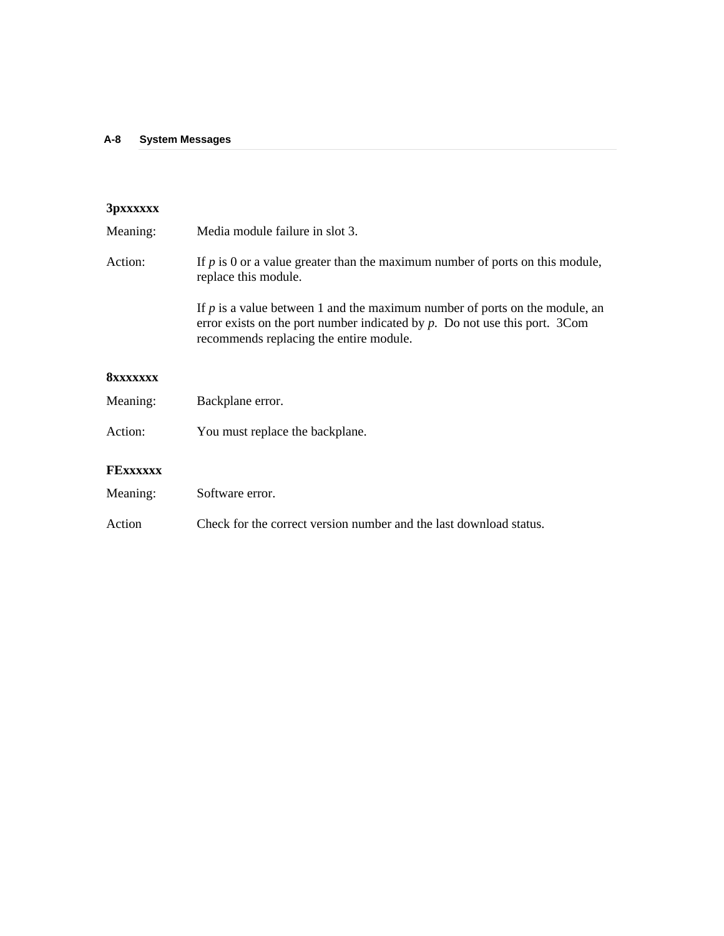# **3pxxxxxx**

| Meaning:        | Media module failure in slot 3.                                                                                                                                                                           |
|-----------------|-----------------------------------------------------------------------------------------------------------------------------------------------------------------------------------------------------------|
| Action:         | If $p$ is 0 or a value greater than the maximum number of ports on this module,<br>replace this module.                                                                                                   |
|                 | If $p$ is a value between 1 and the maximum number of ports on the module, an<br>error exists on the port number indicated by $p$ . Do not use this port. 3Com<br>recommends replacing the entire module. |
| <b>8xxxxxxx</b> |                                                                                                                                                                                                           |
| Meaning:        | Backplane error.                                                                                                                                                                                          |
| Action:         | You must replace the backplane.                                                                                                                                                                           |
| <b>FEXXXXXX</b> |                                                                                                                                                                                                           |
| Meaning:        | Software error.                                                                                                                                                                                           |
| Action          | Check for the correct version number and the last download status.                                                                                                                                        |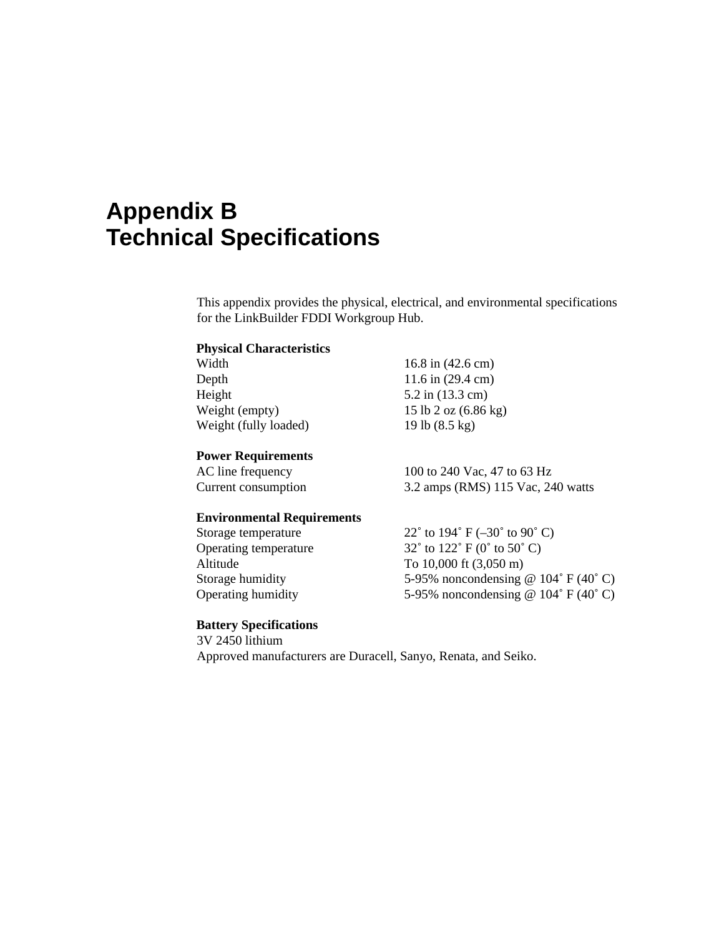# **Appendix B Technical Specifications**

This appendix provides the physical, electrical, and environmental specifications for the LinkBuilder FDDI Workgroup Hub.

# **Physical Characteristics**

| Width                 | 16.8 in $(42.6 \text{ cm})$    |
|-----------------------|--------------------------------|
| Depth                 | 11.6 in $(29.4 \text{ cm})$    |
| Height                | $5.2$ in $(13.3 \text{ cm})$   |
| Weight (empty)        | 15 lb 2 oz $(6.86 \text{ kg})$ |
| Weight (fully loaded) | 19 lb $(8.5 \text{ kg})$       |
|                       |                                |

#### **Power Requirements**

AC line frequency 100 to 240 Vac, 47 to 63 Hz Current consumption 3.2 amps (RMS) 115 Vac, 240 watts

#### **Environmental Requirements**

| Storage temperature       | 22 $^{\circ}$ to 194 $^{\circ}$ F (-30 $^{\circ}$ to 90 $^{\circ}$ C) |
|---------------------------|-----------------------------------------------------------------------|
| Operating temperature     | $32^{\circ}$ to $122^{\circ}$ F (0° to $50^{\circ}$ C)                |
| Altitude                  | To $10,000$ ft $(3,050 \text{ m})$                                    |
| Storage humidity          | 5-95% noncondensing @ $104^{\circ}$ F (40°C)                          |
| <b>Operating humidity</b> | 5-95% noncondensing @ $104^{\circ}$ F (40°C)                          |
|                           |                                                                       |

#### **Battery Specifications**

3V 2450 lithium Approved manufacturers are Duracell, Sanyo, Renata, and Seiko.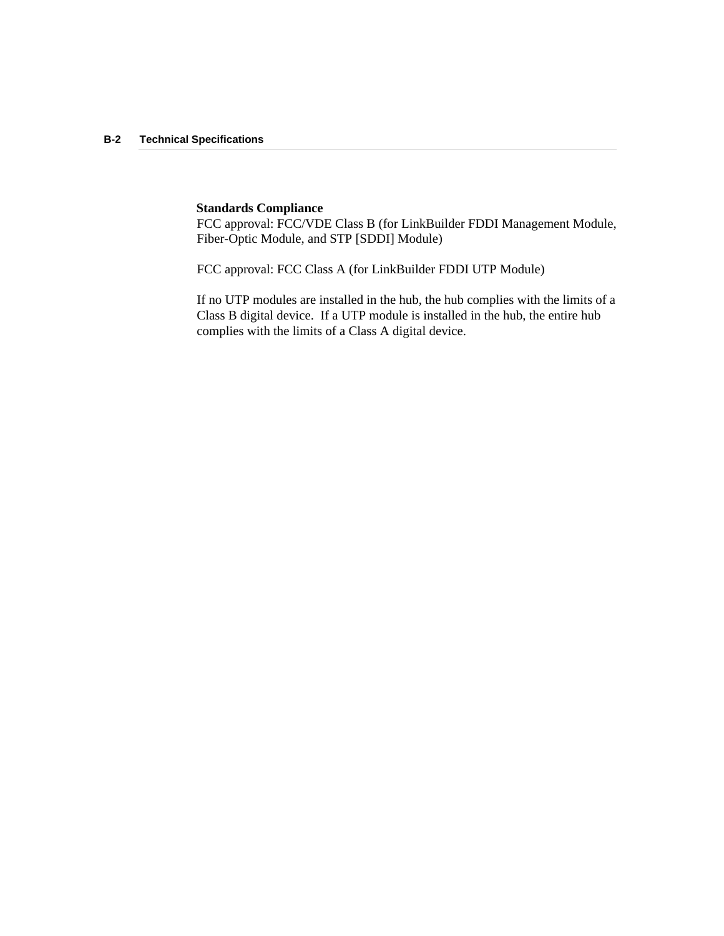#### **B-2 Technical Specifications**

#### **Standards Compliance**

FCC approval: FCC/VDE Class B (for LinkBuilder FDDI Management Module, Fiber-Optic Module, and STP [SDDI] Module)

FCC approval: FCC Class A (for LinkBuilder FDDI UTP Module)

If no UTP modules are installed in the hub, the hub complies with the limits of a Class B digital device. If a UTP module is installed in the hub, the entire hub complies with the limits of a Class A digital device.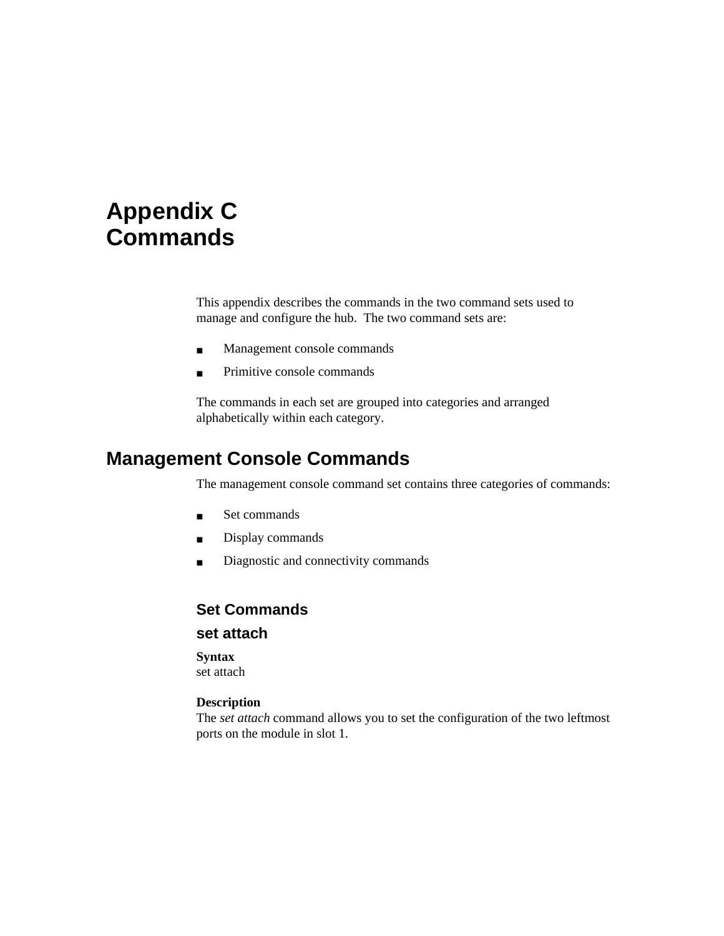# **Appendix C Commands**

This appendix describes the commands in the two command sets used to manage and configure the hub. The two command sets are:

- Management console commands
- Primitive console commands

The commands in each set are grouped into categories and arranged alphabetically within each category.

# **Management Console Commands**

The management console command set contains three categories of commands:

- Set commands
- Display commands
- Diagnostic and connectivity commands

### **Set Commands**

#### **set attach**

#### **Syntax**

set attach

#### **Description**

The *set attach* command allows you to set the configuration of the two leftmost ports on the module in slot 1.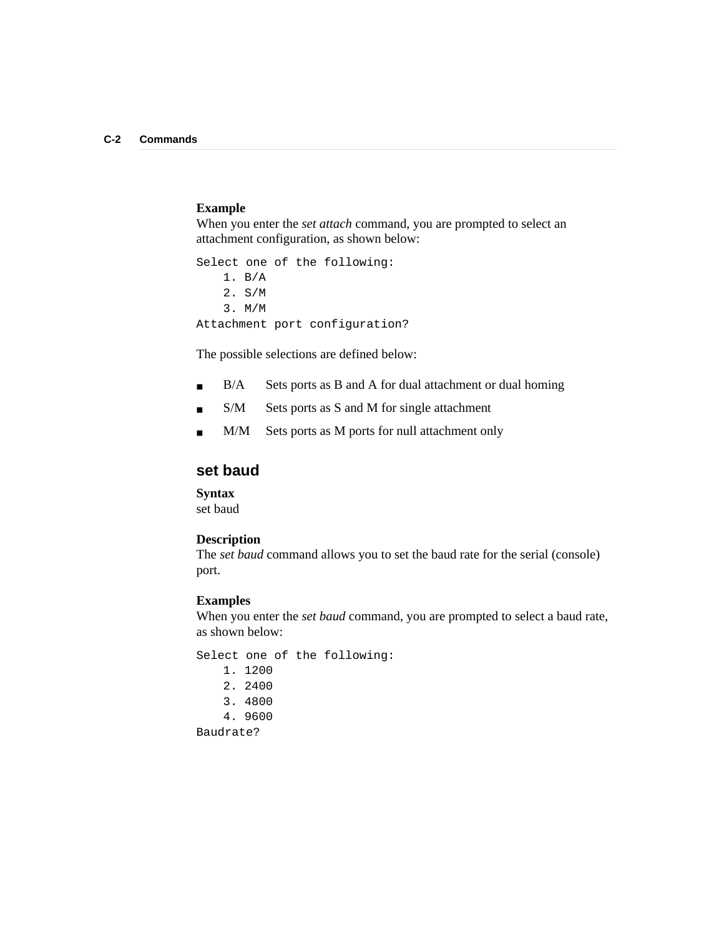#### **Example**

When you enter the *set attach* command, you are prompted to select an attachment configuration, as shown below:

Select one of the following: 1. B/A 2. S/M 3. M/M Attachment port configuration?

The possible selections are defined below:

- B/A Sets ports as B and A for dual attachment or dual homing
- S/M Sets ports as S and M for single attachment
- M/M Sets ports as M ports for null attachment only

### **set baud**

**Syntax**

set baud

#### **Description**

The *set baud* command allows you to set the baud rate for the serial (console) port.

#### **Examples**

When you enter the *set baud* command, you are prompted to select a baud rate, as shown below:

Select one of the following: 1. 1200 2. 2400 3. 4800 4. 9600 Baudrate?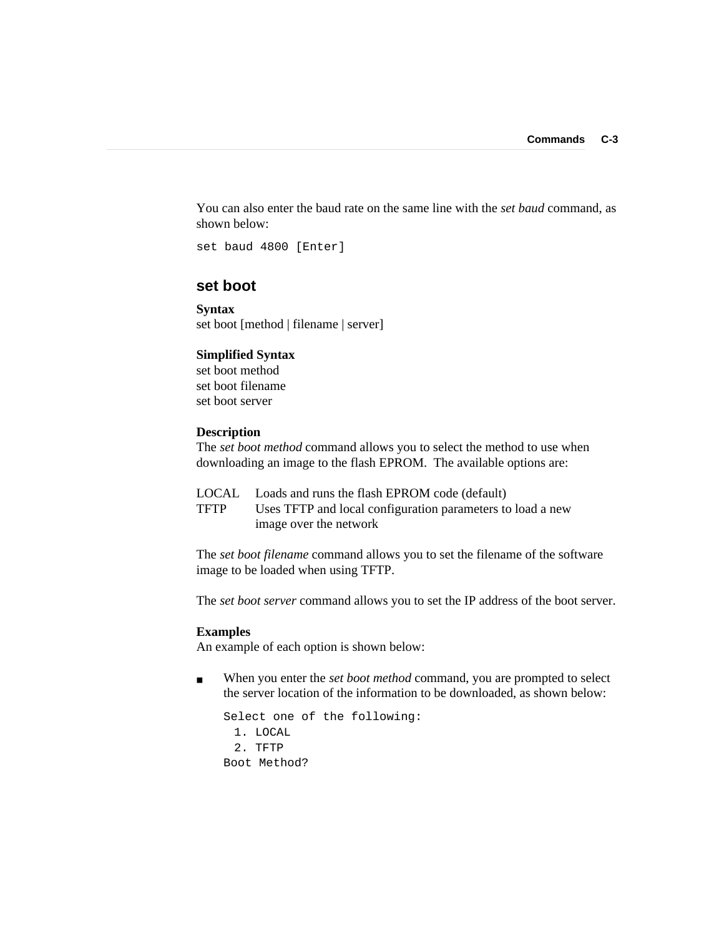You can also enter the baud rate on the same line with the *set baud* command, as shown below:

set baud 4800 [Enter]

### **set boot**

**Syntax** set boot [method | filename | server]

#### **Simplified Syntax**

set boot method set boot filename set boot server

#### **Description**

The *set boot method* command allows you to select the method to use when downloading an image to the flash EPROM. The available options are:

|      | LOCAL Loads and runs the flash EPROM code (default)        |
|------|------------------------------------------------------------|
| TFTP | Uses TFTP and local configuration parameters to load a new |
|      | image over the network                                     |

The *set boot filename* command allows you to set the filename of the software image to be loaded when using TFTP.

The *set boot server* command allows you to set the IP address of the boot server.

#### **Examples**

An example of each option is shown below:

■ When you enter the *set boot method* command, you are prompted to select the server location of the information to be downloaded, as shown below:

```
Select one of the following:
 1. LOCAL
 2. TFTP
Boot Method?
```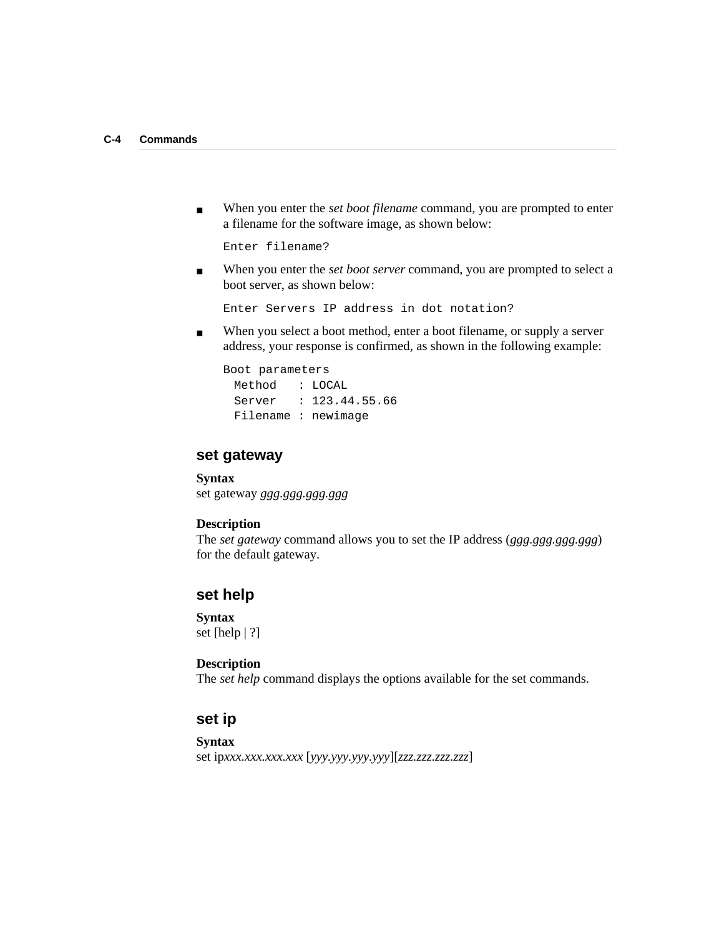■ When you enter the *set boot filename* command, you are prompted to enter a filename for the software image, as shown below:

Enter filename?

■ When you enter the *set boot server* command, you are prompted to select a boot server, as shown below:

Enter Servers IP address in dot notation?

■ When you select a boot method, enter a boot filename, or supply a server address, your response is confirmed, as shown in the following example:

```
Boot parameters
 Method : LOCAL
 Server : 123.44.55.66
 Filename : newimage
```
#### **set gateway**

**Syntax** set gateway *ggg.ggg.ggg.ggg*

#### **Description**

The *set gateway* command allows you to set the IP address (*ggg.ggg.ggg.ggg*) for the default gateway.

#### **set help**

**Syntax** set [help | ?]

#### **Description**

The *set help* command displays the options available for the set commands.

# **set ip**

#### **Syntax**

set ip*xxx.xxx.xxx.xxx* [*yyy.yyy.yyy.yyy*][*zzz.zzz.zzz.zzz*]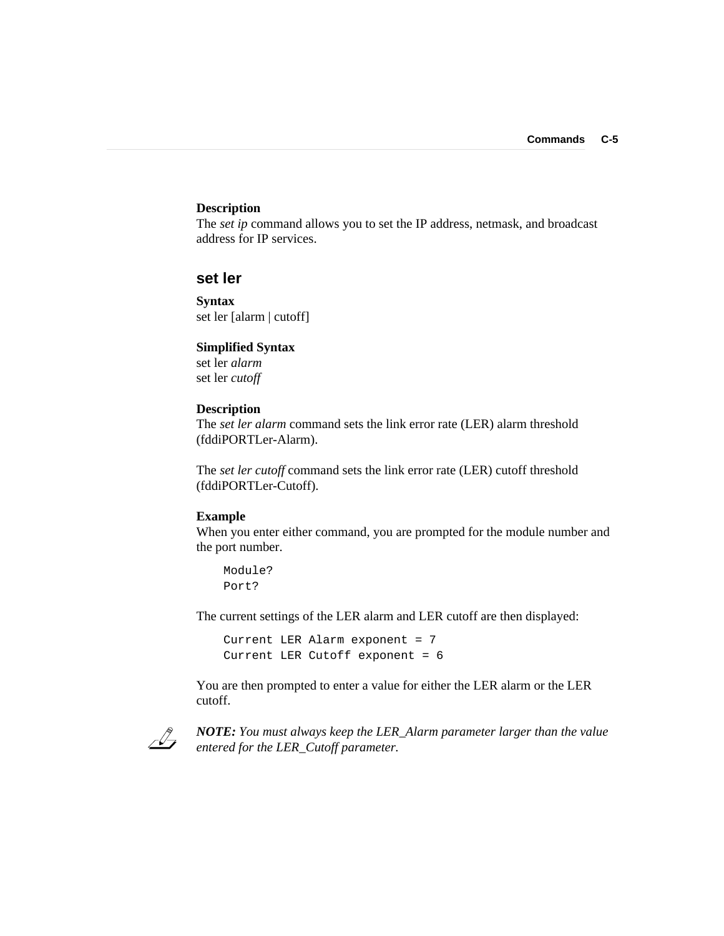#### **Description**

The *set ip* command allows you to set the IP address, netmask, and broadcast address for IP services.

#### **set ler**

**Syntax** set ler [alarm | cutoff]

#### **Simplified Syntax**

set ler *alarm* set ler *cutoff*

#### **Description**

The *set ler alarm* command sets the link error rate (LER) alarm threshold (fddiPORTLer-Alarm).

The *set ler cutoff* command sets the link error rate (LER) cutoff threshold (fddiPORTLer-Cutoff).

#### **Example**

When you enter either command, you are prompted for the module number and the port number.

Module? Port?

The current settings of the LER alarm and LER cutoff are then displayed:

```
Current LER Alarm exponent = 7
Current LER Cutoff exponent = 6
```
You are then prompted to enter a value for either the LER alarm or the LER cutoff.



*NOTE: You must always keep the LER\_Alarm parameter larger than the value entered for the LER\_Cutoff parameter.*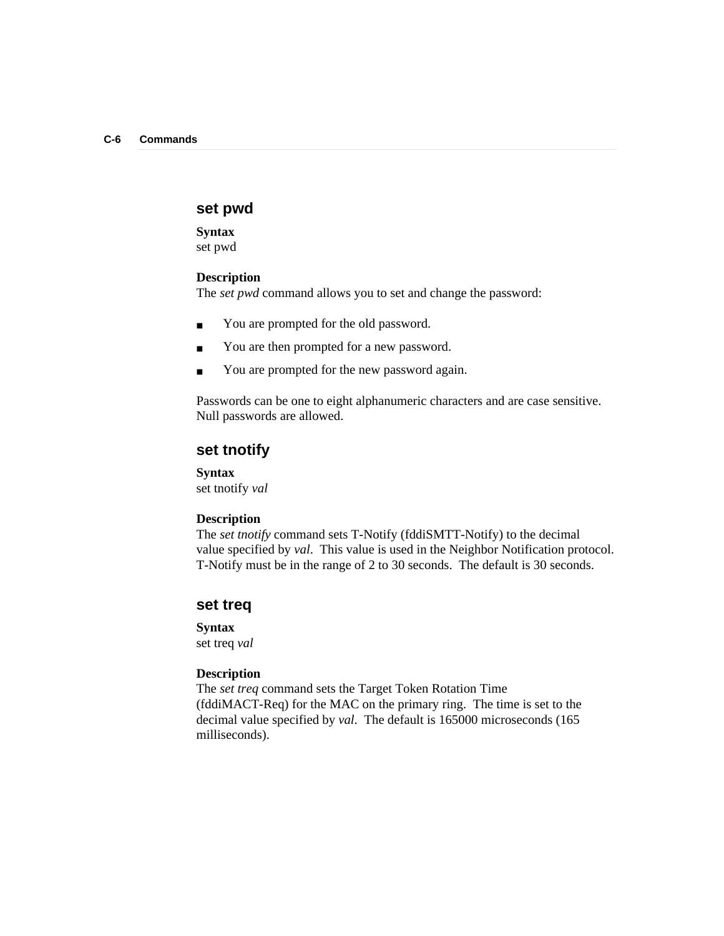#### **set pwd**

**Syntax** set pwd

#### **Description**

The *set pwd* command allows you to set and change the password:

- You are prompted for the old password.
- You are then prompted for a new password.
- You are prompted for the new password again.

Passwords can be one to eight alphanumeric characters and are case sensitive. Null passwords are allowed.

#### **set tnotify**

**Syntax**

set tnotify *val*

#### **Description**

The *set tnotify* command sets T-Notify (fddiSMTT-Notify) to the decimal value specified by *val*. This value is used in the Neighbor Notification protocol. T-Notify must be in the range of 2 to 30 seconds. The default is 30 seconds.

#### **set treq**

#### **Syntax**

set treq *val*

#### **Description**

The *set treq* command sets the Target Token Rotation Time (fddiMACT-Req) for the MAC on the primary ring. The time is set to the decimal value specified by *val*. The default is 165000 microseconds (165 milliseconds).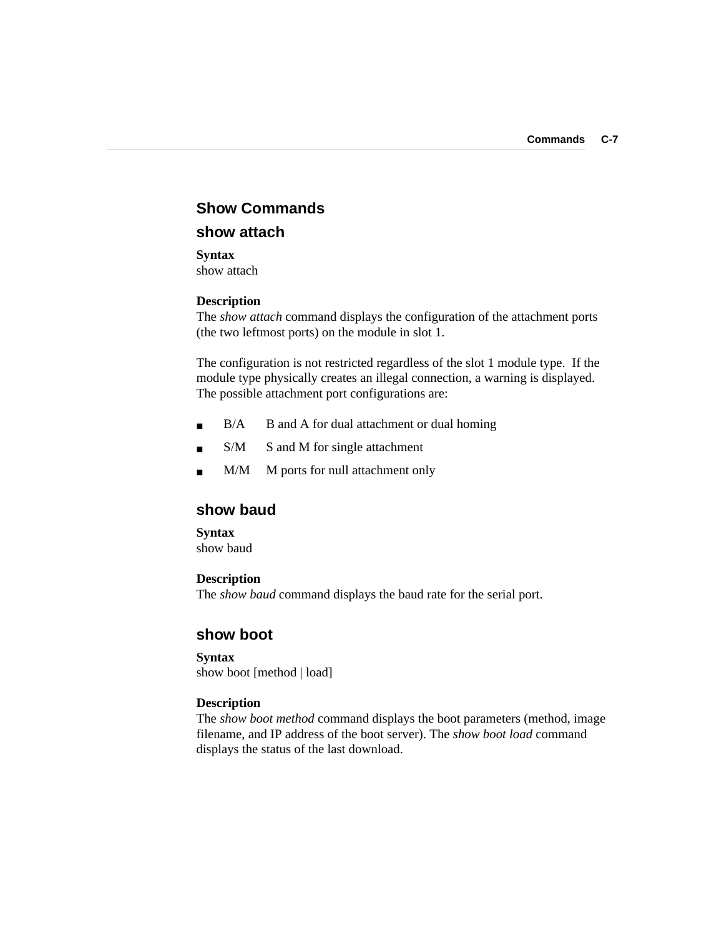# **Show Commands**

# **show attach**

**Syntax** show attach

#### **Description**

The *show attach* command displays the configuration of the attachment ports (the two leftmost ports) on the module in slot 1.

The configuration is not restricted regardless of the slot 1 module type. If the module type physically creates an illegal connection, a warning is displayed. The possible attachment port configurations are:

- B/A B and A for dual attachment or dual homing
- S/M S and M for single attachment
- M/M M ports for null attachment only

## **show baud**

#### **Syntax**

show baud

#### **Description**

The *show baud* command displays the baud rate for the serial port.

#### **show boot**

#### **Syntax** show boot [method | load]

#### **Description**

The *show boot method* command displays the boot parameters (method, image filename, and IP address of the boot server). The *show boot load* command displays the status of the last download.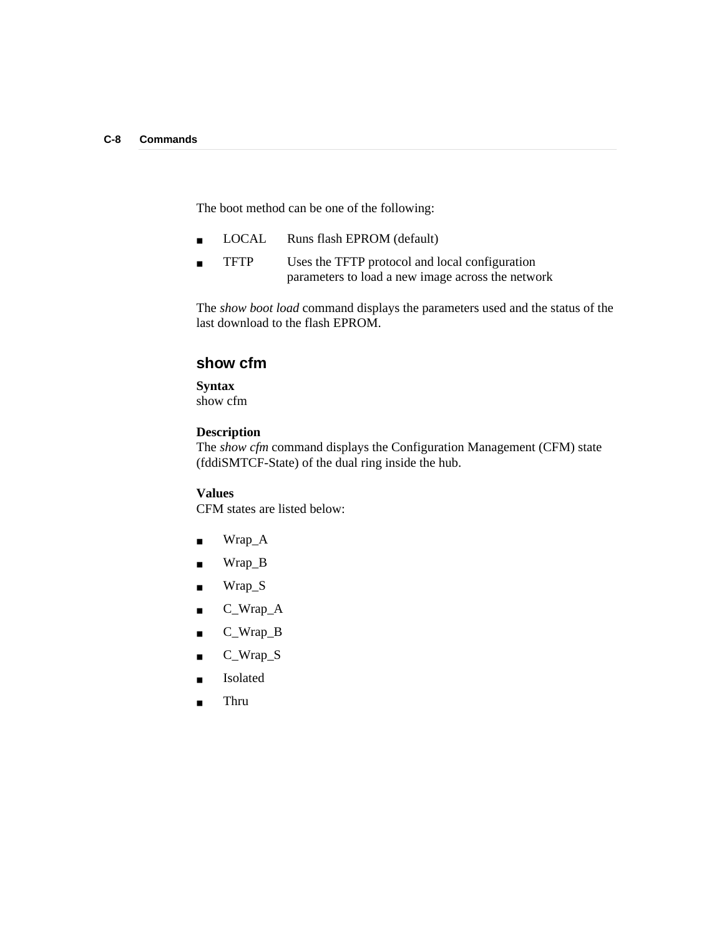The boot method can be one of the following:

- LOCAL Runs flash EPROM (default)
- TFTP Uses the TFTP protocol and local configuration parameters to load a new image across the network

The *show boot load* command displays the parameters used and the status of the last download to the flash EPROM.

#### **show cfm**

#### **Syntax**

show cfm

#### **Description**

The *show cfm* command displays the Configuration Management (CFM) state (fddiSMTCF-State) of the dual ring inside the hub.

#### **Values**

CFM states are listed below:

- Wrap\_A
- Wrap\_B
- Wrap\_S
- C\_Wrap\_A
- C\_Wrap\_B
- C\_Wrap\_S
- Isolated
- Thru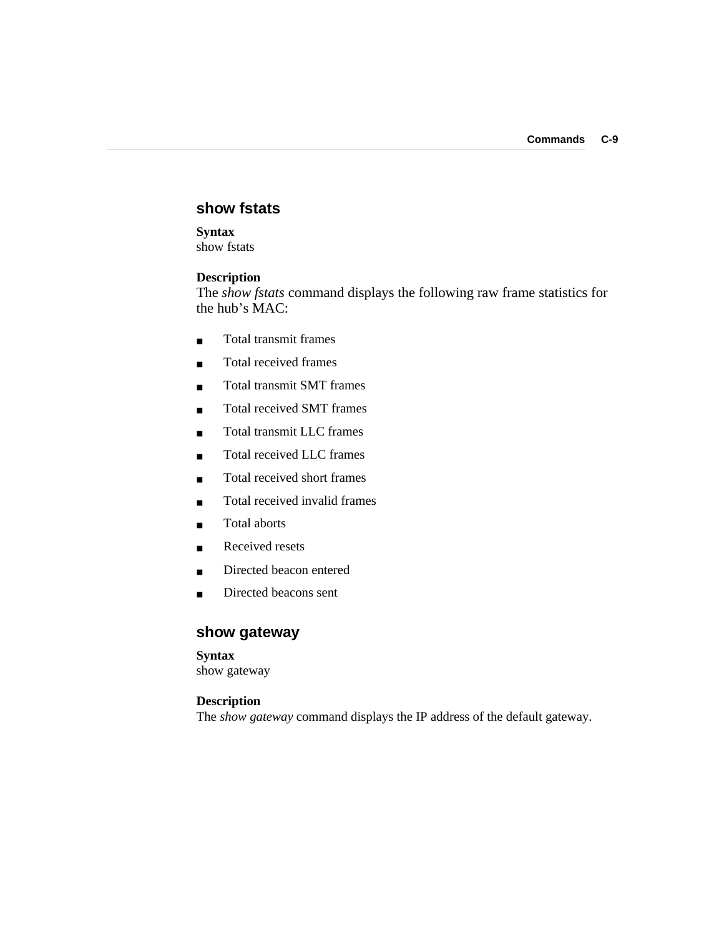### **show fstats**

# **Syntax**

show fstats

#### **Description**

The *show fstats* command displays the following raw frame statistics for the hub's MAC:

- Total transmit frames
- Total received frames
- Total transmit SMT frames
- Total received SMT frames
- Total transmit LLC frames
- Total received LLC frames
- Total received short frames
- Total received invalid frames
- Total aborts
- Received resets
- Directed beacon entered
- Directed beacons sent

# **show gateway**

#### **Syntax**

show gateway

#### **Description**

The *show gateway* command displays the IP address of the default gateway.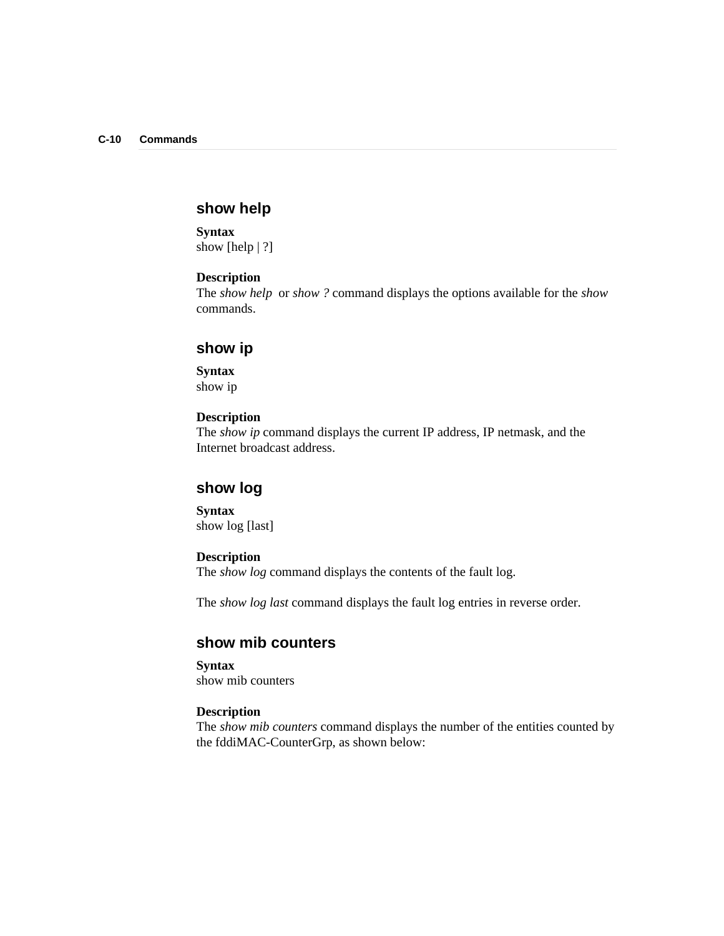# **show help**

**Syntax** show [help | ?]

#### **Description**

The *show help* or *show ?* command displays the options available for the *show* commands.

#### **show ip**

**Syntax** show ip

#### **Description**

The *show ip* command displays the current IP address, IP netmask, and the Internet broadcast address.

### **show log**

**Syntax** show log [last]

#### **Description**

The *show log* command displays the contents of the fault log.

The *show log last* command displays the fault log entries in reverse order.

## **show mib counters**

**Syntax** show mib counters

#### **Description**

The *show mib counters* command displays the number of the entities counted by the fddiMAC-CounterGrp, as shown below: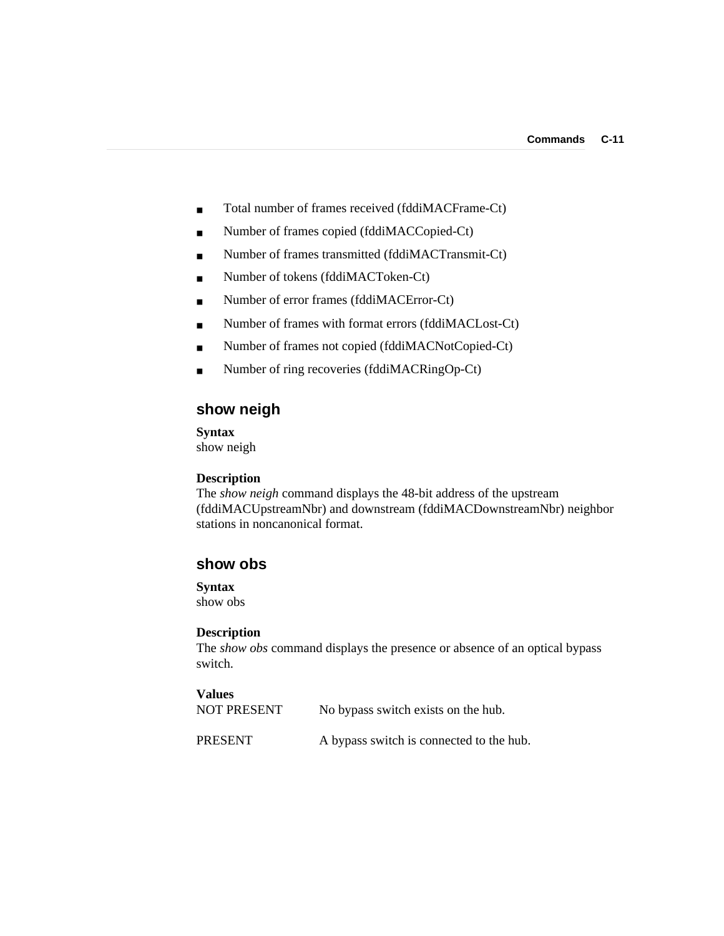- Total number of frames received (fddiMACFrame-Ct)
- Number of frames copied (fddiMACCopied-Ct)
- Number of frames transmitted (fddiMACTransmit-Ct)
- Number of tokens (fddiMACToken-Ct)
- Number of error frames (fddiMACError-Ct)
- Number of frames with format errors (fddiMACLost-Ct)
- Number of frames not copied (fddiMACNotCopied-Ct)
- Number of ring recoveries (fddiMACRingOp-Ct)

# **show neigh**

**Syntax** show neigh

#### **Description**

The *show neigh* command displays the 48-bit address of the upstream (fddiMACUpstreamNbr) and downstream (fddiMACDownstreamNbr) neighbor stations in noncanonical format.

### **show obs**

#### **Syntax**

show obs

#### **Description**

The *show obs* command displays the presence or absence of an optical bypass switch.

# **Values** NOT PRESENT No bypass switch exists on the hub.

PRESENT A bypass switch is connected to the hub.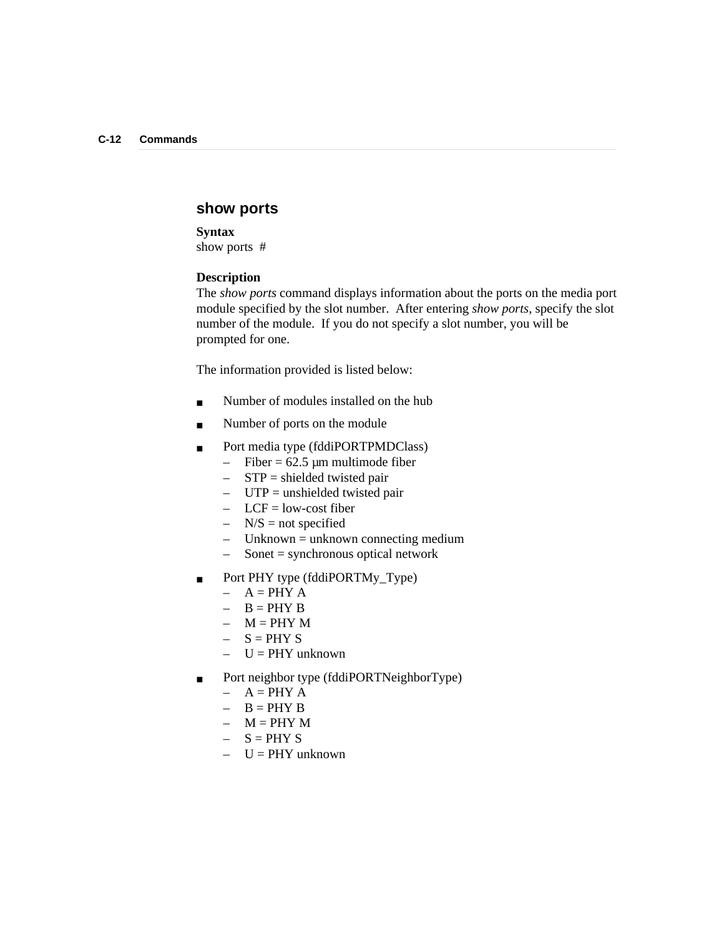### **show ports**

**Syntax** show ports #

#### **Description**

The *show ports* command displays information about the ports on the media port module specified by the slot number. After entering *show ports*, specify the slot number of the module.If you do not specify a slot number, you will be prompted for one.

The information provided is listed below:

- Number of modules installed on the hub
- Number of ports on the module
- Port media type (fddiPORTPMDClass)
	- $-$  Fiber = 62.5 µm multimode fiber
	- $-$  STP = shielded twisted pair
	- $-$  UTP = unshielded twisted pair
	- $-$  LCF = low-cost fiber
	- $-$  N/S = not specified
	- $-$  Unknown = unknown connecting medium
	- $-$  Sonet = synchronous optical network
- Port PHY type (fddiPORTMy\_Type)
	- $A = PHY A$
	- $-$  B = PHY B
	- $M = PHY M$
	- $S = PHY S$
	- $-$  U = PHY unknown
- Port neighbor type (fddiPORTNeighborType)
	- $A = PHY A$
	- $-$  B = PHY B
	- $M = PHY M$
	- $S = PHY S$
	- $-$  U = PHY unknown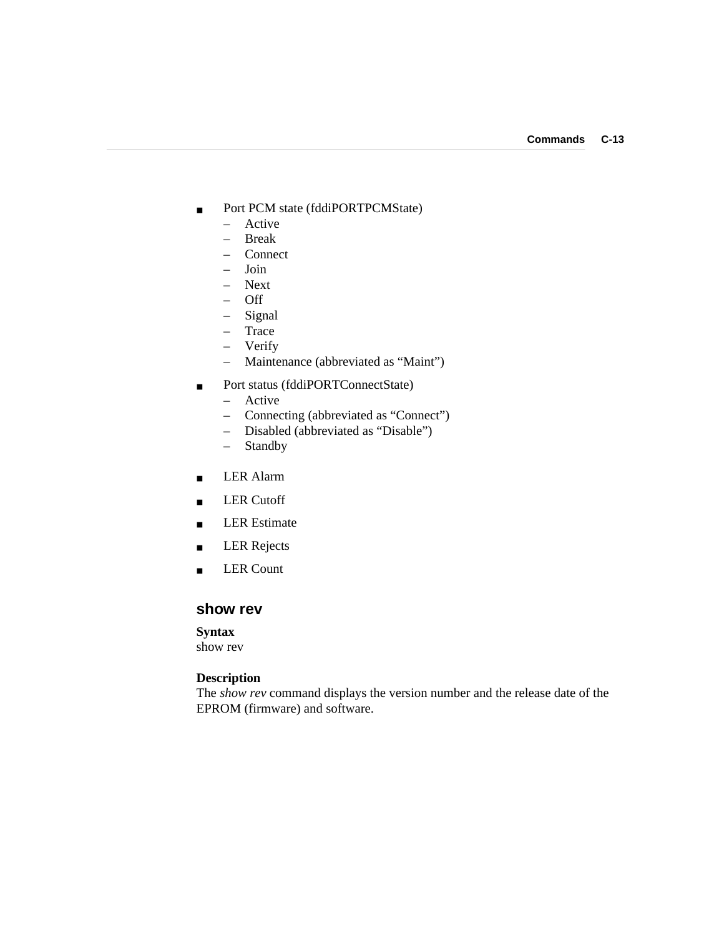- Port PCM state (fddiPORTPCMState)
	- Active
	- Break
	- Connect
	- Join
	- Next
	- Off
	- Signal
	- Trace
	- Verify
	- Maintenance (abbreviated as "Maint")
- Port status (fddiPORTConnectState)
	- Active
	- Connecting (abbreviated as "Connect")
	- Disabled (abbreviated as "Disable")
	- Standby
- LER Alarm
- LER Cutoff
- LER Estimate
- LER Rejects
- LER Count

### **show rev**

#### **Syntax**

show rev

### **Description**

The *show rev* command displays the version number and the release date of the EPROM (firmware) and software.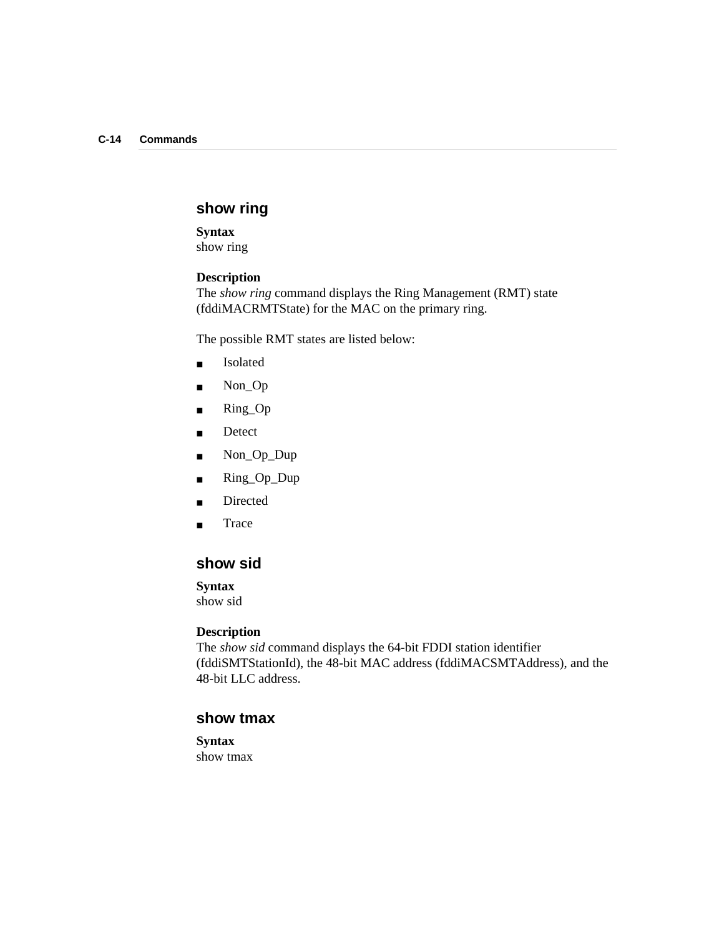# **show ring**

**Syntax** show ring

#### **Description**

The *show ring* command displays the Ring Management (RMT) state (fddiMACRMTState) for the MAC on the primary ring.

The possible RMT states are listed below:

- Isolated
- Non\_Op
- Ring\_Op
- Detect
- Non\_Op\_Dup
- Ring\_Op\_Dup
- Directed
- Trace

### **show sid**

**Syntax**

show sid

### **Description**

The *show sid* command displays the 64-bit FDDI station identifier (fddiSMTStationId), the 48-bit MAC address (fddiMACSMTAddress), and the 48-bit LLC address.

### **show tmax**

**Syntax** show tmax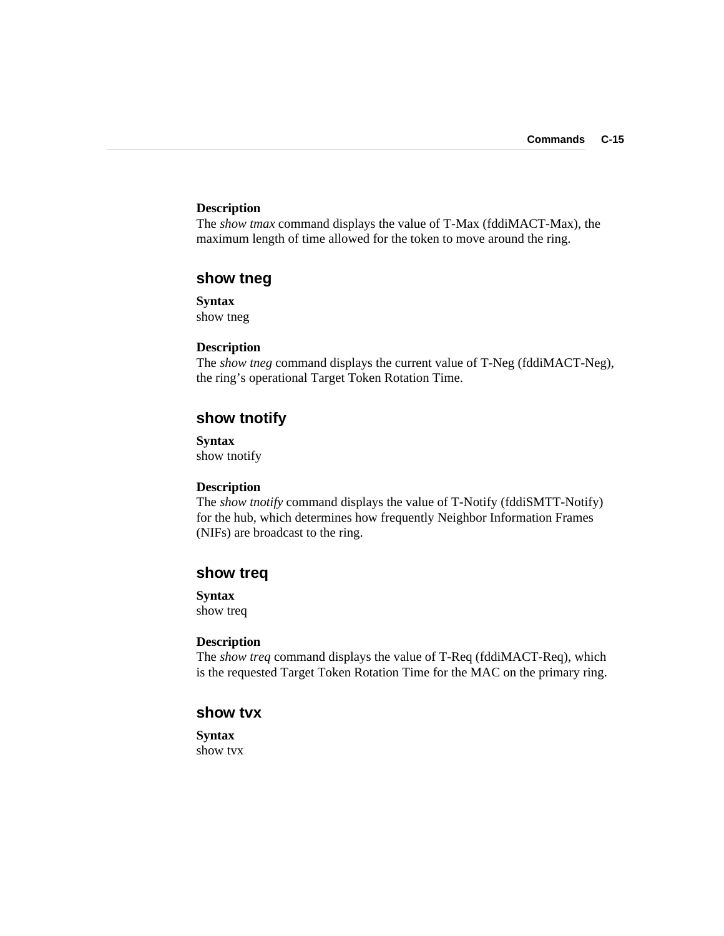### **Description**

The *show tmax* command displays the value of T-Max (fddiMACT-Max), the maximum length of time allowed for the token to move around the ring.

### **show tneg**

**Syntax** show tneg

#### **Description**

The *show tneg* command displays the current value of T-Neg (fddiMACT-Neg), the ring's operational Target Token Rotation Time.

# **show tnotify**

**Syntax** show tnotify

#### **Description**

The *show tnotify* command displays the value of T-Notify (fddiSMTT-Notify) for the hub, which determines how frequently Neighbor Information Frames (NIFs) are broadcast to the ring.

### **show treq**

**Syntax**

show treq

#### **Description**

The *show treq* command displays the value of T-Req (fddiMACT-Req), which is the requested Target Token Rotation Time for the MAC on the primary ring.

### **show tvx**

**Syntax** show tvx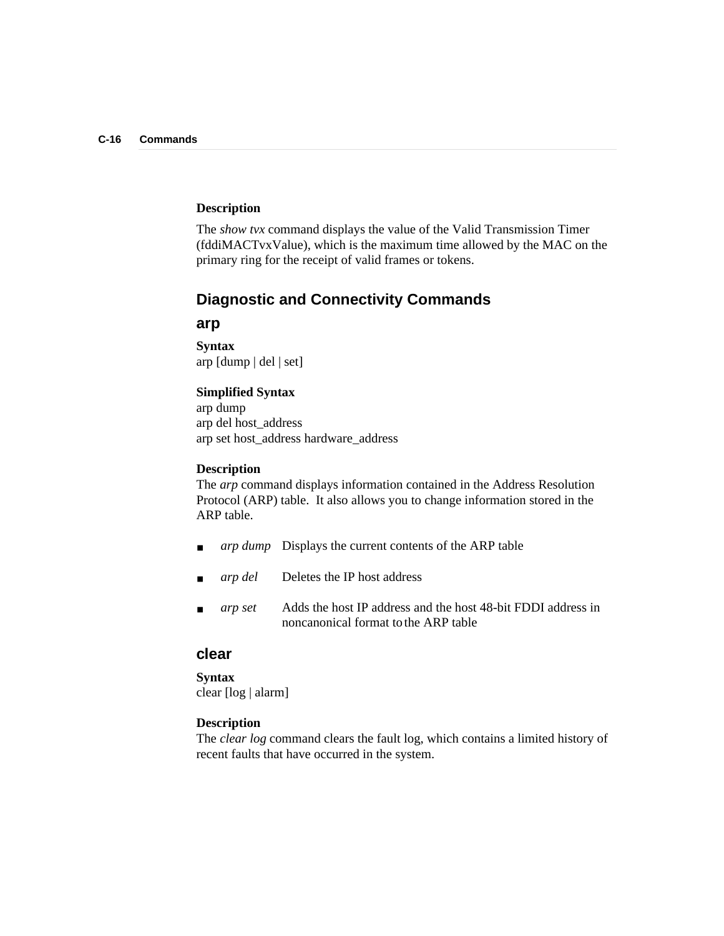### **Description**

The *show tvx* command displays the value of the Valid Transmission Timer (fddiMACTvxValue), which is the maximum time allowed by the MAC on the primary ring for the receipt of valid frames or tokens.

## **Diagnostic and Connectivity Commands**

### **arp**

**Syntax** arp [dump | del | set]

#### **Simplified Syntax**

arp dump arp del host\_address arp set host\_address hardware\_address

#### **Description**

The *arp* command displays information contained in the Address Resolution Protocol (ARP) table. It also allows you to change information stored in the ARP table.

- *arp dump* Displays the current contents of the ARP table
- arp del Deletes the IP host address
- *arp set* Adds the host IP address and the host 48-bit FDDI address in noncanonical format to the ARP table

### **clear**

### **Syntax** clear [log | alarm]

#### **Description**

The *clear log* command clears the fault log, which contains a limited history of recent faults that have occurred in the system.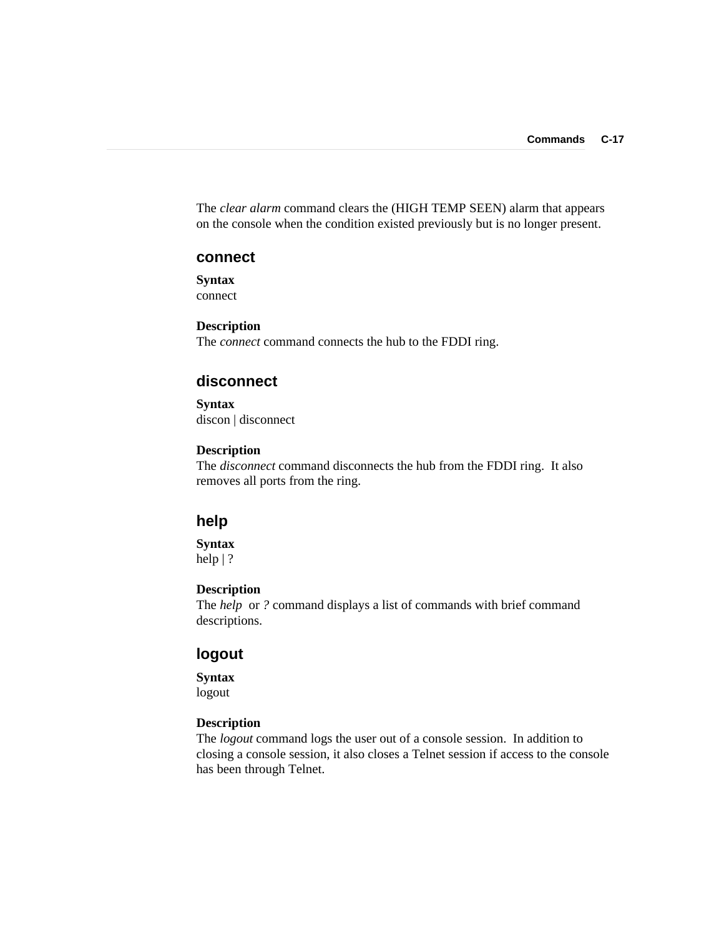The *clear alarm* command clears the (HIGH TEMP SEEN) alarm that appears on the console when the condition existed previously but is no longer present.

#### **connect**

**Syntax** connect

**Description** The *connect* command connects the hub to the FDDI ring.

### **disconnect**

**Syntax** discon | disconnect

### **Description**

The *disconnect* command disconnects the hub from the FDDI ring. It also removes all ports from the ring.

### **help**

**Syntax** help | ?

#### **Description**

The *help* or *?* command displays a list of commands with brief command descriptions.

### **logout**

**Syntax**

logout

### **Description**

The *logout* command logs the user out of a console session. In addition to closing a console session, it also closes a Telnet session if access to the console has been through Telnet.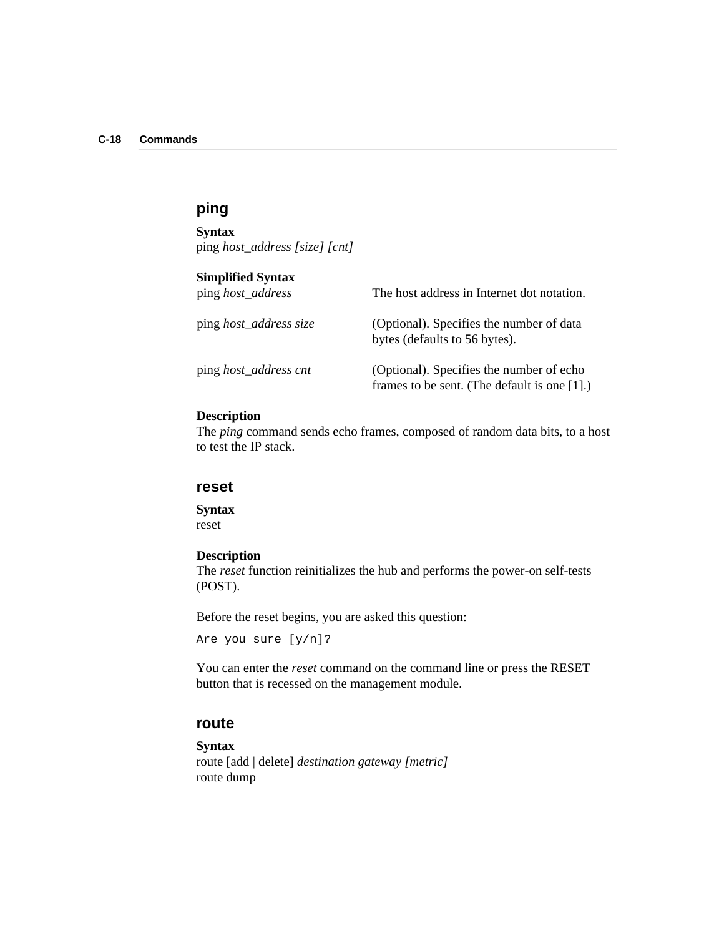# **ping**

**Syntax** ping *host\_address [size] [cnt]*

# **Simplified Syntax**<br>ping *host\_address*

| ping <i>host_address</i>      | The host address in Internet dot notation.                                                  |
|-------------------------------|---------------------------------------------------------------------------------------------|
| ping <i>host_address size</i> | (Optional). Specifies the number of data<br>bytes (defaults to 56 bytes).                   |
| ping <i>host_address cnt</i>  | (Optional). Specifies the number of echo<br>frames to be sent. (The default is one $[1]$ .) |

### **Description**

The *ping* command sends echo frames, composed of random data bits, to a host to test the IP stack.

#### **reset**

**Syntax** reset

#### **Description**

The *reset* function reinitializes the hub and performs the power-on self-tests (POST).

Before the reset begins, you are asked this question:

```
Are you sure [y/n]?
```
You can enter the *reset* command on the command line or press the RESET button that is recessed on the management module.

### **route**

#### **Syntax**

route [add | delete] *destination gateway [metric]* route dump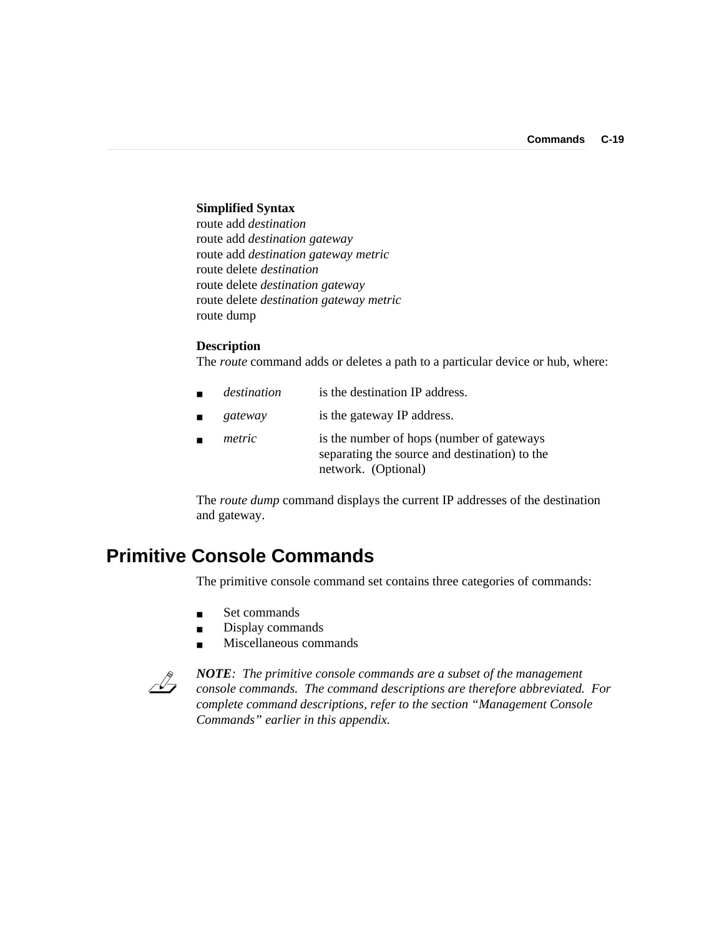#### **Simplified Syntax**

route add *destination* route add *destination gateway* route add *destination gateway metric* route delete *destination* route delete *destination gateway* route delete *destination gateway metric* route dump

#### **Description**

The *route* command adds or deletes a path to a particular device or hub, where:

- destination is the destination IP address.
- gateway is the gateway IP address.
- *metric* is the number of hops (number of gateways separating the source and destination) to the network. (Optional)

The *route dump* command displays the current IP addresses of the destination and gateway.

# **Primitive Console Commands**

The primitive console command set contains three categories of commands:

- Set commands
- Display commands
- Miscellaneous commands



*NOTE: The primitive console commands are a subset of the management console commands. The command descriptions are therefore abbreviated. For complete command descriptions, refer to the section "Management Console Commands" earlier in this appendix.*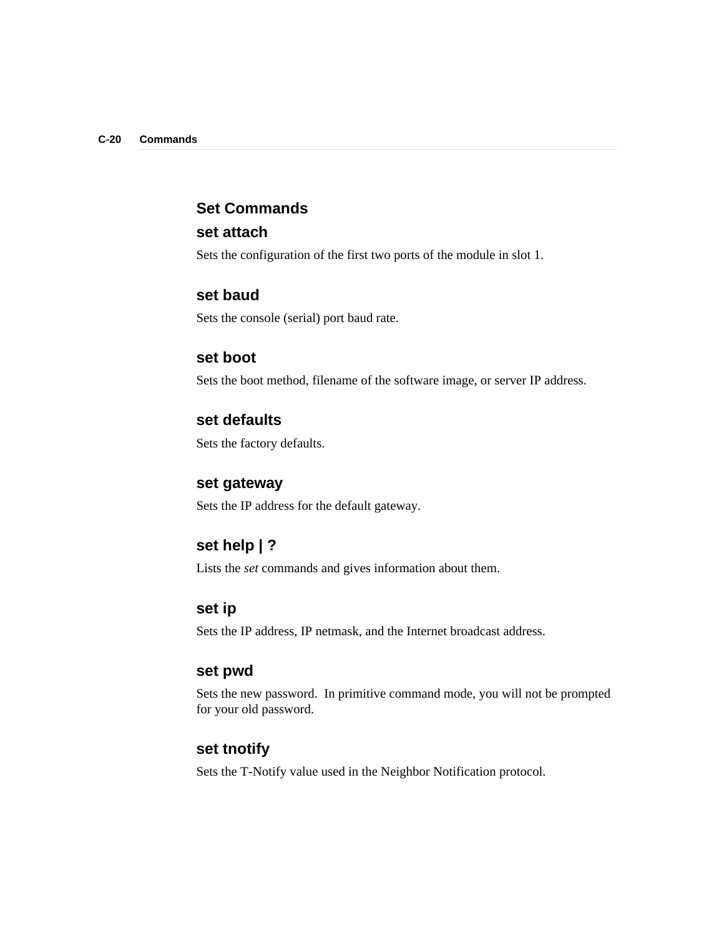### **Set Commands**

### **set attach**

Sets the configuration of the first two ports of the module in slot 1.

### **set baud**

Sets the console (serial) port baud rate.

### **set boot**

Sets the boot method, filename of the software image, or server IP address.

### **set defaults**

Sets the factory defaults.

### **set gateway**

Sets the IP address for the default gateway.

# **set help | ?**

Lists the *set* commands and gives information about them.

### **set ip**

Sets the IP address, IP netmask, and the Internet broadcast address.

### **set pwd**

Sets the new password. In primitive command mode, you will not be prompted for your old password.

## **set tnotify**

Sets the T-Notify value used in the Neighbor Notification protocol.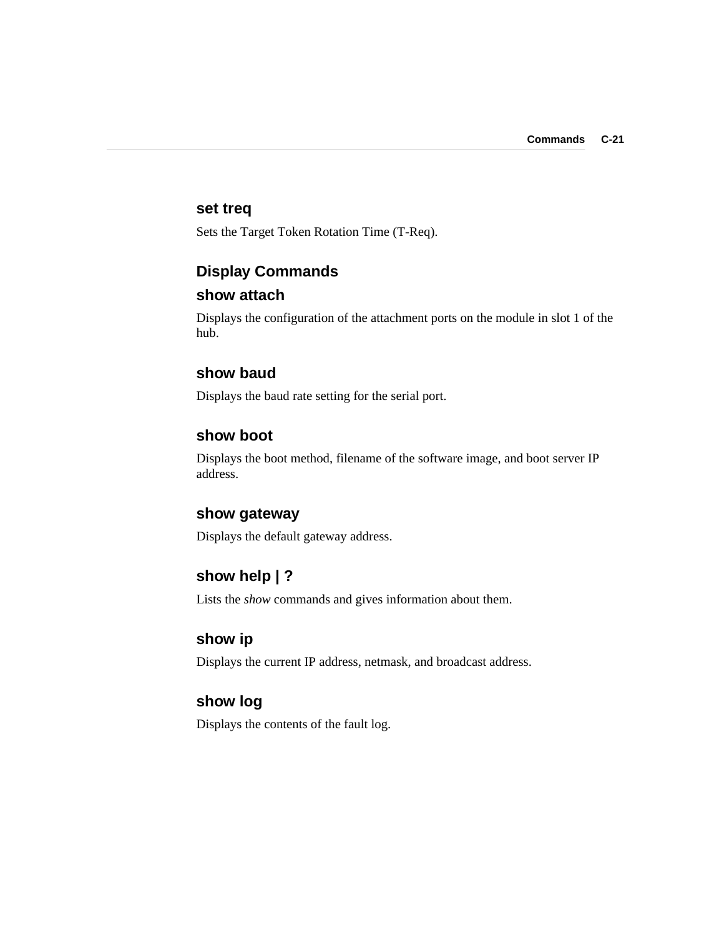### **set treq**

Sets the Target Token Rotation Time (T-Req).

# **Display Commands**

## **show attach**

Displays the configuration of the attachment ports on the module in slot 1 of the hub.

### **show baud**

Displays the baud rate setting for the serial port.

## **show boot**

Displays the boot method, filename of the software image, and boot server IP address.

### **show gateway**

Displays the default gateway address.

## **show help | ?**

Lists the *show* commands and gives information about them.

### **show ip**

Displays the current IP address, netmask, and broadcast address.

# **show log**

Displays the contents of the fault log.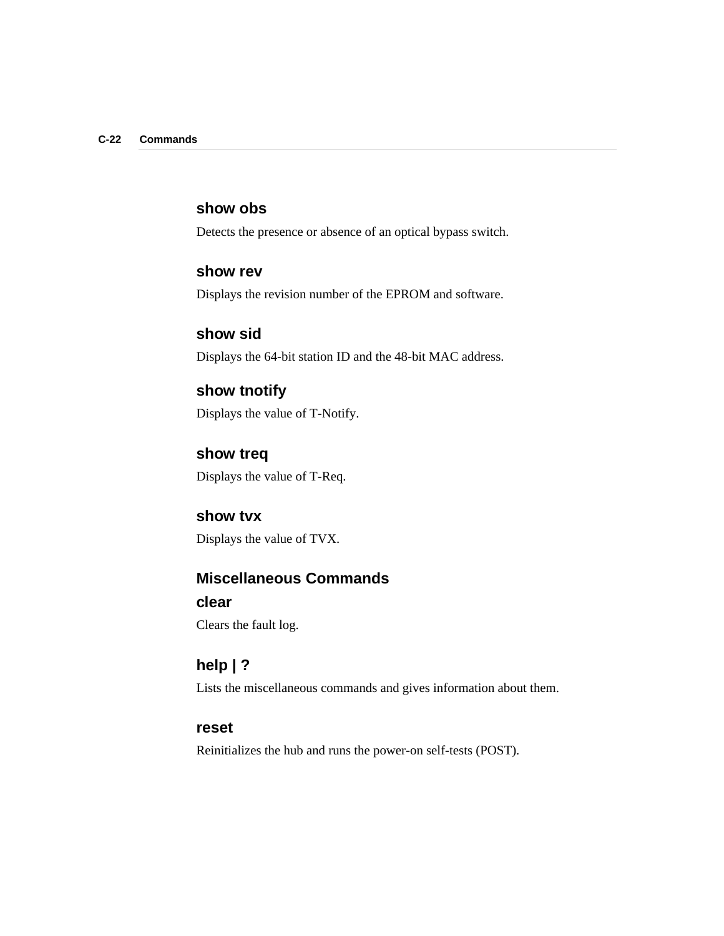## **show obs**

Detects the presence or absence of an optical bypass switch.

### **show rev**

Displays the revision number of the EPROM and software.

**show sid** Displays the 64-bit station ID and the 48-bit MAC address.

**show tnotify** Displays the value of T-Notify.

**show treq** Displays the value of T-Req.

**show tvx** Displays the value of TVX.

# **Miscellaneous Commands**

## **clear**

Clears the fault log.

# **help | ?**

Lists the miscellaneous commands and gives information about them.

### **reset**

Reinitializes the hub and runs the power-on self-tests (POST).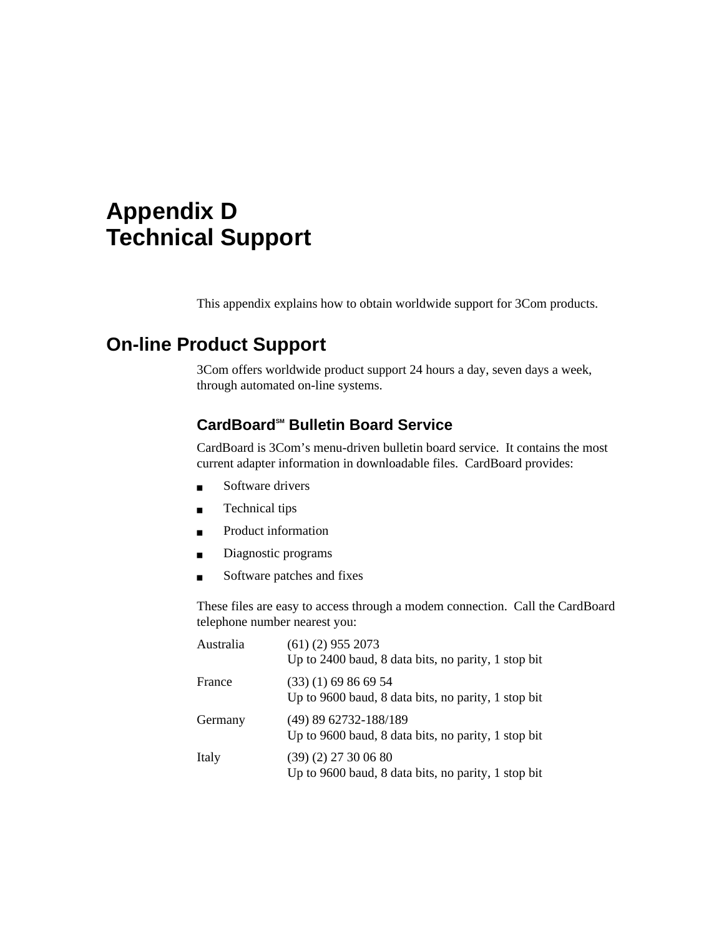# **Appendix D Technical Support**

This appendix explains how to obtain worldwide support for 3Com products.

# **On-line Product Support**

3Com offers worldwide product support 24 hours a day, seven days a week, through automated on-line systems.

# CardBoard<sup>™</sup> Bulletin Board Service

CardBoard is 3Com's menu-driven bulletin board service. It contains the most current adapter information in downloadable files. CardBoard provides:

- Software drivers
- Technical tips
- Product information
- Diagnostic programs
- Software patches and fixes

These files are easy to access through a modem connection. Call the CardBoard telephone number nearest you:

| Australia | $(61)$ (2) 955 2073<br>Up to 2400 baud, 8 data bits, no parity, 1 stop bit   |
|-----------|------------------------------------------------------------------------------|
| France    | $(33)(1)$ 69 86 69 54<br>Up to 9600 baud, 8 data bits, no parity, 1 stop bit |
| Germany   | (49) 89 62732-188/189<br>Up to 9600 baud, 8 data bits, no parity, 1 stop bit |
| Italy     | $(39)(2)$ 27 30 06 80<br>Up to 9600 baud, 8 data bits, no parity, 1 stop bit |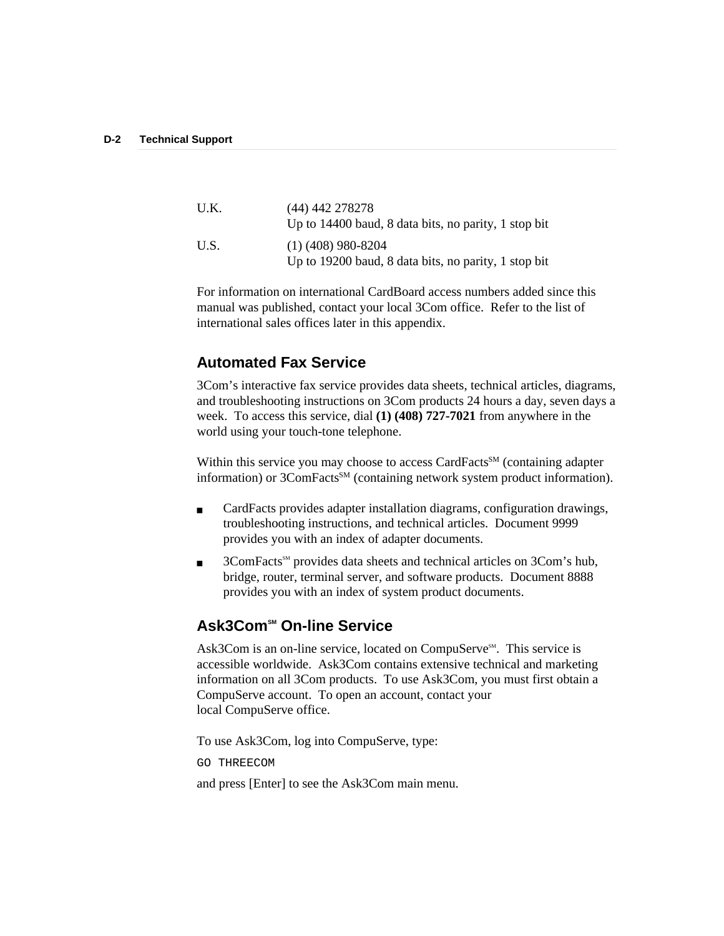| U.K. | (44) 442 278278<br>Up to 14400 baud, 8 data bits, no parity, 1 stop bit      |
|------|------------------------------------------------------------------------------|
| U.S. | $(1)$ (408) 980-8204<br>Up to 19200 baud, 8 data bits, no parity, 1 stop bit |

For information on international CardBoard access numbers added since this manual was published, contact your local 3Com office. Refer to the list of international sales offices later in this appendix.

# **Automated Fax Service**

3Com's interactive fax service provides data sheets, technical articles, diagrams, and troubleshooting instructions on 3Com products 24 hours a day, seven days a week. To access this service, dial **(1) (408) 727-7021** from anywhere in the world using your touch-tone telephone.

Within this service you may choose to access CardFacts<sup>SM</sup> (containing adapter information) or 3ComFacts<sup>SM</sup> (containing network system product information).

- CardFacts provides adapter installation diagrams, configuration drawings, troubleshooting instructions, and technical articles. Document 9999 provides you with an index of adapter documents.
- 3ComFacts<sup>SM</sup> provides data sheets and technical articles on 3Com's hub, bridge, router, terminal server, and software products. Document 8888 provides you with an index of system product documents.

# **Ask3Com<sup>™</sup> On-line Service**

Ask3Com is an on-line service, located on CompuServe<sup>SM</sup>. This service is accessible worldwide. Ask3Com contains extensive technical and marketing information on all 3Com products. To use Ask3Com, you must first obtain a CompuServe account. To open an account, contact your local CompuServe office.

To use Ask3Com, log into CompuServe, type:

GO THREECOM

and press [Enter] to see the Ask3Com main menu.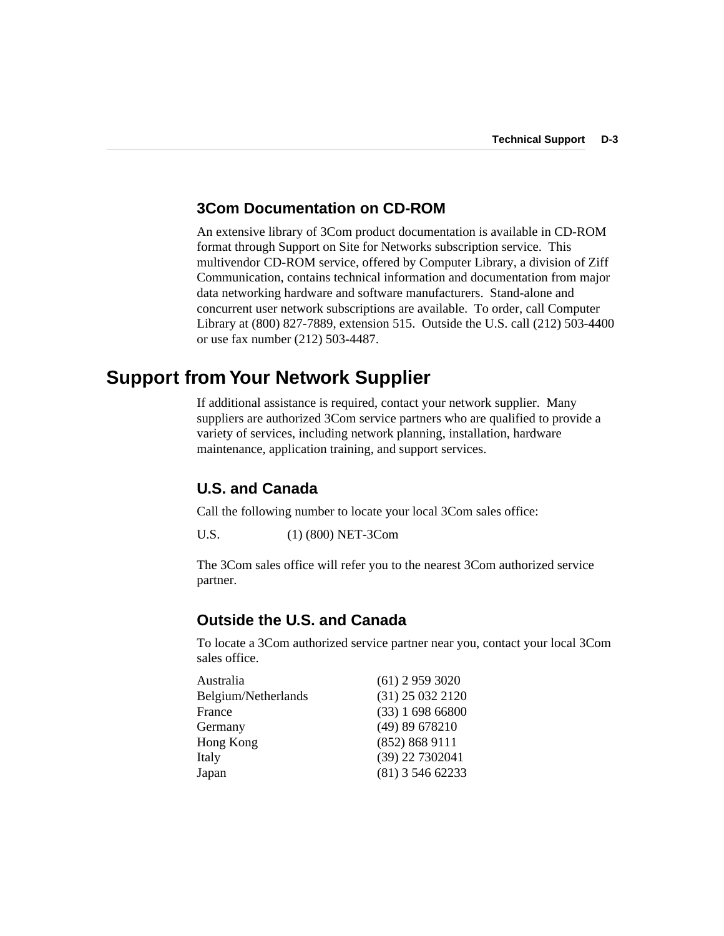### **3Com Documentation on CD-ROM**

An extensive library of 3Com product documentation is available in CD-ROM format through Support on Site for Networks subscription service. This multivendor CD-ROM service, offered by Computer Library, a division of Ziff Communication, contains technical information and documentation from major data networking hardware and software manufacturers. Stand-alone and concurrent user network subscriptions are available. To order, call Computer Library at (800) 827-7889, extension 515. Outside the U.S. call (212) 503-4400 or use fax number (212) 503-4487.

# **Support from Your Network Supplier**

If additional assistance is required, contact your network supplier. Many suppliers are authorized 3Com service partners who are qualified to provide a variety of services, including network planning, installation, hardware maintenance, application training, and support services.

# **U.S. and Canada**

Call the following number to locate your local 3Com sales office:

U.S. (1) (800) NET-3Com

The 3Com sales office will refer you to the nearest 3Com authorized service partner.

## **Outside the U.S. and Canada**

To locate a 3Com authorized service partner near you, contact your local 3Com sales office.

| Australia           | $(61)$ 2 959 3020  |
|---------------------|--------------------|
| Belgium/Netherlands | $(31)$ 25 032 2120 |
| France              | (33) 169866800     |
| Germany             | (49) 89 678210     |
| Hong Kong           | (852) 868 9111     |
| Italy               | (39) 22 7302041    |
| Japan               | $(81)$ 3 546 62233 |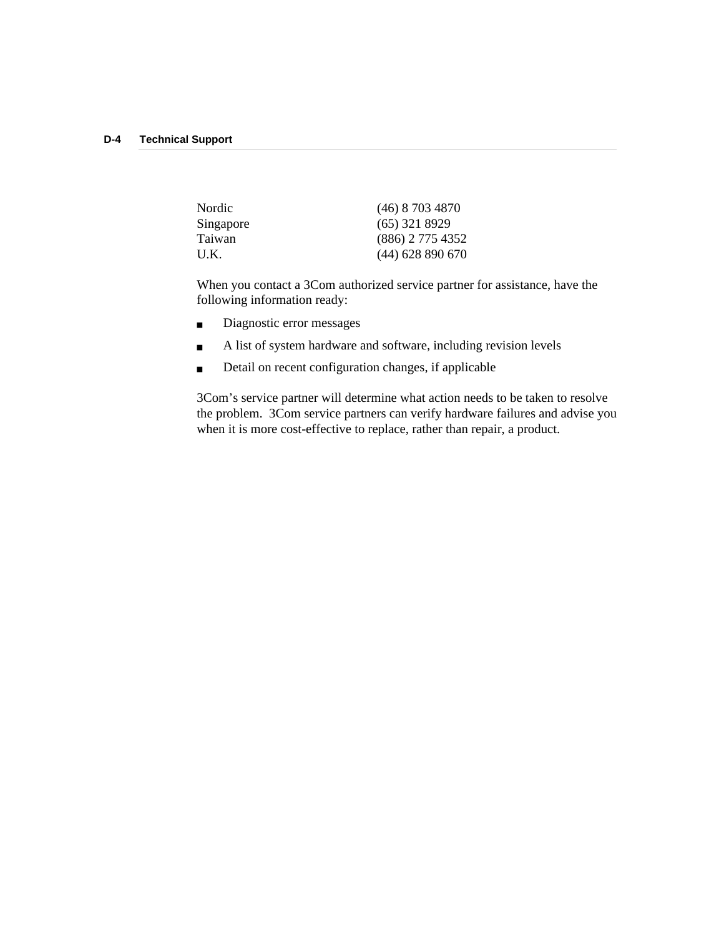| Nordic    | $(46)$ 8 703 4870  |
|-----------|--------------------|
| Singapore | $(65)$ 321 8929    |
| Taiwan    | $(886)$ 2 775 4352 |
| U.K.      | $(44)$ 628 890 670 |

When you contact a 3Com authorized service partner for assistance, have the following information ready:

- Diagnostic error messages
- A list of system hardware and software, including revision levels
- Detail on recent configuration changes, if applicable

3Com's service partner will determine what action needs to be taken to resolve the problem. 3Com service partners can verify hardware failures and advise you when it is more cost-effective to replace, rather than repair, a product.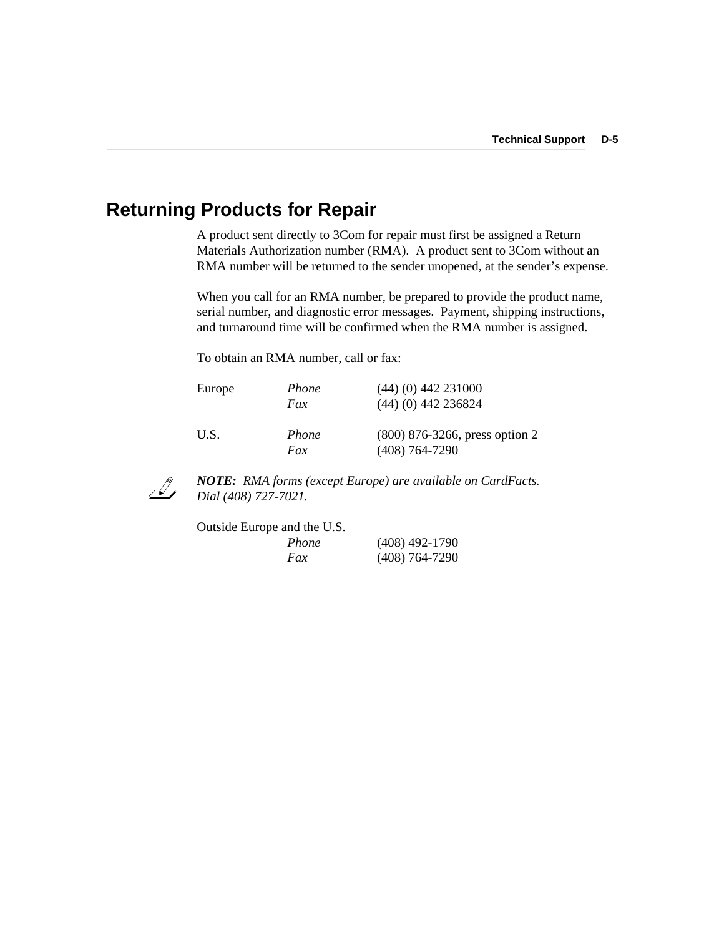# **Returning Products for Repair**

A product sent directly to 3Com for repair must first be assigned a Return Materials Authorization number (RMA). A product sent to 3Com without an RMA number will be returned to the sender unopened, at the sender's expense.

When you call for an RMA number, be prepared to provide the product name, serial number, and diagnostic error messages. Payment, shipping instructions, and turnaround time will be confirmed when the RMA number is assigned.

To obtain an RMA number, call or fax:

| Europe | Phone<br>Fax | $(44)$ (0) 442 231000<br>$(44)$ (0) 442 236824       |
|--------|--------------|------------------------------------------------------|
| U.S.   | Phone<br>Fax | $(800)$ 876-3266, press option 2<br>$(408)$ 764-7290 |



*NOTE: RMA forms (except Europe) are available on CardFacts. Dial (408) 727-7021.*

| Outside Europe and the U.S. |                  |
|-----------------------------|------------------|
| Phone                       | $(408)$ 492-1790 |
| Fax                         | $(408)$ 764-7290 |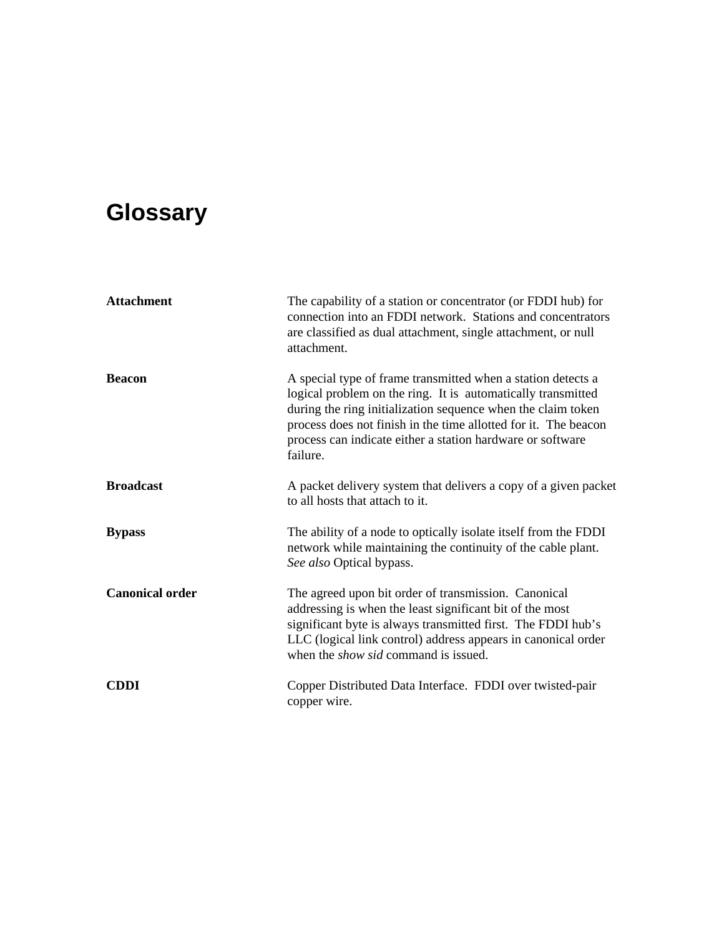# **Glossary**

| <b>Attachment</b>      | The capability of a station or concentrator (or FDDI hub) for<br>connection into an FDDI network. Stations and concentrators<br>are classified as dual attachment, single attachment, or null<br>attachment.                                                                                                                              |
|------------------------|-------------------------------------------------------------------------------------------------------------------------------------------------------------------------------------------------------------------------------------------------------------------------------------------------------------------------------------------|
| <b>Beacon</b>          | A special type of frame transmitted when a station detects a<br>logical problem on the ring. It is automatically transmitted<br>during the ring initialization sequence when the claim token<br>process does not finish in the time allotted for it. The beacon<br>process can indicate either a station hardware or software<br>failure. |
| <b>Broadcast</b>       | A packet delivery system that delivers a copy of a given packet<br>to all hosts that attach to it.                                                                                                                                                                                                                                        |
| <b>Bypass</b>          | The ability of a node to optically isolate itself from the FDDI<br>network while maintaining the continuity of the cable plant.<br>See also Optical bypass.                                                                                                                                                                               |
| <b>Canonical order</b> | The agreed upon bit order of transmission. Canonical<br>addressing is when the least significant bit of the most<br>significant byte is always transmitted first. The FDDI hub's<br>LLC (logical link control) address appears in canonical order<br>when the <i>show sid</i> command is issued.                                          |
| <b>CDDI</b>            | Copper Distributed Data Interface. FDDI over twisted-pair<br>copper wire.                                                                                                                                                                                                                                                                 |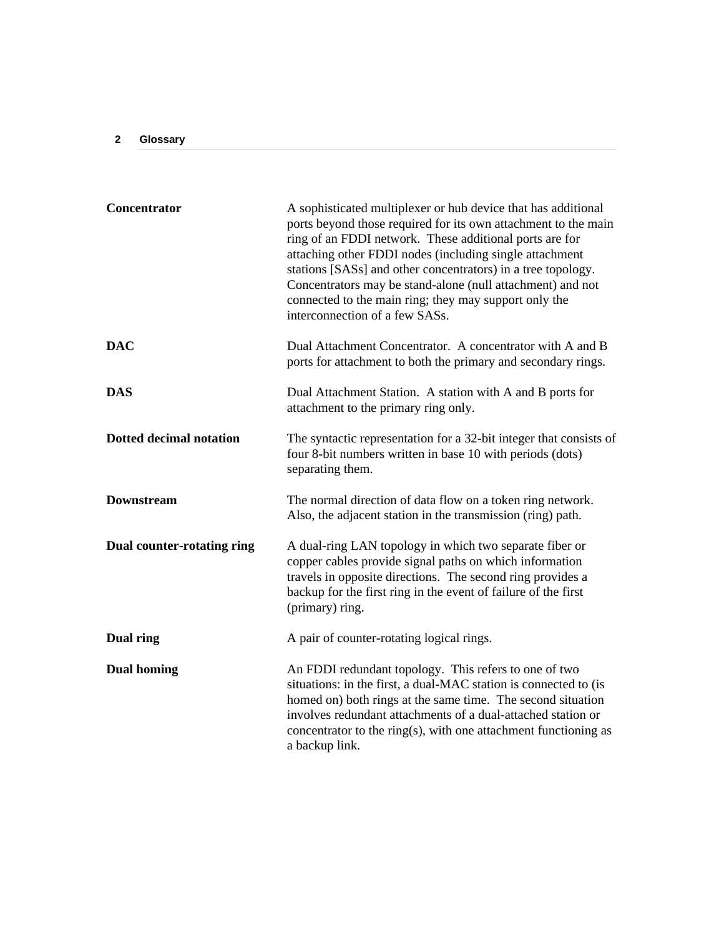| Concentrator                      | A sophisticated multiplexer or hub device that has additional<br>ports beyond those required for its own attachment to the main<br>ring of an FDDI network. These additional ports are for<br>attaching other FDDI nodes (including single attachment<br>stations [SASs] and other concentrators) in a tree topology.<br>Concentrators may be stand-alone (null attachment) and not<br>connected to the main ring; they may support only the<br>interconnection of a few SASs. |
|-----------------------------------|--------------------------------------------------------------------------------------------------------------------------------------------------------------------------------------------------------------------------------------------------------------------------------------------------------------------------------------------------------------------------------------------------------------------------------------------------------------------------------|
| <b>DAC</b>                        | Dual Attachment Concentrator. A concentrator with A and B<br>ports for attachment to both the primary and secondary rings.                                                                                                                                                                                                                                                                                                                                                     |
| DAS                               | Dual Attachment Station. A station with A and B ports for<br>attachment to the primary ring only.                                                                                                                                                                                                                                                                                                                                                                              |
| <b>Dotted decimal notation</b>    | The syntactic representation for a 32-bit integer that consists of<br>four 8-bit numbers written in base 10 with periods (dots)<br>separating them.                                                                                                                                                                                                                                                                                                                            |
| <b>Downstream</b>                 | The normal direction of data flow on a token ring network.<br>Also, the adjacent station in the transmission (ring) path.                                                                                                                                                                                                                                                                                                                                                      |
| <b>Dual counter-rotating ring</b> | A dual-ring LAN topology in which two separate fiber or<br>copper cables provide signal paths on which information<br>travels in opposite directions. The second ring provides a<br>backup for the first ring in the event of failure of the first<br>(primary) ring.                                                                                                                                                                                                          |
| Dual ring                         | A pair of counter-rotating logical rings.                                                                                                                                                                                                                                                                                                                                                                                                                                      |
| <b>Dual homing</b>                | An FDDI redundant topology. This refers to one of two<br>situations: in the first, a dual-MAC station is connected to (is<br>homed on) both rings at the same time. The second situation<br>involves redundant attachments of a dual-attached station or<br>concentrator to the ring(s), with one attachment functioning as<br>a backup link.                                                                                                                                  |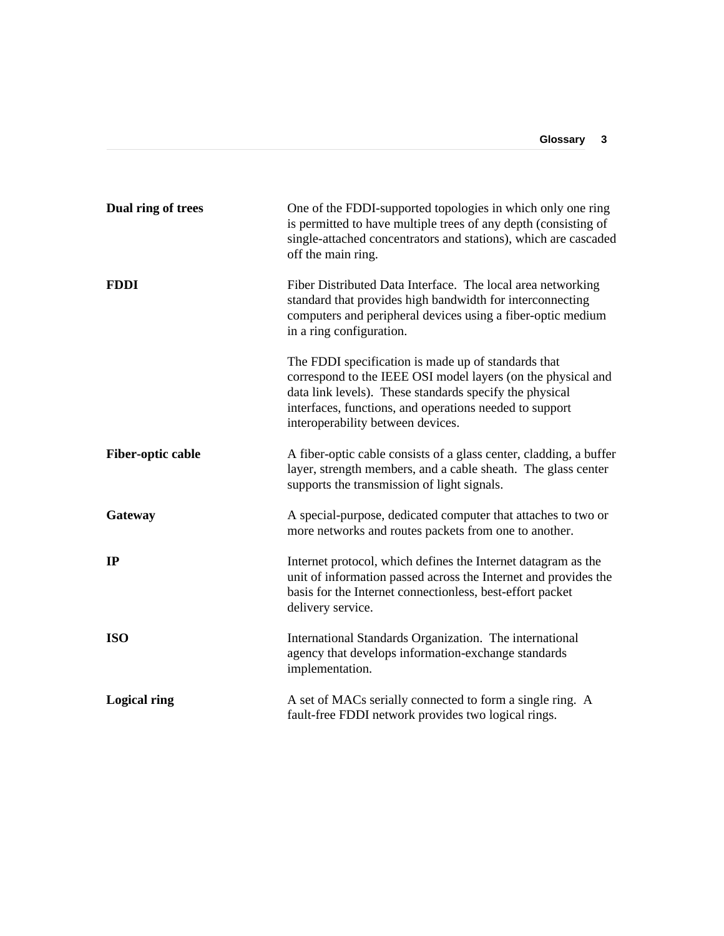| Dual ring of trees       | One of the FDDI-supported topologies in which only one ring<br>is permitted to have multiple trees of any depth (consisting of<br>single-attached concentrators and stations), which are cascaded<br>off the main ring.                                                        |
|--------------------------|--------------------------------------------------------------------------------------------------------------------------------------------------------------------------------------------------------------------------------------------------------------------------------|
| <b>FDDI</b>              | Fiber Distributed Data Interface. The local area networking<br>standard that provides high bandwidth for interconnecting<br>computers and peripheral devices using a fiber-optic medium<br>in a ring configuration.                                                            |
|                          | The FDDI specification is made up of standards that<br>correspond to the IEEE OSI model layers (on the physical and<br>data link levels). These standards specify the physical<br>interfaces, functions, and operations needed to support<br>interoperability between devices. |
| <b>Fiber-optic cable</b> | A fiber-optic cable consists of a glass center, cladding, a buffer<br>layer, strength members, and a cable sheath. The glass center<br>supports the transmission of light signals.                                                                                             |
| Gateway                  | A special-purpose, dedicated computer that attaches to two or<br>more networks and routes packets from one to another.                                                                                                                                                         |
| IP                       | Internet protocol, which defines the Internet datagram as the<br>unit of information passed across the Internet and provides the<br>basis for the Internet connectionless, best-effort packet<br>delivery service.                                                             |
| <b>ISO</b>               | International Standards Organization. The international<br>agency that develops information-exchange standards<br>implementation.                                                                                                                                              |
| <b>Logical ring</b>      | A set of MACs serially connected to form a single ring. A<br>fault-free FDDI network provides two logical rings.                                                                                                                                                               |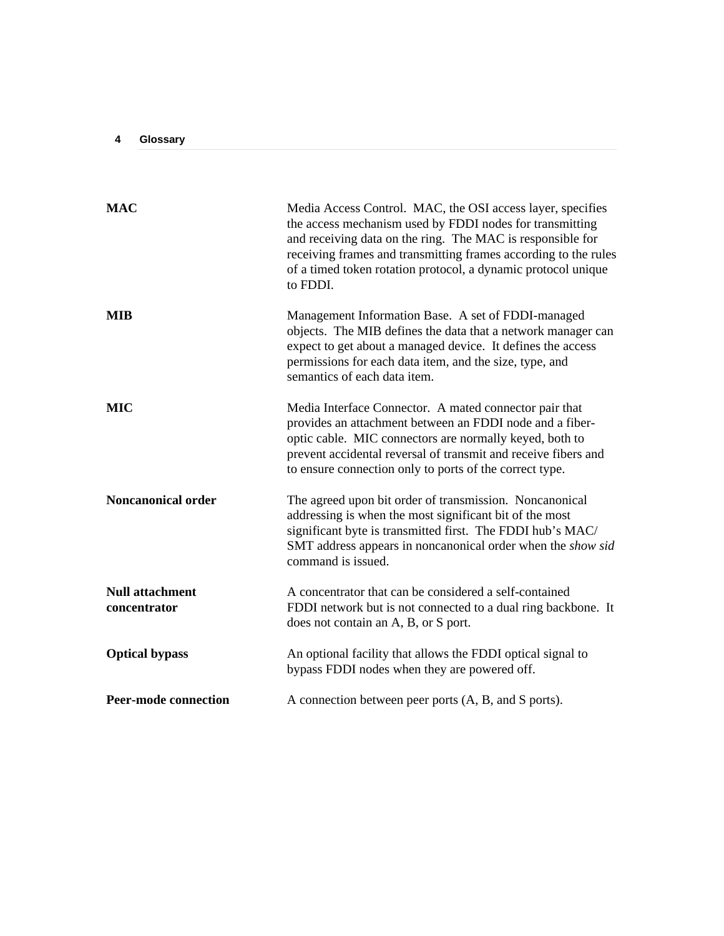| <b>MAC</b>                             | Media Access Control. MAC, the OSI access layer, specifies<br>the access mechanism used by FDDI nodes for transmitting<br>and receiving data on the ring. The MAC is responsible for<br>receiving frames and transmitting frames according to the rules<br>of a timed token rotation protocol, a dynamic protocol unique<br>to FDDI. |
|----------------------------------------|--------------------------------------------------------------------------------------------------------------------------------------------------------------------------------------------------------------------------------------------------------------------------------------------------------------------------------------|
| <b>MIB</b>                             | Management Information Base. A set of FDDI-managed<br>objects. The MIB defines the data that a network manager can<br>expect to get about a managed device. It defines the access<br>permissions for each data item, and the size, type, and<br>semantics of each data item.                                                         |
| MIC                                    | Media Interface Connector. A mated connector pair that<br>provides an attachment between an FDDI node and a fiber-<br>optic cable. MIC connectors are normally keyed, both to<br>prevent accidental reversal of transmit and receive fibers and<br>to ensure connection only to ports of the correct type.                           |
| <b>Noncanonical order</b>              | The agreed upon bit order of transmission. Noncanonical<br>addressing is when the most significant bit of the most<br>significant byte is transmitted first. The FDDI hub's MAC/<br>SMT address appears in noncanonical order when the show sid<br>command is issued.                                                                |
| <b>Null attachment</b><br>concentrator | A concentrator that can be considered a self-contained<br>FDDI network but is not connected to a dual ring backbone. It<br>does not contain an A, B, or S port.                                                                                                                                                                      |
| <b>Optical bypass</b>                  | An optional facility that allows the FDDI optical signal to<br>bypass FDDI nodes when they are powered off.                                                                                                                                                                                                                          |
| <b>Peer-mode connection</b>            | A connection between peer ports (A, B, and S ports).                                                                                                                                                                                                                                                                                 |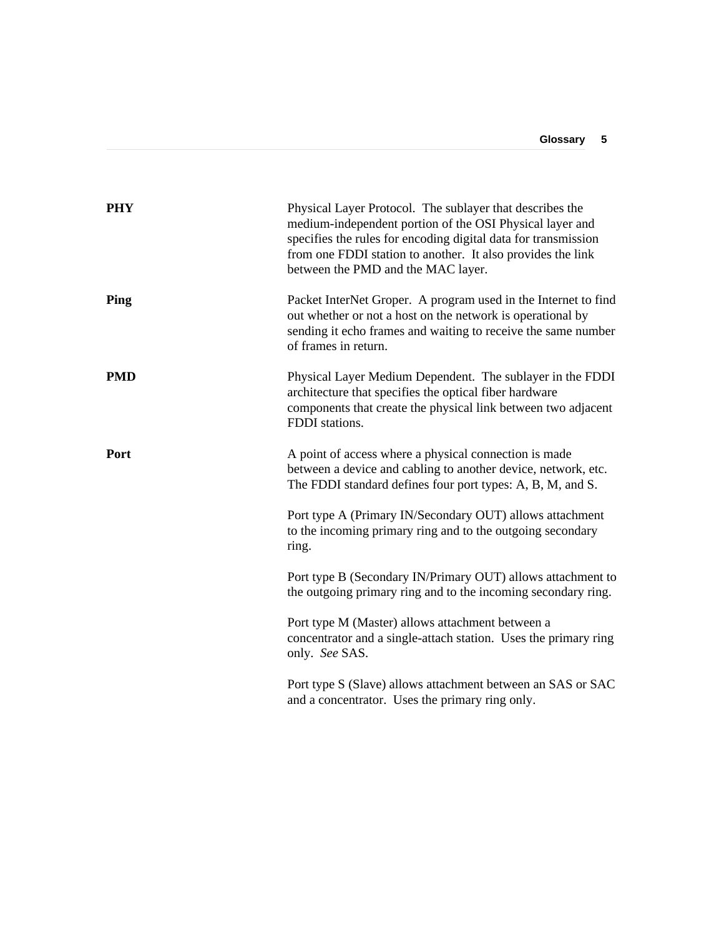| <b>PHY</b>  | Physical Layer Protocol. The sublayer that describes the<br>medium-independent portion of the OSI Physical layer and<br>specifies the rules for encoding digital data for transmission<br>from one FDDI station to another. It also provides the link<br>between the PMD and the MAC layer. |
|-------------|---------------------------------------------------------------------------------------------------------------------------------------------------------------------------------------------------------------------------------------------------------------------------------------------|
| Ping        | Packet InterNet Groper. A program used in the Internet to find<br>out whether or not a host on the network is operational by<br>sending it echo frames and waiting to receive the same number<br>of frames in return.                                                                       |
| <b>PMD</b>  | Physical Layer Medium Dependent. The sublayer in the FDDI<br>architecture that specifies the optical fiber hardware<br>components that create the physical link between two adjacent<br>FDDI stations.                                                                                      |
| <b>Port</b> | A point of access where a physical connection is made<br>between a device and cabling to another device, network, etc.<br>The FDDI standard defines four port types: A, B, M, and S.                                                                                                        |
|             | Port type A (Primary IN/Secondary OUT) allows attachment<br>to the incoming primary ring and to the outgoing secondary<br>ring.                                                                                                                                                             |
|             | Port type B (Secondary IN/Primary OUT) allows attachment to<br>the outgoing primary ring and to the incoming secondary ring.                                                                                                                                                                |
|             | Port type M (Master) allows attachment between a<br>concentrator and a single-attach station. Uses the primary ring<br>only. See SAS.                                                                                                                                                       |
|             | Port type S (Slave) allows attachment between an SAS or SAC<br>and a concentrator. Uses the primary ring only.                                                                                                                                                                              |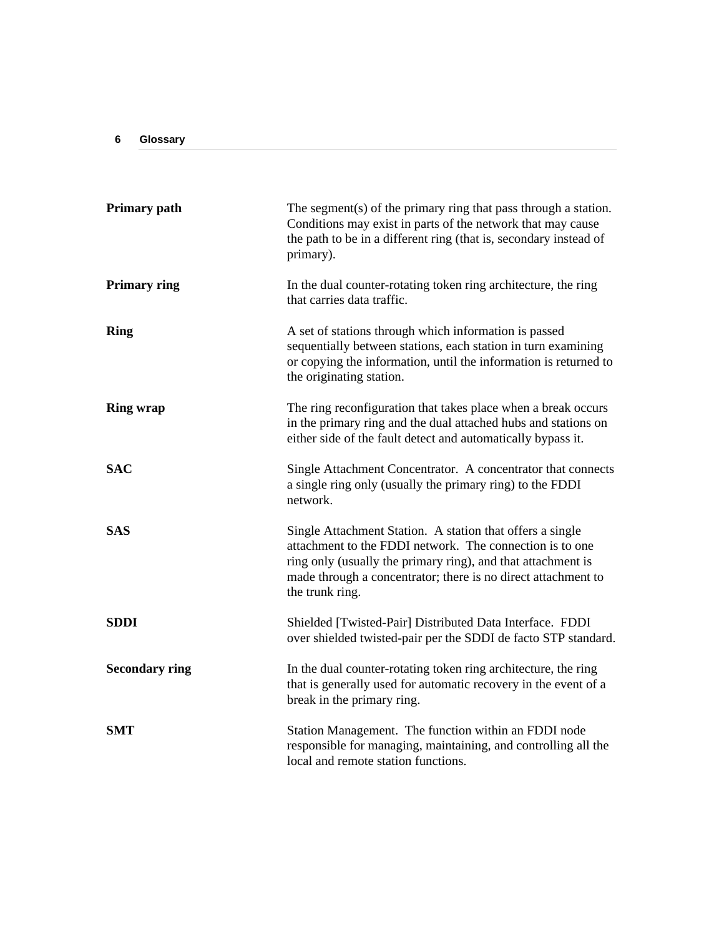| <b>Primary path</b>   | The segment(s) of the primary ring that pass through a station.<br>Conditions may exist in parts of the network that may cause<br>the path to be in a different ring (that is, secondary instead of<br>primary).                                                          |
|-----------------------|---------------------------------------------------------------------------------------------------------------------------------------------------------------------------------------------------------------------------------------------------------------------------|
| <b>Primary ring</b>   | In the dual counter-rotating token ring architecture, the ring<br>that carries data traffic.                                                                                                                                                                              |
| <b>Ring</b>           | A set of stations through which information is passed<br>sequentially between stations, each station in turn examining<br>or copying the information, until the information is returned to<br>the originating station.                                                    |
| <b>Ring wrap</b>      | The ring reconfiguration that takes place when a break occurs<br>in the primary ring and the dual attached hubs and stations on<br>either side of the fault detect and automatically bypass it.                                                                           |
| <b>SAC</b>            | Single Attachment Concentrator. A concentrator that connects<br>a single ring only (usually the primary ring) to the FDDI<br>network.                                                                                                                                     |
| <b>SAS</b>            | Single Attachment Station. A station that offers a single<br>attachment to the FDDI network. The connection is to one<br>ring only (usually the primary ring), and that attachment is<br>made through a concentrator; there is no direct attachment to<br>the trunk ring. |
| <b>SDDI</b>           | Shielded [Twisted-Pair] Distributed Data Interface. FDDI<br>over shielded twisted-pair per the SDDI de facto STP standard.                                                                                                                                                |
| <b>Secondary ring</b> | In the dual counter-rotating token ring architecture, the ring<br>that is generally used for automatic recovery in the event of a<br>break in the primary ring.                                                                                                           |
| <b>SMT</b>            | Station Management. The function within an FDDI node<br>responsible for managing, maintaining, and controlling all the<br>local and remote station functions.                                                                                                             |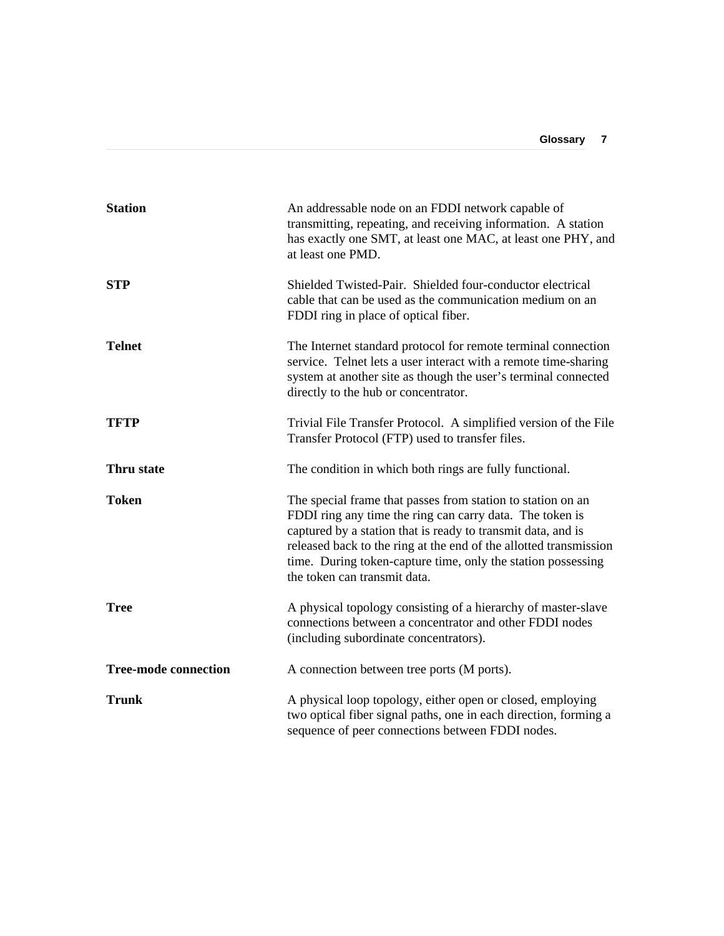| <b>Station</b>              | An addressable node on an FDDI network capable of<br>transmitting, repeating, and receiving information. A station<br>has exactly one SMT, at least one MAC, at least one PHY, and<br>at least one PMD.                                                                                                                                                      |
|-----------------------------|--------------------------------------------------------------------------------------------------------------------------------------------------------------------------------------------------------------------------------------------------------------------------------------------------------------------------------------------------------------|
| <b>STP</b>                  | Shielded Twisted-Pair. Shielded four-conductor electrical<br>cable that can be used as the communication medium on an<br>FDDI ring in place of optical fiber.                                                                                                                                                                                                |
| <b>Telnet</b>               | The Internet standard protocol for remote terminal connection<br>service. Telnet lets a user interact with a remote time-sharing<br>system at another site as though the user's terminal connected<br>directly to the hub or concentrator.                                                                                                                   |
| <b>TFTP</b>                 | Trivial File Transfer Protocol. A simplified version of the File<br>Transfer Protocol (FTP) used to transfer files.                                                                                                                                                                                                                                          |
| Thru state                  | The condition in which both rings are fully functional.                                                                                                                                                                                                                                                                                                      |
| <b>Token</b>                | The special frame that passes from station to station on an<br>FDDI ring any time the ring can carry data. The token is<br>captured by a station that is ready to transmit data, and is<br>released back to the ring at the end of the allotted transmission<br>time. During token-capture time, only the station possessing<br>the token can transmit data. |
| <b>Tree</b>                 | A physical topology consisting of a hierarchy of master-slave<br>connections between a concentrator and other FDDI nodes<br>(including subordinate concentrators).                                                                                                                                                                                           |
| <b>Tree-mode connection</b> | A connection between tree ports (M ports).                                                                                                                                                                                                                                                                                                                   |
| <b>Trunk</b>                | A physical loop topology, either open or closed, employing<br>two optical fiber signal paths, one in each direction, forming a<br>sequence of peer connections between FDDI nodes.                                                                                                                                                                           |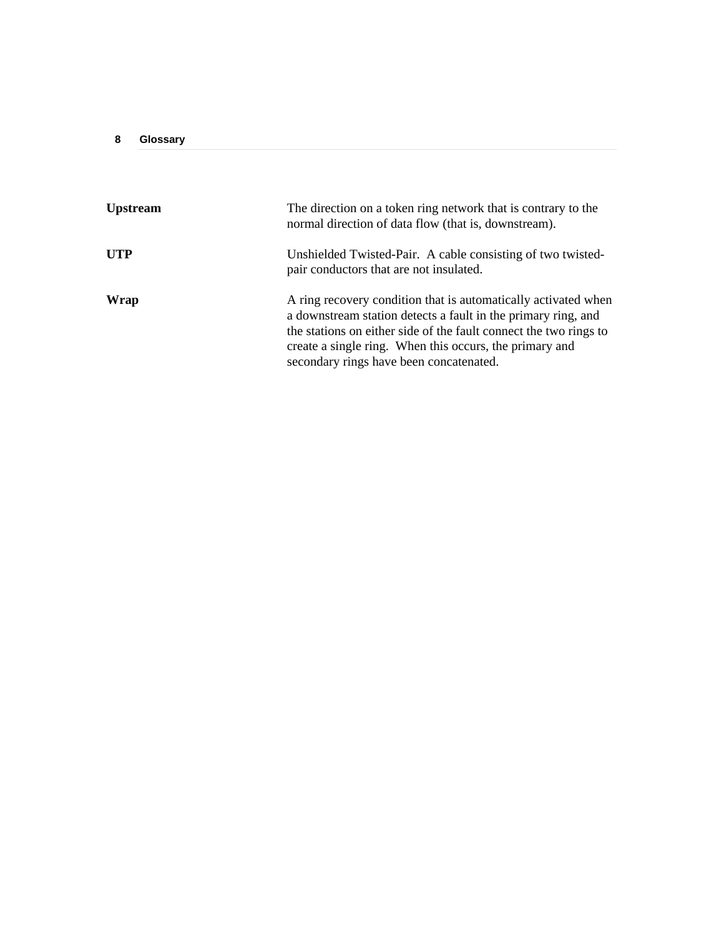| Upstream | The direction on a token ring network that is contrary to the<br>normal direction of data flow (that is, downstream).                                                                                                                                                                                      |
|----------|------------------------------------------------------------------------------------------------------------------------------------------------------------------------------------------------------------------------------------------------------------------------------------------------------------|
| UTP      | Unshielded Twisted-Pair. A cable consisting of two twisted-<br>pair conductors that are not insulated.                                                                                                                                                                                                     |
| Wrap     | A ring recovery condition that is automatically activated when<br>a downstream station detects a fault in the primary ring, and<br>the stations on either side of the fault connect the two rings to<br>create a single ring. When this occurs, the primary and<br>secondary rings have been concatenated. |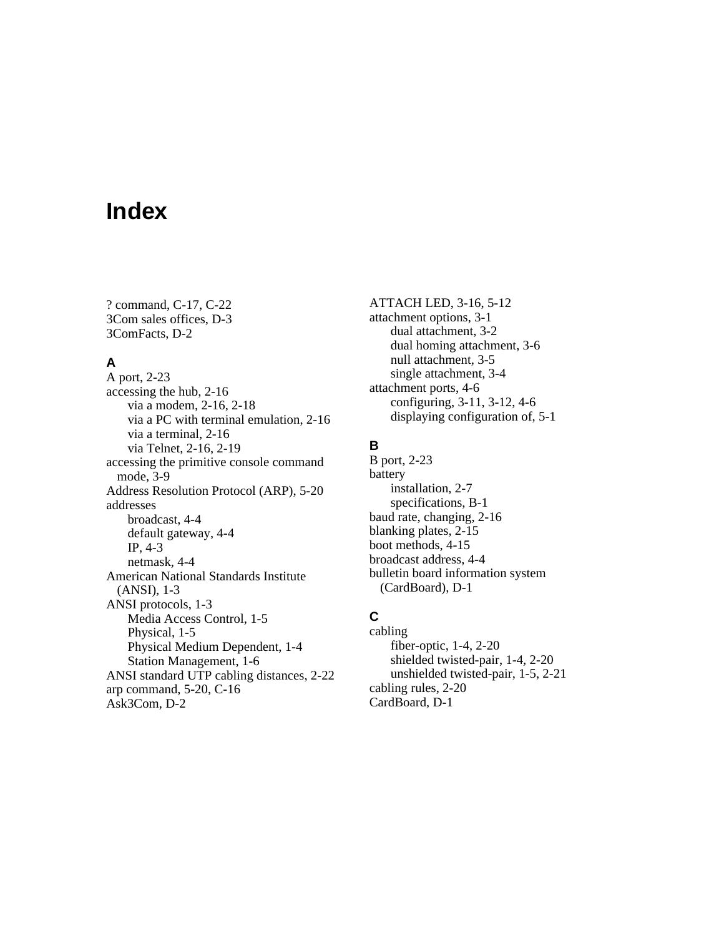# **Index**

? command, C-17, C-22 3Com sales offices, D-3 3ComFacts, D-2

### **A**

A port, 2-23 accessing the hub, 2-16 via a modem, 2-16, 2-18 via a PC with terminal emulation, 2-16 via a terminal, 2-16 via Telnet, 2-16, 2-19 accessing the primitive console command mode, 3-9 Address Resolution Protocol (ARP), 5-20 addresses broadcast, 4-4 default gateway, 4-4 IP, 4-3 netmask, 4-4 American National Standards Institute (ANSI), 1-3 ANSI protocols, 1-3 Media Access Control, 1-5 Physical, 1-5 Physical Medium Dependent, 1-4 Station Management, 1-6 ANSI standard UTP cabling distances, 2-22 arp command, 5-20, C-16 Ask3Com, D-2

ATTACH LED, 3-16, 5-12 attachment options, 3-1 dual attachment, 3-2 dual homing attachment, 3-6 null attachment, 3-5 single attachment, 3-4 attachment ports, 4-6 configuring, 3-11, 3-12, 4-6 displaying configuration of, 5-1

### **B**

B port, 2-23 battery installation, 2-7 specifications, B-1 baud rate, changing, 2-16 blanking plates, 2-15 boot methods, 4-15 broadcast address, 4-4 bulletin board information system (CardBoard), D-1

## **C**

cabling fiber-optic, 1-4, 2-20 shielded twisted-pair, 1-4, 2-20 unshielded twisted-pair, 1-5, 2-21 cabling rules, 2-20 CardBoard, D-1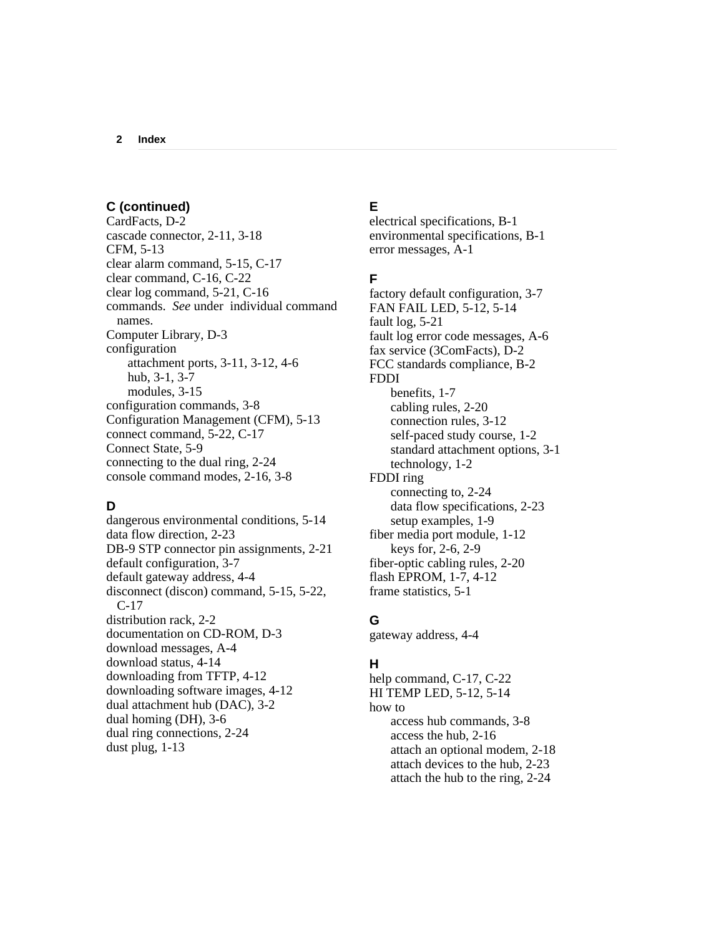### **C (continued)**

CardFacts, D-2 cascade connector, 2-11, 3-18 CFM, 5-13 clear alarm command, 5-15, C-17 clear command, C-16, C-22 clear log command, 5-21, C-16 commands. *See* under individual command names. Computer Library, D-3 configuration attachment ports, 3-11, 3-12, 4-6 hub, 3-1, 3-7 modules, 3-15 configuration commands, 3-8 Configuration Management (CFM), 5-13 connect command, 5-22, C-17 Connect State, 5-9 connecting to the dual ring, 2-24 console command modes, 2-16, 3-8

### **D**

dangerous environmental conditions, 5-14 data flow direction, 2-23 DB-9 STP connector pin assignments, 2-21 default configuration, 3-7 default gateway address, 4-4 disconnect (discon) command, 5-15, 5-22, C-17 distribution rack, 2-2 documentation on CD-ROM, D-3 download messages, A-4 download status, 4-14 downloading from TFTP, 4-12 downloading software images, 4-12 dual attachment hub (DAC), 3-2 dual homing (DH), 3-6 dual ring connections, 2-24 dust plug, 1-13

### **E**

electrical specifications, B-1 environmental specifications, B-1 error messages, A-1

### **F**

factory default configuration, 3-7 FAN FAIL LED, 5-12, 5-14 fault log, 5-21 fault log error code messages, A-6 fax service (3ComFacts), D-2 FCC standards compliance, B-2 FDDI benefits, 1-7 cabling rules, 2-20 connection rules, 3-12 self-paced study course, 1-2 standard attachment options, 3-1 technology, 1-2 FDDI ring connecting to, 2-24 data flow specifications, 2-23 setup examples, 1-9 fiber media port module, 1-12 keys for, 2-6, 2-9 fiber-optic cabling rules, 2-20 flash EPROM, 1-7, 4-12 frame statistics, 5-1

## **G**

gateway address, 4-4

### **H**

help command, C-17, C-22 HI TEMP LED, 5-12, 5-14 how to access hub commands, 3-8 access the hub, 2-16 attach an optional modem, 2-18 attach devices to the hub, 2-23 attach the hub to the ring, 2-24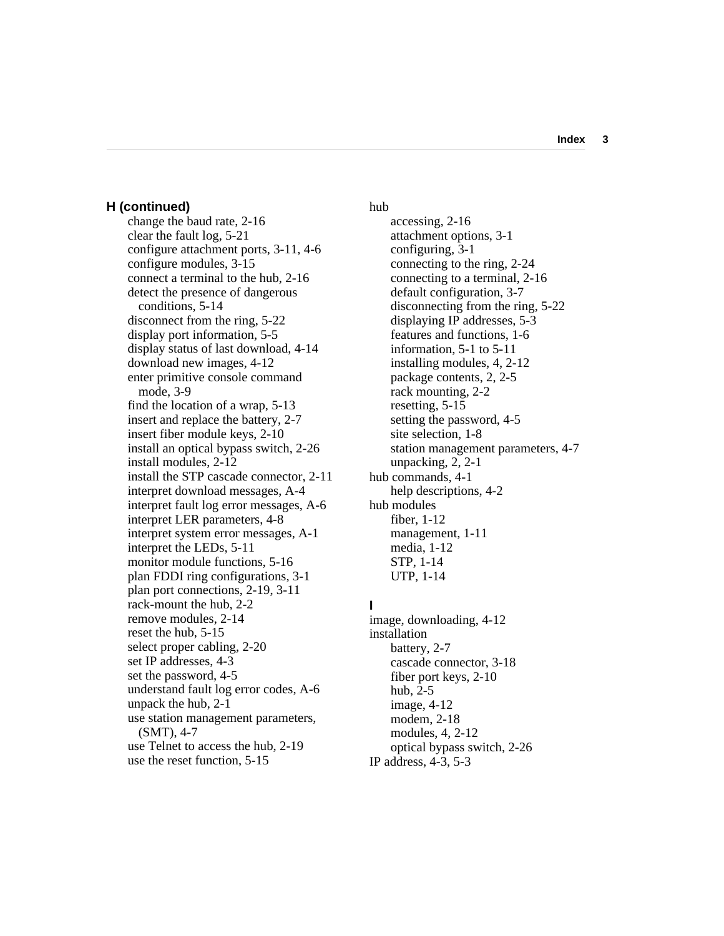**Index 3**

#### **H (continued)**

change the baud rate, 2-16 clear the fault log, 5-21 configure attachment ports, 3-11, 4-6 configure modules, 3-15 connect a terminal to the hub, 2-16 detect the presence of dangerous conditions, 5-14 disconnect from the ring, 5-22 display port information, 5-5 display status of last download, 4-14 download new images, 4-12 enter primitive console command mode, 3-9 find the location of a wrap, 5-13 insert and replace the battery, 2-7 insert fiber module keys, 2-10 install an optical bypass switch, 2-26 install modules, 2-12 install the STP cascade connector, 2-11 interpret download messages, A-4 interpret fault log error messages, A-6 interpret LER parameters, 4-8 interpret system error messages, A-1 interpret the LEDs, 5-11 monitor module functions, 5-16 plan FDDI ring configurations, 3-1 plan port connections, 2-19, 3-11 rack-mount the hub, 2-2 remove modules, 2-14 reset the hub, 5-15 select proper cabling, 2-20 set IP addresses, 4-3 set the password, 4-5 understand fault log error codes, A-6 unpack the hub, 2-1 use station management parameters, (SMT), 4-7 use Telnet to access the hub, 2-19 use the reset function, 5-15

hub

accessing, 2-16 attachment options, 3-1 configuring, 3-1 connecting to the ring, 2-24 connecting to a terminal, 2-16 default configuration, 3-7 disconnecting from the ring, 5-22 displaying IP addresses, 5-3 features and functions, 1-6 information, 5-1 to 5-11 installing modules, 4, 2-12 package contents, 2, 2-5 rack mounting, 2-2 resetting, 5-15 setting the password, 4-5 site selection, 1-8 station management parameters, 4-7 unpacking, 2, 2-1 hub commands, 4-1 help descriptions, 4-2 hub modules fiber, 1-12 management, 1-11 media, 1-12 STP, 1-14 UTP, 1-14

### **I**

image, downloading, 4-12 installation battery, 2-7 cascade connector, 3-18 fiber port keys, 2-10 hub, 2-5 image, 4-12 modem, 2-18 modules, 4, 2-12 optical bypass switch, 2-26 IP address, 4-3, 5-3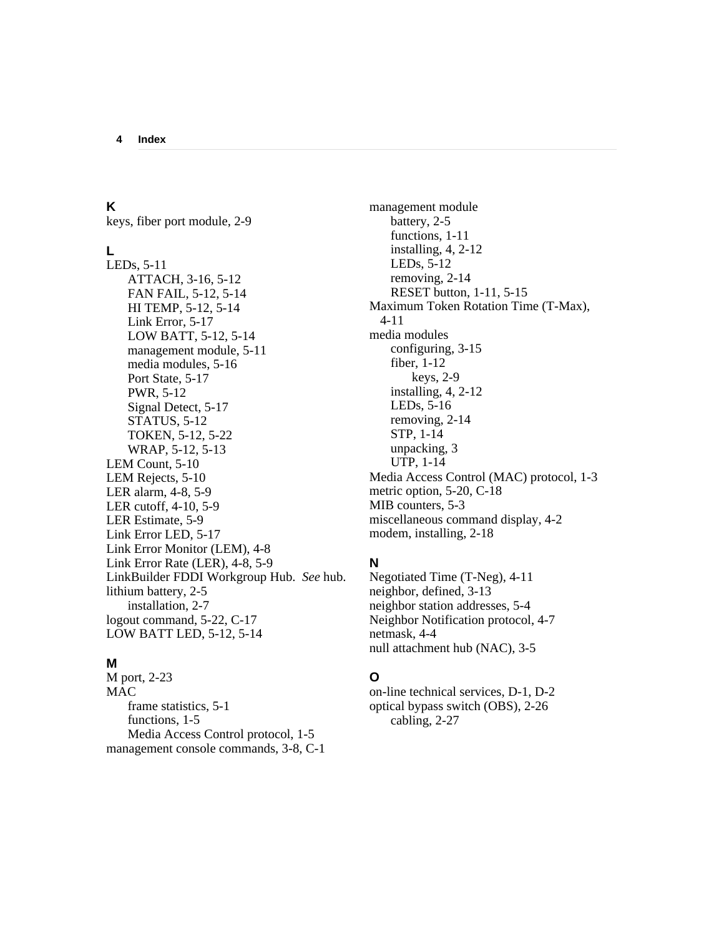### **K**

keys, fiber port module, 2-9

### **L**

LEDs, 5-11 ATTACH, 3-16, 5-12 FAN FAIL, 5-12, 5-14 HI TEMP, 5-12, 5-14 Link Error, 5-17 LOW BATT, 5-12, 5-14 management module, 5-11 media modules, 5-16 Port State, 5-17 PWR, 5-12 Signal Detect, 5-17 STATUS, 5-12 TOKEN, 5-12, 5-22 WRAP, 5-12, 5-13 LEM Count, 5-10 LEM Rejects, 5-10 LER alarm, 4-8, 5-9 LER cutoff, 4-10, 5-9 LER Estimate, 5-9 Link Error LED, 5-17 Link Error Monitor (LEM), 4-8 Link Error Rate (LER), 4-8, 5-9 LinkBuilder FDDI Workgroup Hub. *See* hub. lithium battery, 2-5 installation, 2-7 logout command, 5-22, C-17 LOW BATT LED, 5-12, 5-14

### **M**

M port, 2-23 **MAC** frame statistics, 5-1 functions, 1-5 Media Access Control protocol, 1-5 management console commands, 3-8, C-1

management module battery, 2-5 functions, 1-11 installing, 4, 2-12 LEDs, 5-12 removing, 2-14 RESET button, 1-11, 5-15 Maximum Token Rotation Time (T-Max), 4-11 media modules configuring, 3-15 fiber, 1-12 keys, 2-9 installing, 4, 2-12 LEDs, 5-16 removing, 2-14 STP, 1-14 unpacking, 3 UTP, 1-14 Media Access Control (MAC) protocol, 1-3 metric option, 5-20, C-18 MIB counters, 5-3 miscellaneous command display, 4-2 modem, installing, 2-18

### **N**

Negotiated Time (T-Neg), 4-11 neighbor, defined, 3-13 neighbor station addresses, 5-4 Neighbor Notification protocol, 4-7 netmask, 4-4 null attachment hub (NAC), 3-5

### **O**

on-line technical services, D-1, D-2 optical bypass switch (OBS), 2-26 cabling, 2-27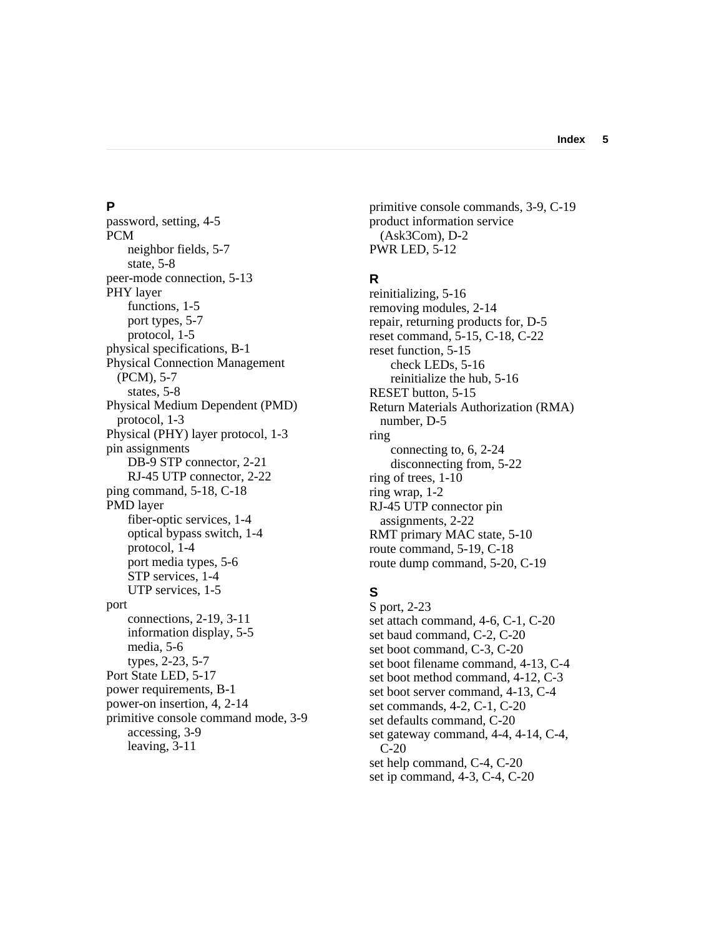### **P**

password, setting, 4-5 PCM neighbor fields, 5-7 state, 5-8 peer-mode connection, 5-13 PHY layer functions, 1-5 port types, 5-7 protocol, 1-5 physical specifications, B-1 Physical Connection Management (PCM), 5-7 states, 5-8 Physical Medium Dependent (PMD) protocol, 1-3 Physical (PHY) layer protocol, 1-3 pin assignments DB-9 STP connector, 2-21 RJ-45 UTP connector, 2-22 ping command, 5-18, C-18 PMD layer fiber-optic services, 1-4 optical bypass switch, 1-4 protocol, 1-4 port media types, 5-6 STP services, 1-4 UTP services, 1-5 port connections, 2-19, 3-11 information display, 5-5 media, 5-6 types, 2-23, 5-7 Port State LED, 5-17 power requirements, B-1 power-on insertion, 4, 2-14 primitive console command mode, 3-9 accessing, 3-9 leaving, 3-11

primitive console commands, 3-9, C-19 product information service (Ask3Com), D-2 PWR LED, 5-12

### **R**

reinitializing, 5-16 removing modules, 2-14 repair, returning products for, D-5 reset command, 5-15, C-18, C-22 reset function, 5-15 check LEDs, 5-16 reinitialize the hub, 5-16 RESET button, 5-15 Return Materials Authorization (RMA) number, D-5 ring connecting to, 6, 2-24 disconnecting from, 5-22 ring of trees, 1-10 ring wrap, 1-2 RJ-45 UTP connector pin assignments, 2-22 RMT primary MAC state, 5-10 route command, 5-19, C-18 route dump command, 5-20, C-19

# **S**

S port, 2-23 set attach command, 4-6, C-1, C-20 set baud command, C-2, C-20 set boot command, C-3, C-20 set boot filename command, 4-13, C-4 set boot method command, 4-12, C-3 set boot server command, 4-13, C-4 set commands, 4-2, C-1, C-20 set defaults command, C-20 set gateway command, 4-4, 4-14, C-4, C-20 set help command, C-4, C-20 set ip command, 4-3, C-4, C-20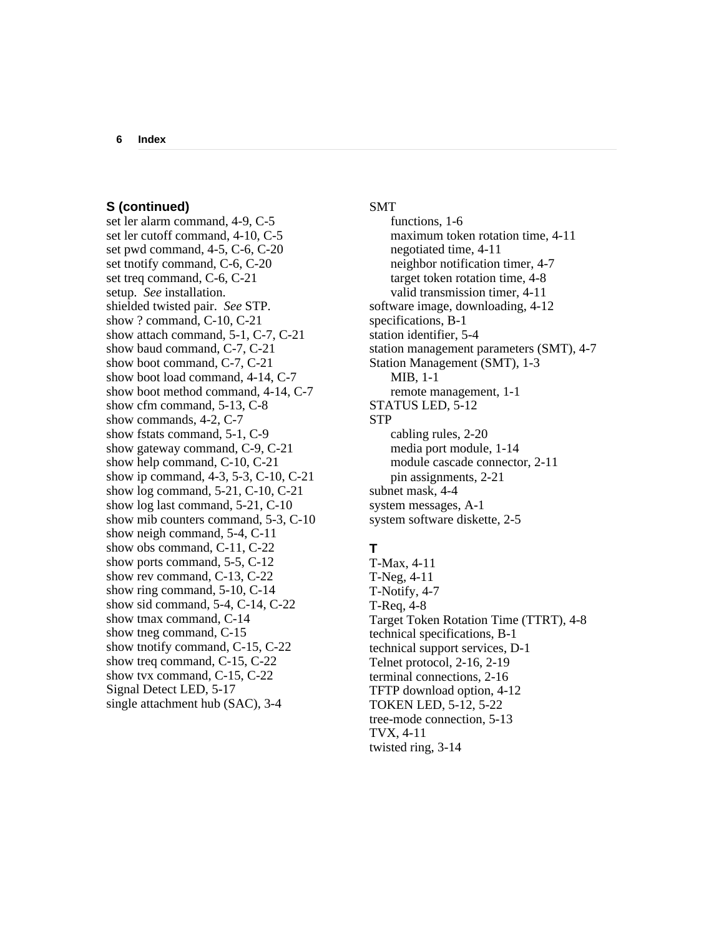#### **S (continued)**

set ler alarm command, 4-9, C-5 set ler cutoff command, 4-10, C-5 set pwd command, 4-5, C-6, C-20 set tnotify command, C-6, C-20 set treq command, C-6, C-21 setup. *See* installation. shielded twisted pair. *See* STP. show ? command, C-10, C-21 show attach command, 5-1, C-7, C-21 show baud command, C-7, C-21 show boot command, C-7, C-21 show boot load command, 4-14, C-7 show boot method command, 4-14, C-7 show cfm command, 5-13, C-8 show commands, 4-2, C-7 show fstats command, 5-1, C-9 show gateway command, C-9, C-21 show help command, C-10, C-21 show ip command, 4-3, 5-3, C-10, C-21 show log command, 5-21, C-10, C-21 show log last command, 5-21, C-10 show mib counters command, 5-3, C-10 show neigh command, 5-4, C-11 show obs command, C-11, C-22 show ports command, 5-5, C-12 show rev command, C-13, C-22 show ring command, 5-10, C-14 show sid command, 5-4, C-14, C-22 show tmax command, C-14 show tneg command, C-15 show tnotify command, C-15, C-22 show treq command, C-15, C-22 show tvx command, C-15, C-22 Signal Detect LED, 5-17 single attachment hub (SAC), 3-4

#### SMT

functions, 1-6 maximum token rotation time, 4-11 negotiated time, 4-11 neighbor notification timer, 4-7 target token rotation time, 4-8 valid transmission timer, 4-11 software image, downloading, 4-12 specifications, B-1 station identifier, 5-4 station management parameters (SMT), 4-7 Station Management (SMT), 1-3 MIB, 1-1 remote management, 1-1 STATUS LED, 5-12 STP cabling rules, 2-20 media port module, 1-14 module cascade connector, 2-11 pin assignments, 2-21 subnet mask, 4-4 system messages, A-1 system software diskette, 2-5

# **T**

T-Max, 4-11 T-Neg, 4-11 T-Notify, 4-7 T-Req, 4-8 Target Token Rotation Time (TTRT), 4-8 technical specifications, B-1 technical support services, D-1 Telnet protocol, 2-16, 2-19 terminal connections, 2-16 TFTP download option, 4-12 TOKEN LED, 5-12, 5-22 tree-mode connection, 5-13 TVX, 4-11 twisted ring, 3-14